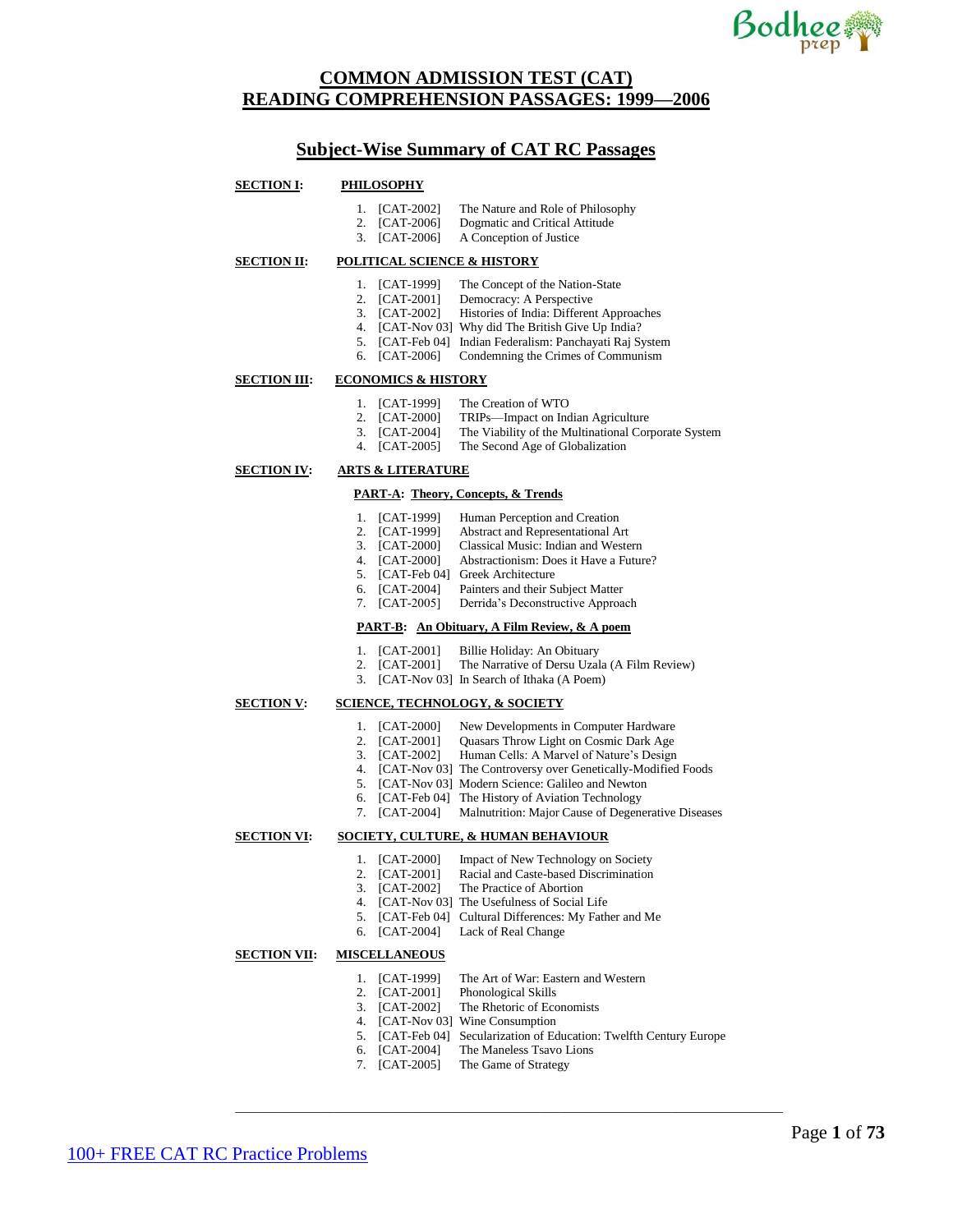

# **COMMON ADMISSION TEST (CAT) READING COMPREHENSION PASSAGES: 1999—2006**

## **Subject-Wise Summary of CAT RC Passages**

#### **SECTION I: PHILOSOPHY**

- 1. [CAT-2002] The Nature and Role of Philosophy<br>2. [CAT-2006] Dogmatic and Critical Attitude
	- Dogmatic and Critical Attitude
- 3. [CAT-2006] A Conception of Justice

#### **SECTION II: POLITICAL SCIENCE & HISTORY**

- 1. [CAT-1999] The Concept of the Nation-State
- 2. [CAT-2001] Democracy: A Perspective<br>3. [CAT-2002] Histories of India: Differen
- Histories of India: Different Approaches
- 4. [CAT-Nov 03] Why did The British Give Up India?
- 5. [CAT-Feb 04] Indian Federalism: Panchayati Raj System
- 6. [CAT-2006] Condemning the Crimes of Communism

#### **SECTION III: ECONOMICS & HISTORY**

- 1. [CAT-1999] The Creation of WTO
- 2. [CAT-2000] TRIPs—Impact on Indian Agriculture
- 3. [CAT-2004] The Viability of the Multinational Corporate System
- 4. [CAT-2005] The Second Age of Globalization

#### **SECTION IV: ARTS & LITERATURE**

#### **PART-A: Theory, Concepts, & Trends**

- 1. [CAT-1999] Human Perception and Creation<br>2. [CAT-1999] Abstract and Representational A
- Abstract and Representational Art
- 
- 3. [CAT-2000] Classical Music: Indian and Western<br>4. [CAT-2000] Abstractionism: Does it Have a Future Abstractionism: Does it Have a Future?
- 5. [CAT-Feb 04] Greek Architecture
- 6. [CAT-2004] Painters and their Subject Matter
- 7. [CAT-2005] Derrida's Deconstructive Approach

#### **PART-B: An Obituary, A Film Review, & A poem**

- 1. [CAT-2001] Billie Holiday: An Obituary
- 2. [CAT-2001] The Narrative of Dersu Uzala (A Film Review)
- 3. [CAT-Nov 03] In Search of Ithaka (A Poem)

#### **SECTION V: SCIENCE, TECHNOLOGY, & SOCIETY**

- 
- 1. [CAT-2000] New Developments in Computer Hardware<br>2. [CAT-2001] Quasars Throw Light on Cosmic Dark Age Quasars Throw Light on Cosmic Dark Age
- 3. [CAT-2002] Human Cells: A Marvel of Nature's Design
- 4. [CAT-Nov 03] The Controversy over Genetically-Modified Foods
- 5. [CAT-Nov 03] Modern Science: Galileo and Newton
- 6. [CAT-Feb 04] The History of Aviation Technology
- 7. [CAT-2004] Malnutrition: Major Cause of Degenerative Diseases

#### **SECTION VI: SOCIETY, CULTURE, & HUMAN BEHAVIOUR**

- 
- 1. [CAT-2000] Impact of New Technology on Society<br>2. [CAT-2001] Racial and Caste-based Discrimination
- 2. [CAT-2001] Racial and Caste-based Discrimination<br>3. [CAT-2002] The Practice of Abortion The Practice of Abortion
- 4. [CAT-Nov 03] The Usefulness of Social Life
- 5. [CAT-Feb 04] Cultural Differences: My Father and Me
- 6. [CAT-2004] Lack of Real Change

#### **SECTION VII: MISCELLANEOUS**

1. [CAT-1999] The Art of War: Eastern and Western

\_\_\_\_\_\_\_\_\_\_\_\_\_\_\_\_\_\_\_\_\_\_\_\_\_\_\_\_\_\_\_\_\_\_\_\_\_\_\_\_\_\_\_\_\_\_\_\_\_\_\_\_\_\_\_\_\_\_\_\_\_\_\_\_\_\_\_\_\_\_\_\_\_\_\_\_\_\_\_\_\_\_\_\_\_\_\_\_

- 2. [CAT-2001] Phonological Skills
- 3. [CAT-2002] The Rhetoric of Economists
- 4. [CAT-Nov 03] Wine Consumption
- 5. [CAT-Feb 04] Secularization of Education: Twelfth Century Europe
- 6. [CAT-2004] The Maneless Tsavo Lions
- 7. [CAT-2005] The Game of Strategy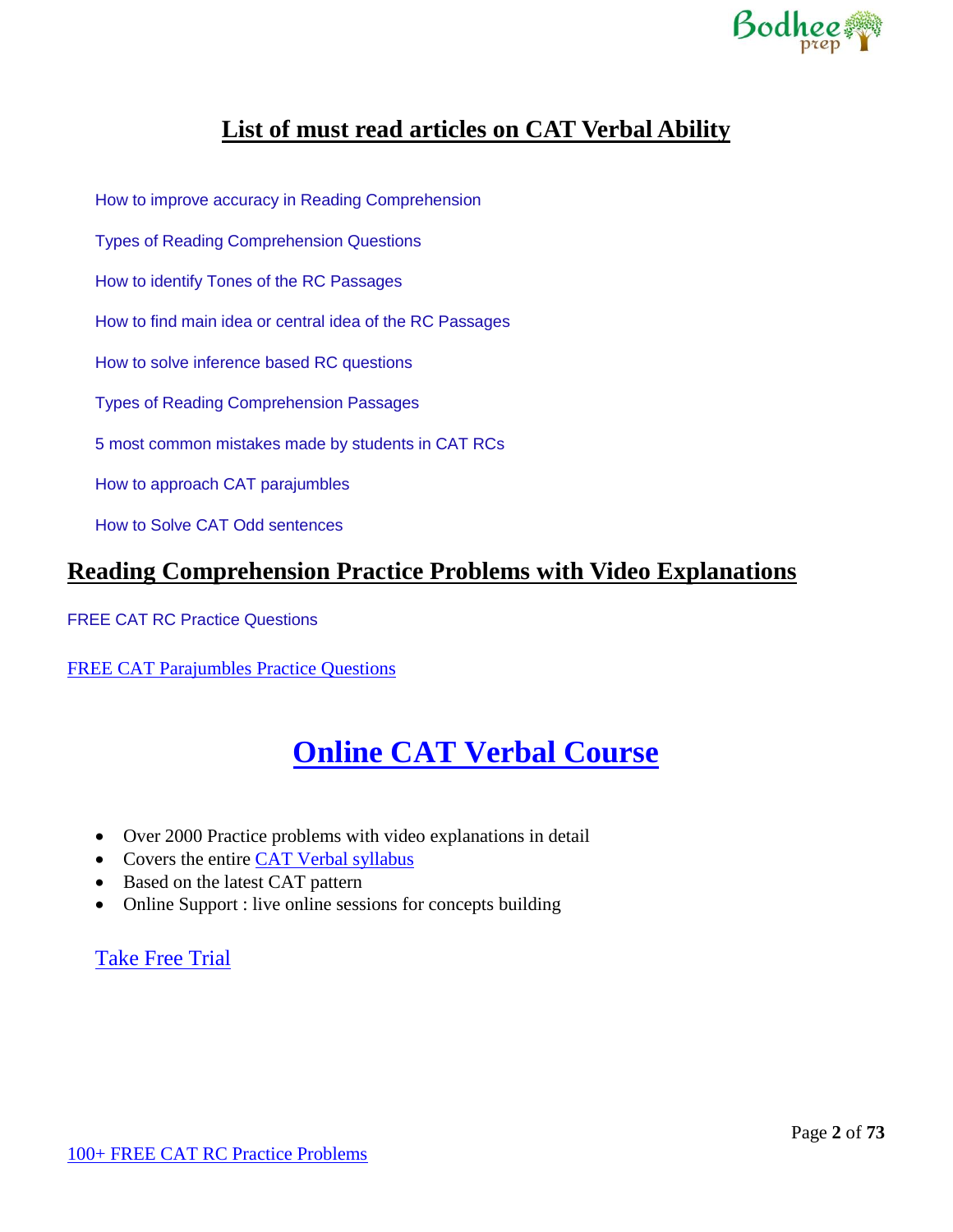

# **List of must read articles on CAT Verbal Ability**

[How to improve accuracy in Reading Comprehension](https://bodheeprep.com/cat-reading-comprehension-accuracy)

[Types of Reading Comprehension Questions](https://bodheeprep.com/types-of-cat-reading-comprehension-questions)

[How to identify Tones of the RC Passages](https://bodheeprep.com/tones-rc-passages-cat-exam)

[How to find main idea or central idea of the RC Passages](https://bodheeprep.com/main-central-idea-rc-passage)

[How to solve inference based RC questions](https://bodheeprep.com/solve-inference-based-reading-comprehension-questions)

[Types of Reading Comprehension Passages](https://bodheeprep.com/types-cat-rc-passages)

5 most [common mistakes made by students in CAT RCs](https://bodheeprep.com/5-common-mistakes-made-students-cat-reading-comprehension)

[How to approach CAT parajumbles](https://bodheeprep.com/parajumbles-approach-solve-parajumbles)

[How to Solve CAT Odd sentences](https://bodheeprep.com/approach-solve-odd-sentences-sentence-exclusion)

# **Reading Comprehension Practice Problems with Video Explanations**

[FREE CAT RC Practice Questions](https://bodheeprep.com/free-cat-rc-practice-problems)

FREE [CAT Parajumbles Practice Questions](https://bodheeprep.com/cat-parajumble-practice-problems)

# **[Online CAT Verbal Course](https://online.bodheeprep.com/learn/CAT-online-comprehensive-course)**

- Over 2000 Practice problems with video explanations in detail
- Covers the entire [CAT Verbal syllabus](https://bodheeprep.com/cat-syllabus-mba-entrance-exam)
- Based on the latest CAT pattern
- Online Support : live online sessions for concepts building

Take [Free Trial](https://online.bodheeprep.com/learn/CAT-online-comprehensive-course)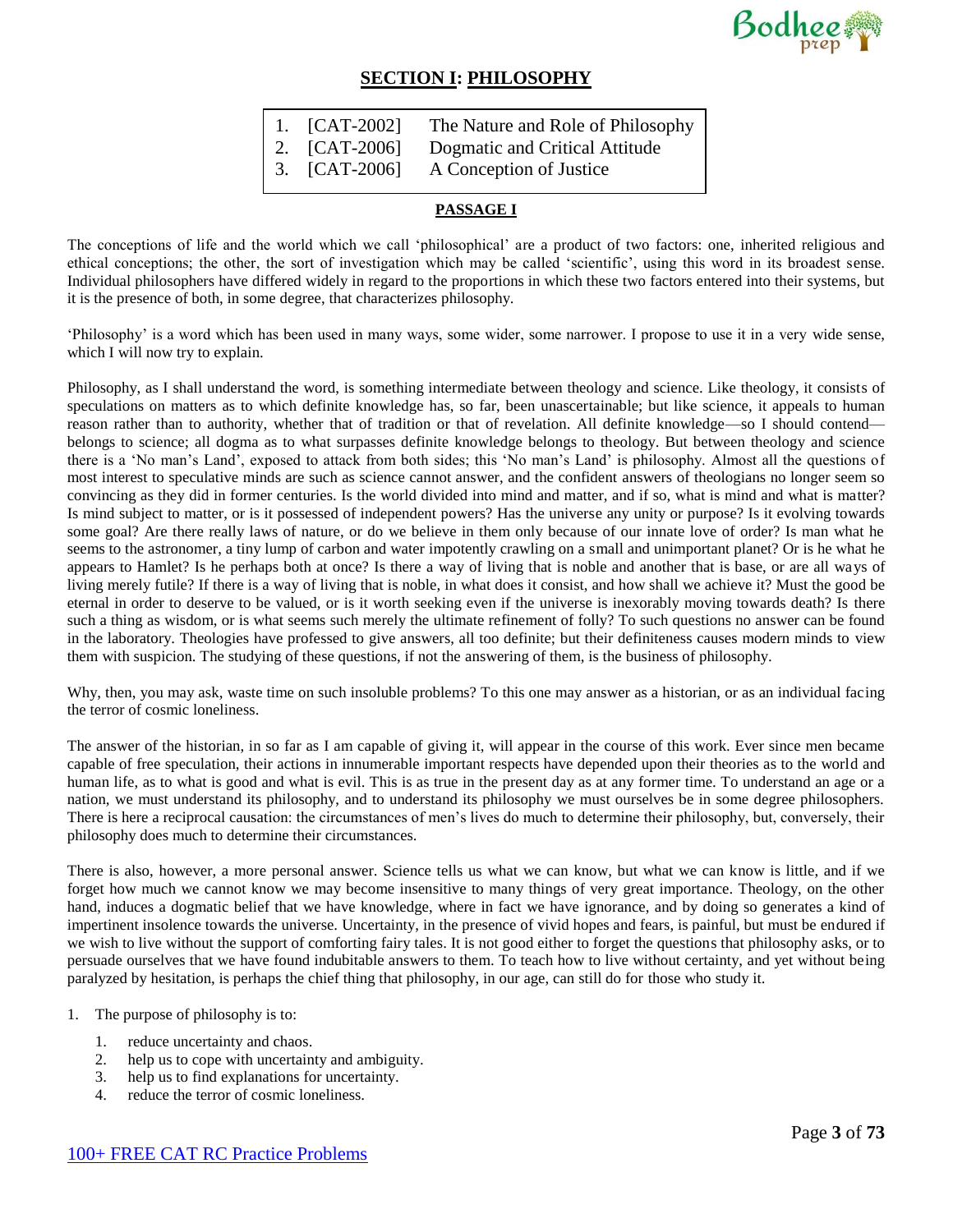# **SECTION I: PHILOSOPHY**

| 1. $[CAT-2002]$ | The Nature and Role of Philosophy |
|-----------------|-----------------------------------|
| 2. [CAT-2006]   | Dogmatic and Critical Attitude    |
| $3.$ [CAT-2006] | A Conception of Justice           |

# **PASSAGE I**

The conceptions of life and the world which we call 'philosophical' are a product of two factors: one, inherited religious and ethical conceptions; the other, the sort of investigation which may be called 'scientific', using this word in its broadest sense. Individual philosophers have differed widely in regard to the proportions in which these two factors entered into their systems, but it is the presence of both, in some degree, that characterizes philosophy.

'Philosophy' is a word which has been used in many ways, some wider, some narrower. I propose to use it in a very wide sense, which I will now try to explain.

Philosophy, as I shall understand the word, is something intermediate between theology and science. Like theology, it consists of speculations on matters as to which definite knowledge has, so far, been unascertainable; but like science, it appeals to human reason rather than to authority, whether that of tradition or that of revelation. All definite knowledge—so I should contend belongs to science; all dogma as to what surpasses definite knowledge belongs to theology. But between theology and science there is a 'No man's Land', exposed to attack from both sides; this 'No man's Land' is philosophy. Almost all the questions of most interest to speculative minds are such as science cannot answer, and the confident answers of theologians no longer seem so convincing as they did in former centuries. Is the world divided into mind and matter, and if so, what is mind and what is matter? Is mind subject to matter, or is it possessed of independent powers? Has the universe any unity or purpose? Is it evolving towards some goal? Are there really laws of nature, or do we believe in them only because of our innate love of order? Is man what he seems to the astronomer, a tiny lump of carbon and water impotently crawling on a small and unimportant planet? Or is he what he appears to Hamlet? Is he perhaps both at once? Is there a way of living that is noble and another that is base, or are all ways of living merely futile? If there is a way of living that is noble, in what does it consist, and how shall we achieve it? Must the good be eternal in order to deserve to be valued, or is it worth seeking even if the universe is inexorably moving towards death? Is there such a thing as wisdom, or is what seems such merely the ultimate refinement of folly? To such questions no answer can be found in the laboratory. Theologies have professed to give answers, all too definite; but their definiteness causes modern minds to view them with suspicion. The studying of these questions, if not the answering of them, is the business of philosophy.

Why, then, you may ask, waste time on such insoluble problems? To this one may answer as a historian, or as an individual facing the terror of cosmic loneliness.

The answer of the historian, in so far as I am capable of giving it, will appear in the course of this work. Ever since men became capable of free speculation, their actions in innumerable important respects have depended upon their theories as to the world and human life, as to what is good and what is evil. This is as true in the present day as at any former time. To understand an age or a nation, we must understand its philosophy, and to understand its philosophy we must ourselves be in some degree philosophers. There is here a reciprocal causation: the circumstances of men's lives do much to determine their philosophy, but, conversely, their philosophy does much to determine their circumstances.

There is also, however, a more personal answer. Science tells us what we can know, but what we can know is little, and if we forget how much we cannot know we may become insensitive to many things of very great importance. Theology, on the other hand, induces a dogmatic belief that we have knowledge, where in fact we have ignorance, and by doing so generates a kind of impertinent insolence towards the universe. Uncertainty, in the presence of vivid hopes and fears, is painful, but must be endured if we wish to live without the support of comforting fairy tales. It is not good either to forget the questions that philosophy asks, or to persuade ourselves that we have found indubitable answers to them. To teach how to live without certainty, and yet without being paralyzed by hesitation, is perhaps the chief thing that philosophy, in our age, can still do for those who study it.

- 1. The purpose of philosophy is to:
	- 1. reduce uncertainty and chaos.
	- 2. help us to cope with uncertainty and ambiguity.
	- 3. help us to find explanations for uncertainty.
	- 4. reduce the terror of cosmic loneliness.

Bodhee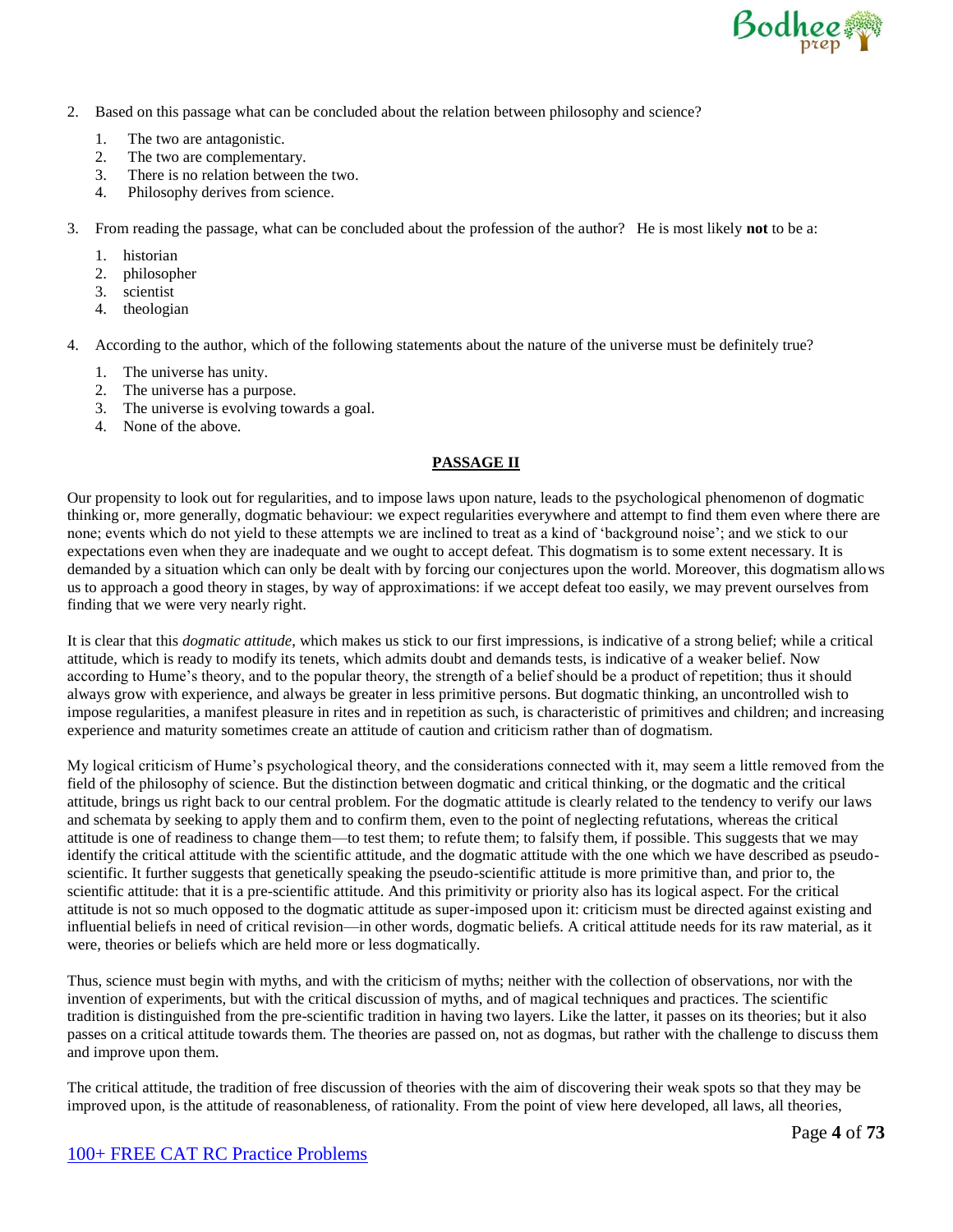

- 2. Based on this passage what can be concluded about the relation between philosophy and science?
	- 1. The two are antagonistic.
	- 2. The two are complementary.
	- 3. There is no relation between the two.
	- 4. Philosophy derives from science.
- 3. From reading the passage, what can be concluded about the profession of the author? He is most likely **not** to be a:
	- 1. historian
	- 2. philosopher
	- 3. scientist
	- 4. theologian
- 4. According to the author, which of the following statements about the nature of the universe must be definitely true?
	- 1. The universe has unity.
	- 2. The universe has a purpose.
	- 3. The universe is evolving towards a goal.
	- 4. None of the above.

## **PASSAGE II**

Our propensity to look out for regularities, and to impose laws upon nature, leads to the psychological phenomenon of dogmatic thinking or, more generally, dogmatic behaviour: we expect regularities everywhere and attempt to find them even where there are none; events which do not yield to these attempts we are inclined to treat as a kind of 'background noise'; and we stick to our expectations even when they are inadequate and we ought to accept defeat. This dogmatism is to some extent necessary. It is demanded by a situation which can only be dealt with by forcing our conjectures upon the world. Moreover, this dogmatism allows us to approach a good theory in stages, by way of approximations: if we accept defeat too easily, we may prevent ourselves from finding that we were very nearly right.

It is clear that this *dogmatic attitude*, which makes us stick to our first impressions, is indicative of a strong belief; while a critical attitude, which is ready to modify its tenets, which admits doubt and demands tests, is indicative of a weaker belief. Now according to Hume's theory, and to the popular theory, the strength of a belief should be a product of repetition; thus it should always grow with experience, and always be greater in less primitive persons. But dogmatic thinking, an uncontrolled wish to impose regularities, a manifest pleasure in rites and in repetition as such, is characteristic of primitives and children; and increasing experience and maturity sometimes create an attitude of caution and criticism rather than of dogmatism.

My logical criticism of Hume's psychological theory, and the considerations connected with it, may seem a little removed from the field of the philosophy of science. But the distinction between dogmatic and critical thinking, or the dogmatic and the critical attitude, brings us right back to our central problem. For the dogmatic attitude is clearly related to the tendency to verify our laws and schemata by seeking to apply them and to confirm them, even to the point of neglecting refutations, whereas the critical attitude is one of readiness to change them—to test them; to refute them; to falsify them, if possible. This suggests that we may identify the critical attitude with the scientific attitude, and the dogmatic attitude with the one which we have described as pseudoscientific. It further suggests that genetically speaking the pseudo-scientific attitude is more primitive than, and prior to, the scientific attitude: that it is a pre-scientific attitude. And this primitivity or priority also has its logical aspect. For the critical attitude is not so much opposed to the dogmatic attitude as super-imposed upon it: criticism must be directed against existing and influential beliefs in need of critical revision—in other words, dogmatic beliefs. A critical attitude needs for its raw material, as it were, theories or beliefs which are held more or less dogmatically.

Thus, science must begin with myths, and with the criticism of myths; neither with the collection of observations, nor with the invention of experiments, but with the critical discussion of myths, and of magical techniques and practices. The scientific tradition is distinguished from the pre-scientific tradition in having two layers. Like the latter, it passes on its theories; but it also passes on a critical attitude towards them. The theories are passed on, not as dogmas, but rather with the challenge to discuss them and improve upon them.

The critical attitude, the tradition of free discussion of theories with the aim of discovering their weak spots so that they may be improved upon, is the attitude of reasonableness, of rationality. From the point of view here developed, all laws, all theories,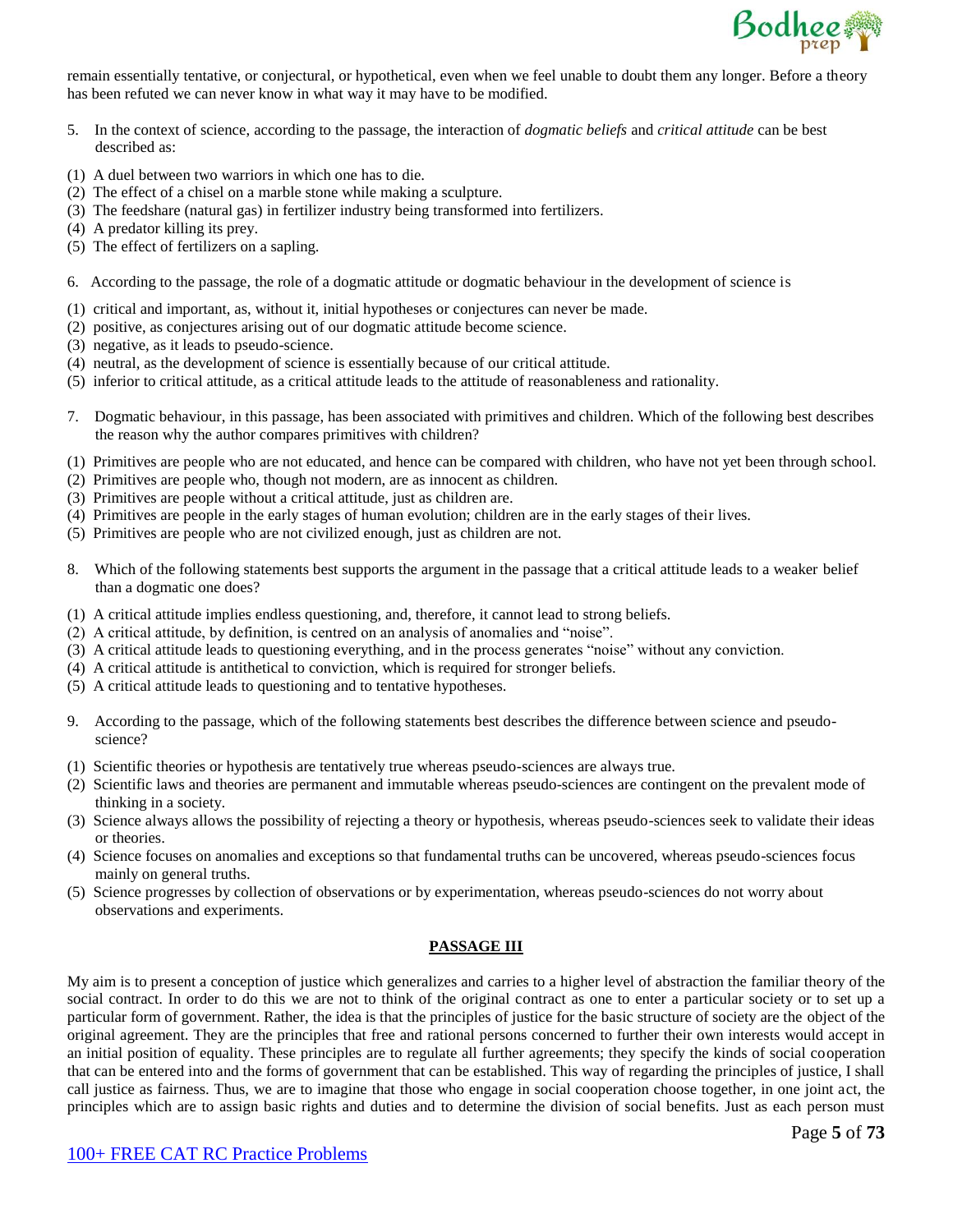

remain essentially tentative, or conjectural, or hypothetical, even when we feel unable to doubt them any longer. Before a theory has been refuted we can never know in what way it may have to be modified.

- 5. In the context of science, according to the passage, the interaction of *dogmatic beliefs* and *critical attitude* can be best described as:
- (1) A duel between two warriors in which one has to die.
- (2) The effect of a chisel on a marble stone while making a sculpture.
- (3) The feedshare (natural gas) in fertilizer industry being transformed into fertilizers.
- (4) A predator killing its prey.
- (5) The effect of fertilizers on a sapling.
- 6. According to the passage, the role of a dogmatic attitude or dogmatic behaviour in the development of science is
- (1) critical and important, as, without it, initial hypotheses or conjectures can never be made.
- (2) positive, as conjectures arising out of our dogmatic attitude become science.
- (3) negative, as it leads to pseudo-science.
- (4) neutral, as the development of science is essentially because of our critical attitude.
- (5) inferior to critical attitude, as a critical attitude leads to the attitude of reasonableness and rationality.
- 7. Dogmatic behaviour, in this passage, has been associated with primitives and children. Which of the following best describes the reason why the author compares primitives with children?
- (1) Primitives are people who are not educated, and hence can be compared with children, who have not yet been through school.
- (2) Primitives are people who, though not modern, are as innocent as children.
- (3) Primitives are people without a critical attitude, just as children are.
- (4) Primitives are people in the early stages of human evolution; children are in the early stages of their lives.
- (5) Primitives are people who are not civilized enough, just as children are not.
- 8. Which of the following statements best supports the argument in the passage that a critical attitude leads to a weaker belief than a dogmatic one does?
- (1) A critical attitude implies endless questioning, and, therefore, it cannot lead to strong beliefs.
- (2) A critical attitude, by definition, is centred on an analysis of anomalies and "noise".
- (3) A critical attitude leads to questioning everything, and in the process generates "noise" without any conviction.
- (4) A critical attitude is antithetical to conviction, which is required for stronger beliefs.
- (5) A critical attitude leads to questioning and to tentative hypotheses.
- 9. According to the passage, which of the following statements best describes the difference between science and pseudoscience?
- (1) Scientific theories or hypothesis are tentatively true whereas pseudo-sciences are always true.
- (2) Scientific laws and theories are permanent and immutable whereas pseudo-sciences are contingent on the prevalent mode of thinking in a society.
- (3) Science always allows the possibility of rejecting a theory or hypothesis, whereas pseudo-sciences seek to validate their ideas or theories.
- (4) Science focuses on anomalies and exceptions so that fundamental truths can be uncovered, whereas pseudo-sciences focus mainly on general truths.
- (5) Science progresses by collection of observations or by experimentation, whereas pseudo-sciences do not worry about observations and experiments.

#### **PASSAGE III**

My aim is to present a conception of justice which generalizes and carries to a higher level of abstraction the familiar theory of the social contract. In order to do this we are not to think of the original contract as one to enter a particular society or to set up a particular form of government. Rather, the idea is that the principles of justice for the basic structure of society are the object of the original agreement. They are the principles that free and rational persons concerned to further their own interests would accept in an initial position of equality. These principles are to regulate all further agreements; they specify the kinds of social cooperation that can be entered into and the forms of government that can be established. This way of regarding the principles of justice, I shall call justice as fairness. Thus, we are to imagine that those who engage in social cooperation choose together, in one joint act, the principles which are to assign basic rights and duties and to determine the division of social benefits. Just as each person must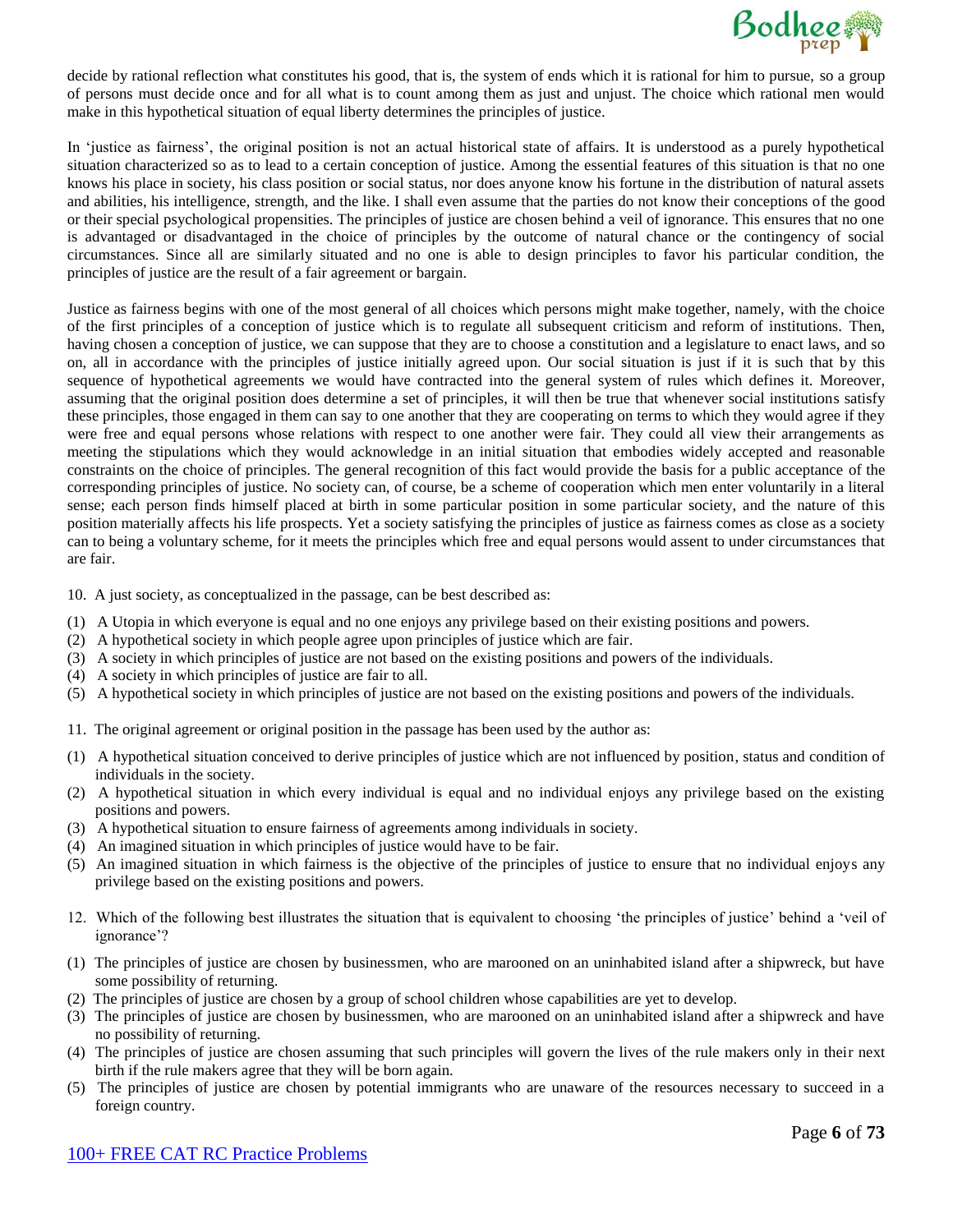

decide by rational reflection what constitutes his good, that is, the system of ends which it is rational for him to pursue, so a group of persons must decide once and for all what is to count among them as just and unjust. The choice which rational men would make in this hypothetical situation of equal liberty determines the principles of justice.

In 'justice as fairness', the original position is not an actual historical state of affairs. It is understood as a purely hypothetical situation characterized so as to lead to a certain conception of justice. Among the essential features of this situation is that no one knows his place in society, his class position or social status, nor does anyone know his fortune in the distribution of natural assets and abilities, his intelligence, strength, and the like. I shall even assume that the parties do not know their conceptions of the good or their special psychological propensities. The principles of justice are chosen behind a veil of ignorance. This ensures that no one is advantaged or disadvantaged in the choice of principles by the outcome of natural chance or the contingency of social circumstances. Since all are similarly situated and no one is able to design principles to favor his particular condition, the principles of justice are the result of a fair agreement or bargain.

Justice as fairness begins with one of the most general of all choices which persons might make together, namely, with the choice of the first principles of a conception of justice which is to regulate all subsequent criticism and reform of institutions. Then, having chosen a conception of justice, we can suppose that they are to choose a constitution and a legislature to enact laws, and so on, all in accordance with the principles of justice initially agreed upon. Our social situation is just if it is such that by this sequence of hypothetical agreements we would have contracted into the general system of rules which defines it. Moreover, assuming that the original position does determine a set of principles, it will then be true that whenever social institutions satisfy these principles, those engaged in them can say to one another that they are cooperating on terms to which they would agree if they were free and equal persons whose relations with respect to one another were fair. They could all view their arrangements as meeting the stipulations which they would acknowledge in an initial situation that embodies widely accepted and reasonable constraints on the choice of principles. The general recognition of this fact would provide the basis for a public acceptance of the corresponding principles of justice. No society can, of course, be a scheme of cooperation which men enter voluntarily in a literal sense; each person finds himself placed at birth in some particular position in some particular society, and the nature of this position materially affects his life prospects. Yet a society satisfying the principles of justice as fairness comes as close as a society can to being a voluntary scheme, for it meets the principles which free and equal persons would assent to under circumstances that are fair.

10. A just society, as conceptualized in the passage, can be best described as:

- (1) A Utopia in which everyone is equal and no one enjoys any privilege based on their existing positions and powers.
- (2) A hypothetical society in which people agree upon principles of justice which are fair.
- (3) A society in which principles of justice are not based on the existing positions and powers of the individuals.
- (4) A society in which principles of justice are fair to all.
- (5) A hypothetical society in which principles of justice are not based on the existing positions and powers of the individuals.
- 11. The original agreement or original position in the passage has been used by the author as:
- (1) A hypothetical situation conceived to derive principles of justice which are not influenced by position, status and condition of individuals in the society.
- (2) A hypothetical situation in which every individual is equal and no individual enjoys any privilege based on the existing positions and powers.
- (3) A hypothetical situation to ensure fairness of agreements among individuals in society.
- (4) An imagined situation in which principles of justice would have to be fair.
- (5) An imagined situation in which fairness is the objective of the principles of justice to ensure that no individual enjoys any privilege based on the existing positions and powers.
- 12. Which of the following best illustrates the situation that is equivalent to choosing 'the principles of justice' behind a 'veil of ignorance'?
- (1) The principles of justice are chosen by businessmen, who are marooned on an uninhabited island after a shipwreck, but have some possibility of returning.
- (2) The principles of justice are chosen by a group of school children whose capabilities are yet to develop.
- (3) The principles of justice are chosen by businessmen, who are marooned on an uninhabited island after a shipwreck and have no possibility of returning.
- (4) The principles of justice are chosen assuming that such principles will govern the lives of the rule makers only in their next birth if the rule makers agree that they will be born again.
- (5) The principles of justice are chosen by potential immigrants who are unaware of the resources necessary to succeed in a foreign country.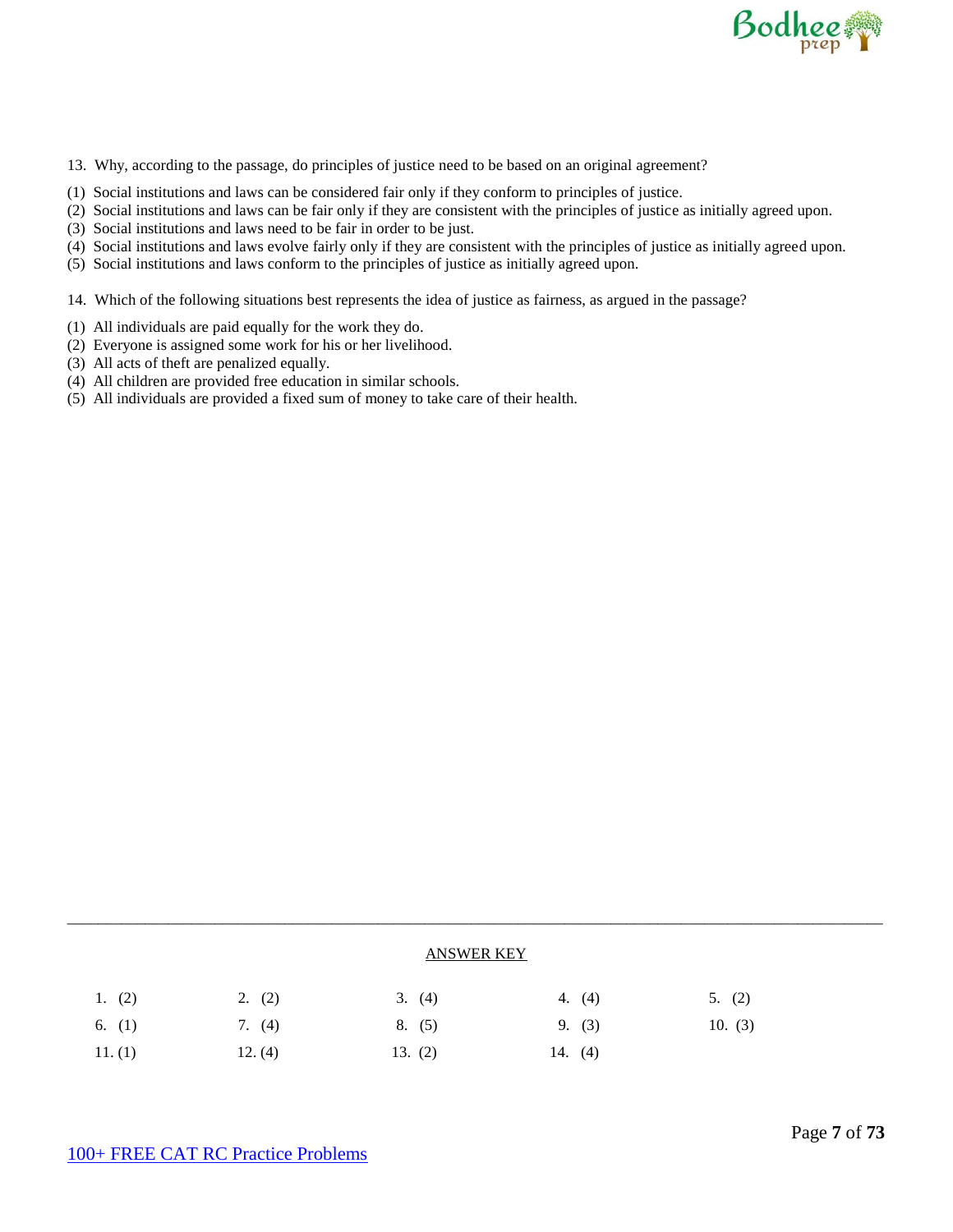

- 13. Why, according to the passage, do principles of justice need to be based on an original agreement?
- (1) Social institutions and laws can be considered fair only if they conform to principles of justice.
- (2) Social institutions and laws can be fair only if they are consistent with the principles of justice as initially agreed upon.
- (3) Social institutions and laws need to be fair in order to be just.
- (4) Social institutions and laws evolve fairly only if they are consistent with the principles of justice as initially agreed upon.
- (5) Social institutions and laws conform to the principles of justice as initially agreed upon.

14. Which of the following situations best represents the idea of justice as fairness, as argued in the passage?

- (1) All individuals are paid equally for the work they do.
- (2) Everyone is assigned some work for his or her livelihood.
- (3) All acts of theft are penalized equally.
- (4) All children are provided free education in similar schools.
- (5) All individuals are provided a fixed sum of money to take care of their health.

|          |          | <b>ANSWER KEY</b> |           |           |
|----------|----------|-------------------|-----------|-----------|
| 1. $(2)$ | 2. (2)   | 3. (4)            | 4. $(4)$  | 5. (2)    |
| 6. $(1)$ | 7. $(4)$ | 8. (5)            | 9. (3)    | 10. $(3)$ |
| 11.(1)   | 12. (4)  | 13. (2)           | 14. $(4)$ |           |

\_\_\_\_\_\_\_\_\_\_\_\_\_\_\_\_\_\_\_\_\_\_\_\_\_\_\_\_\_\_\_\_\_\_\_\_\_\_\_\_\_\_\_\_\_\_\_\_\_\_\_\_\_\_\_\_\_\_\_\_\_\_\_\_\_\_\_\_\_\_\_\_\_\_\_\_\_\_\_\_\_\_\_\_\_\_\_\_\_\_\_\_\_\_\_\_\_\_\_\_\_\_\_\_\_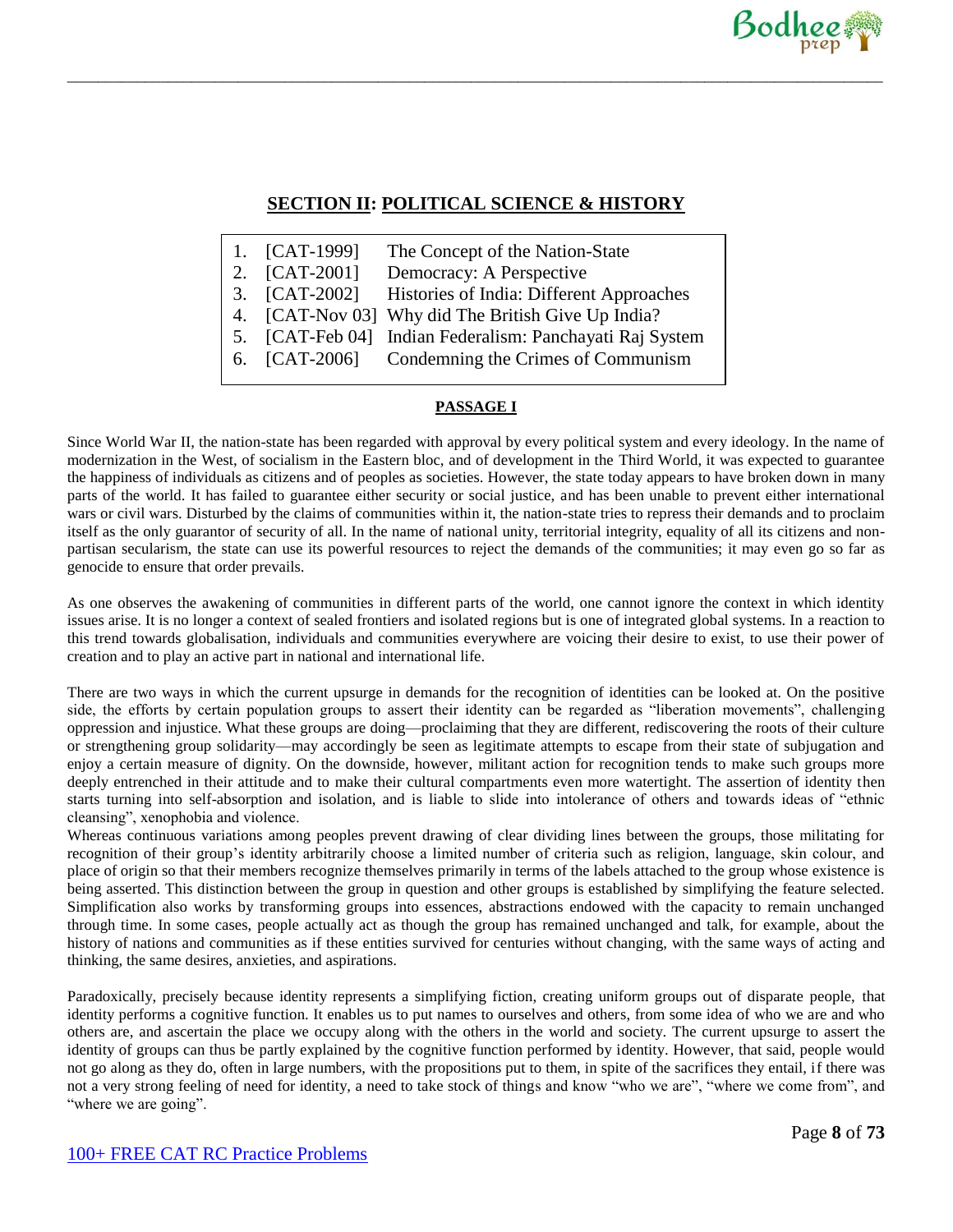# **SECTION II: POLITICAL SCIENCE & HISTORY**

\_\_\_\_\_\_\_\_\_\_\_\_\_\_\_\_\_\_\_\_\_\_\_\_\_\_\_\_\_\_\_\_\_\_\_\_\_\_\_\_\_\_\_\_\_\_\_\_\_\_\_\_\_\_\_\_\_\_\_\_\_\_\_\_\_\_\_\_\_\_\_\_\_\_\_\_\_\_\_\_\_\_\_\_\_\_\_\_\_\_\_\_\_\_\_\_\_\_\_\_\_\_\_\_\_

- 1. [CAT-1999] The Concept of the Nation-State
- 2. [CAT-2001] Democracy: A Perspective
	- 3. [CAT-2002] Histories of India: Different Approaches
- 4. [CAT-Nov 03] Why did The British Give Up India?
- 5. [CAT-Feb 04] Indian Federalism: Panchayati Raj System
- 6. [CAT-2006] Condemning the Crimes of Communism

# **PASSAGE I**

Since World War II, the nation-state has been regarded with approval by every political system and every ideology. In the name of modernization in the West, of socialism in the Eastern bloc, and of development in the Third World, it was expected to guarantee the happiness of individuals as citizens and of peoples as societies. However, the state today appears to have broken down in many parts of the world. It has failed to guarantee either security or social justice, and has been unable to prevent either international wars or civil wars. Disturbed by the claims of communities within it, the nation-state tries to repress their demands and to proclaim itself as the only guarantor of security of all. In the name of national unity, territorial integrity, equality of all its citizens and nonpartisan secularism, the state can use its powerful resources to reject the demands of the communities; it may even go so far as genocide to ensure that order prevails.

As one observes the awakening of communities in different parts of the world, one cannot ignore the context in which identity issues arise. It is no longer a context of sealed frontiers and isolated regions but is one of integrated global systems. In a reaction to this trend towards globalisation, individuals and communities everywhere are voicing their desire to exist, to use their power of creation and to play an active part in national and international life.

There are two ways in which the current upsurge in demands for the recognition of identities can be looked at. On the positive side, the efforts by certain population groups to assert their identity can be regarded as "liberation movements", challenging oppression and injustice. What these groups are doing—proclaiming that they are different, rediscovering the roots of their culture or strengthening group solidarity—may accordingly be seen as legitimate attempts to escape from their state of subjugation and enjoy a certain measure of dignity. On the downside, however, militant action for recognition tends to make such groups more deeply entrenched in their attitude and to make their cultural compartments even more watertight. The assertion of identity then starts turning into self-absorption and isolation, and is liable to slide into intolerance of others and towards ideas of "ethnic cleansing", xenophobia and violence.

Whereas continuous variations among peoples prevent drawing of clear dividing lines between the groups, those militating for recognition of their group's identity arbitrarily choose a limited number of criteria such as religion, language, skin colour, and place of origin so that their members recognize themselves primarily in terms of the labels attached to the group whose existence is being asserted. This distinction between the group in question and other groups is established by simplifying the feature selected. Simplification also works by transforming groups into essences, abstractions endowed with the capacity to remain unchanged through time. In some cases, people actually act as though the group has remained unchanged and talk, for example, about the history of nations and communities as if these entities survived for centuries without changing, with the same ways of acting and thinking, the same desires, anxieties, and aspirations.

Paradoxically, precisely because identity represents a simplifying fiction, creating uniform groups out of disparate people, that identity performs a cognitive function. It enables us to put names to ourselves and others, from some idea of who we are and who others are, and ascertain the place we occupy along with the others in the world and society. The current upsurge to assert the identity of groups can thus be partly explained by the cognitive function performed by identity. However, that said, people would not go along as they do, often in large numbers, with the propositions put to them, in spite of the sacrifices they entail, if there was not a very strong feeling of need for identity, a need to take stock of things and know "who we are", "where we come from", and "where we are going".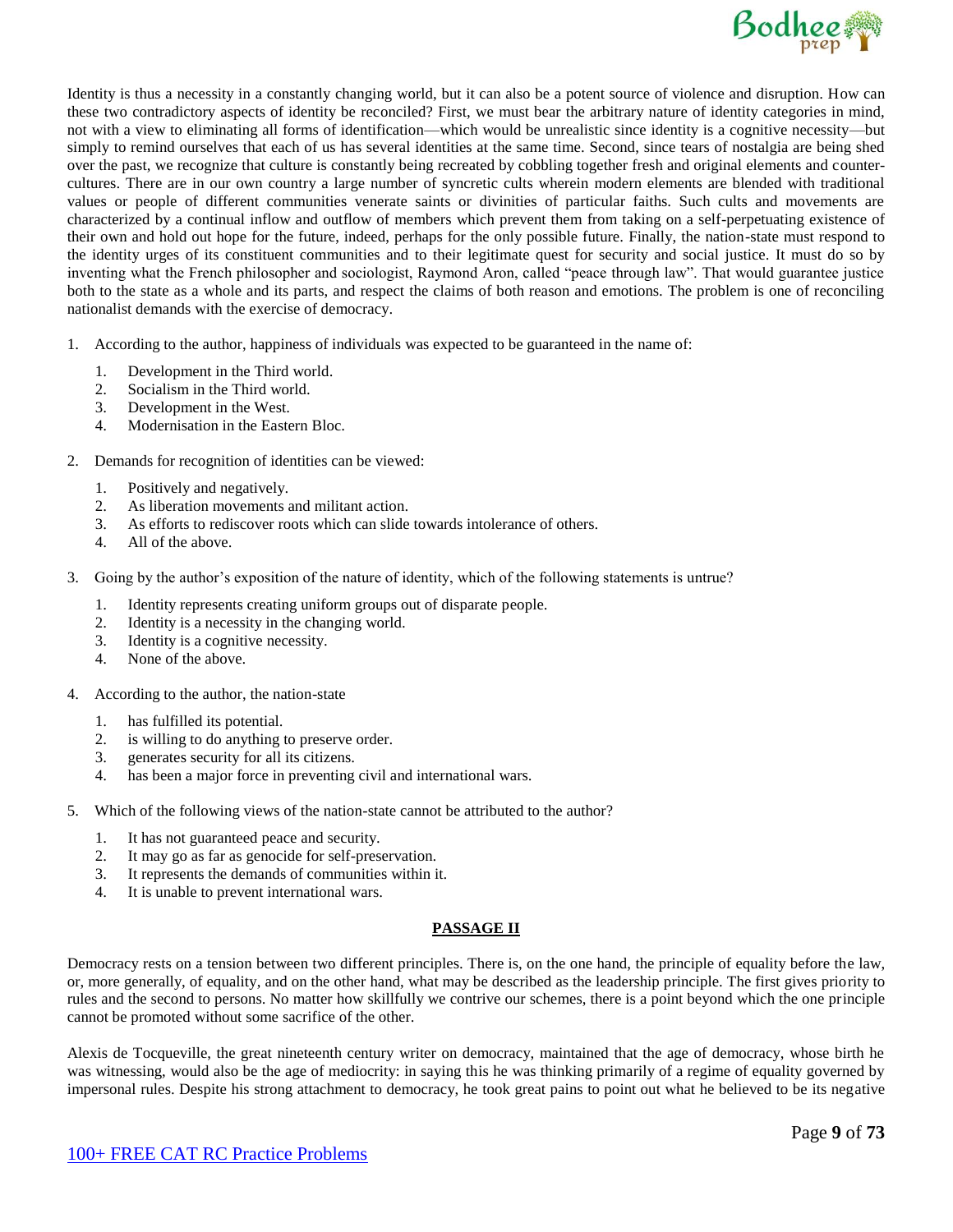

Identity is thus a necessity in a constantly changing world, but it can also be a potent source of violence and disruption. How can these two contradictory aspects of identity be reconciled? First, we must bear the arbitrary nature of identity categories in mind, not with a view to eliminating all forms of identification—which would be unrealistic since identity is a cognitive necessity—but simply to remind ourselves that each of us has several identities at the same time. Second, since tears of nostalgia are being shed over the past, we recognize that culture is constantly being recreated by cobbling together fresh and original elements and countercultures. There are in our own country a large number of syncretic cults wherein modern elements are blended with traditional values or people of different communities venerate saints or divinities of particular faiths. Such cults and movements are characterized by a continual inflow and outflow of members which prevent them from taking on a self-perpetuating existence of their own and hold out hope for the future, indeed, perhaps for the only possible future. Finally, the nation-state must respond to the identity urges of its constituent communities and to their legitimate quest for security and social justice. It must do so by inventing what the French philosopher and sociologist, Raymond Aron, called "peace through law". That would guarantee justice both to the state as a whole and its parts, and respect the claims of both reason and emotions. The problem is one of reconciling nationalist demands with the exercise of democracy.

- 1. According to the author, happiness of individuals was expected to be guaranteed in the name of:
	- 1. Development in the Third world.
	- 2. Socialism in the Third world.
	- 3. Development in the West.
	- 4. Modernisation in the Eastern Bloc.
- 2. Demands for recognition of identities can be viewed:
	- 1. Positively and negatively.
	- 2. As liberation movements and militant action.
	- 3. As efforts to rediscover roots which can slide towards intolerance of others.
	- 4. All of the above.
- 3. Going by the author's exposition of the nature of identity, which of the following statements is untrue?
	- 1. Identity represents creating uniform groups out of disparate people.
	- 2. Identity is a necessity in the changing world.
	- 3. Identity is a cognitive necessity.
	- 4. None of the above.
- 4. According to the author, the nation-state
	- 1. has fulfilled its potential.
	- 2. is willing to do anything to preserve order.
	- 3. generates security for all its citizens.
	- 4. has been a major force in preventing civil and international wars.
- 5. Which of the following views of the nation-state cannot be attributed to the author?
	- 1. It has not guaranteed peace and security.
	- 2. It may go as far as genocide for self-preservation.
	- 3. It represents the demands of communities within it.
	- 4. It is unable to prevent international wars.

## **PASSAGE II**

Democracy rests on a tension between two different principles. There is, on the one hand, the principle of equality before the law, or, more generally, of equality, and on the other hand, what may be described as the leadership principle. The first gives priority to rules and the second to persons. No matter how skillfully we contrive our schemes, there is a point beyond which the one principle cannot be promoted without some sacrifice of the other.

Alexis de Tocqueville, the great nineteenth century writer on democracy, maintained that the age of democracy, whose birth he was witnessing, would also be the age of mediocrity: in saying this he was thinking primarily of a regime of equality governed by impersonal rules. Despite his strong attachment to democracy, he took great pains to point out what he believed to be its negative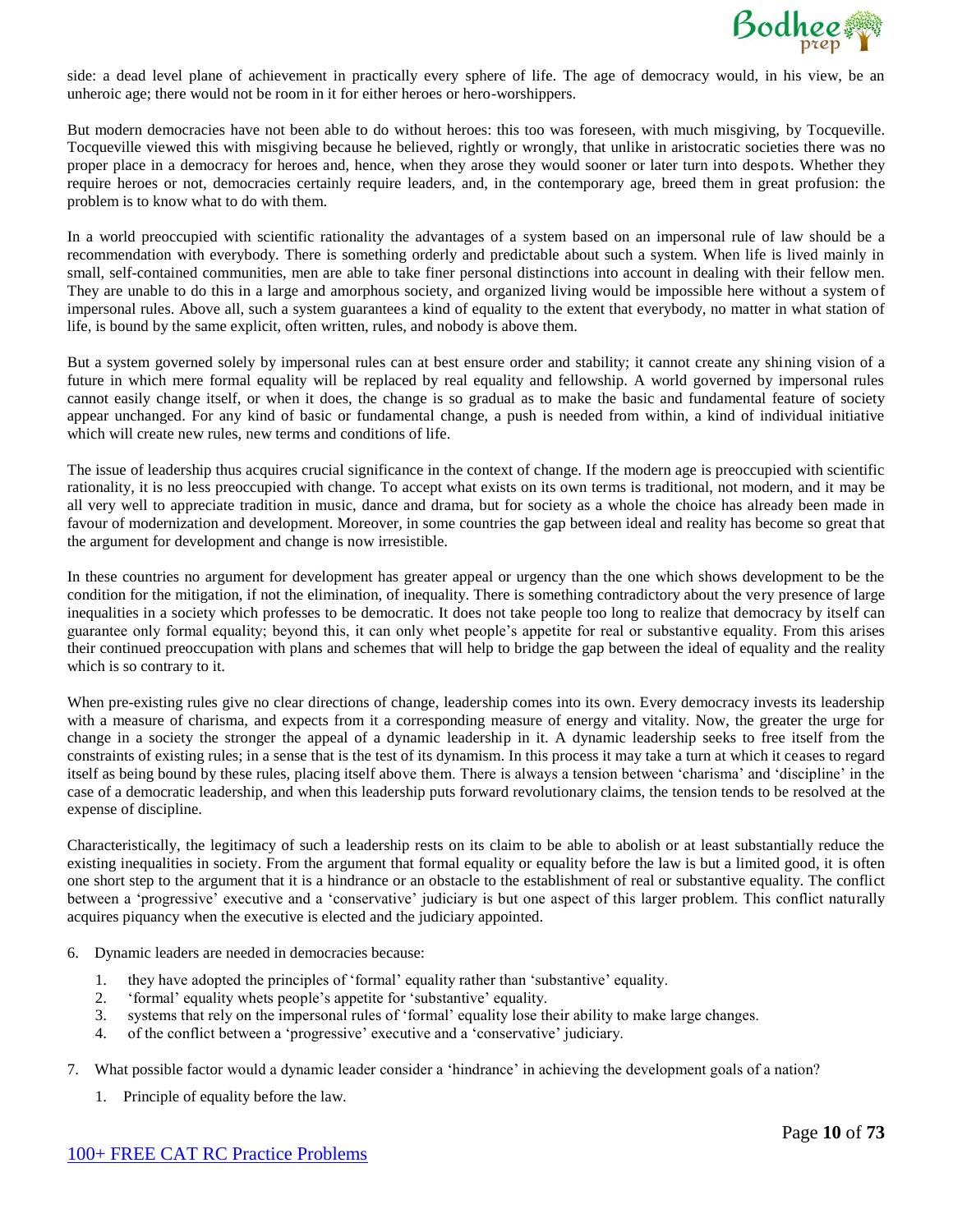

side: a dead level plane of achievement in practically every sphere of life. The age of democracy would, in his view, be an unheroic age; there would not be room in it for either heroes or hero-worshippers.

But modern democracies have not been able to do without heroes: this too was foreseen, with much misgiving, by Tocqueville. Tocqueville viewed this with misgiving because he believed, rightly or wrongly, that unlike in aristocratic societies there was no proper place in a democracy for heroes and, hence, when they arose they would sooner or later turn into despots. Whether they require heroes or not, democracies certainly require leaders, and, in the contemporary age, breed them in great profusion: the problem is to know what to do with them.

In a world preoccupied with scientific rationality the advantages of a system based on an impersonal rule of law should be a recommendation with everybody. There is something orderly and predictable about such a system. When life is lived mainly in small, self-contained communities, men are able to take finer personal distinctions into account in dealing with their fellow men. They are unable to do this in a large and amorphous society, and organized living would be impossible here without a system of impersonal rules. Above all, such a system guarantees a kind of equality to the extent that everybody, no matter in what station of life, is bound by the same explicit, often written, rules, and nobody is above them.

But a system governed solely by impersonal rules can at best ensure order and stability; it cannot create any shining vision of a future in which mere formal equality will be replaced by real equality and fellowship. A world governed by impersonal rules cannot easily change itself, or when it does, the change is so gradual as to make the basic and fundamental feature of society appear unchanged. For any kind of basic or fundamental change, a push is needed from within, a kind of individual initiative which will create new rules, new terms and conditions of life.

The issue of leadership thus acquires crucial significance in the context of change. If the modern age is preoccupied with scientific rationality, it is no less preoccupied with change. To accept what exists on its own terms is traditional, not modern, and it may be all very well to appreciate tradition in music, dance and drama, but for society as a whole the choice has already been made in favour of modernization and development. Moreover, in some countries the gap between ideal and reality has become so great that the argument for development and change is now irresistible.

In these countries no argument for development has greater appeal or urgency than the one which shows development to be the condition for the mitigation, if not the elimination, of inequality. There is something contradictory about the very presence of large inequalities in a society which professes to be democratic. It does not take people too long to realize that democracy by itself can guarantee only formal equality; beyond this, it can only whet people's appetite for real or substantive equality. From this arises their continued preoccupation with plans and schemes that will help to bridge the gap between the ideal of equality and the reality which is so contrary to it.

When pre-existing rules give no clear directions of change, leadership comes into its own. Every democracy invests its leadership with a measure of charisma, and expects from it a corresponding measure of energy and vitality. Now, the greater the urge for change in a society the stronger the appeal of a dynamic leadership in it. A dynamic leadership seeks to free itself from the constraints of existing rules; in a sense that is the test of its dynamism. In this process it may take a turn at which it ceases to regard itself as being bound by these rules, placing itself above them. There is always a tension between 'charisma' and 'discipline' in the case of a democratic leadership, and when this leadership puts forward revolutionary claims, the tension tends to be resolved at the expense of discipline.

Characteristically, the legitimacy of such a leadership rests on its claim to be able to abolish or at least substantially reduce the existing inequalities in society. From the argument that formal equality or equality before the law is but a limited good, it is often one short step to the argument that it is a hindrance or an obstacle to the establishment of real or substantive equality. The conflict between a 'progressive' executive and a 'conservative' judiciary is but one aspect of this larger problem. This conflict naturally acquires piquancy when the executive is elected and the judiciary appointed.

- 6. Dynamic leaders are needed in democracies because:
	- 1. they have adopted the principles of 'formal' equality rather than 'substantive' equality.
	- 2. 'formal' equality whets people's appetite for 'substantive' equality.
	- 3. systems that rely on the impersonal rules of 'formal' equality lose their ability to make large changes.
	- 4. of the conflict between a 'progressive' executive and a 'conservative' judiciary.
- 7. What possible factor would a dynamic leader consider a 'hindrance' in achieving the development goals of a nation?
	- 1. Principle of equality before the law.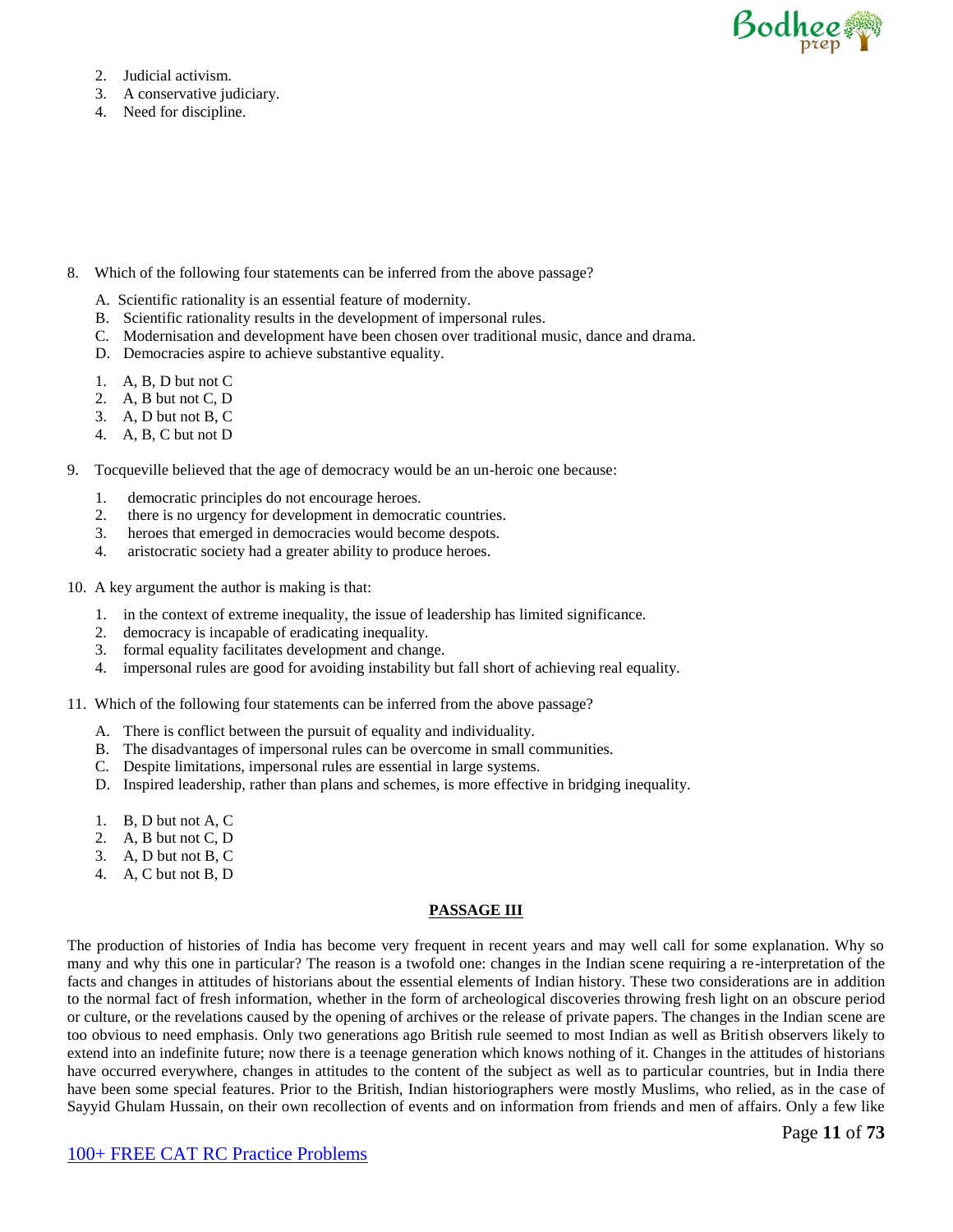

- 2. Judicial activism.
- 3. A conservative judiciary.
- 4. Need for discipline.

- 8. Which of the following four statements can be inferred from the above passage?
	- A. Scientific rationality is an essential feature of modernity.
	- B. Scientific rationality results in the development of impersonal rules.
	- C. Modernisation and development have been chosen over traditional music, dance and drama.
	- D. Democracies aspire to achieve substantive equality.
	- 1. A, B, D but not C
	- 2. A, B but not C, D
	- 3. A, D but not B, C
	- 4. A, B, C but not D
- 9. Tocqueville believed that the age of democracy would be an un-heroic one because:
	- 1. democratic principles do not encourage heroes.
	- 2. there is no urgency for development in democratic countries.
	- 3. heroes that emerged in democracies would become despots.
	- 4. aristocratic society had a greater ability to produce heroes.
- 10. A key argument the author is making is that:
	- 1. in the context of extreme inequality, the issue of leadership has limited significance.
	- 2. democracy is incapable of eradicating inequality.
	- 3. formal equality facilitates development and change.
	- 4. impersonal rules are good for avoiding instability but fall short of achieving real equality.
- 11. Which of the following four statements can be inferred from the above passage?
	- A. There is conflict between the pursuit of equality and individuality.
	- B. The disadvantages of impersonal rules can be overcome in small communities.
	- C. Despite limitations, impersonal rules are essential in large systems.
	- D. Inspired leadership, rather than plans and schemes, is more effective in bridging inequality.
	- 1. B, D but not A, C
	- 2. A, B but not C, D
	- 3. A, D but not B, C
	- 4. A, C but not B, D

## **PASSAGE III**

The production of histories of India has become very frequent in recent years and may well call for some explanation. Why so many and why this one in particular? The reason is a twofold one: changes in the Indian scene requiring a re-interpretation of the facts and changes in attitudes of historians about the essential elements of Indian history. These two considerations are in addition to the normal fact of fresh information, whether in the form of archeological discoveries throwing fresh light on an obscure period or culture, or the revelations caused by the opening of archives or the release of private papers. The changes in the Indian scene are too obvious to need emphasis. Only two generations ago British rule seemed to most Indian as well as British observers likely to extend into an indefinite future; now there is a teenage generation which knows nothing of it. Changes in the attitudes of historians have occurred everywhere, changes in attitudes to the content of the subject as well as to particular countries, but in India there have been some special features. Prior to the British, Indian historiographers were mostly Muslims, who relied, as in the case of Sayyid Ghulam Hussain, on their own recollection of events and on information from friends and men of affairs. Only a few like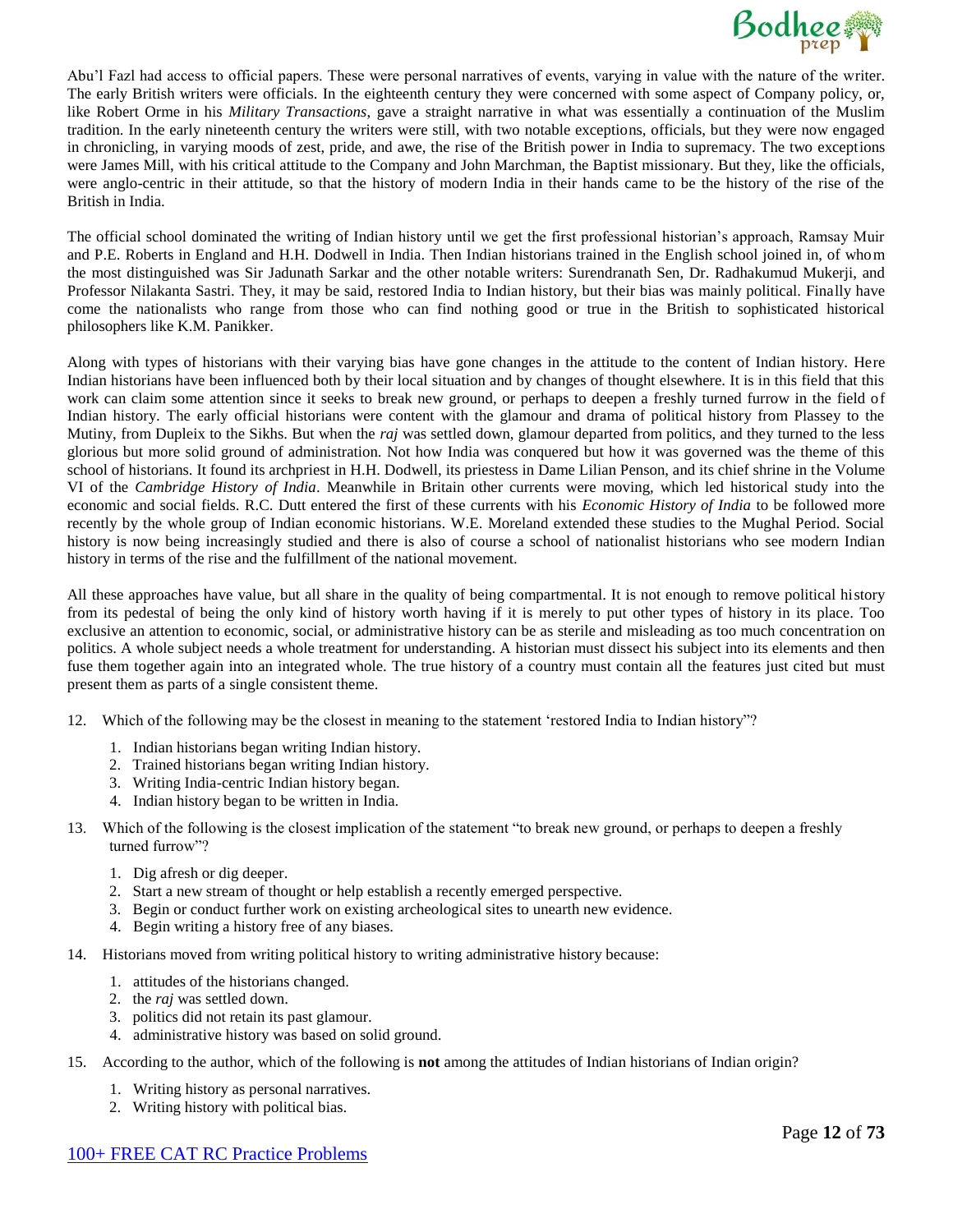

Abu'l Fazl had access to official papers. These were personal narratives of events, varying in value with the nature of the writer. The early British writers were officials. In the eighteenth century they were concerned with some aspect of Company policy, or, like Robert Orme in his *Military Transactions*, gave a straight narrative in what was essentially a continuation of the Muslim tradition. In the early nineteenth century the writers were still, with two notable exceptions, officials, but they were now engaged in chronicling, in varying moods of zest, pride, and awe, the rise of the British power in India to supremacy. The two exceptions were James Mill, with his critical attitude to the Company and John Marchman, the Baptist missionary. But they, like the officials, were anglo-centric in their attitude, so that the history of modern India in their hands came to be the history of the rise of the British in India.

The official school dominated the writing of Indian history until we get the first professional historian's approach, Ramsay Muir and P.E. Roberts in England and H.H. Dodwell in India. Then Indian historians trained in the English school joined in, of whom the most distinguished was Sir Jadunath Sarkar and the other notable writers: Surendranath Sen, Dr. Radhakumud Mukerji, and Professor Nilakanta Sastri. They, it may be said, restored India to Indian history, but their bias was mainly political. Finally have come the nationalists who range from those who can find nothing good or true in the British to sophisticated historical philosophers like K.M. Panikker.

Along with types of historians with their varying bias have gone changes in the attitude to the content of Indian history. Here Indian historians have been influenced both by their local situation and by changes of thought elsewhere. It is in this field that this work can claim some attention since it seeks to break new ground, or perhaps to deepen a freshly turned furrow in the field of Indian history. The early official historians were content with the glamour and drama of political history from Plassey to the Mutiny, from Dupleix to the Sikhs. But when the *raj* was settled down, glamour departed from politics, and they turned to the less glorious but more solid ground of administration. Not how India was conquered but how it was governed was the theme of this school of historians. It found its archpriest in H.H. Dodwell, its priestess in Dame Lilian Penson, and its chief shrine in the Volume VI of the *Cambridge History of India*. Meanwhile in Britain other currents were moving, which led historical study into the economic and social fields. R.C. Dutt entered the first of these currents with his *Economic History of India* to be followed more recently by the whole group of Indian economic historians. W.E. Moreland extended these studies to the Mughal Period. Social history is now being increasingly studied and there is also of course a school of nationalist historians who see modern Indian history in terms of the rise and the fulfillment of the national movement.

All these approaches have value, but all share in the quality of being compartmental. It is not enough to remove political history from its pedestal of being the only kind of history worth having if it is merely to put other types of history in its place. Too exclusive an attention to economic, social, or administrative history can be as sterile and misleading as too much concentration on politics. A whole subject needs a whole treatment for understanding. A historian must dissect his subject into its elements and then fuse them together again into an integrated whole. The true history of a country must contain all the features just cited but must present them as parts of a single consistent theme.

- 12. Which of the following may be the closest in meaning to the statement 'restored India to Indian history"?
	- 1. Indian historians began writing Indian history.
	- 2. Trained historians began writing Indian history.
	- 3. Writing India-centric Indian history began.
	- 4. Indian history began to be written in India.
- 13. Which of the following is the closest implication of the statement "to break new ground, or perhaps to deepen a freshly turned furrow"?
	- 1. Dig afresh or dig deeper.
	- 2. Start a new stream of thought or help establish a recently emerged perspective.
	- 3. Begin or conduct further work on existing archeological sites to unearth new evidence.
	- 4. Begin writing a history free of any biases.
- 14. Historians moved from writing political history to writing administrative history because:
	- 1. attitudes of the historians changed.
	- 2. the *raj* was settled down.
	- 3. politics did not retain its past glamour.
	- 4. administrative history was based on solid ground.
- 15. According to the author, which of the following is **not** among the attitudes of Indian historians of Indian origin?
	- 1. Writing history as personal narratives.
	- 2. Writing history with political bias.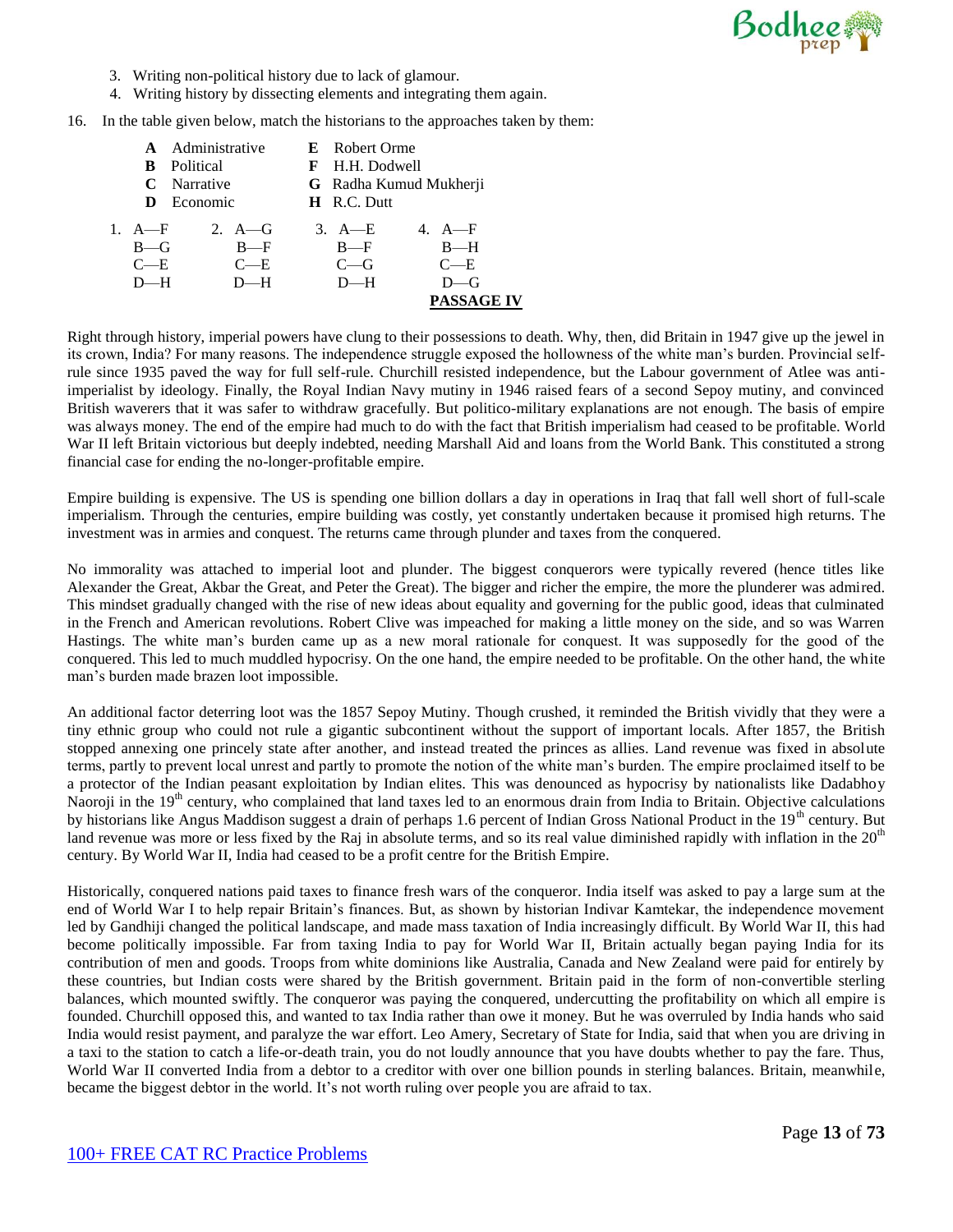

- 3. Writing non-political history due to lack of glamour.
- 4. Writing history by dissecting elements and integrating them again.

16. In the table given below, match the historians to the approaches taken by them:

|          | <b>A</b> Administrative |  | <b>E</b> Robert Orme              |                        |
|----------|-------------------------|--|-----------------------------------|------------------------|
|          | <b>B</b> Political      |  | F H.H. Dodwell                    |                        |
|          | <b>C</b> Narrative      |  |                                   | G Radha Kumud Mukherji |
|          | <b>D</b> Economic       |  | H R.C. Dutt                       |                        |
| 1. $A-F$ | 2. $A - G$              |  | $3. \text{ A}\rightarrow\text{E}$ | 4. $A-F$               |
| $B - G$  | $B-F$                   |  | $B \rightarrow F$                 | $B-H$                  |
| $C - E$  | $C - E$                 |  | $C - G$                           | $C = E$                |
| $D-H$    | $D-H$                   |  | $D-H$                             | $D - G$                |
|          |                         |  |                                   | <b>PASSAGE IV</b>      |

Right through history, imperial powers have clung to their possessions to death. Why, then, did Britain in 1947 give up the jewel in its crown, India? For many reasons. The independence struggle exposed the hollowness of the white man's burden. Provincial selfrule since 1935 paved the way for full self-rule. Churchill resisted independence, but the Labour government of Atlee was antiimperialist by ideology. Finally, the Royal Indian Navy mutiny in 1946 raised fears of a second Sepoy mutiny, and convinced British waverers that it was safer to withdraw gracefully. But politico-military explanations are not enough. The basis of empire was always money. The end of the empire had much to do with the fact that British imperialism had ceased to be profitable. World War II left Britain victorious but deeply indebted, needing Marshall Aid and loans from the World Bank. This constituted a strong financial case for ending the no-longer-profitable empire.

Empire building is expensive. The US is spending one billion dollars a day in operations in Iraq that fall well short of full-scale imperialism. Through the centuries, empire building was costly, yet constantly undertaken because it promised high returns. The investment was in armies and conquest. The returns came through plunder and taxes from the conquered.

No immorality was attached to imperial loot and plunder. The biggest conquerors were typically revered (hence titles like Alexander the Great, Akbar the Great, and Peter the Great). The bigger and richer the empire, the more the plunderer was admired. This mindset gradually changed with the rise of new ideas about equality and governing for the public good, ideas that culminated in the French and American revolutions. Robert Clive was impeached for making a little money on the side, and so was Warren Hastings. The white man's burden came up as a new moral rationale for conquest. It was supposedly for the good of the conquered. This led to much muddled hypocrisy. On the one hand, the empire needed to be profitable. On the other hand, the white man's burden made brazen loot impossible.

An additional factor deterring loot was the 1857 Sepoy Mutiny. Though crushed, it reminded the British vividly that they were a tiny ethnic group who could not rule a gigantic subcontinent without the support of important locals. After 1857, the British stopped annexing one princely state after another, and instead treated the princes as allies. Land revenue was fixed in absolute terms, partly to prevent local unrest and partly to promote the notion of the white man's burden. The empire proclaimed itself to be a protector of the Indian peasant exploitation by Indian elites. This was denounced as hypocrisy by nationalists like Dadabhoy Naoroji in the 19<sup>th</sup> century, who complained that land taxes led to an enormous drain from India to Britain. Objective calculations by historians like Angus Maddison suggest a drain of perhaps 1.6 percent of Indian Gross National Product in the 19<sup>th</sup> century. But land revenue was more or less fixed by the Raj in absolute terms, and so its real value diminished rapidly with inflation in the 20<sup>th</sup> century. By World War II, India had ceased to be a profit centre for the British Empire.

Historically, conquered nations paid taxes to finance fresh wars of the conqueror. India itself was asked to pay a large sum at the end of World War I to help repair Britain's finances. But, as shown by historian Indivar Kamtekar, the independence movement led by Gandhiji changed the political landscape, and made mass taxation of India increasingly difficult. By World War II, this had become politically impossible. Far from taxing India to pay for World War II, Britain actually began paying India for its contribution of men and goods. Troops from white dominions like Australia, Canada and New Zealand were paid for entirely by these countries, but Indian costs were shared by the British government. Britain paid in the form of non-convertible sterling balances, which mounted swiftly. The conqueror was paying the conquered, undercutting the profitability on which all empire is founded. Churchill opposed this, and wanted to tax India rather than owe it money. But he was overruled by India hands who said India would resist payment, and paralyze the war effort. Leo Amery, Secretary of State for India, said that when you are driving in a taxi to the station to catch a life-or-death train, you do not loudly announce that you have doubts whether to pay the fare. Thus, World War II converted India from a debtor to a creditor with over one billion pounds in sterling balances. Britain, meanwhile, became the biggest debtor in the world. It's not worth ruling over people you are afraid to tax.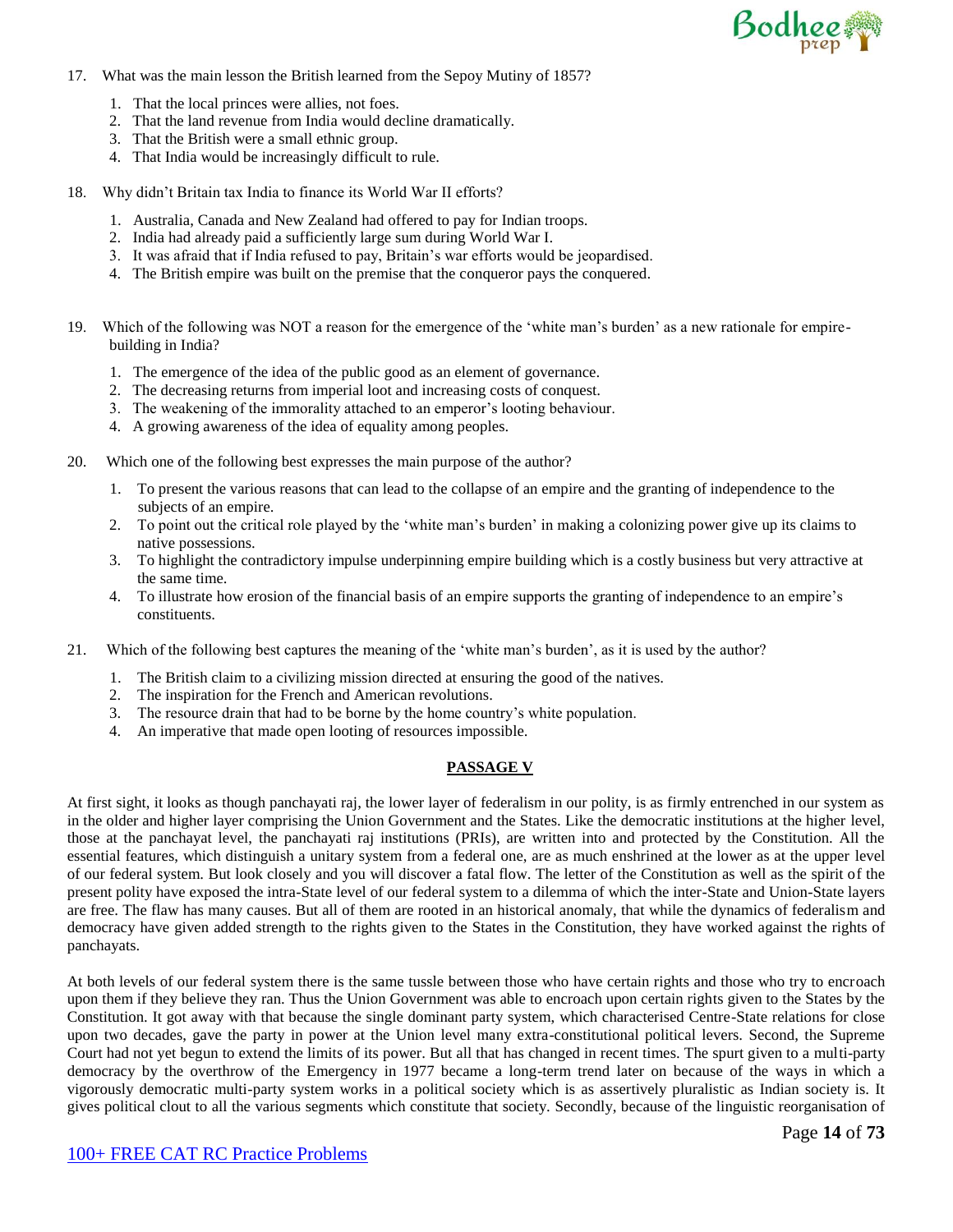

- 17. What was the main lesson the British learned from the Sepoy Mutiny of 1857?
	- 1. That the local princes were allies, not foes.
	- 2. That the land revenue from India would decline dramatically.
	- 3. That the British were a small ethnic group.
	- 4. That India would be increasingly difficult to rule.
- 18. Why didn't Britain tax India to finance its World War II efforts?
	- 1. Australia, Canada and New Zealand had offered to pay for Indian troops.
	- 2. India had already paid a sufficiently large sum during World War I.
	- 3. It was afraid that if India refused to pay, Britain's war efforts would be jeopardised.
	- 4. The British empire was built on the premise that the conqueror pays the conquered.
- 19. Which of the following was NOT a reason for the emergence of the 'white man's burden' as a new rationale for empirebuilding in India?
	- 1. The emergence of the idea of the public good as an element of governance.
	- 2. The decreasing returns from imperial loot and increasing costs of conquest.
	- 3. The weakening of the immorality attached to an emperor's looting behaviour.
	- 4. A growing awareness of the idea of equality among peoples.
- 20. Which one of the following best expresses the main purpose of the author?
	- 1. To present the various reasons that can lead to the collapse of an empire and the granting of independence to the subjects of an empire.
	- 2. To point out the critical role played by the 'white man's burden' in making a colonizing power give up its claims to native possessions.
	- 3. To highlight the contradictory impulse underpinning empire building which is a costly business but very attractive at the same time.
	- 4. To illustrate how erosion of the financial basis of an empire supports the granting of independence to an empire's constituents.
- 21. Which of the following best captures the meaning of the 'white man's burden', as it is used by the author?
	- 1. The British claim to a civilizing mission directed at ensuring the good of the natives.
	- 2. The inspiration for the French and American revolutions.
	- 3. The resource drain that had to be borne by the home country's white population.
	- 4. An imperative that made open looting of resources impossible.

## **PASSAGE V**

At first sight, it looks as though panchayati raj, the lower layer of federalism in our polity, is as firmly entrenched in our system as in the older and higher layer comprising the Union Government and the States. Like the democratic institutions at the higher level, those at the panchayat level, the panchayati raj institutions (PRIs), are written into and protected by the Constitution. All the essential features, which distinguish a unitary system from a federal one, are as much enshrined at the lower as at the upper level of our federal system. But look closely and you will discover a fatal flow. The letter of the Constitution as well as the spirit of the present polity have exposed the intra-State level of our federal system to a dilemma of which the inter-State and Union-State layers are free. The flaw has many causes. But all of them are rooted in an historical anomaly, that while the dynamics of federalism and democracy have given added strength to the rights given to the States in the Constitution, they have worked against the rights of panchayats.

At both levels of our federal system there is the same tussle between those who have certain rights and those who try to encroach upon them if they believe they ran. Thus the Union Government was able to encroach upon certain rights given to the States by the Constitution. It got away with that because the single dominant party system, which characterised Centre-State relations for close upon two decades, gave the party in power at the Union level many extra-constitutional political levers. Second, the Supreme Court had not yet begun to extend the limits of its power. But all that has changed in recent times. The spurt given to a multi-party democracy by the overthrow of the Emergency in 1977 became a long-term trend later on because of the ways in which a vigorously democratic multi-party system works in a political society which is as assertively pluralistic as Indian society is. It gives political clout to all the various segments which constitute that society. Secondly, because of the linguistic reorganisation of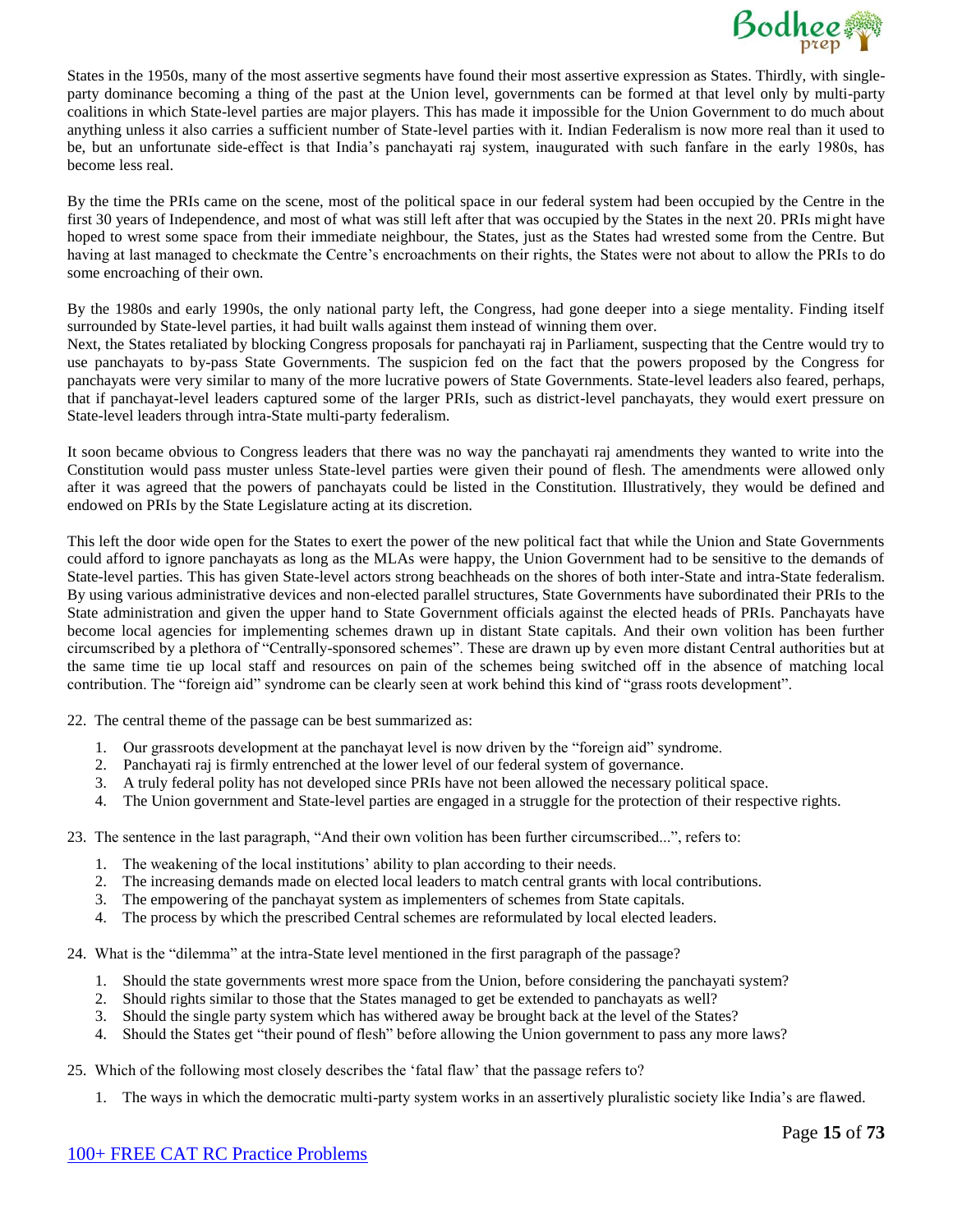

States in the 1950s, many of the most assertive segments have found their most assertive expression as States. Thirdly, with singleparty dominance becoming a thing of the past at the Union level, governments can be formed at that level only by multi-party coalitions in which State-level parties are major players. This has made it impossible for the Union Government to do much about anything unless it also carries a sufficient number of State-level parties with it. Indian Federalism is now more real than it used to be, but an unfortunate side-effect is that India's panchayati raj system, inaugurated with such fanfare in the early 1980s, has become less real.

By the time the PRIs came on the scene, most of the political space in our federal system had been occupied by the Centre in the first 30 years of Independence, and most of what was still left after that was occupied by the States in the next 20. PRIs might have hoped to wrest some space from their immediate neighbour, the States, just as the States had wrested some from the Centre. But having at last managed to checkmate the Centre's encroachments on their rights, the States were not about to allow the PRIs to do some encroaching of their own.

By the 1980s and early 1990s, the only national party left, the Congress, had gone deeper into a siege mentality. Finding itself surrounded by State-level parties, it had built walls against them instead of winning them over.

Next, the States retaliated by blocking Congress proposals for panchayati raj in Parliament, suspecting that the Centre would try to use panchayats to by-pass State Governments. The suspicion fed on the fact that the powers proposed by the Congress for panchayats were very similar to many of the more lucrative powers of State Governments. State-level leaders also feared, perhaps, that if panchayat-level leaders captured some of the larger PRIs, such as district-level panchayats, they would exert pressure on State-level leaders through intra-State multi-party federalism.

It soon became obvious to Congress leaders that there was no way the panchayati raj amendments they wanted to write into the Constitution would pass muster unless State-level parties were given their pound of flesh. The amendments were allowed only after it was agreed that the powers of panchayats could be listed in the Constitution. Illustratively, they would be defined and endowed on PRIs by the State Legislature acting at its discretion.

This left the door wide open for the States to exert the power of the new political fact that while the Union and State Governments could afford to ignore panchayats as long as the MLAs were happy, the Union Government had to be sensitive to the demands of State-level parties. This has given State-level actors strong beachheads on the shores of both inter-State and intra-State federalism. By using various administrative devices and non-elected parallel structures, State Governments have subordinated their PRIs to the State administration and given the upper hand to State Government officials against the elected heads of PRIs. Panchayats have become local agencies for implementing schemes drawn up in distant State capitals. And their own volition has been further circumscribed by a plethora of "Centrally-sponsored schemes". These are drawn up by even more distant Central authorities but at the same time tie up local staff and resources on pain of the schemes being switched off in the absence of matching local contribution. The "foreign aid" syndrome can be clearly seen at work behind this kind of "grass roots development".

22. The central theme of the passage can be best summarized as:

- 1. Our grassroots development at the panchayat level is now driven by the "foreign aid" syndrome.
- 2. Panchayati raj is firmly entrenched at the lower level of our federal system of governance.
- 3. A truly federal polity has not developed since PRIs have not been allowed the necessary political space.
- 4. The Union government and State-level parties are engaged in a struggle for the protection of their respective rights.

#### 23. The sentence in the last paragraph, "And their own volition has been further circumscribed...", refers to:

- 1. The weakening of the local institutions' ability to plan according to their needs.
- 2. The increasing demands made on elected local leaders to match central grants with local contributions.
- 3. The empowering of the panchayat system as implementers of schemes from State capitals.
- 4. The process by which the prescribed Central schemes are reformulated by local elected leaders.

24. What is the "dilemma" at the intra-State level mentioned in the first paragraph of the passage?

- 1. Should the state governments wrest more space from the Union, before considering the panchayati system?
- 2. Should rights similar to those that the States managed to get be extended to panchayats as well?
- 3. Should the single party system which has withered away be brought back at the level of the States?
- 4. Should the States get "their pound of flesh" before allowing the Union government to pass any more laws?
- 25. Which of the following most closely describes the 'fatal flaw' that the passage refers to?
	- 1. The ways in which the democratic multi-party system works in an assertively pluralistic society like India's are flawed.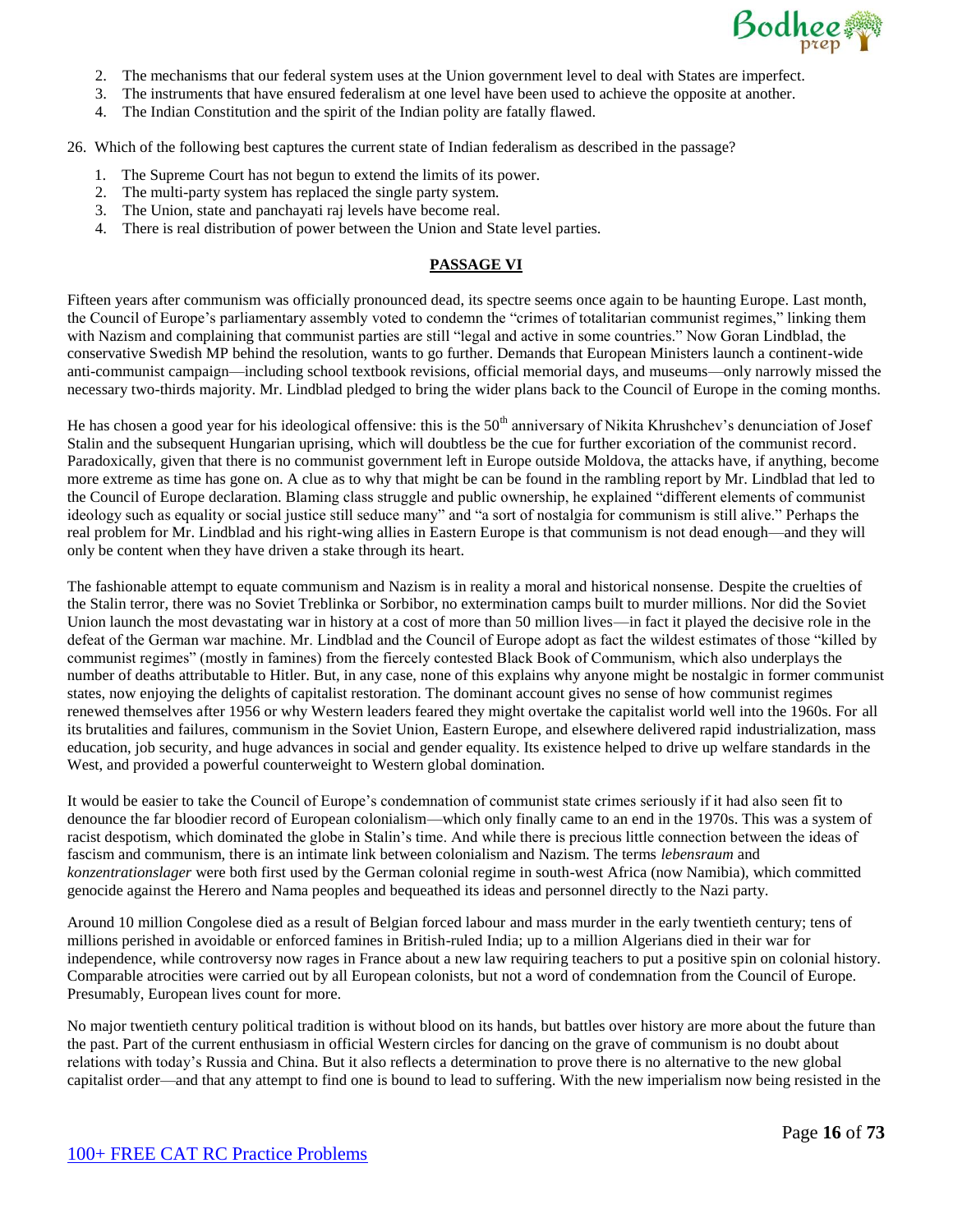

- 2. The mechanisms that our federal system uses at the Union government level to deal with States are imperfect.
- 3. The instruments that have ensured federalism at one level have been used to achieve the opposite at another.
- 4. The Indian Constitution and the spirit of the Indian polity are fatally flawed.

26. Which of the following best captures the current state of Indian federalism as described in the passage?

- 1. The Supreme Court has not begun to extend the limits of its power.
- 2. The multi-party system has replaced the single party system.
- 3. The Union, state and panchayati raj levels have become real.
- 4. There is real distribution of power between the Union and State level parties.

# **PASSAGE VI**

Fifteen years after communism was officially pronounced dead, its spectre seems once again to be haunting Europe. Last month, the Council of Europe's parliamentary assembly voted to condemn the "crimes of totalitarian communist regimes," linking them with Nazism and complaining that communist parties are still "legal and active in some countries." Now Goran Lindblad, the conservative Swedish MP behind the resolution, wants to go further. Demands that European Ministers launch a continent-wide anti-communist campaign—including school textbook revisions, official memorial days, and museums—only narrowly missed the necessary two-thirds majority. Mr. Lindblad pledged to bring the wider plans back to the Council of Europe in the coming months.

He has chosen a good year for his ideological offensive: this is the 50<sup>th</sup> anniversary of Nikita Khrushchev's denunciation of Josef Stalin and the subsequent Hungarian uprising, which will doubtless be the cue for further excoriation of the communist record. Paradoxically, given that there is no communist government left in Europe outside Moldova, the attacks have, if anything, become more extreme as time has gone on. A clue as to why that might be can be found in the rambling report by Mr. Lindblad that led to the Council of Europe declaration. Blaming class struggle and public ownership, he explained "different elements of communist ideology such as equality or social justice still seduce many" and "a sort of nostalgia for communism is still alive." Perhaps the real problem for Mr. Lindblad and his right-wing allies in Eastern Europe is that communism is not dead enough—and they will only be content when they have driven a stake through its heart.

The fashionable attempt to equate communism and Nazism is in reality a moral and historical nonsense. Despite the cruelties of the Stalin terror, there was no Soviet Treblinka or Sorbibor, no extermination camps built to murder millions. Nor did the Soviet Union launch the most devastating war in history at a cost of more than 50 million lives—in fact it played the decisive role in the defeat of the German war machine. Mr. Lindblad and the Council of Europe adopt as fact the wildest estimates of those "killed by communist regimes" (mostly in famines) from the fiercely contested Black Book of Communism, which also underplays the number of deaths attributable to Hitler. But, in any case, none of this explains why anyone might be nostalgic in former communist states, now enjoying the delights of capitalist restoration. The dominant account gives no sense of how communist regimes renewed themselves after 1956 or why Western leaders feared they might overtake the capitalist world well into the 1960s. For all its brutalities and failures, communism in the Soviet Union, Eastern Europe, and elsewhere delivered rapid industrialization, mass education, job security, and huge advances in social and gender equality. Its existence helped to drive up welfare standards in the West, and provided a powerful counterweight to Western global domination.

It would be easier to take the Council of Europe's condemnation of communist state crimes seriously if it had also seen fit to denounce the far bloodier record of European colonialism—which only finally came to an end in the 1970s. This was a system of racist despotism, which dominated the globe in Stalin's time. And while there is precious little connection between the ideas of fascism and communism, there is an intimate link between colonialism and Nazism. The terms *lebensraum* and *konzentrationslager* were both first used by the German colonial regime in south-west Africa (now Namibia), which committed genocide against the Herero and Nama peoples and bequeathed its ideas and personnel directly to the Nazi party.

Around 10 million Congolese died as a result of Belgian forced labour and mass murder in the early twentieth century; tens of millions perished in avoidable or enforced famines in British-ruled India; up to a million Algerians died in their war for independence, while controversy now rages in France about a new law requiring teachers to put a positive spin on colonial history. Comparable atrocities were carried out by all European colonists, but not a word of condemnation from the Council of Europe. Presumably, European lives count for more.

No major twentieth century political tradition is without blood on its hands, but battles over history are more about the future than the past. Part of the current enthusiasm in official Western circles for dancing on the grave of communism is no doubt about relations with today's Russia and China. But it also reflects a determination to prove there is no alternative to the new global capitalist order—and that any attempt to find one is bound to lead to suffering. With the new imperialism now being resisted in the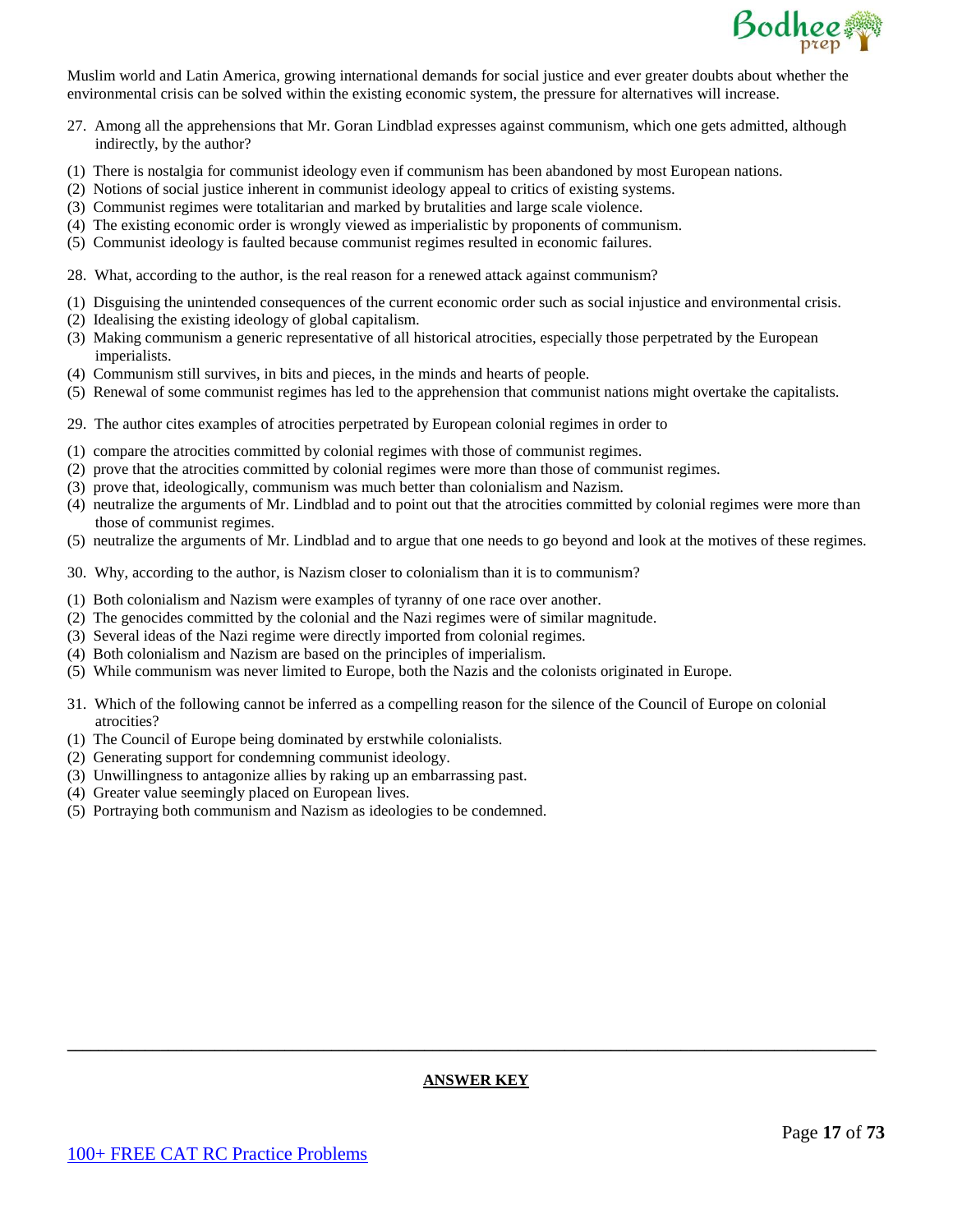

Muslim world and Latin America, growing international demands for social justice and ever greater doubts about whether the environmental crisis can be solved within the existing economic system, the pressure for alternatives will increase.

- 27. Among all the apprehensions that Mr. Goran Lindblad expresses against communism, which one gets admitted, although indirectly, by the author?
- (1) There is nostalgia for communist ideology even if communism has been abandoned by most European nations.
- (2) Notions of social justice inherent in communist ideology appeal to critics of existing systems.
- (3) Communist regimes were totalitarian and marked by brutalities and large scale violence.
- (4) The existing economic order is wrongly viewed as imperialistic by proponents of communism.
- (5) Communist ideology is faulted because communist regimes resulted in economic failures.
- 28. What, according to the author, is the real reason for a renewed attack against communism?
- (1) Disguising the unintended consequences of the current economic order such as social injustice and environmental crisis.
- (2) Idealising the existing ideology of global capitalism.
- (3) Making communism a generic representative of all historical atrocities, especially those perpetrated by the European imperialists.
- (4) Communism still survives, in bits and pieces, in the minds and hearts of people.
- (5) Renewal of some communist regimes has led to the apprehension that communist nations might overtake the capitalists.
- 29. The author cites examples of atrocities perpetrated by European colonial regimes in order to
- (1) compare the atrocities committed by colonial regimes with those of communist regimes.
- (2) prove that the atrocities committed by colonial regimes were more than those of communist regimes.
- (3) prove that, ideologically, communism was much better than colonialism and Nazism.
- (4) neutralize the arguments of Mr. Lindblad and to point out that the atrocities committed by colonial regimes were more than those of communist regimes.
- (5) neutralize the arguments of Mr. Lindblad and to argue that one needs to go beyond and look at the motives of these regimes.
- 30. Why, according to the author, is Nazism closer to colonialism than it is to communism?
- (1) Both colonialism and Nazism were examples of tyranny of one race over another.
- (2) The genocides committed by the colonial and the Nazi regimes were of similar magnitude.
- (3) Several ideas of the Nazi regime were directly imported from colonial regimes.
- (4) Both colonialism and Nazism are based on the principles of imperialism.
- (5) While communism was never limited to Europe, both the Nazis and the colonists originated in Europe.
- 31. Which of the following cannot be inferred as a compelling reason for the silence of the Council of Europe on colonial atrocities?
- (1) The Council of Europe being dominated by erstwhile colonialists.
- (2) Generating support for condemning communist ideology.
- (3) Unwillingness to antagonize allies by raking up an embarrassing past.
- (4) Greater value seemingly placed on European lives.
- (5) Portraying both communism and Nazism as ideologies to be condemned.

\_\_\_\_\_\_\_\_\_\_\_\_\_\_\_\_\_\_\_\_\_\_\_\_\_\_\_\_\_\_\_\_\_\_\_\_\_\_\_\_\_\_\_\_\_\_\_\_\_\_\_\_\_\_\_\_\_\_\_\_\_\_\_\_\_\_\_\_\_\_\_\_\_\_\_\_\_\_\_\_\_\_\_\_\_\_\_\_\_\_\_\_\_\_\_\_\_\_\_\_\_\_\_\_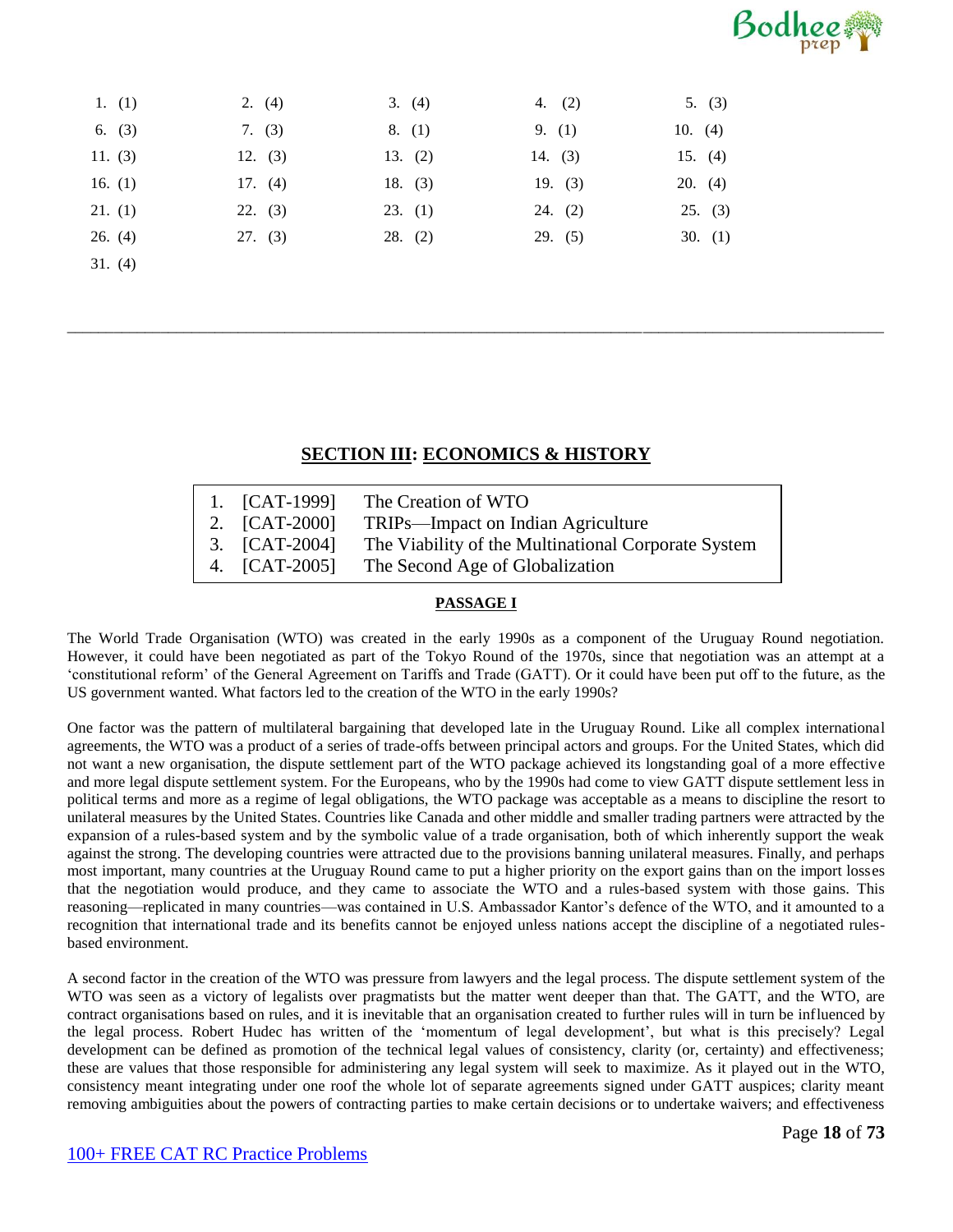

| 1. $(1)$  | 2. $(4)$  | 3. (4)    | 4. $(2)$  | 5. (3)    |
|-----------|-----------|-----------|-----------|-----------|
| 6. $(3)$  | 7. $(3)$  | 8. (1)    | 9. (1)    | 10. $(4)$ |
| 11. $(3)$ | 12. $(3)$ | 13. $(2)$ | 14. $(3)$ | 15. $(4)$ |
| 16. $(1)$ | 17. $(4)$ | 18. $(3)$ | 19. $(3)$ | 20. $(4)$ |
| 21. (1)   | 22. (3)   | 23. (1)   | 24. (2)   | 25. (3)   |
| 26. (4)   | 27. (3)   | 28. (2)   | 29. (5)   | 30. $(1)$ |
| 31. (4)   |           |           |           |           |

# **SECTION III: ECONOMICS & HISTORY**

\_\_\_\_\_\_\_\_\_\_\_\_\_\_\_\_\_\_\_\_\_\_\_\_\_\_\_\_\_\_\_\_\_\_\_\_\_\_\_\_\_\_\_\_\_\_\_\_\_\_\_\_\_\_\_\_\_\_\_\_\_\_\_\_\_\_\_\_\_\_\_\_\_\_\_\_\_\_\_\_\_\_\_\_\_\_\_\_\_\_\_\_\_\_\_\_\_\_\_\_\_\_\_\_\_

| 1. [CAT-1999] | The Creation of WTO                                 |
|---------------|-----------------------------------------------------|
| 2. [CAT-2000] | TRIPs—Impact on Indian Agriculture                  |
| 3. [CAT-2004] | The Viability of the Multinational Corporate System |
| 4. [CAT-2005] | The Second Age of Globalization                     |

## **PASSAGE I**

The World Trade Organisation (WTO) was created in the early 1990s as a component of the Uruguay Round negotiation. However, it could have been negotiated as part of the Tokyo Round of the 1970s, since that negotiation was an attempt at a 'constitutional reform' of the General Agreement on Tariffs and Trade (GATT). Or it could have been put off to the future, as the US government wanted. What factors led to the creation of the WTO in the early 1990s?

One factor was the pattern of multilateral bargaining that developed late in the Uruguay Round. Like all complex international agreements, the WTO was a product of a series of trade-offs between principal actors and groups. For the United States, which did not want a new organisation, the dispute settlement part of the WTO package achieved its longstanding goal of a more effective and more legal dispute settlement system. For the Europeans, who by the 1990s had come to view GATT dispute settlement less in political terms and more as a regime of legal obligations, the WTO package was acceptable as a means to discipline the resort to unilateral measures by the United States. Countries like Canada and other middle and smaller trading partners were attracted by the expansion of a rules-based system and by the symbolic value of a trade organisation, both of which inherently support the weak against the strong. The developing countries were attracted due to the provisions banning unilateral measures. Finally, and perhaps most important, many countries at the Uruguay Round came to put a higher priority on the export gains than on the import losses that the negotiation would produce, and they came to associate the WTO and a rules-based system with those gains. This reasoning—replicated in many countries—was contained in U.S. Ambassador Kantor's defence of the WTO, and it amounted to a recognition that international trade and its benefits cannot be enjoyed unless nations accept the discipline of a negotiated rulesbased environment.

A second factor in the creation of the WTO was pressure from lawyers and the legal process. The dispute settlement system of the WTO was seen as a victory of legalists over pragmatists but the matter went deeper than that. The GATT, and the WTO, are contract organisations based on rules, and it is inevitable that an organisation created to further rules will in turn be influenced by the legal process. Robert Hudec has written of the 'momentum of legal development', but what is this precisely? Legal development can be defined as promotion of the technical legal values of consistency, clarity (or, certainty) and effectiveness; these are values that those responsible for administering any legal system will seek to maximize. As it played out in the WTO, consistency meant integrating under one roof the whole lot of separate agreements signed under GATT auspices; clarity meant removing ambiguities about the powers of contracting parties to make certain decisions or to undertake waivers; and effectiveness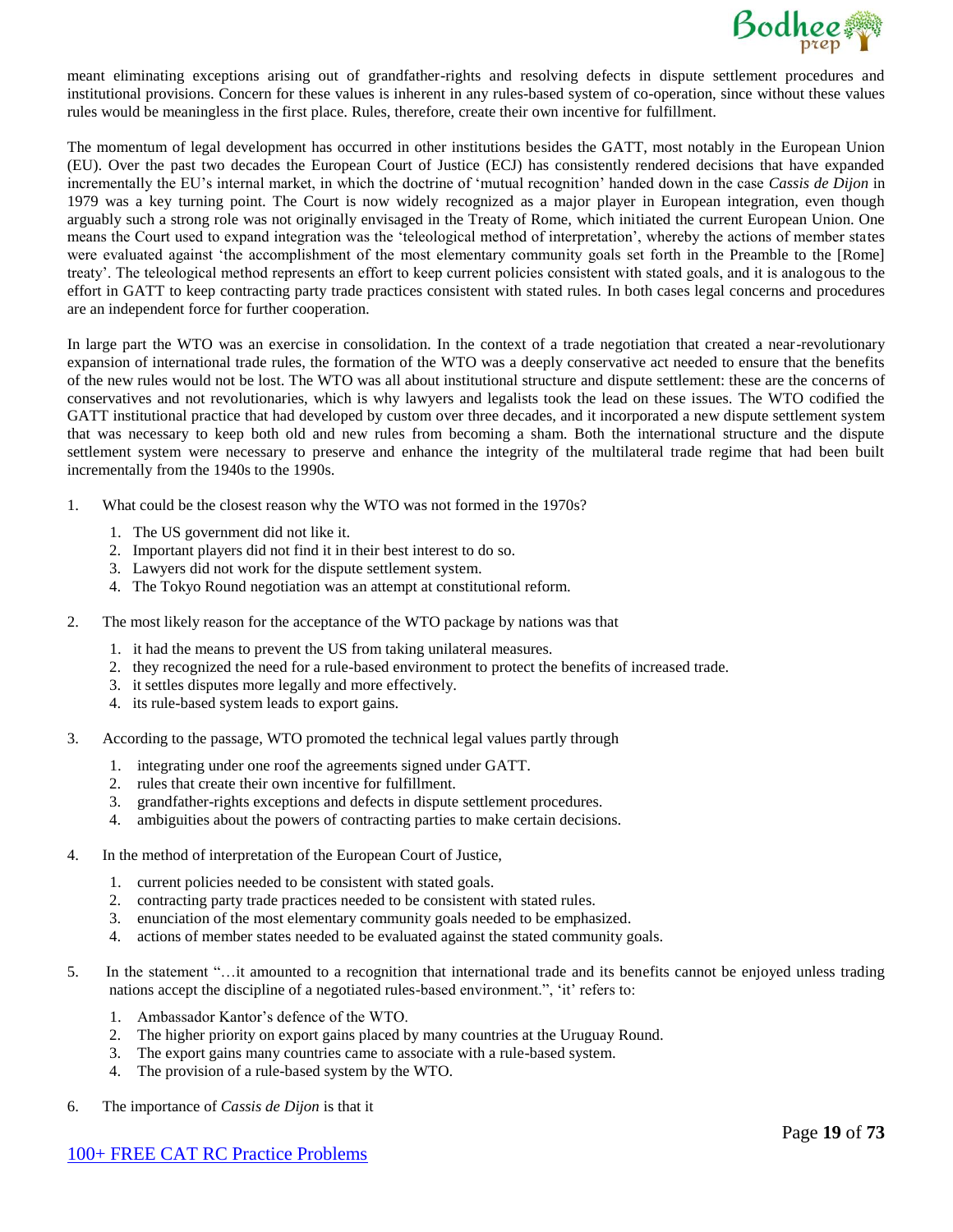

meant eliminating exceptions arising out of grandfather-rights and resolving defects in dispute settlement procedures and institutional provisions. Concern for these values is inherent in any rules-based system of co-operation, since without these values rules would be meaningless in the first place. Rules, therefore, create their own incentive for fulfillment.

The momentum of legal development has occurred in other institutions besides the GATT, most notably in the European Union (EU). Over the past two decades the European Court of Justice (ECJ) has consistently rendered decisions that have expanded incrementally the EU's internal market, in which the doctrine of 'mutual recognition' handed down in the case *Cassis de Dijon* in 1979 was a key turning point. The Court is now widely recognized as a major player in European integration, even though arguably such a strong role was not originally envisaged in the Treaty of Rome, which initiated the current European Union. One means the Court used to expand integration was the 'teleological method of interpretation', whereby the actions of member states were evaluated against 'the accomplishment of the most elementary community goals set forth in the Preamble to the [Rome] treaty'. The teleological method represents an effort to keep current policies consistent with stated goals, and it is analogous to the effort in GATT to keep contracting party trade practices consistent with stated rules. In both cases legal concerns and procedures are an independent force for further cooperation.

In large part the WTO was an exercise in consolidation. In the context of a trade negotiation that created a near-revolutionary expansion of international trade rules, the formation of the WTO was a deeply conservative act needed to ensure that the benefits of the new rules would not be lost. The WTO was all about institutional structure and dispute settlement: these are the concerns of conservatives and not revolutionaries, which is why lawyers and legalists took the lead on these issues. The WTO codified the GATT institutional practice that had developed by custom over three decades, and it incorporated a new dispute settlement system that was necessary to keep both old and new rules from becoming a sham. Both the international structure and the dispute settlement system were necessary to preserve and enhance the integrity of the multilateral trade regime that had been built incrementally from the 1940s to the 1990s.

- 1. What could be the closest reason why the WTO was not formed in the 1970s?
	- 1. The US government did not like it.
	- 2. Important players did not find it in their best interest to do so.
	- 3. Lawyers did not work for the dispute settlement system.
	- 4. The Tokyo Round negotiation was an attempt at constitutional reform.
- 2. The most likely reason for the acceptance of the WTO package by nations was that
	- 1. it had the means to prevent the US from taking unilateral measures.
	- 2. they recognized the need for a rule-based environment to protect the benefits of increased trade.
	- 3. it settles disputes more legally and more effectively.
	- 4. its rule-based system leads to export gains.
- 3. According to the passage, WTO promoted the technical legal values partly through
	- 1. integrating under one roof the agreements signed under GATT.
	- 2. rules that create their own incentive for fulfillment.
	- 3. grandfather-rights exceptions and defects in dispute settlement procedures.
	- 4. ambiguities about the powers of contracting parties to make certain decisions.
- 4. In the method of interpretation of the European Court of Justice,
	- 1. current policies needed to be consistent with stated goals.
	- 2. contracting party trade practices needed to be consistent with stated rules.
	- 3. enunciation of the most elementary community goals needed to be emphasized.
	- 4. actions of member states needed to be evaluated against the stated community goals.
- 5. In the statement "…it amounted to a recognition that international trade and its benefits cannot be enjoyed unless trading nations accept the discipline of a negotiated rules-based environment.", 'it' refers to:
	- 1. Ambassador Kantor's defence of the WTO.
	- 2. The higher priority on export gains placed by many countries at the Uruguay Round.
	- 3. The export gains many countries came to associate with a rule-based system.
	- 4. The provision of a rule-based system by the WTO.
- 6. The importance of *Cassis de Dijon* is that it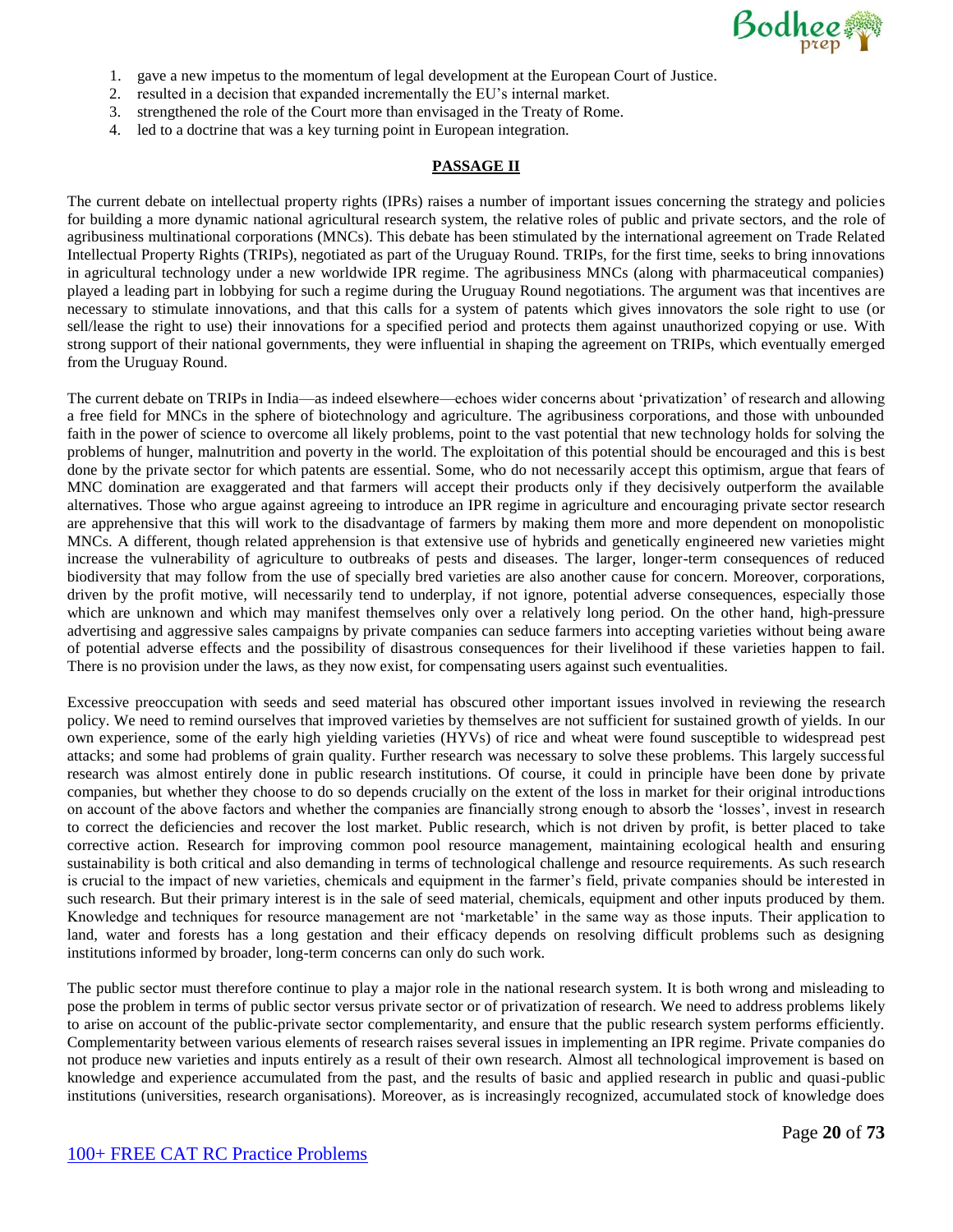

- 1. gave a new impetus to the momentum of legal development at the European Court of Justice.
- 2. resulted in a decision that expanded incrementally the EU's internal market.
- 3. strengthened the role of the Court more than envisaged in the Treaty of Rome.
- 4. led to a doctrine that was a key turning point in European integration.

## **PASSAGE II**

The current debate on intellectual property rights (IPRs) raises a number of important issues concerning the strategy and policies for building a more dynamic national agricultural research system, the relative roles of public and private sectors, and the role of agribusiness multinational corporations (MNCs). This debate has been stimulated by the international agreement on Trade Related Intellectual Property Rights (TRIPs), negotiated as part of the Uruguay Round. TRIPs, for the first time, seeks to bring innovations in agricultural technology under a new worldwide IPR regime. The agribusiness MNCs (along with pharmaceutical companies) played a leading part in lobbying for such a regime during the Uruguay Round negotiations. The argument was that incentives are necessary to stimulate innovations, and that this calls for a system of patents which gives innovators the sole right to use (or sell/lease the right to use) their innovations for a specified period and protects them against unauthorized copying or use. With strong support of their national governments, they were influential in shaping the agreement on TRIPs, which eventually emerged from the Uruguay Round.

The current debate on TRIPs in India—as indeed elsewhere—echoes wider concerns about 'privatization' of research and allowing a free field for MNCs in the sphere of biotechnology and agriculture. The agribusiness corporations, and those with unbounded faith in the power of science to overcome all likely problems, point to the vast potential that new technology holds for solving the problems of hunger, malnutrition and poverty in the world. The exploitation of this potential should be encouraged and this is best done by the private sector for which patents are essential. Some, who do not necessarily accept this optimism, argue that fears of MNC domination are exaggerated and that farmers will accept their products only if they decisively outperform the available alternatives. Those who argue against agreeing to introduce an IPR regime in agriculture and encouraging private sector research are apprehensive that this will work to the disadvantage of farmers by making them more and more dependent on monopolistic MNCs. A different, though related apprehension is that extensive use of hybrids and genetically engineered new varieties might increase the vulnerability of agriculture to outbreaks of pests and diseases. The larger, longer-term consequences of reduced biodiversity that may follow from the use of specially bred varieties are also another cause for concern. Moreover, corporations, driven by the profit motive, will necessarily tend to underplay, if not ignore, potential adverse consequences, especially those which are unknown and which may manifest themselves only over a relatively long period. On the other hand, high-pressure advertising and aggressive sales campaigns by private companies can seduce farmers into accepting varieties without being aware of potential adverse effects and the possibility of disastrous consequences for their livelihood if these varieties happen to fail. There is no provision under the laws, as they now exist, for compensating users against such eventualities.

Excessive preoccupation with seeds and seed material has obscured other important issues involved in reviewing the research policy. We need to remind ourselves that improved varieties by themselves are not sufficient for sustained growth of yields. In our own experience, some of the early high yielding varieties (HYVs) of rice and wheat were found susceptible to widespread pest attacks; and some had problems of grain quality. Further research was necessary to solve these problems. This largely successful research was almost entirely done in public research institutions. Of course, it could in principle have been done by private companies, but whether they choose to do so depends crucially on the extent of the loss in market for their original introductions on account of the above factors and whether the companies are financially strong enough to absorb the 'losses', invest in research to correct the deficiencies and recover the lost market. Public research, which is not driven by profit, is better placed to take corrective action. Research for improving common pool resource management, maintaining ecological health and ensuring sustainability is both critical and also demanding in terms of technological challenge and resource requirements. As such research is crucial to the impact of new varieties, chemicals and equipment in the farmer's field, private companies should be interested in such research. But their primary interest is in the sale of seed material, chemicals, equipment and other inputs produced by them. Knowledge and techniques for resource management are not 'marketable' in the same way as those inputs. Their application to land, water and forests has a long gestation and their efficacy depends on resolving difficult problems such as designing institutions informed by broader, long-term concerns can only do such work.

The public sector must therefore continue to play a major role in the national research system. It is both wrong and misleading to pose the problem in terms of public sector versus private sector or of privatization of research. We need to address problems likely to arise on account of the public-private sector complementarity, and ensure that the public research system performs efficiently. Complementarity between various elements of research raises several issues in implementing an IPR regime. Private companies do not produce new varieties and inputs entirely as a result of their own research. Almost all technological improvement is based on knowledge and experience accumulated from the past, and the results of basic and applied research in public and quasi-public institutions (universities, research organisations). Moreover, as is increasingly recognized, accumulated stock of knowledge does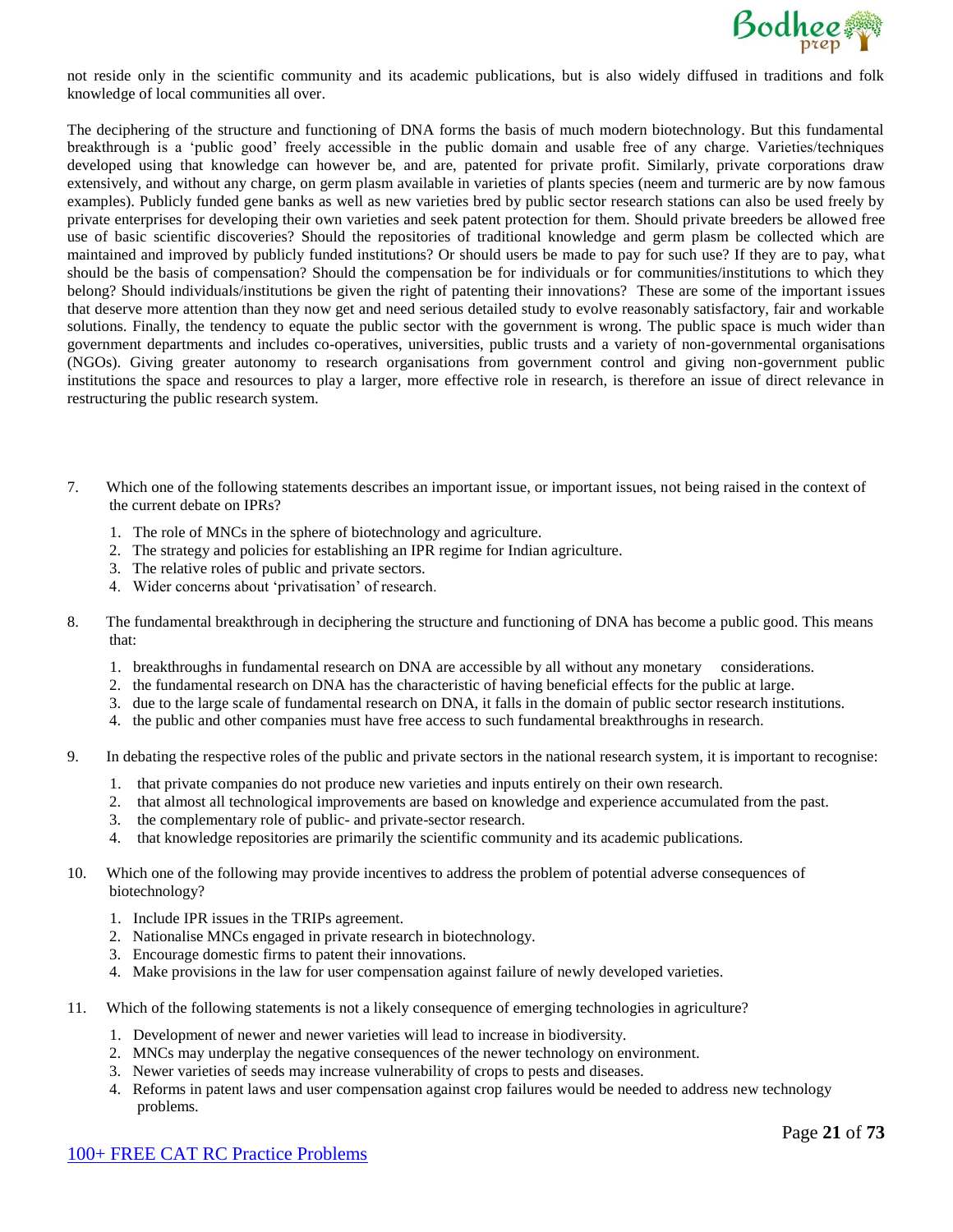

not reside only in the scientific community and its academic publications, but is also widely diffused in traditions and folk knowledge of local communities all over.

The deciphering of the structure and functioning of DNA forms the basis of much modern biotechnology. But this fundamental breakthrough is a 'public good' freely accessible in the public domain and usable free of any charge. Varieties/techniques developed using that knowledge can however be, and are, patented for private profit. Similarly, private corporations draw extensively, and without any charge, on germ plasm available in varieties of plants species (neem and turmeric are by now famous examples). Publicly funded gene banks as well as new varieties bred by public sector research stations can also be used freely by private enterprises for developing their own varieties and seek patent protection for them. Should private breeders be allowed free use of basic scientific discoveries? Should the repositories of traditional knowledge and germ plasm be collected which are maintained and improved by publicly funded institutions? Or should users be made to pay for such use? If they are to pay, what should be the basis of compensation? Should the compensation be for individuals or for communities/institutions to which they belong? Should individuals/institutions be given the right of patenting their innovations? These are some of the important issues that deserve more attention than they now get and need serious detailed study to evolve reasonably satisfactory, fair and workable solutions. Finally, the tendency to equate the public sector with the government is wrong. The public space is much wider than government departments and includes co-operatives, universities, public trusts and a variety of non-governmental organisations (NGOs). Giving greater autonomy to research organisations from government control and giving non-government public institutions the space and resources to play a larger, more effective role in research, is therefore an issue of direct relevance in restructuring the public research system.

- 7. Which one of the following statements describes an important issue, or important issues, not being raised in the context of the current debate on IPRs?
	- 1. The role of MNCs in the sphere of biotechnology and agriculture.
	- 2. The strategy and policies for establishing an IPR regime for Indian agriculture.
	- 3. The relative roles of public and private sectors.
	- 4. Wider concerns about 'privatisation' of research.
- 8. The fundamental breakthrough in deciphering the structure and functioning of DNA has become a public good. This means that:
	- 1. breakthroughs in fundamental research on DNA are accessible by all without any monetary considerations.
	- 2. the fundamental research on DNA has the characteristic of having beneficial effects for the public at large.
	- 3. due to the large scale of fundamental research on DNA, it falls in the domain of public sector research institutions.
	- 4. the public and other companies must have free access to such fundamental breakthroughs in research.
- 9. In debating the respective roles of the public and private sectors in the national research system, it is important to recognise:
	- 1. that private companies do not produce new varieties and inputs entirely on their own research.
	- 2. that almost all technological improvements are based on knowledge and experience accumulated from the past.
	- 3. the complementary role of public- and private-sector research.
	- 4. that knowledge repositories are primarily the scientific community and its academic publications.
- 10. Which one of the following may provide incentives to address the problem of potential adverse consequences of biotechnology?
	- 1. Include IPR issues in the TRIPs agreement.
	- 2. Nationalise MNCs engaged in private research in biotechnology.
	- 3. Encourage domestic firms to patent their innovations.
	- 4. Make provisions in the law for user compensation against failure of newly developed varieties.
- 11. Which of the following statements is not a likely consequence of emerging technologies in agriculture?
	- 1. Development of newer and newer varieties will lead to increase in biodiversity.
	- 2. MNCs may underplay the negative consequences of the newer technology on environment.
	- 3. Newer varieties of seeds may increase vulnerability of crops to pests and diseases.
	- 4. Reforms in patent laws and user compensation against crop failures would be needed to address new technology problems.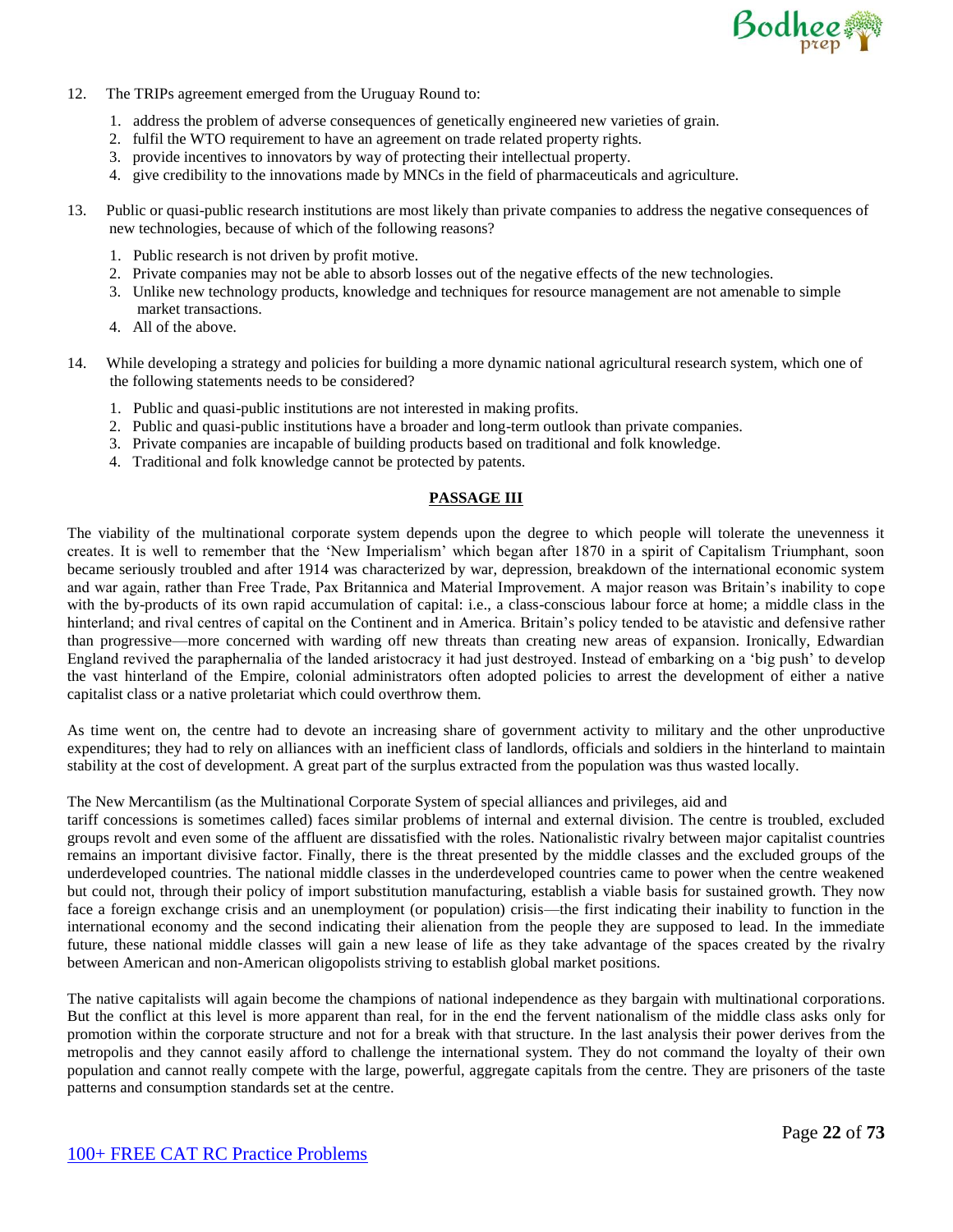

- 12. The TRIPs agreement emerged from the Uruguay Round to:
	- 1. address the problem of adverse consequences of genetically engineered new varieties of grain.
	- 2. fulfil the WTO requirement to have an agreement on trade related property rights.
	- 3. provide incentives to innovators by way of protecting their intellectual property.
	- 4. give credibility to the innovations made by MNCs in the field of pharmaceuticals and agriculture.
- 13. Public or quasi-public research institutions are most likely than private companies to address the negative consequences of new technologies, because of which of the following reasons?
	- 1. Public research is not driven by profit motive.
	- 2. Private companies may not be able to absorb losses out of the negative effects of the new technologies.
	- 3. Unlike new technology products, knowledge and techniques for resource management are not amenable to simple market transactions.
	- 4. All of the above.
- 14. While developing a strategy and policies for building a more dynamic national agricultural research system, which one of the following statements needs to be considered?
	- 1. Public and quasi-public institutions are not interested in making profits.
	- 2. Public and quasi-public institutions have a broader and long-term outlook than private companies.
	- 3. Private companies are incapable of building products based on traditional and folk knowledge.
	- 4. Traditional and folk knowledge cannot be protected by patents.

# **PASSAGE III**

The viability of the multinational corporate system depends upon the degree to which people will tolerate the unevenness it creates. It is well to remember that the 'New Imperialism' which began after 1870 in a spirit of Capitalism Triumphant, soon became seriously troubled and after 1914 was characterized by war, depression, breakdown of the international economic system and war again, rather than Free Trade, Pax Britannica and Material Improvement. A major reason was Britain's inability to cope with the by-products of its own rapid accumulation of capital: i.e., a class-conscious labour force at home; a middle class in the hinterland; and rival centres of capital on the Continent and in America. Britain's policy tended to be atavistic and defensive rather than progressive—more concerned with warding off new threats than creating new areas of expansion. Ironically, Edwardian England revived the paraphernalia of the landed aristocracy it had just destroyed. Instead of embarking on a 'big push' to develop the vast hinterland of the Empire, colonial administrators often adopted policies to arrest the development of either a native capitalist class or a native proletariat which could overthrow them.

As time went on, the centre had to devote an increasing share of government activity to military and the other unproductive expenditures; they had to rely on alliances with an inefficient class of landlords, officials and soldiers in the hinterland to maintain stability at the cost of development. A great part of the surplus extracted from the population was thus wasted locally.

#### The New Mercantilism (as the Multinational Corporate System of special alliances and privileges, aid and

tariff concessions is sometimes called) faces similar problems of internal and external division. The centre is troubled, excluded groups revolt and even some of the affluent are dissatisfied with the roles. Nationalistic rivalry between major capitalist countries remains an important divisive factor. Finally, there is the threat presented by the middle classes and the excluded groups of the underdeveloped countries. The national middle classes in the underdeveloped countries came to power when the centre weakened but could not, through their policy of import substitution manufacturing, establish a viable basis for sustained growth. They now face a foreign exchange crisis and an unemployment (or population) crisis—the first indicating their inability to function in the international economy and the second indicating their alienation from the people they are supposed to lead. In the immediate future, these national middle classes will gain a new lease of life as they take advantage of the spaces created by the rivalry between American and non-American oligopolists striving to establish global market positions.

The native capitalists will again become the champions of national independence as they bargain with multinational corporations. But the conflict at this level is more apparent than real, for in the end the fervent nationalism of the middle class asks only for promotion within the corporate structure and not for a break with that structure. In the last analysis their power derives from the metropolis and they cannot easily afford to challenge the international system. They do not command the loyalty of their own population and cannot really compete with the large, powerful, aggregate capitals from the centre. They are prisoners of the taste patterns and consumption standards set at the centre.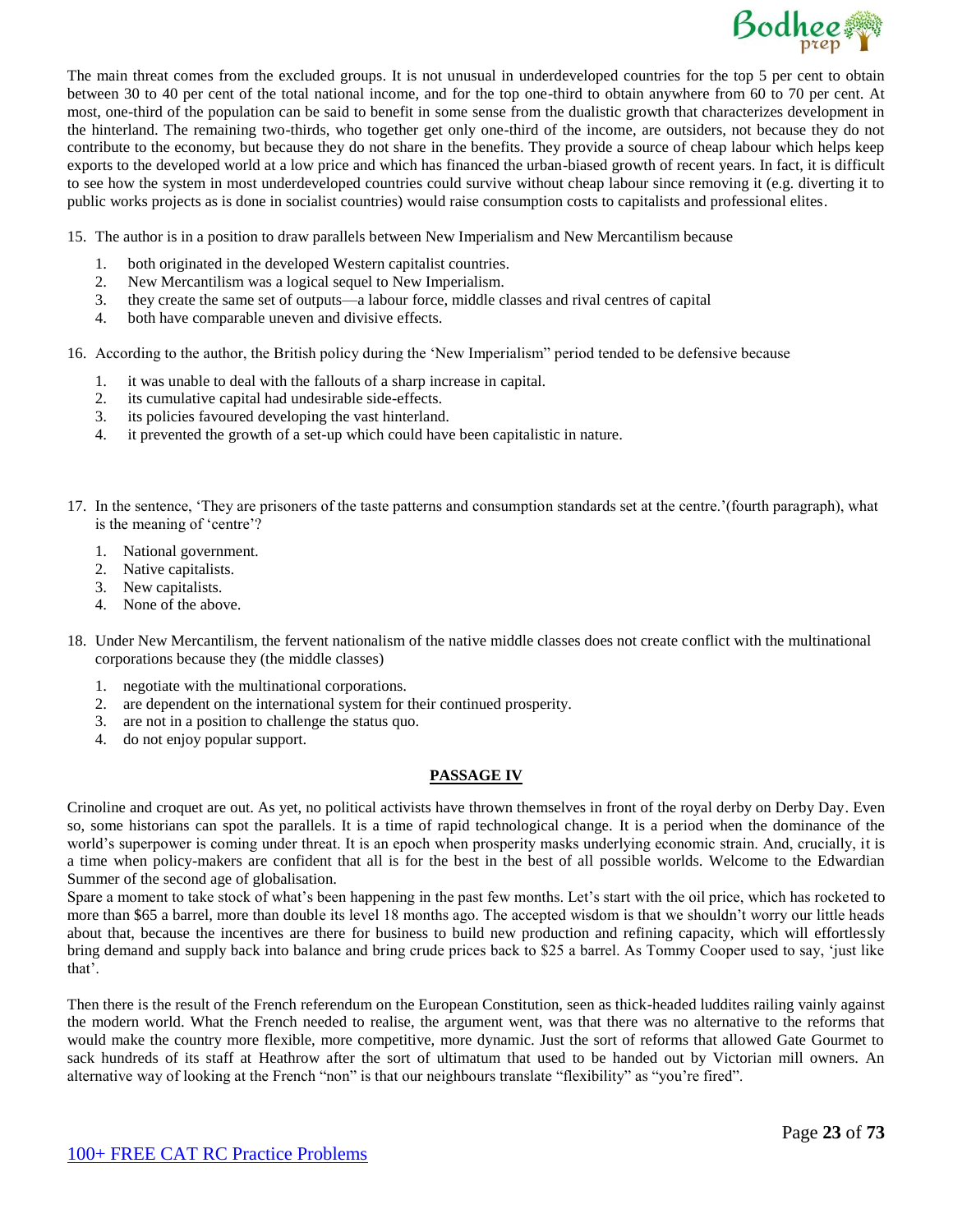

The main threat comes from the excluded groups. It is not unusual in underdeveloped countries for the top 5 per cent to obtain between 30 to 40 per cent of the total national income, and for the top one-third to obtain anywhere from 60 to 70 per cent. At most, one-third of the population can be said to benefit in some sense from the dualistic growth that characterizes development in the hinterland. The remaining two-thirds, who together get only one-third of the income, are outsiders, not because they do not contribute to the economy, but because they do not share in the benefits. They provide a source of cheap labour which helps keep exports to the developed world at a low price and which has financed the urban-biased growth of recent years. In fact, it is difficult to see how the system in most underdeveloped countries could survive without cheap labour since removing it (e.g. diverting it to public works projects as is done in socialist countries) would raise consumption costs to capitalists and professional elites.

15. The author is in a position to draw parallels between New Imperialism and New Mercantilism because

- 1. both originated in the developed Western capitalist countries.
- 2. New Mercantilism was a logical sequel to New Imperialism.
- 3. they create the same set of outputs—a labour force, middle classes and rival centres of capital
- 4. both have comparable uneven and divisive effects.

16. According to the author, the British policy during the 'New Imperialism" period tended to be defensive because

- it was unable to deal with the fallouts of a sharp increase in capital.
- 2. its cumulative capital had undesirable side-effects.
- 3. its policies favoured developing the vast hinterland.
- 4. it prevented the growth of a set-up which could have been capitalistic in nature.
- 17. In the sentence, 'They are prisoners of the taste patterns and consumption standards set at the centre.'(fourth paragraph), what is the meaning of 'centre'?
	- 1. National government.
	- 2. Native capitalists.
	- 3. New capitalists.
	- 4. None of the above.
- 18. Under New Mercantilism, the fervent nationalism of the native middle classes does not create conflict with the multinational corporations because they (the middle classes)
	- 1. negotiate with the multinational corporations.
	- 2. are dependent on the international system for their continued prosperity.
	- 3. are not in a position to challenge the status quo.
	- 4. do not enjoy popular support.

## **PASSAGE IV**

Crinoline and croquet are out. As yet, no political activists have thrown themselves in front of the royal derby on Derby Day. Even so, some historians can spot the parallels. It is a time of rapid technological change. It is a period when the dominance of the world's superpower is coming under threat. It is an epoch when prosperity masks underlying economic strain. And, crucially, it is a time when policy-makers are confident that all is for the best in the best of all possible worlds. Welcome to the Edwardian Summer of the second age of globalisation.

Spare a moment to take stock of what's been happening in the past few months. Let's start with the oil price, which has rocketed to more than \$65 a barrel, more than double its level 18 months ago. The accepted wisdom is that we shouldn't worry our little heads about that, because the incentives are there for business to build new production and refining capacity, which will effortlessly bring demand and supply back into balance and bring crude prices back to \$25 a barrel. As Tommy Cooper used to say, 'just like that'.

Then there is the result of the French referendum on the European Constitution, seen as thick-headed luddites railing vainly against the modern world. What the French needed to realise, the argument went, was that there was no alternative to the reforms that would make the country more flexible, more competitive, more dynamic. Just the sort of reforms that allowed Gate Gourmet to sack hundreds of its staff at Heathrow after the sort of ultimatum that used to be handed out by Victorian mill owners. An alternative way of looking at the French "non" is that our neighbours translate "flexibility" as "you're fired".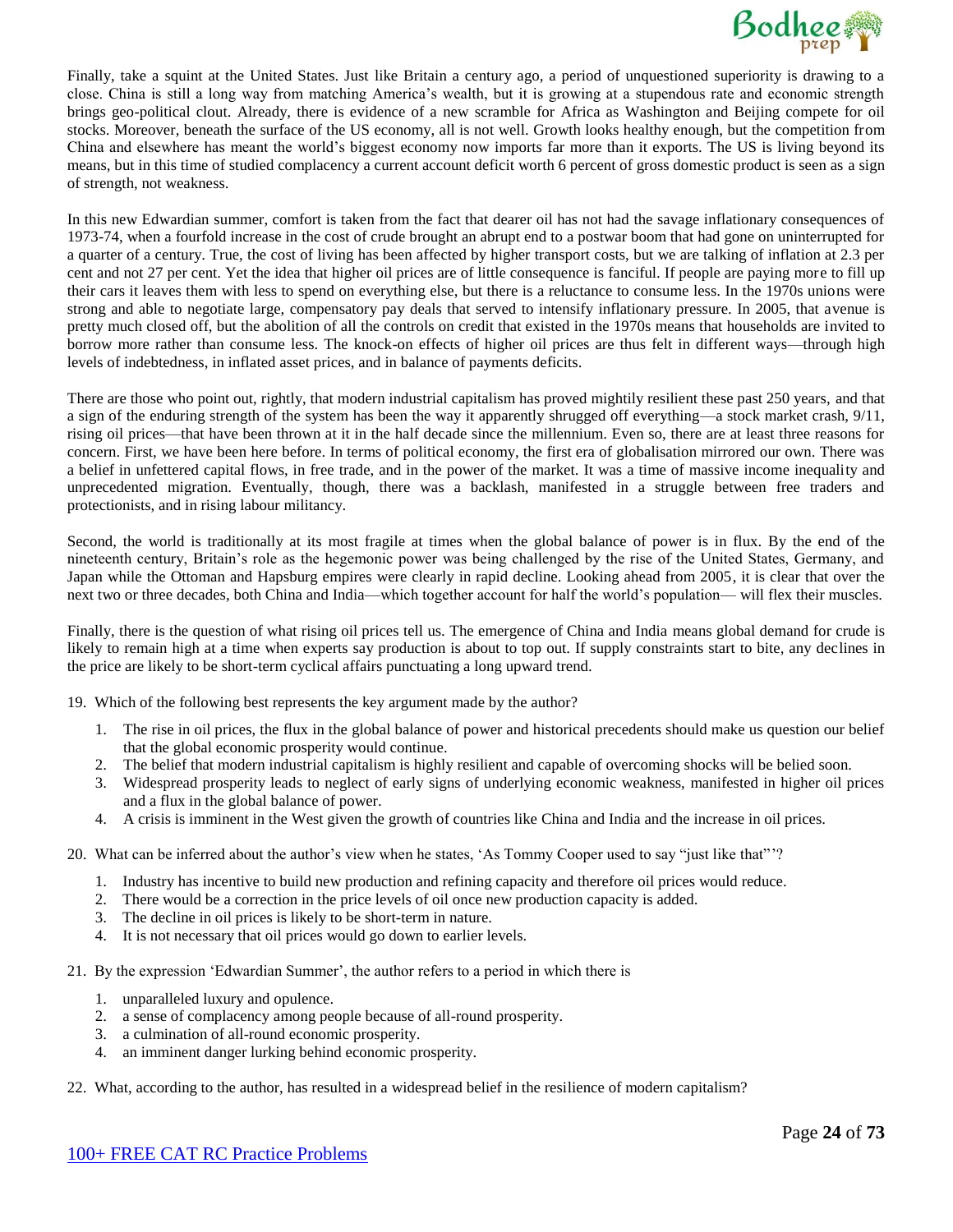

Finally, take a squint at the United States. Just like Britain a century ago, a period of unquestioned superiority is drawing to a close. China is still a long way from matching America's wealth, but it is growing at a stupendous rate and economic strength brings geo-political clout. Already, there is evidence of a new scramble for Africa as Washington and Beijing compete for oil stocks. Moreover, beneath the surface of the US economy, all is not well. Growth looks healthy enough, but the competition from China and elsewhere has meant the world's biggest economy now imports far more than it exports. The US is living beyond its means, but in this time of studied complacency a current account deficit worth 6 percent of gross domestic product is seen as a sign of strength, not weakness.

In this new Edwardian summer, comfort is taken from the fact that dearer oil has not had the savage inflationary consequences of 1973-74, when a fourfold increase in the cost of crude brought an abrupt end to a postwar boom that had gone on uninterrupted for a quarter of a century. True, the cost of living has been affected by higher transport costs, but we are talking of inflation at 2.3 per cent and not 27 per cent. Yet the idea that higher oil prices are of little consequence is fanciful. If people are paying more to fill up their cars it leaves them with less to spend on everything else, but there is a reluctance to consume less. In the 1970s unions were strong and able to negotiate large, compensatory pay deals that served to intensify inflationary pressure. In 2005, that avenue is pretty much closed off, but the abolition of all the controls on credit that existed in the 1970s means that households are invited to borrow more rather than consume less. The knock-on effects of higher oil prices are thus felt in different ways—through high levels of indebtedness, in inflated asset prices, and in balance of payments deficits.

There are those who point out, rightly, that modern industrial capitalism has proved mightily resilient these past 250 years, and that a sign of the enduring strength of the system has been the way it apparently shrugged off everything—a stock market crash, 9/11, rising oil prices—that have been thrown at it in the half decade since the millennium. Even so, there are at least three reasons for concern. First, we have been here before. In terms of political economy, the first era of globalisation mirrored our own. There was a belief in unfettered capital flows, in free trade, and in the power of the market. It was a time of massive income inequality and unprecedented migration. Eventually, though, there was a backlash, manifested in a struggle between free traders and protectionists, and in rising labour militancy.

Second, the world is traditionally at its most fragile at times when the global balance of power is in flux. By the end of the nineteenth century, Britain's role as the hegemonic power was being challenged by the rise of the United States, Germany, and Japan while the Ottoman and Hapsburg empires were clearly in rapid decline. Looking ahead from 2005, it is clear that over the next two or three decades, both China and India—which together account for half the world's population— will flex their muscles.

Finally, there is the question of what rising oil prices tell us. The emergence of China and India means global demand for crude is likely to remain high at a time when experts say production is about to top out. If supply constraints start to bite, any declines in the price are likely to be short-term cyclical affairs punctuating a long upward trend.

19. Which of the following best represents the key argument made by the author?

- 1. The rise in oil prices, the flux in the global balance of power and historical precedents should make us question our belief that the global economic prosperity would continue.
- 2. The belief that modern industrial capitalism is highly resilient and capable of overcoming shocks will be belied soon.
- 3. Widespread prosperity leads to neglect of early signs of underlying economic weakness, manifested in higher oil prices and a flux in the global balance of power.
- 4. A crisis is imminent in the West given the growth of countries like China and India and the increase in oil prices.
- 20. What can be inferred about the author's view when he states, 'As Tommy Cooper used to say "just like that"'?
	- 1. Industry has incentive to build new production and refining capacity and therefore oil prices would reduce.
	- 2. There would be a correction in the price levels of oil once new production capacity is added.
	- 3. The decline in oil prices is likely to be short-term in nature.
	- 4. It is not necessary that oil prices would go down to earlier levels.
- 21. By the expression 'Edwardian Summer', the author refers to a period in which there is
	- 1. unparalleled luxury and opulence.
	- 2. a sense of complacency among people because of all-round prosperity.
	- 3. a culmination of all-round economic prosperity.
	- 4. an imminent danger lurking behind economic prosperity.
- 22. What, according to the author, has resulted in a widespread belief in the resilience of modern capitalism?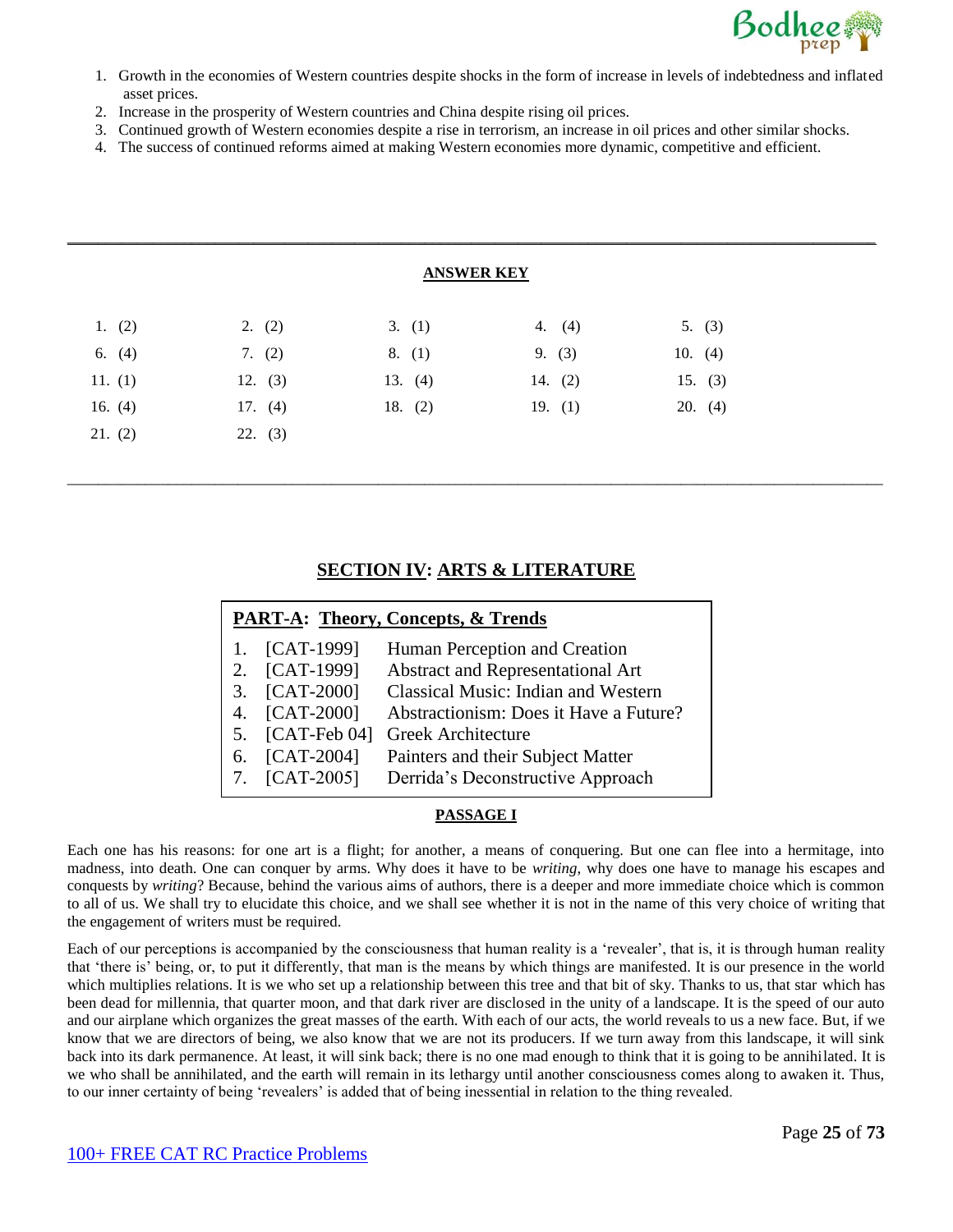

- 1. Growth in the economies of Western countries despite shocks in the form of increase in levels of indebtedness and inflated asset prices.
- 2. Increase in the prosperity of Western countries and China despite rising oil prices.
- 3. Continued growth of Western economies despite a rise in terrorism, an increase in oil prices and other similar shocks.

\_\_\_\_\_\_\_\_\_\_\_\_\_\_\_\_\_\_\_\_\_\_\_\_\_\_\_\_\_\_\_\_\_\_\_\_\_\_\_\_\_\_\_\_\_\_\_\_\_\_\_\_\_\_\_\_\_\_\_\_\_\_\_\_\_\_\_\_\_\_\_\_\_\_\_\_\_\_\_\_\_\_\_\_\_\_\_\_\_\_\_\_\_\_\_\_\_\_\_\_\_\_\_\_

4. The success of continued reforms aimed at making Western economies more dynamic, competitive and efficient.

|           |           | <b>ANSWER KEY</b> |           |           |
|-----------|-----------|-------------------|-----------|-----------|
| 1. $(2)$  | 2. (2)    | 3. (1)            | 4. $(4)$  | 5. (3)    |
| 6. $(4)$  | 7. $(2)$  | 8. (1)            | 9. (3)    | 10. $(4)$ |
| 11. $(1)$ | 12. $(3)$ | 13. $(4)$         | 14. $(2)$ | 15. (3)   |
| 16. $(4)$ | 17. $(4)$ | 18. $(2)$         | 19. $(1)$ | 20. (4)   |
| 21. (2)   | 22. (3)   |                   |           |           |

# **SECTION IV: ARTS & LITERATURE**

\_\_\_\_\_\_\_\_\_\_\_\_\_\_\_\_\_\_\_\_\_\_\_\_\_\_\_\_\_\_\_\_\_\_\_\_\_\_\_\_\_\_\_\_\_\_\_\_\_\_\_\_\_\_\_\_\_\_\_\_\_\_\_\_\_\_\_\_\_\_\_\_\_\_\_\_\_\_\_\_\_\_\_\_\_\_\_\_\_\_\_\_\_\_\_\_\_\_\_\_\_\_\_\_\_

| <b>PART-A: Theory, Concepts, &amp; Trends</b> |                             |                                            |  |  |  |  |
|-----------------------------------------------|-----------------------------|--------------------------------------------|--|--|--|--|
|                                               | $[CAT-1999]$                | Human Perception and Creation              |  |  |  |  |
| 2.                                            | $[CAT-1999]$                | Abstract and Representational Art          |  |  |  |  |
| 3.                                            | $[CAT-2000]$                | <b>Classical Music: Indian and Western</b> |  |  |  |  |
| 4.                                            | $[CAT-2000]$                | Abstractionism: Does it Have a Future?     |  |  |  |  |
| 5.                                            | [CAT-Feb 04]                | <b>Greek Architecture</b>                  |  |  |  |  |
| 6.                                            | $[CAT-2004]$                | Painters and their Subject Matter          |  |  |  |  |
| 7.                                            | $\left[$ CAT-2005 $\right]$ | Derrida's Deconstructive Approach          |  |  |  |  |

# **PASSAGE I**

Each one has his reasons: for one art is a flight; for another, a means of conquering. But one can flee into a hermitage, into madness, into death. One can conquer by arms. Why does it have to be *writing*, why does one have to manage his escapes and conquests by *writing*? Because, behind the various aims of authors, there is a deeper and more immediate choice which is common to all of us. We shall try to elucidate this choice, and we shall see whether it is not in the name of this very choice of writing that the engagement of writers must be required.

Each of our perceptions is accompanied by the consciousness that human reality is a 'revealer', that is, it is through human reality that 'there is' being, or, to put it differently, that man is the means by which things are manifested. It is our presence in the world which multiplies relations. It is we who set up a relationship between this tree and that bit of sky. Thanks to us, that star which has been dead for millennia, that quarter moon, and that dark river are disclosed in the unity of a landscape. It is the speed of our auto and our airplane which organizes the great masses of the earth. With each of our acts, the world reveals to us a new face. But, if we know that we are directors of being, we also know that we are not its producers. If we turn away from this landscape, it will sink back into its dark permanence. At least, it will sink back; there is no one mad enough to think that it is going to be annihilated. It is we who shall be annihilated, and the earth will remain in its lethargy until another consciousness comes along to awaken it. Thus, to our inner certainty of being 'revealers' is added that of being inessential in relation to the thing revealed.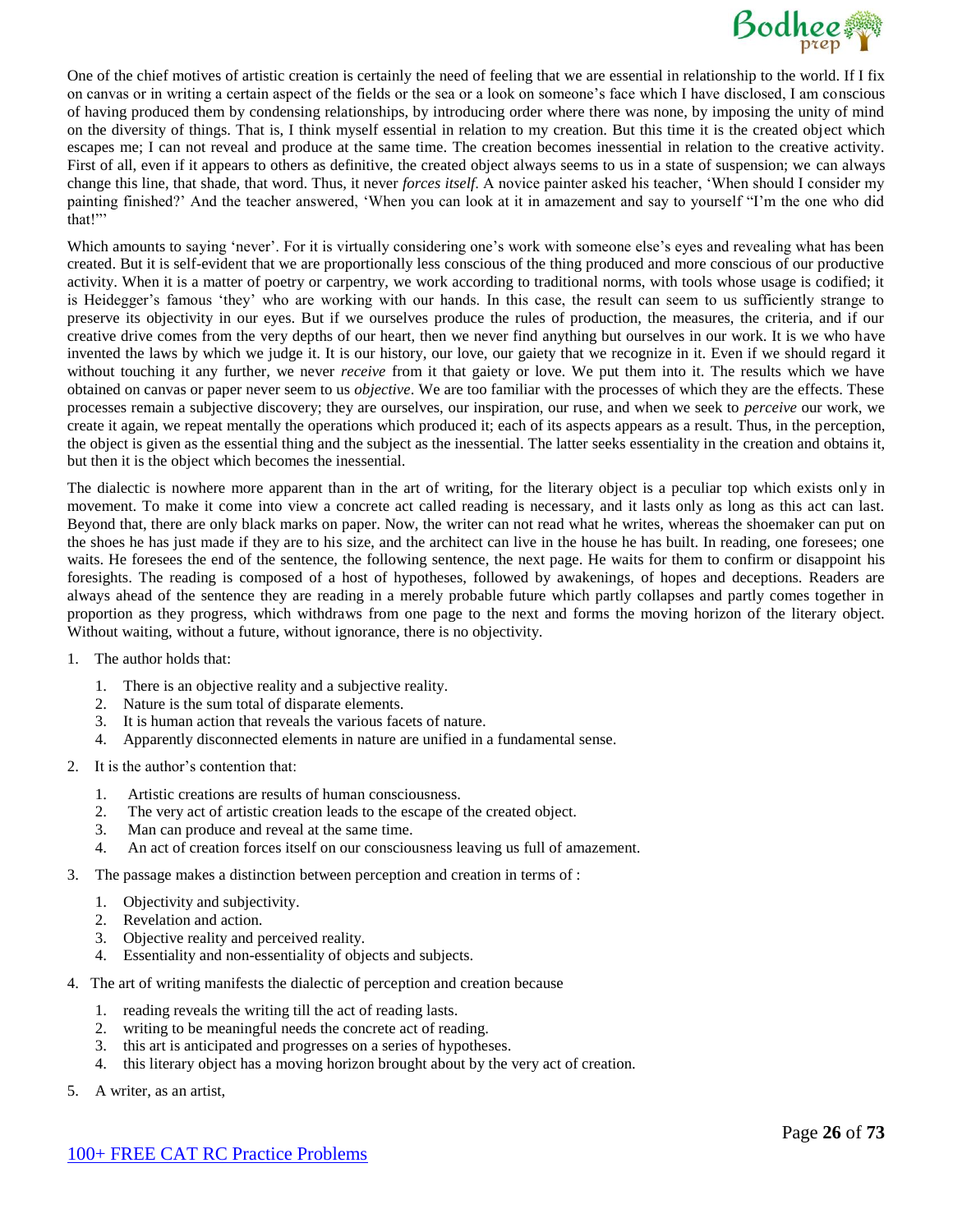

One of the chief motives of artistic creation is certainly the need of feeling that we are essential in relationship to the world. If I fix on canvas or in writing a certain aspect of the fields or the sea or a look on someone's face which I have disclosed, I am conscious of having produced them by condensing relationships, by introducing order where there was none, by imposing the unity of mind on the diversity of things. That is, I think myself essential in relation to my creation. But this time it is the created object which escapes me; I can not reveal and produce at the same time. The creation becomes inessential in relation to the creative activity. First of all, even if it appears to others as definitive, the created object always seems to us in a state of suspension; we can always change this line, that shade, that word. Thus, it never *forces itself*. A novice painter asked his teacher, 'When should I consider my painting finished?' And the teacher answered, 'When you can look at it in amazement and say to yourself "I'm the one who did that!"'

Which amounts to saying 'never'. For it is virtually considering one's work with someone else's eyes and revealing what has been created. But it is self-evident that we are proportionally less conscious of the thing produced and more conscious of our productive activity. When it is a matter of poetry or carpentry, we work according to traditional norms, with tools whose usage is codified; it is Heidegger's famous 'they' who are working with our hands. In this case, the result can seem to us sufficiently strange to preserve its objectivity in our eyes. But if we ourselves produce the rules of production, the measures, the criteria, and if our creative drive comes from the very depths of our heart, then we never find anything but ourselves in our work. It is we who have invented the laws by which we judge it. It is our history, our love, our gaiety that we recognize in it. Even if we should regard it without touching it any further, we never *receive* from it that gaiety or love. We put them into it. The results which we have obtained on canvas or paper never seem to us *objective*. We are too familiar with the processes of which they are the effects. These processes remain a subjective discovery; they are ourselves, our inspiration, our ruse, and when we seek to *perceive* our work, we create it again, we repeat mentally the operations which produced it; each of its aspects appears as a result. Thus, in the perception, the object is given as the essential thing and the subject as the inessential. The latter seeks essentiality in the creation and obtains it, but then it is the object which becomes the inessential.

The dialectic is nowhere more apparent than in the art of writing, for the literary object is a peculiar top which exists only in movement. To make it come into view a concrete act called reading is necessary, and it lasts only as long as this act can last. Beyond that, there are only black marks on paper. Now, the writer can not read what he writes, whereas the shoemaker can put on the shoes he has just made if they are to his size, and the architect can live in the house he has built. In reading, one foresees; one waits. He foresees the end of the sentence, the following sentence, the next page. He waits for them to confirm or disappoint his foresights. The reading is composed of a host of hypotheses, followed by awakenings, of hopes and deceptions. Readers are always ahead of the sentence they are reading in a merely probable future which partly collapses and partly comes together in proportion as they progress, which withdraws from one page to the next and forms the moving horizon of the literary object. Without waiting, without a future, without ignorance, there is no objectivity.

- 1. The author holds that:
	- 1. There is an objective reality and a subjective reality.
	- 2. Nature is the sum total of disparate elements.
	- 3. It is human action that reveals the various facets of nature.
	- 4. Apparently disconnected elements in nature are unified in a fundamental sense.
- 2. It is the author's contention that:
	- 1. Artistic creations are results of human consciousness.
	- 2. The very act of artistic creation leads to the escape of the created object.
	- 3. Man can produce and reveal at the same time.
	- 4. An act of creation forces itself on our consciousness leaving us full of amazement.
- 3. The passage makes a distinction between perception and creation in terms of :
	- 1. Objectivity and subjectivity.
	- 2. Revelation and action.
	- 3. Objective reality and perceived reality.
	- 4. Essentiality and non-essentiality of objects and subjects.
- 4. The art of writing manifests the dialectic of perception and creation because
	- 1. reading reveals the writing till the act of reading lasts.
	- 2. writing to be meaningful needs the concrete act of reading.
	- 3. this art is anticipated and progresses on a series of hypotheses.
	- 4. this literary object has a moving horizon brought about by the very act of creation.
- 5. A writer, as an artist,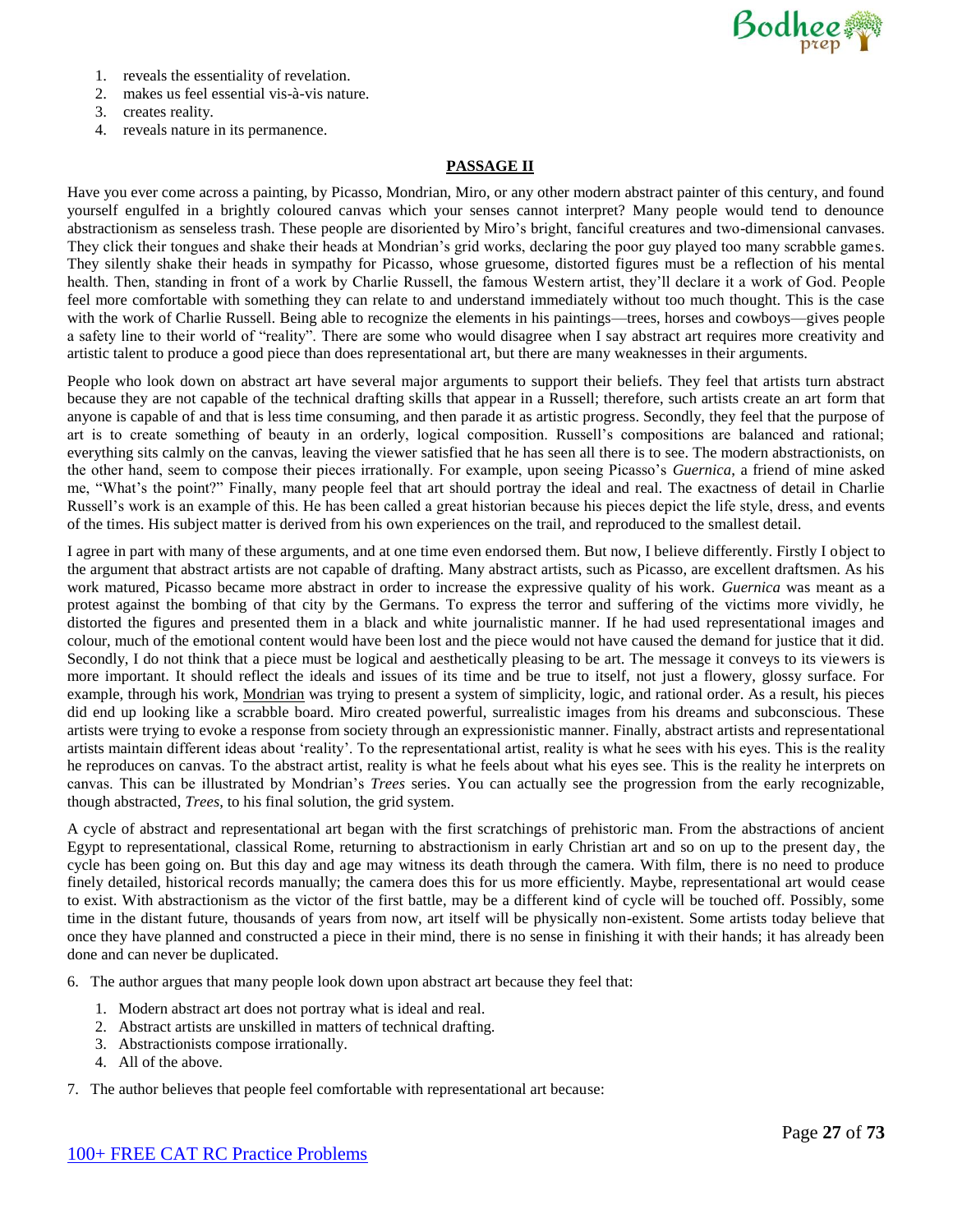

- 1. reveals the essentiality of revelation.
- 2. makes us feel essential vis-à-vis nature.
- 3. creates reality.
- 4. reveals nature in its permanence.

## **PASSAGE II**

Have you ever come across a painting, by Picasso, Mondrian, Miro, or any other modern abstract painter of this century, and found yourself engulfed in a brightly coloured canvas which your senses cannot interpret? Many people would tend to denounce abstractionism as senseless trash. These people are disoriented by Miro's bright, fanciful creatures and two-dimensional canvases. They click their tongues and shake their heads at Mondrian's grid works, declaring the poor guy played too many scrabble games. They silently shake their heads in sympathy for Picasso, whose gruesome, distorted figures must be a reflection of his mental health. Then, standing in front of a work by Charlie Russell, the famous Western artist, they'll declare it a work of God. People feel more comfortable with something they can relate to and understand immediately without too much thought. This is the case with the work of Charlie Russell. Being able to recognize the elements in his paintings—trees, horses and cowboys—gives people a safety line to their world of "reality". There are some who would disagree when I say abstract art requires more creativity and artistic talent to produce a good piece than does representational art, but there are many weaknesses in their arguments.

People who look down on abstract art have several major arguments to support their beliefs. They feel that artists turn abstract because they are not capable of the technical drafting skills that appear in a Russell; therefore, such artists create an art form that anyone is capable of and that is less time consuming, and then parade it as artistic progress. Secondly, they feel that the purpose of art is to create something of beauty in an orderly, logical composition. Russell's compositions are balanced and rational; everything sits calmly on the canvas, leaving the viewer satisfied that he has seen all there is to see. The modern abstractionists, on the other hand, seem to compose their pieces irrationally. For example, upon seeing Picasso's *Guernica*, a friend of mine asked me, "What's the point?" Finally, many people feel that art should portray the ideal and real. The exactness of detail in Charlie Russell's work is an example of this. He has been called a great historian because his pieces depict the life style, dress, and events of the times. His subject matter is derived from his own experiences on the trail, and reproduced to the smallest detail.

I agree in part with many of these arguments, and at one time even endorsed them. But now, I believe differently. Firstly I object to the argument that abstract artists are not capable of drafting. Many abstract artists, such as Picasso, are excellent draftsmen. As his work matured, Picasso became more abstract in order to increase the expressive quality of his work. *Guernica* was meant as a protest against the bombing of that city by the Germans. To express the terror and suffering of the victims more vividly, he distorted the figures and presented them in a black and white journalistic manner. If he had used representational images and colour, much of the emotional content would have been lost and the piece would not have caused the demand for justice that it did. Secondly, I do not think that a piece must be logical and aesthetically pleasing to be art. The message it conveys to its viewers is more important. It should reflect the ideals and issues of its time and be true to itself, not just a flowery, glossy surface. For example, through his work, Mondrian was trying to present a system of simplicity, logic, and rational order. As a result, his pieces did end up looking like a scrabble board. Miro created powerful, surrealistic images from his dreams and subconscious. These artists were trying to evoke a response from society through an expressionistic manner. Finally, abstract artists and representational artists maintain different ideas about 'reality'. To the representational artist, reality is what he sees with his eyes. This is the reality he reproduces on canvas. To the abstract artist, reality is what he feels about what his eyes see. This is the reality he interprets on canvas. This can be illustrated by Mondrian's *Trees* series. You can actually see the progression from the early recognizable, though abstracted, *Trees*, to his final solution, the grid system.

A cycle of abstract and representational art began with the first scratchings of prehistoric man. From the abstractions of ancient Egypt to representational, classical Rome, returning to abstractionism in early Christian art and so on up to the present day, the cycle has been going on. But this day and age may witness its death through the camera. With film, there is no need to produce finely detailed, historical records manually; the camera does this for us more efficiently. Maybe, representational art would cease to exist. With abstractionism as the victor of the first battle, may be a different kind of cycle will be touched off. Possibly, some time in the distant future, thousands of years from now, art itself will be physically non-existent. Some artists today believe that once they have planned and constructed a piece in their mind, there is no sense in finishing it with their hands; it has already been done and can never be duplicated.

- 6. The author argues that many people look down upon abstract art because they feel that:
	- 1. Modern abstract art does not portray what is ideal and real.
	- 2. Abstract artists are unskilled in matters of technical drafting.
	- 3. Abstractionists compose irrationally.
	- 4. All of the above.
- 7. The author believes that people feel comfortable with representational art because: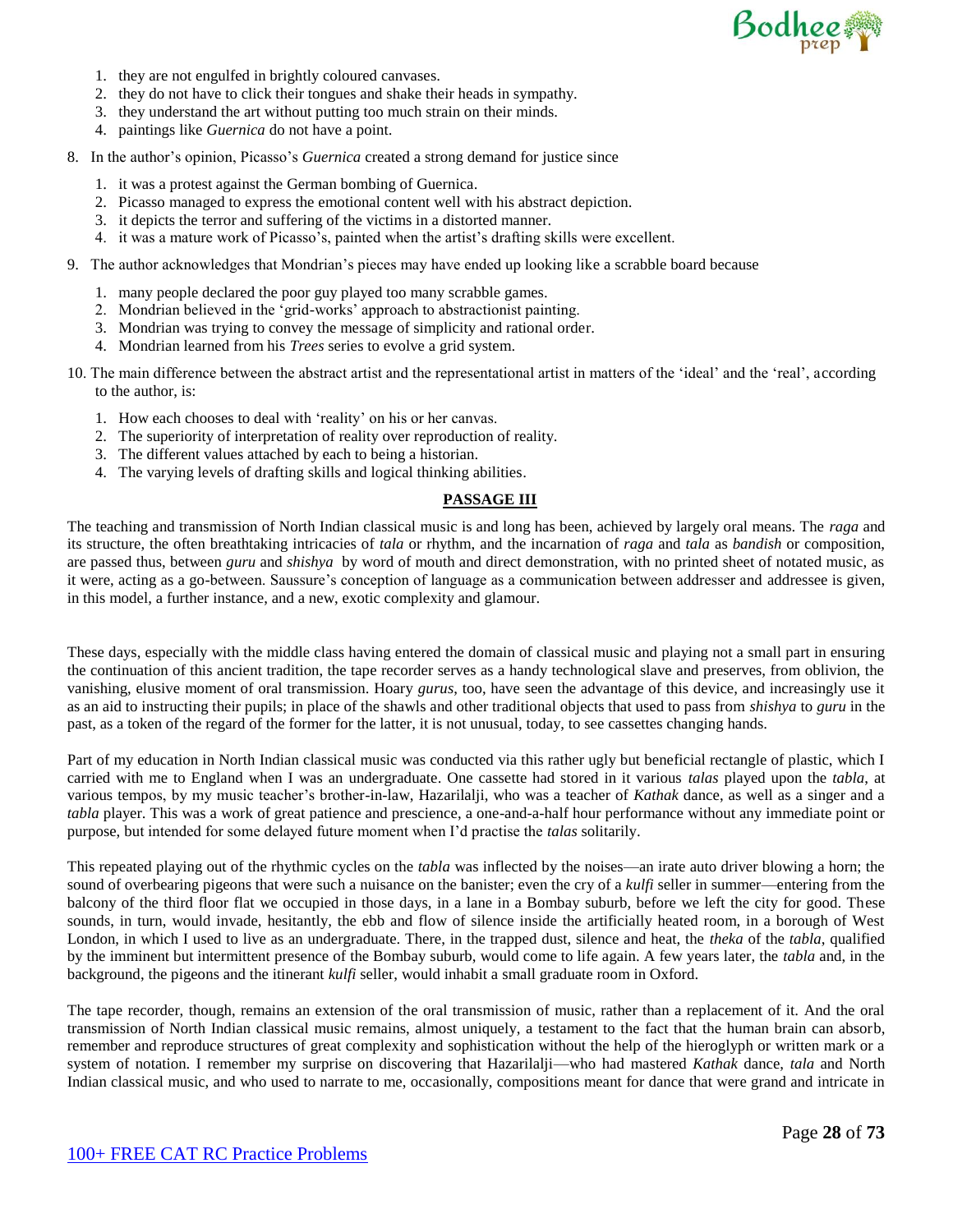

- 1. they are not engulfed in brightly coloured canvases.
- 2. they do not have to click their tongues and shake their heads in sympathy.
- 3. they understand the art without putting too much strain on their minds.
- 4. paintings like *Guernica* do not have a point.
- 8. In the author's opinion, Picasso's *Guernica* created a strong demand for justice since
	- 1. it was a protest against the German bombing of Guernica.
	- 2. Picasso managed to express the emotional content well with his abstract depiction.
	- 3. it depicts the terror and suffering of the victims in a distorted manner.
	- 4. it was a mature work of Picasso's, painted when the artist's drafting skills were excellent.
- 9. The author acknowledges that Mondrian's pieces may have ended up looking like a scrabble board because
	- 1. many people declared the poor guy played too many scrabble games.
	- 2. Mondrian believed in the 'grid-works' approach to abstractionist painting.
	- 3. Mondrian was trying to convey the message of simplicity and rational order.
	- 4. Mondrian learned from his *Trees* series to evolve a grid system.
- 10. The main difference between the abstract artist and the representational artist in matters of the 'ideal' and the 'real', according to the author, is:
	- 1. How each chooses to deal with 'reality' on his or her canvas.
	- 2. The superiority of interpretation of reality over reproduction of reality.
	- 3. The different values attached by each to being a historian.
	- 4. The varying levels of drafting skills and logical thinking abilities.

## **PASSAGE III**

The teaching and transmission of North Indian classical music is and long has been, achieved by largely oral means. The *raga* and its structure, the often breathtaking intricacies of *tala* or rhythm, and the incarnation of *raga* and *tala* as *bandish* or composition, are passed thus, between *guru* and *shishya* by word of mouth and direct demonstration, with no printed sheet of notated music, as it were, acting as a go-between. Saussure's conception of language as a communication between addresser and addressee is given, in this model, a further instance, and a new, exotic complexity and glamour.

These days, especially with the middle class having entered the domain of classical music and playing not a small part in ensuring the continuation of this ancient tradition, the tape recorder serves as a handy technological slave and preserves, from oblivion, the vanishing, elusive moment of oral transmission. Hoary *gurus*, too, have seen the advantage of this device, and increasingly use it as an aid to instructing their pupils; in place of the shawls and other traditional objects that used to pass from *shishya* to *guru* in the past, as a token of the regard of the former for the latter, it is not unusual, today, to see cassettes changing hands.

Part of my education in North Indian classical music was conducted via this rather ugly but beneficial rectangle of plastic, which I carried with me to England when I was an undergraduate. One cassette had stored in it various *talas* played upon the *tabla*, at various tempos, by my music teacher's brother-in-law, Hazarilalji, who was a teacher of *Kathak* dance, as well as a singer and a *tabla* player. This was a work of great patience and prescience, a one-and-a-half hour performance without any immediate point or purpose, but intended for some delayed future moment when I'd practise the *talas* solitarily.

This repeated playing out of the rhythmic cycles on the *tabla* was inflected by the noises—an irate auto driver blowing a horn; the sound of overbearing pigeons that were such a nuisance on the banister; even the cry of a *kulfi* seller in summer—entering from the balcony of the third floor flat we occupied in those days, in a lane in a Bombay suburb, before we left the city for good. These sounds, in turn, would invade, hesitantly, the ebb and flow of silence inside the artificially heated room, in a borough of West London, in which I used to live as an undergraduate. There, in the trapped dust, silence and heat, the *theka* of the *tabla*, qualified by the imminent but intermittent presence of the Bombay suburb, would come to life again. A few years later, the *tabla* and, in the background, the pigeons and the itinerant *kulfi* seller, would inhabit a small graduate room in Oxford.

The tape recorder, though, remains an extension of the oral transmission of music, rather than a replacement of it. And the oral transmission of North Indian classical music remains, almost uniquely, a testament to the fact that the human brain can absorb, remember and reproduce structures of great complexity and sophistication without the help of the hieroglyph or written mark or a system of notation. I remember my surprise on discovering that Hazarilalji—who had mastered *Kathak* dance, *tala* and North Indian classical music, and who used to narrate to me, occasionally, compositions meant for dance that were grand and intricate in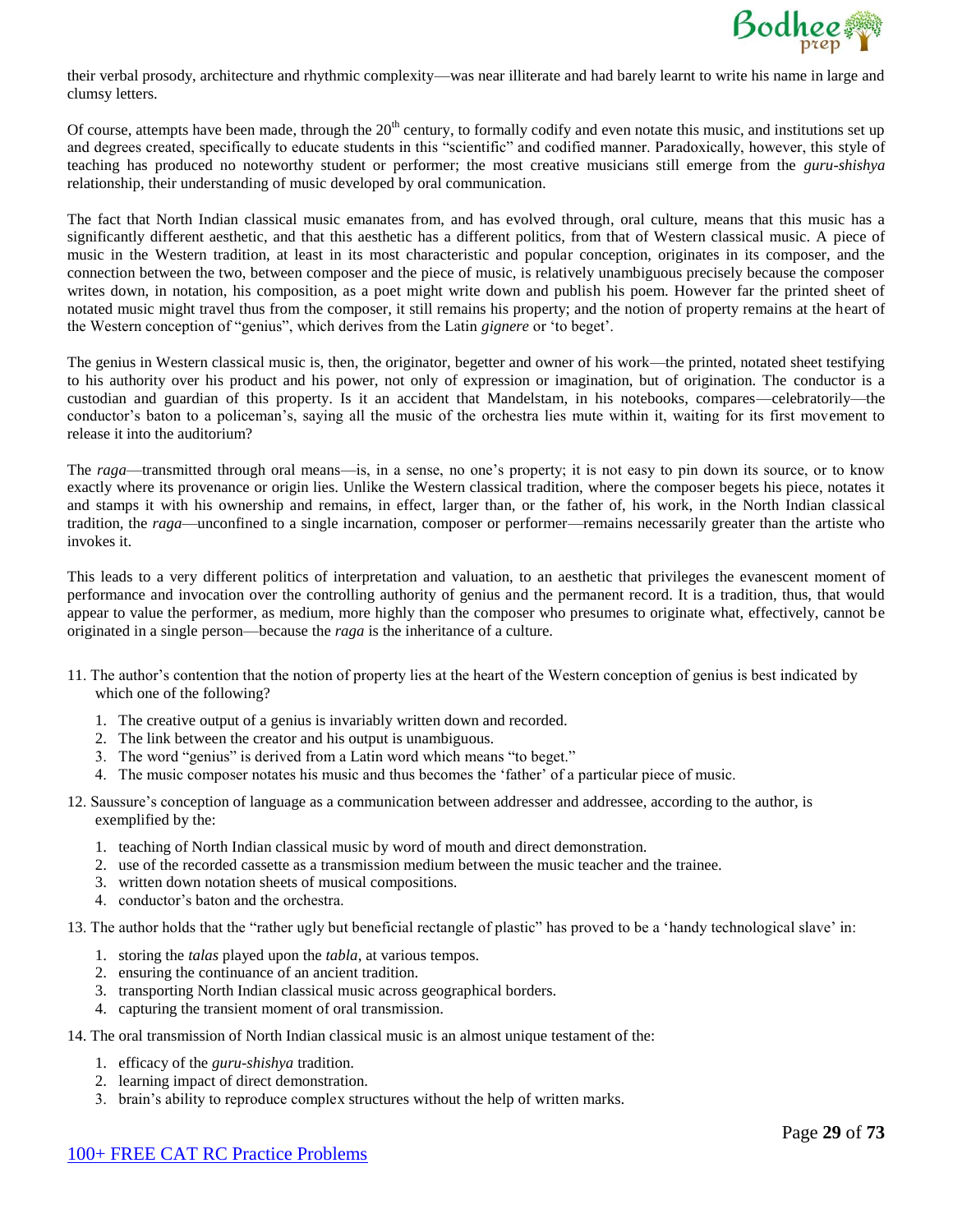

their verbal prosody, architecture and rhythmic complexity—was near illiterate and had barely learnt to write his name in large and clumsy letters.

Of course, attempts have been made, through the  $20<sup>th</sup>$  century, to formally codify and even notate this music, and institutions set up and degrees created, specifically to educate students in this "scientific" and codified manner. Paradoxically, however, this style of teaching has produced no noteworthy student or performer; the most creative musicians still emerge from the *guru-shishya*  relationship, their understanding of music developed by oral communication.

The fact that North Indian classical music emanates from, and has evolved through, oral culture, means that this music has a significantly different aesthetic, and that this aesthetic has a different politics, from that of Western classical music. A piece of music in the Western tradition, at least in its most characteristic and popular conception, originates in its composer, and the connection between the two, between composer and the piece of music, is relatively unambiguous precisely because the composer writes down, in notation, his composition, as a poet might write down and publish his poem. However far the printed sheet of notated music might travel thus from the composer, it still remains his property; and the notion of property remains at the heart of the Western conception of "genius", which derives from the Latin *gignere* or 'to beget'.

The genius in Western classical music is, then, the originator, begetter and owner of his work—the printed, notated sheet testifying to his authority over his product and his power, not only of expression or imagination, but of origination. The conductor is a custodian and guardian of this property. Is it an accident that Mandelstam, in his notebooks, compares—celebratorily—the conductor's baton to a policeman's, saying all the music of the orchestra lies mute within it, waiting for its first movement to release it into the auditorium?

The *raga*—transmitted through oral means—is, in a sense, no one's property; it is not easy to pin down its source, or to know exactly where its provenance or origin lies. Unlike the Western classical tradition, where the composer begets his piece, notates it and stamps it with his ownership and remains, in effect, larger than, or the father of, his work, in the North Indian classical tradition, the *raga*—unconfined to a single incarnation, composer or performer—remains necessarily greater than the artiste who invokes it.

This leads to a very different politics of interpretation and valuation, to an aesthetic that privileges the evanescent moment of performance and invocation over the controlling authority of genius and the permanent record. It is a tradition, thus, that would appear to value the performer, as medium, more highly than the composer who presumes to originate what, effectively, cannot be originated in a single person—because the *raga* is the inheritance of a culture.

- 11. The author's contention that the notion of property lies at the heart of the Western conception of genius is best indicated by which one of the following?
	- 1. The creative output of a genius is invariably written down and recorded.
	- 2. The link between the creator and his output is unambiguous.
	- 3. The word "genius" is derived from a Latin word which means "to beget."
	- 4. The music composer notates his music and thus becomes the 'father' of a particular piece of music.
- 12. Saussure's conception of language as a communication between addresser and addressee, according to the author, is exemplified by the:
	- 1. teaching of North Indian classical music by word of mouth and direct demonstration.
	- 2. use of the recorded cassette as a transmission medium between the music teacher and the trainee.
	- 3. written down notation sheets of musical compositions.
	- 4. conductor's baton and the orchestra.

13. The author holds that the "rather ugly but beneficial rectangle of plastic" has proved to be a 'handy technological slave' in:

- 1. storing the *talas* played upon the *tabla*, at various tempos.
- 2. ensuring the continuance of an ancient tradition.
- 3. transporting North Indian classical music across geographical borders.
- 4. capturing the transient moment of oral transmission.
- 14. The oral transmission of North Indian classical music is an almost unique testament of the:
	- 1. efficacy of the *guru-shishya* tradition.
	- 2. learning impact of direct demonstration.
	- 3. brain's ability to reproduce complex structures without the help of written marks.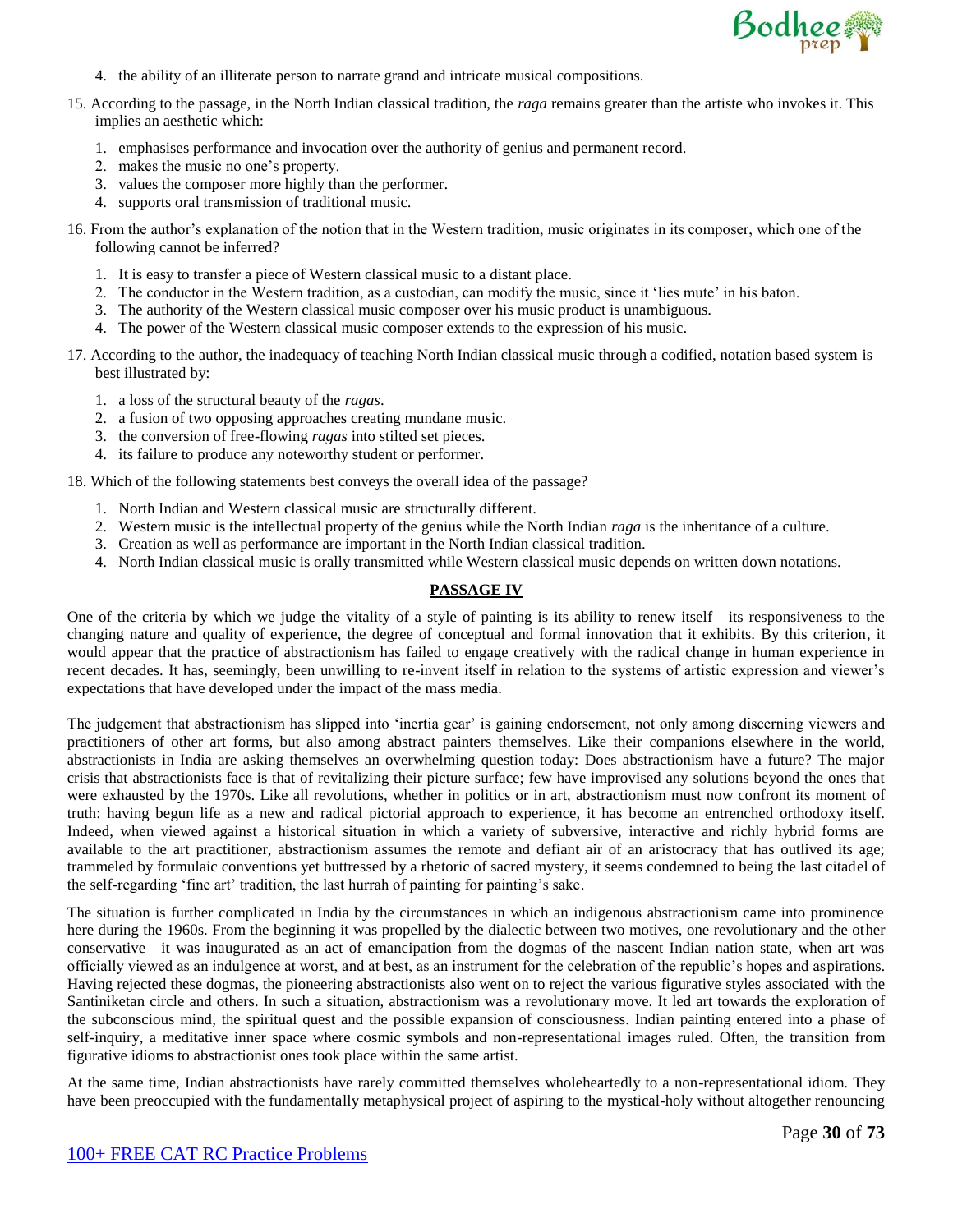

- 4. the ability of an illiterate person to narrate grand and intricate musical compositions.
- 15. According to the passage, in the North Indian classical tradition, the *raga* remains greater than the artiste who invokes it. This implies an aesthetic which:
	- 1. emphasises performance and invocation over the authority of genius and permanent record.
	- 2. makes the music no one's property.
	- 3. values the composer more highly than the performer.
	- 4. supports oral transmission of traditional music.
- 16. From the author's explanation of the notion that in the Western tradition, music originates in its composer, which one of the following cannot be inferred?
	- 1. It is easy to transfer a piece of Western classical music to a distant place.
	- 2. The conductor in the Western tradition, as a custodian, can modify the music, since it 'lies mute' in his baton.
	- 3. The authority of the Western classical music composer over his music product is unambiguous.
	- 4. The power of the Western classical music composer extends to the expression of his music.
- 17. According to the author, the inadequacy of teaching North Indian classical music through a codified, notation based system is best illustrated by:
	- 1. a loss of the structural beauty of the *ragas*.
	- 2. a fusion of two opposing approaches creating mundane music.
	- 3. the conversion of free-flowing *ragas* into stilted set pieces.
	- 4. its failure to produce any noteworthy student or performer.

18. Which of the following statements best conveys the overall idea of the passage?

- 1. North Indian and Western classical music are structurally different.
- 2. Western music is the intellectual property of the genius while the North Indian *raga* is the inheritance of a culture.
- 3. Creation as well as performance are important in the North Indian classical tradition.
- 4. North Indian classical music is orally transmitted while Western classical music depends on written down notations.

## **PASSAGE IV**

One of the criteria by which we judge the vitality of a style of painting is its ability to renew itself—its responsiveness to the changing nature and quality of experience, the degree of conceptual and formal innovation that it exhibits. By this criterion, it would appear that the practice of abstractionism has failed to engage creatively with the radical change in human experience in recent decades. It has, seemingly, been unwilling to re-invent itself in relation to the systems of artistic expression and viewer's expectations that have developed under the impact of the mass media.

The judgement that abstractionism has slipped into 'inertia gear' is gaining endorsement, not only among discerning viewers and practitioners of other art forms, but also among abstract painters themselves. Like their companions elsewhere in the world, abstractionists in India are asking themselves an overwhelming question today: Does abstractionism have a future? The major crisis that abstractionists face is that of revitalizing their picture surface; few have improvised any solutions beyond the ones that were exhausted by the 1970s. Like all revolutions, whether in politics or in art, abstractionism must now confront its moment of truth: having begun life as a new and radical pictorial approach to experience, it has become an entrenched orthodoxy itself. Indeed, when viewed against a historical situation in which a variety of subversive, interactive and richly hybrid forms are available to the art practitioner, abstractionism assumes the remote and defiant air of an aristocracy that has outlived its age; trammeled by formulaic conventions yet buttressed by a rhetoric of sacred mystery, it seems condemned to being the last citadel of the self-regarding 'fine art' tradition, the last hurrah of painting for painting's sake.

The situation is further complicated in India by the circumstances in which an indigenous abstractionism came into prominence here during the 1960s. From the beginning it was propelled by the dialectic between two motives, one revolutionary and the other conservative—it was inaugurated as an act of emancipation from the dogmas of the nascent Indian nation state, when art was officially viewed as an indulgence at worst, and at best, as an instrument for the celebration of the republic's hopes and aspirations. Having rejected these dogmas, the pioneering abstractionists also went on to reject the various figurative styles associated with the Santiniketan circle and others. In such a situation, abstractionism was a revolutionary move. It led art towards the exploration of the subconscious mind, the spiritual quest and the possible expansion of consciousness. Indian painting entered into a phase of self-inquiry, a meditative inner space where cosmic symbols and non-representational images ruled. Often, the transition from figurative idioms to abstractionist ones took place within the same artist.

At the same time, Indian abstractionists have rarely committed themselves wholeheartedly to a non-representational idiom. They have been preoccupied with the fundamentally metaphysical project of aspiring to the mystical-holy without altogether renouncing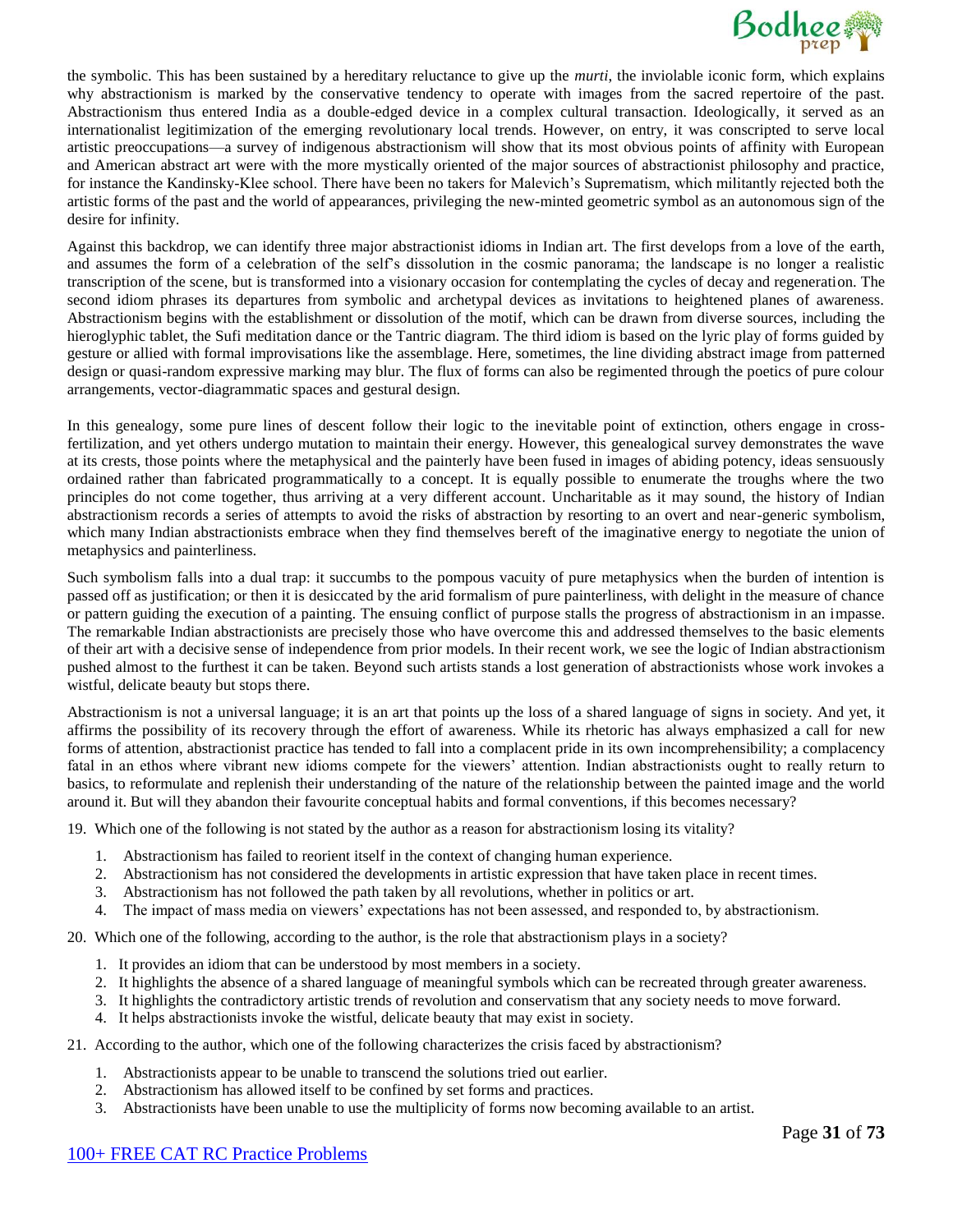

the symbolic. This has been sustained by a hereditary reluctance to give up the *murti*, the inviolable iconic form, which explains why abstractionism is marked by the conservative tendency to operate with images from the sacred repertoire of the past. Abstractionism thus entered India as a double-edged device in a complex cultural transaction. Ideologically, it served as an internationalist legitimization of the emerging revolutionary local trends. However, on entry, it was conscripted to serve local artistic preoccupations—a survey of indigenous abstractionism will show that its most obvious points of affinity with European and American abstract art were with the more mystically oriented of the major sources of abstractionist philosophy and practice, for instance the Kandinsky-Klee school. There have been no takers for Malevich's Suprematism, which militantly rejected both the artistic forms of the past and the world of appearances, privileging the new-minted geometric symbol as an autonomous sign of the desire for infinity.

Against this backdrop, we can identify three major abstractionist idioms in Indian art. The first develops from a love of the earth, and assumes the form of a celebration of the self's dissolution in the cosmic panorama; the landscape is no longer a realistic transcription of the scene, but is transformed into a visionary occasion for contemplating the cycles of decay and regeneration. The second idiom phrases its departures from symbolic and archetypal devices as invitations to heightened planes of awareness. Abstractionism begins with the establishment or dissolution of the motif, which can be drawn from diverse sources, including the hieroglyphic tablet, the Sufi meditation dance or the Tantric diagram. The third idiom is based on the lyric play of forms guided by gesture or allied with formal improvisations like the assemblage. Here, sometimes, the line dividing abstract image from patterned design or quasi-random expressive marking may blur. The flux of forms can also be regimented through the poetics of pure colour arrangements, vector-diagrammatic spaces and gestural design.

In this genealogy, some pure lines of descent follow their logic to the inevitable point of extinction, others engage in crossfertilization, and yet others undergo mutation to maintain their energy. However, this genealogical survey demonstrates the wave at its crests, those points where the metaphysical and the painterly have been fused in images of abiding potency, ideas sensuously ordained rather than fabricated programmatically to a concept. It is equally possible to enumerate the troughs where the two principles do not come together, thus arriving at a very different account. Uncharitable as it may sound, the history of Indian abstractionism records a series of attempts to avoid the risks of abstraction by resorting to an overt and near-generic symbolism, which many Indian abstractionists embrace when they find themselves bereft of the imaginative energy to negotiate the union of metaphysics and painterliness.

Such symbolism falls into a dual trap: it succumbs to the pompous vacuity of pure metaphysics when the burden of intention is passed off as justification; or then it is desiccated by the arid formalism of pure painterliness, with delight in the measure of chance or pattern guiding the execution of a painting. The ensuing conflict of purpose stalls the progress of abstractionism in an impasse. The remarkable Indian abstractionists are precisely those who have overcome this and addressed themselves to the basic elements of their art with a decisive sense of independence from prior models. In their recent work, we see the logic of Indian abstractionism pushed almost to the furthest it can be taken. Beyond such artists stands a lost generation of abstractionists whose work invokes a wistful, delicate beauty but stops there.

Abstractionism is not a universal language; it is an art that points up the loss of a shared language of signs in society. And yet, it affirms the possibility of its recovery through the effort of awareness. While its rhetoric has always emphasized a call for new forms of attention, abstractionist practice has tended to fall into a complacent pride in its own incomprehensibility; a complacency fatal in an ethos where vibrant new idioms compete for the viewers' attention. Indian abstractionists ought to really return to basics, to reformulate and replenish their understanding of the nature of the relationship between the painted image and the world around it. But will they abandon their favourite conceptual habits and formal conventions, if this becomes necessary?

19. Which one of the following is not stated by the author as a reason for abstractionism losing its vitality?

- 1. Abstractionism has failed to reorient itself in the context of changing human experience.
- 2. Abstractionism has not considered the developments in artistic expression that have taken place in recent times.
- 3. Abstractionism has not followed the path taken by all revolutions, whether in politics or art.
- 4. The impact of mass media on viewers' expectations has not been assessed, and responded to, by abstractionism.

20. Which one of the following, according to the author, is the role that abstractionism plays in a society?

- 1. It provides an idiom that can be understood by most members in a society.
- 2. It highlights the absence of a shared language of meaningful symbols which can be recreated through greater awareness.
- 3. It highlights the contradictory artistic trends of revolution and conservatism that any society needs to move forward.
- 4. It helps abstractionists invoke the wistful, delicate beauty that may exist in society.

#### 21. According to the author, which one of the following characterizes the crisis faced by abstractionism?

- 1. Abstractionists appear to be unable to transcend the solutions tried out earlier.
- 2. Abstractionism has allowed itself to be confined by set forms and practices.
- 3. Abstractionists have been unable to use the multiplicity of forms now becoming available to an artist.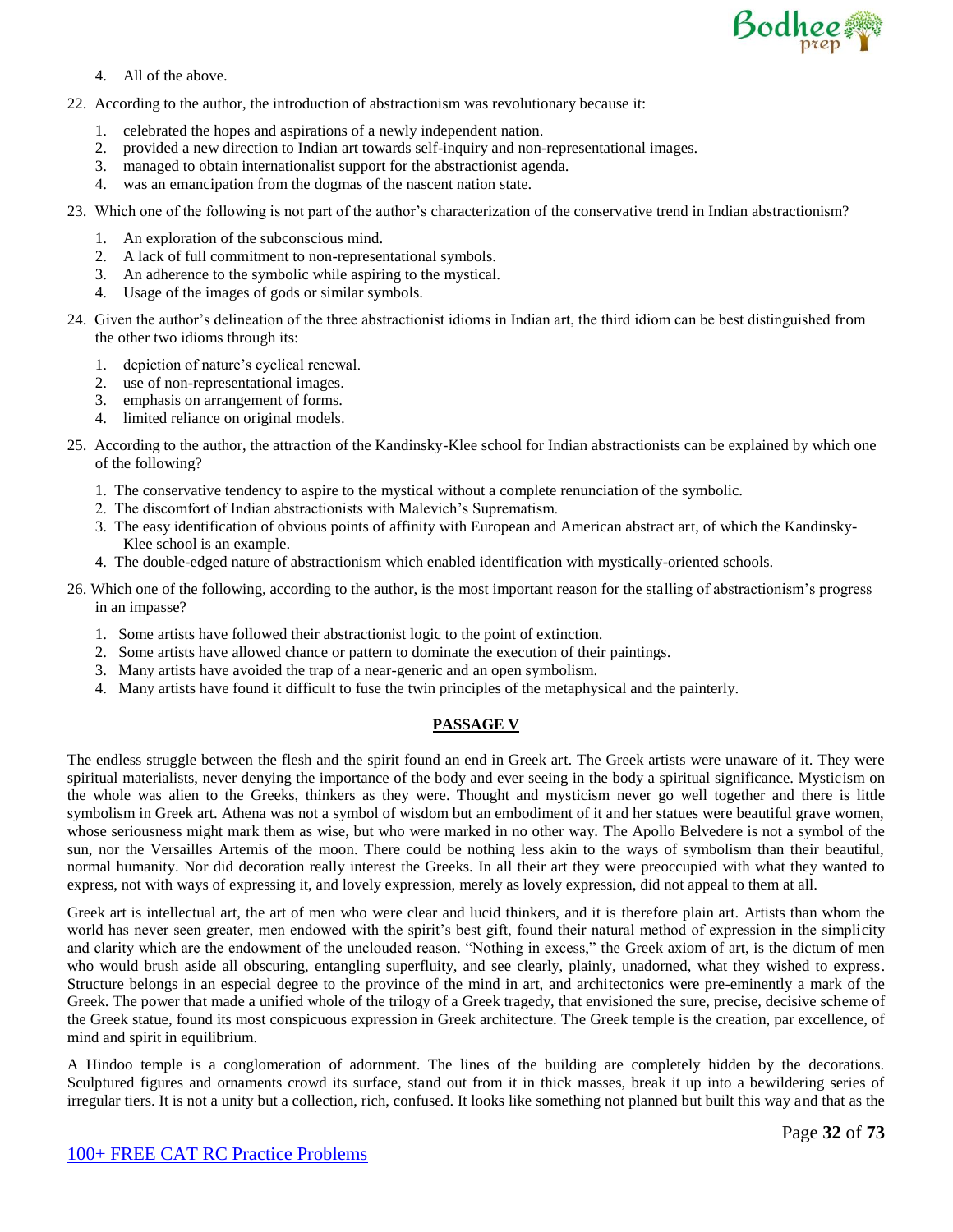

- 4. All of the above.
- 22. According to the author, the introduction of abstractionism was revolutionary because it:
	- 1. celebrated the hopes and aspirations of a newly independent nation.
	- 2. provided a new direction to Indian art towards self-inquiry and non-representational images.
	- 3. managed to obtain internationalist support for the abstractionist agenda.
	- 4. was an emancipation from the dogmas of the nascent nation state.
- 23. Which one of the following is not part of the author's characterization of the conservative trend in Indian abstractionism?
	- 1. An exploration of the subconscious mind.
	- 2. A lack of full commitment to non-representational symbols.
	- 3. An adherence to the symbolic while aspiring to the mystical.
	- 4. Usage of the images of gods or similar symbols.
- 24. Given the author's delineation of the three abstractionist idioms in Indian art, the third idiom can be best distinguished from the other two idioms through its:
	- 1. depiction of nature's cyclical renewal.
	- 2. use of non-representational images.
	- 3. emphasis on arrangement of forms.
	- 4. limited reliance on original models.
- 25. According to the author, the attraction of the Kandinsky-Klee school for Indian abstractionists can be explained by which one of the following?
	- 1. The conservative tendency to aspire to the mystical without a complete renunciation of the symbolic.
	- 2. The discomfort of Indian abstractionists with Malevich's Suprematism.
	- 3. The easy identification of obvious points of affinity with European and American abstract art, of which the Kandinsky-Klee school is an example.
	- 4. The double-edged nature of abstractionism which enabled identification with mystically-oriented schools.
- 26. Which one of the following, according to the author, is the most important reason for the stalling of abstractionism's progress in an impasse?
	- 1. Some artists have followed their abstractionist logic to the point of extinction.
	- 2. Some artists have allowed chance or pattern to dominate the execution of their paintings.
	- 3. Many artists have avoided the trap of a near-generic and an open symbolism.
	- 4. Many artists have found it difficult to fuse the twin principles of the metaphysical and the painterly.

# **PASSAGE V**

The endless struggle between the flesh and the spirit found an end in Greek art. The Greek artists were unaware of it. They were spiritual materialists, never denying the importance of the body and ever seeing in the body a spiritual significance. Mysticism on the whole was alien to the Greeks, thinkers as they were. Thought and mysticism never go well together and there is little symbolism in Greek art. Athena was not a symbol of wisdom but an embodiment of it and her statues were beautiful grave women, whose seriousness might mark them as wise, but who were marked in no other way. The Apollo Belvedere is not a symbol of the sun, nor the Versailles Artemis of the moon. There could be nothing less akin to the ways of symbolism than their beautiful, normal humanity. Nor did decoration really interest the Greeks. In all their art they were preoccupied with what they wanted to express, not with ways of expressing it, and lovely expression, merely as lovely expression, did not appeal to them at all.

Greek art is intellectual art, the art of men who were clear and lucid thinkers, and it is therefore plain art. Artists than whom the world has never seen greater, men endowed with the spirit's best gift, found their natural method of expression in the simplicity and clarity which are the endowment of the unclouded reason. "Nothing in excess," the Greek axiom of art, is the dictum of men who would brush aside all obscuring, entangling superfluity, and see clearly, plainly, unadorned, what they wished to express. Structure belongs in an especial degree to the province of the mind in art, and architectonics were pre-eminently a mark of the Greek. The power that made a unified whole of the trilogy of a Greek tragedy, that envisioned the sure, precise, decisive scheme of the Greek statue, found its most conspicuous expression in Greek architecture. The Greek temple is the creation, par excellence, of mind and spirit in equilibrium.

A Hindoo temple is a conglomeration of adornment. The lines of the building are completely hidden by the decorations. Sculptured figures and ornaments crowd its surface, stand out from it in thick masses, break it up into a bewildering series of irregular tiers. It is not a unity but a collection, rich, confused. It looks like something not planned but built this way and that as the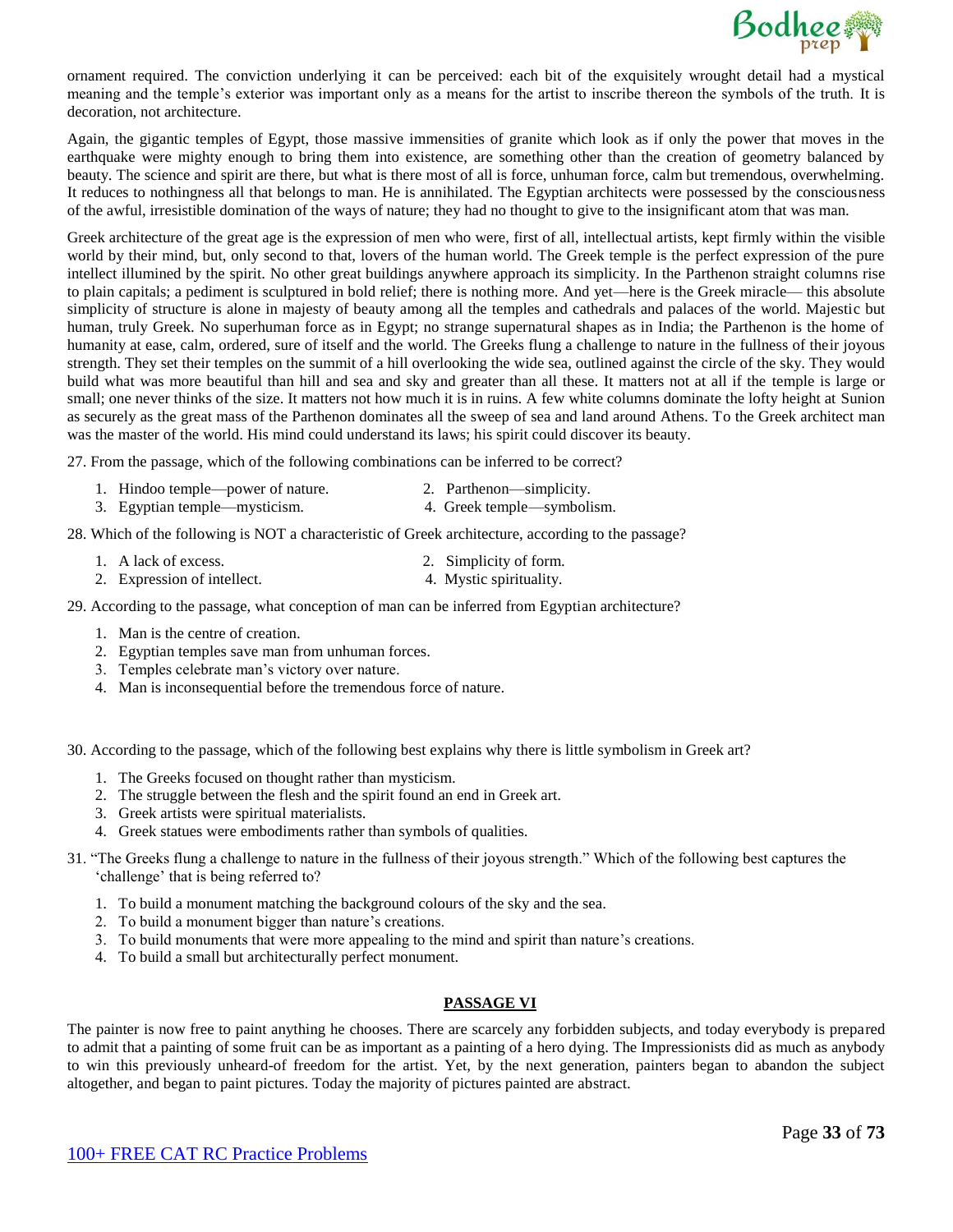

ornament required. The conviction underlying it can be perceived: each bit of the exquisitely wrought detail had a mystical meaning and the temple's exterior was important only as a means for the artist to inscribe thereon the symbols of the truth. It is decoration, not architecture.

Again, the gigantic temples of Egypt, those massive immensities of granite which look as if only the power that moves in the earthquake were mighty enough to bring them into existence, are something other than the creation of geometry balanced by beauty. The science and spirit are there, but what is there most of all is force, unhuman force, calm but tremendous, overwhelming. It reduces to nothingness all that belongs to man. He is annihilated. The Egyptian architects were possessed by the consciousness of the awful, irresistible domination of the ways of nature; they had no thought to give to the insignificant atom that was man.

Greek architecture of the great age is the expression of men who were, first of all, intellectual artists, kept firmly within the visible world by their mind, but, only second to that, lovers of the human world. The Greek temple is the perfect expression of the pure intellect illumined by the spirit. No other great buildings anywhere approach its simplicity. In the Parthenon straight columns rise to plain capitals; a pediment is sculptured in bold relief; there is nothing more. And yet—here is the Greek miracle— this absolute simplicity of structure is alone in majesty of beauty among all the temples and cathedrals and palaces of the world. Majestic but human, truly Greek. No superhuman force as in Egypt; no strange supernatural shapes as in India; the Parthenon is the home of humanity at ease, calm, ordered, sure of itself and the world. The Greeks flung a challenge to nature in the fullness of their joyous strength. They set their temples on the summit of a hill overlooking the wide sea, outlined against the circle of the sky. They would build what was more beautiful than hill and sea and sky and greater than all these. It matters not at all if the temple is large or small; one never thinks of the size. It matters not how much it is in ruins. A few white columns dominate the lofty height at Sunion as securely as the great mass of the Parthenon dominates all the sweep of sea and land around Athens. To the Greek architect man was the master of the world. His mind could understand its laws; his spirit could discover its beauty.

27. From the passage, which of the following combinations can be inferred to be correct?

- 1. Hindoo temple—power of nature. 2. Parthenon—simplicity.
	-
- 3. Egyptian temple—mysticism. 4. Greek temple—symbolism.

28. Which of the following is NOT a characteristic of Greek architecture, according to the passage?

- 1. A lack of excess. 2. Simplicity of form.
- 2. Expression of intellect. 4. Mystic spirituality.

29. According to the passage, what conception of man can be inferred from Egyptian architecture?

- 1. Man is the centre of creation.
- 2. Egyptian temples save man from unhuman forces.
- 3. Temples celebrate man's victory over nature.
- 4. Man is inconsequential before the tremendous force of nature.

30. According to the passage, which of the following best explains why there is little symbolism in Greek art?

- 1. The Greeks focused on thought rather than mysticism.
- 2. The struggle between the flesh and the spirit found an end in Greek art.
- 3. Greek artists were spiritual materialists.
- 4. Greek statues were embodiments rather than symbols of qualities.
- 31. "The Greeks flung a challenge to nature in the fullness of their joyous strength." Which of the following best captures the 'challenge' that is being referred to?
	- 1. To build a monument matching the background colours of the sky and the sea.
	- 2. To build a monument bigger than nature's creations.
	- 3. To build monuments that were more appealing to the mind and spirit than nature's creations.
	- 4. To build a small but architecturally perfect monument.

## **PASSAGE VI**

The painter is now free to paint anything he chooses. There are scarcely any forbidden subjects, and today everybody is prepared to admit that a painting of some fruit can be as important as a painting of a hero dying. The Impressionists did as much as anybody to win this previously unheard-of freedom for the artist. Yet, by the next generation, painters began to abandon the subject altogether, and began to paint pictures. Today the majority of pictures painted are abstract.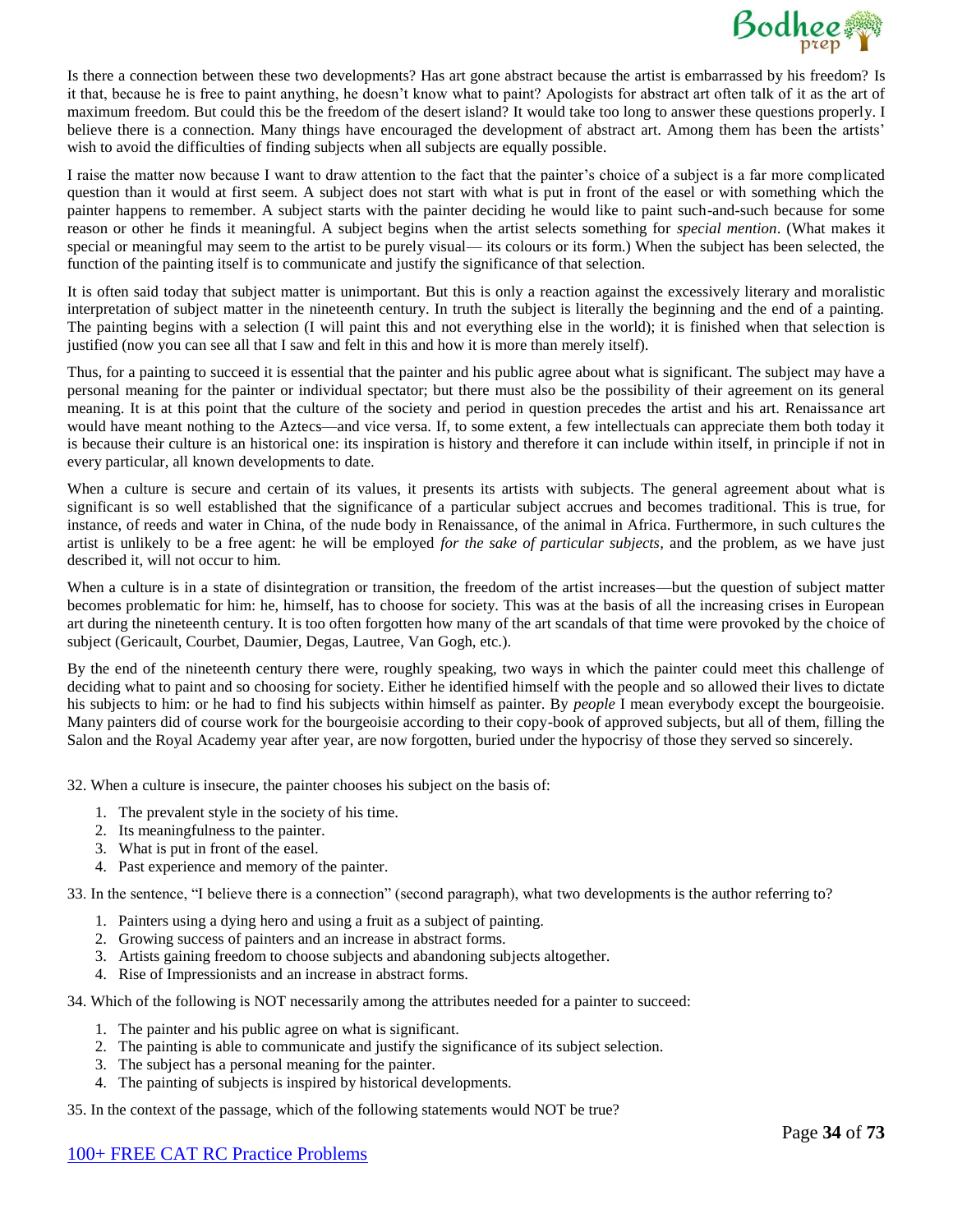

Is there a connection between these two developments? Has art gone abstract because the artist is embarrassed by his freedom? Is it that, because he is free to paint anything, he doesn't know what to paint? Apologists for abstract art often talk of it as the art of maximum freedom. But could this be the freedom of the desert island? It would take too long to answer these questions properly. I believe there is a connection. Many things have encouraged the development of abstract art. Among them has been the artists' wish to avoid the difficulties of finding subjects when all subjects are equally possible.

I raise the matter now because I want to draw attention to the fact that the painter's choice of a subject is a far more complicated question than it would at first seem. A subject does not start with what is put in front of the easel or with something which the painter happens to remember. A subject starts with the painter deciding he would like to paint such-and-such because for some reason or other he finds it meaningful. A subject begins when the artist selects something for *special mention*. (What makes it special or meaningful may seem to the artist to be purely visual— its colours or its form.) When the subject has been selected, the function of the painting itself is to communicate and justify the significance of that selection.

It is often said today that subject matter is unimportant. But this is only a reaction against the excessively literary and moralistic interpretation of subject matter in the nineteenth century. In truth the subject is literally the beginning and the end of a painting. The painting begins with a selection (I will paint this and not everything else in the world); it is finished when that selection is justified (now you can see all that I saw and felt in this and how it is more than merely itself).

Thus, for a painting to succeed it is essential that the painter and his public agree about what is significant. The subject may have a personal meaning for the painter or individual spectator; but there must also be the possibility of their agreement on its general meaning. It is at this point that the culture of the society and period in question precedes the artist and his art. Renaissance art would have meant nothing to the Aztecs—and vice versa. If, to some extent, a few intellectuals can appreciate them both today it is because their culture is an historical one: its inspiration is history and therefore it can include within itself, in principle if not in every particular, all known developments to date.

When a culture is secure and certain of its values, it presents its artists with subjects. The general agreement about what is significant is so well established that the significance of a particular subject accrues and becomes traditional. This is true, for instance, of reeds and water in China, of the nude body in Renaissance, of the animal in Africa. Furthermore, in such cultures the artist is unlikely to be a free agent: he will be employed *for the sake of particular subjects*, and the problem, as we have just described it, will not occur to him.

When a culture is in a state of disintegration or transition, the freedom of the artist increases—but the question of subject matter becomes problematic for him: he, himself, has to choose for society. This was at the basis of all the increasing crises in European art during the nineteenth century. It is too often forgotten how many of the art scandals of that time were provoked by the choice of subject (Gericault, Courbet, Daumier, Degas, Lautree, Van Gogh, etc.).

By the end of the nineteenth century there were, roughly speaking, two ways in which the painter could meet this challenge of deciding what to paint and so choosing for society. Either he identified himself with the people and so allowed their lives to dictate his subjects to him: or he had to find his subjects within himself as painter. By *people* I mean everybody except the bourgeoisie. Many painters did of course work for the bourgeoisie according to their copy-book of approved subjects, but all of them, filling the Salon and the Royal Academy year after year, are now forgotten, buried under the hypocrisy of those they served so sincerely.

32. When a culture is insecure, the painter chooses his subject on the basis of:

- 1. The prevalent style in the society of his time.
- 2. Its meaningfulness to the painter.
- 3. What is put in front of the easel.
- 4. Past experience and memory of the painter.

33. In the sentence, "I believe there is a connection" (second paragraph), what two developments is the author referring to?

- 1. Painters using a dying hero and using a fruit as a subject of painting.
- 2. Growing success of painters and an increase in abstract forms.
- 3. Artists gaining freedom to choose subjects and abandoning subjects altogether.
- 4. Rise of Impressionists and an increase in abstract forms.

34. Which of the following is NOT necessarily among the attributes needed for a painter to succeed:

- 1. The painter and his public agree on what is significant.
- 2. The painting is able to communicate and justify the significance of its subject selection.
- 3. The subject has a personal meaning for the painter.
- 4. The painting of subjects is inspired by historical developments.

35. In the context of the passage, which of the following statements would NOT be true?

# 100+ FREE CAT RC Practice Problems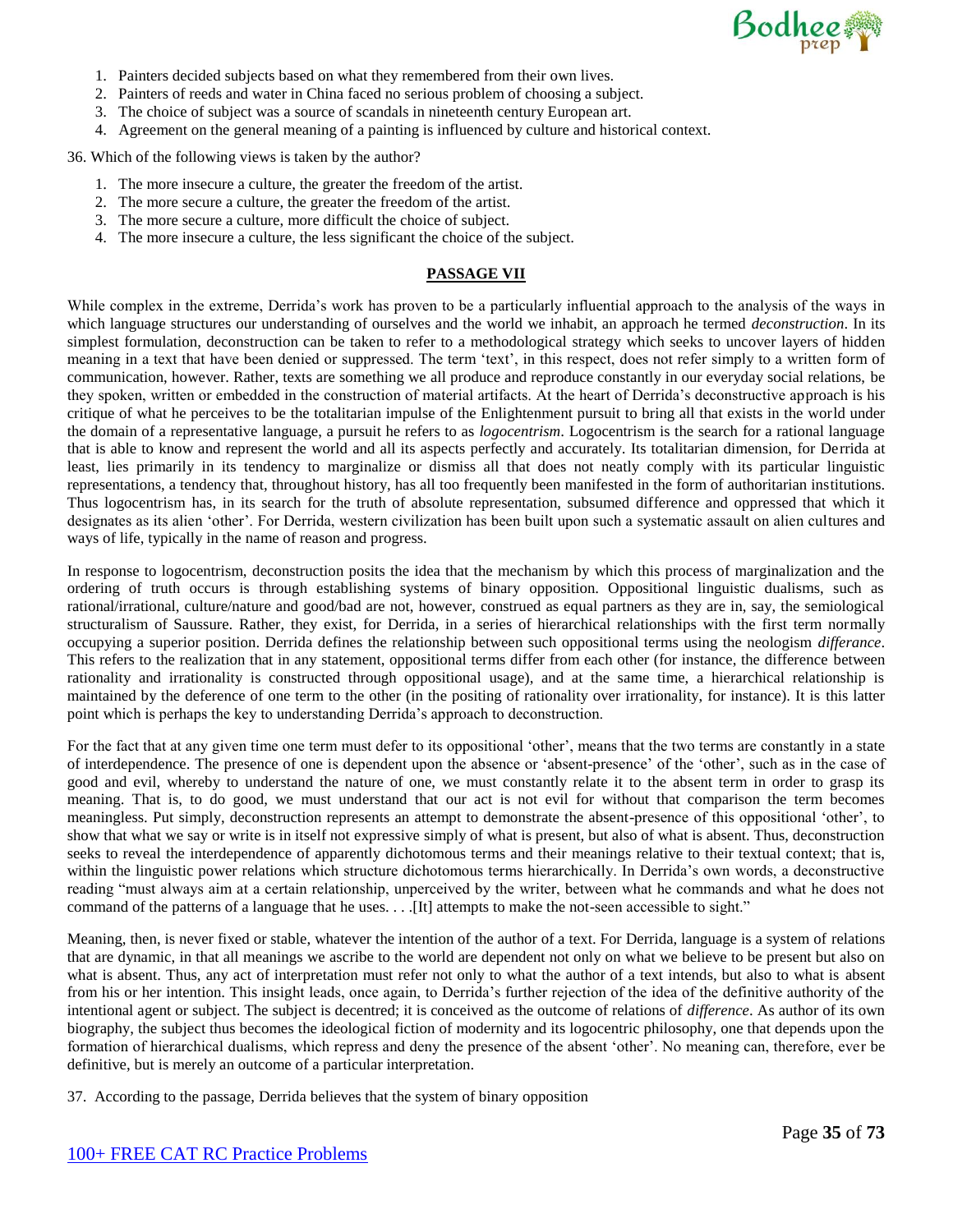

- 1. Painters decided subjects based on what they remembered from their own lives.
- 2. Painters of reeds and water in China faced no serious problem of choosing a subject.
- 3. The choice of subject was a source of scandals in nineteenth century European art.
- 4. Agreement on the general meaning of a painting is influenced by culture and historical context.

36. Which of the following views is taken by the author?

- 1. The more insecure a culture, the greater the freedom of the artist.
- 2. The more secure a culture, the greater the freedom of the artist.
- 3. The more secure a culture, more difficult the choice of subject.
- 4. The more insecure a culture, the less significant the choice of the subject.

## **PASSAGE VII**

While complex in the extreme, Derrida's work has proven to be a particularly influential approach to the analysis of the ways in which language structures our understanding of ourselves and the world we inhabit, an approach he termed *deconstruction*. In its simplest formulation, deconstruction can be taken to refer to a methodological strategy which seeks to uncover layers of hidden meaning in a text that have been denied or suppressed. The term 'text', in this respect, does not refer simply to a written form of communication, however. Rather, texts are something we all produce and reproduce constantly in our everyday social relations, be they spoken, written or embedded in the construction of material artifacts. At the heart of Derrida's deconstructive approach is his critique of what he perceives to be the totalitarian impulse of the Enlightenment pursuit to bring all that exists in the world under the domain of a representative language, a pursuit he refers to as *logocentrism*. Logocentrism is the search for a rational language that is able to know and represent the world and all its aspects perfectly and accurately. Its totalitarian dimension, for Derrida at least, lies primarily in its tendency to marginalize or dismiss all that does not neatly comply with its particular linguistic representations, a tendency that, throughout history, has all too frequently been manifested in the form of authoritarian institutions. Thus logocentrism has, in its search for the truth of absolute representation, subsumed difference and oppressed that which it designates as its alien 'other'. For Derrida, western civilization has been built upon such a systematic assault on alien cultures and ways of life, typically in the name of reason and progress.

In response to logocentrism, deconstruction posits the idea that the mechanism by which this process of marginalization and the ordering of truth occurs is through establishing systems of binary opposition. Oppositional linguistic dualisms, such as rational/irrational, culture/nature and good/bad are not, however, construed as equal partners as they are in, say, the semiological structuralism of Saussure. Rather, they exist, for Derrida, in a series of hierarchical relationships with the first term normally occupying a superior position. Derrida defines the relationship between such oppositional terms using the neologism *differance*. This refers to the realization that in any statement, oppositional terms differ from each other (for instance, the difference between rationality and irrationality is constructed through oppositional usage), and at the same time, a hierarchical relationship is maintained by the deference of one term to the other (in the positing of rationality over irrationality, for instance). It is this latter point which is perhaps the key to understanding Derrida's approach to deconstruction.

For the fact that at any given time one term must defer to its oppositional 'other', means that the two terms are constantly in a state of interdependence. The presence of one is dependent upon the absence or 'absent-presence' of the 'other', such as in the case of good and evil, whereby to understand the nature of one, we must constantly relate it to the absent term in order to grasp its meaning. That is, to do good, we must understand that our act is not evil for without that comparison the term becomes meaningless. Put simply, deconstruction represents an attempt to demonstrate the absent-presence of this oppositional 'other', to show that what we say or write is in itself not expressive simply of what is present, but also of what is absent. Thus, deconstruction seeks to reveal the interdependence of apparently dichotomous terms and their meanings relative to their textual context; that is, within the linguistic power relations which structure dichotomous terms hierarchically. In Derrida's own words, a deconstructive reading "must always aim at a certain relationship, unperceived by the writer, between what he commands and what he does not command of the patterns of a language that he uses. . . .[It] attempts to make the not-seen accessible to sight."

Meaning, then, is never fixed or stable, whatever the intention of the author of a text. For Derrida, language is a system of relations that are dynamic, in that all meanings we ascribe to the world are dependent not only on what we believe to be present but also on what is absent. Thus, any act of interpretation must refer not only to what the author of a text intends, but also to what is absent from his or her intention. This insight leads, once again, to Derrida's further rejection of the idea of the definitive authority of the intentional agent or subject. The subject is decentred; it is conceived as the outcome of relations of *difference*. As author of its own biography, the subject thus becomes the ideological fiction of modernity and its logocentric philosophy, one that depends upon the formation of hierarchical dualisms, which repress and deny the presence of the absent 'other'. No meaning can, therefore, ever be definitive, but is merely an outcome of a particular interpretation.

37. According to the passage, Derrida believes that the system of binary opposition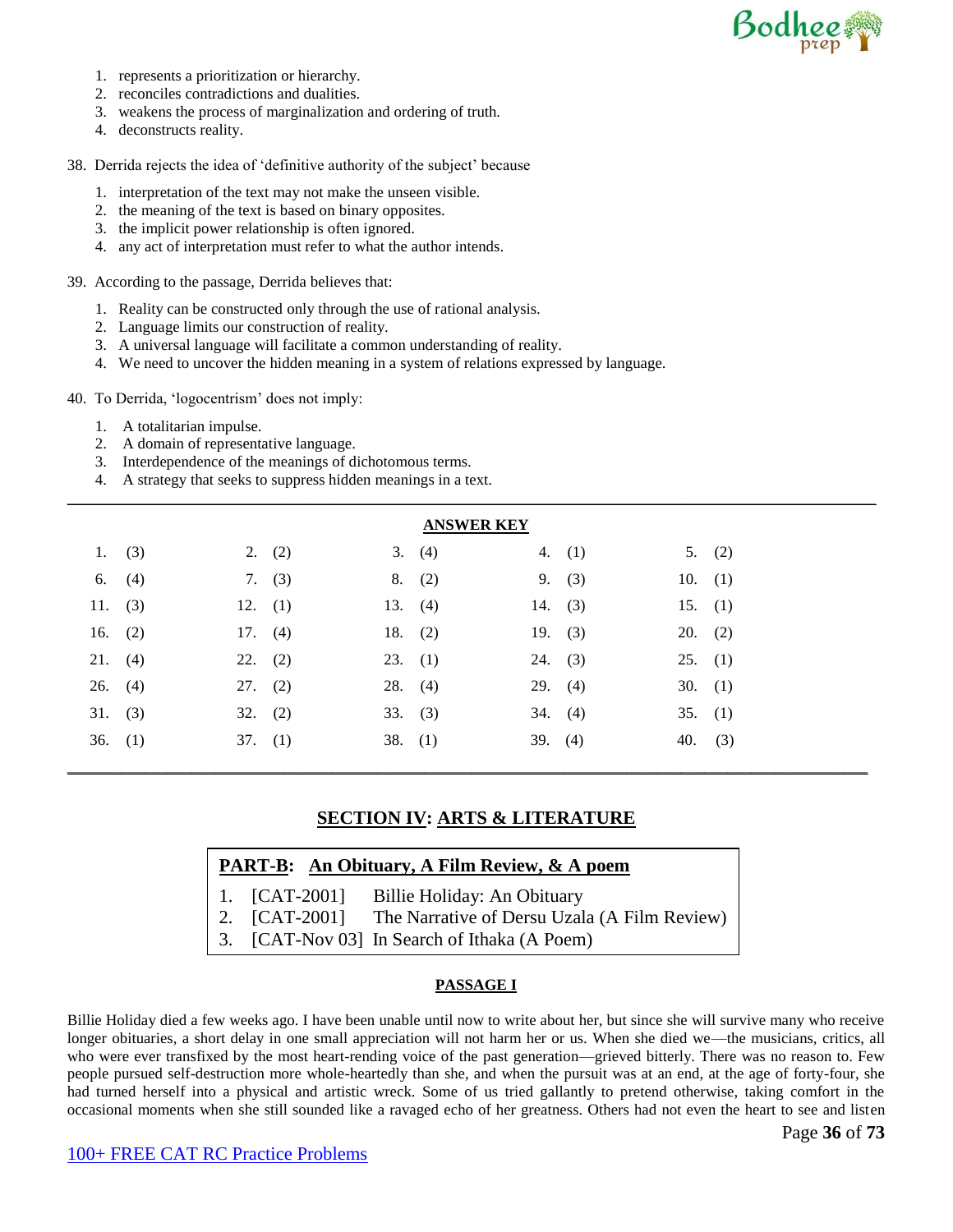

- 1. represents a prioritization or hierarchy.
- 2. reconciles contradictions and dualities.
- 3. weakens the process of marginalization and ordering of truth.
- 4. deconstructs reality.

38. Derrida rejects the idea of 'definitive authority of the subject' because

- 1. interpretation of the text may not make the unseen visible.
- 2. the meaning of the text is based on binary opposites.
- 3. the implicit power relationship is often ignored.
- 4. any act of interpretation must refer to what the author intends.
- 39. According to the passage, Derrida believes that:
	- 1. Reality can be constructed only through the use of rational analysis.
	- 2. Language limits our construction of reality.
	- 3. A universal language will facilitate a common understanding of reality.
	- 4. We need to uncover the hidden meaning in a system of relations expressed by language.

40. To Derrida, 'logocentrism' does not imply:

- 1. A totalitarian impulse.
- 2. A domain of representative language.
- 3. Interdependence of the meanings of dichotomous terms.
- 4. A strategy that seeks to suppress hidden meanings in a text.

|           |           |         |           |           | <b>ANSWER KEY</b> |           |           |           |
|-----------|-----------|---------|-----------|-----------|-------------------|-----------|-----------|-----------|
| 1.        | (3)       |         | 2. $(2)$  | 3. (4)    |                   | 4. $(1)$  |           | 5. (2)    |
| 6.        | (4)       |         | 7. $(3)$  | 8. (2)    |                   | 9. $(3)$  |           | 10. $(1)$ |
|           | 11. $(3)$ |         | 12. $(1)$ | 13. $(4)$ |                   | 14. $(3)$ |           | 15. $(1)$ |
|           | 16. $(2)$ |         | 17. $(4)$ | 18. $(2)$ |                   | 19. $(3)$ | $20.$ (2) |           |
| 21. $(4)$ |           | 22. (2) |           | 23. (1)   |                   | 24. (3)   | 25. (1)   |           |
| 26. $(4)$ |           | 27. (2) |           | 28. $(4)$ |                   | 29. $(4)$ |           | 30. $(1)$ |
| 31. (3)   |           |         | 32. (2)   | 33. (3)   |                   | 34. (4)   |           | 35. (1)   |
| 36. $(1)$ |           |         | 37. (1)   | 38. $(1)$ |                   | 39. (4)   | 40. $(3)$ |           |
|           |           |         |           |           |                   |           |           |           |

# **SECTION IV: ARTS & LITERATURE**

\_\_\_\_\_\_\_\_\_\_\_\_\_\_\_\_\_\_\_\_\_\_\_\_\_\_\_\_\_\_\_\_\_\_\_\_\_\_\_\_\_\_\_\_\_\_\_\_\_\_\_\_\_\_\_\_\_\_\_\_\_\_\_\_\_\_\_\_\_\_\_\_\_\_\_\_\_\_\_\_\_\_\_\_\_\_\_\_\_\_\_\_\_\_\_\_\_\_\_\_\_\_\_\_

# **PART-B: An Obituary, A Film Review, & A poem**

- 1. [CAT-2001] Billie Holiday: An Obituary
- 2. [CAT-2001] The Narrative of Dersu Uzala (A Film Review)
- 3. [CAT-Nov 03] In Search of Ithaka (A Poem)

# **PASSAGE I**

Billie Holiday died a few weeks ago. I have been unable until now to write about her, but since she will survive many who receive longer obituaries, a short delay in one small appreciation will not harm her or us. When she died we—the musicians, critics, all who were ever transfixed by the most heart-rending voice of the past generation—grieved bitterly. There was no reason to. Few people pursued self-destruction more whole-heartedly than she, and when the pursuit was at an end, at the age of forty-four, she had turned herself into a physical and artistic wreck. Some of us tried gallantly to pretend otherwise, taking comfort in the occasional moments when she still sounded like a ravaged echo of her greatness. Others had not even the heart to see and listen

# 100+ FREE CAT RC Practice Problems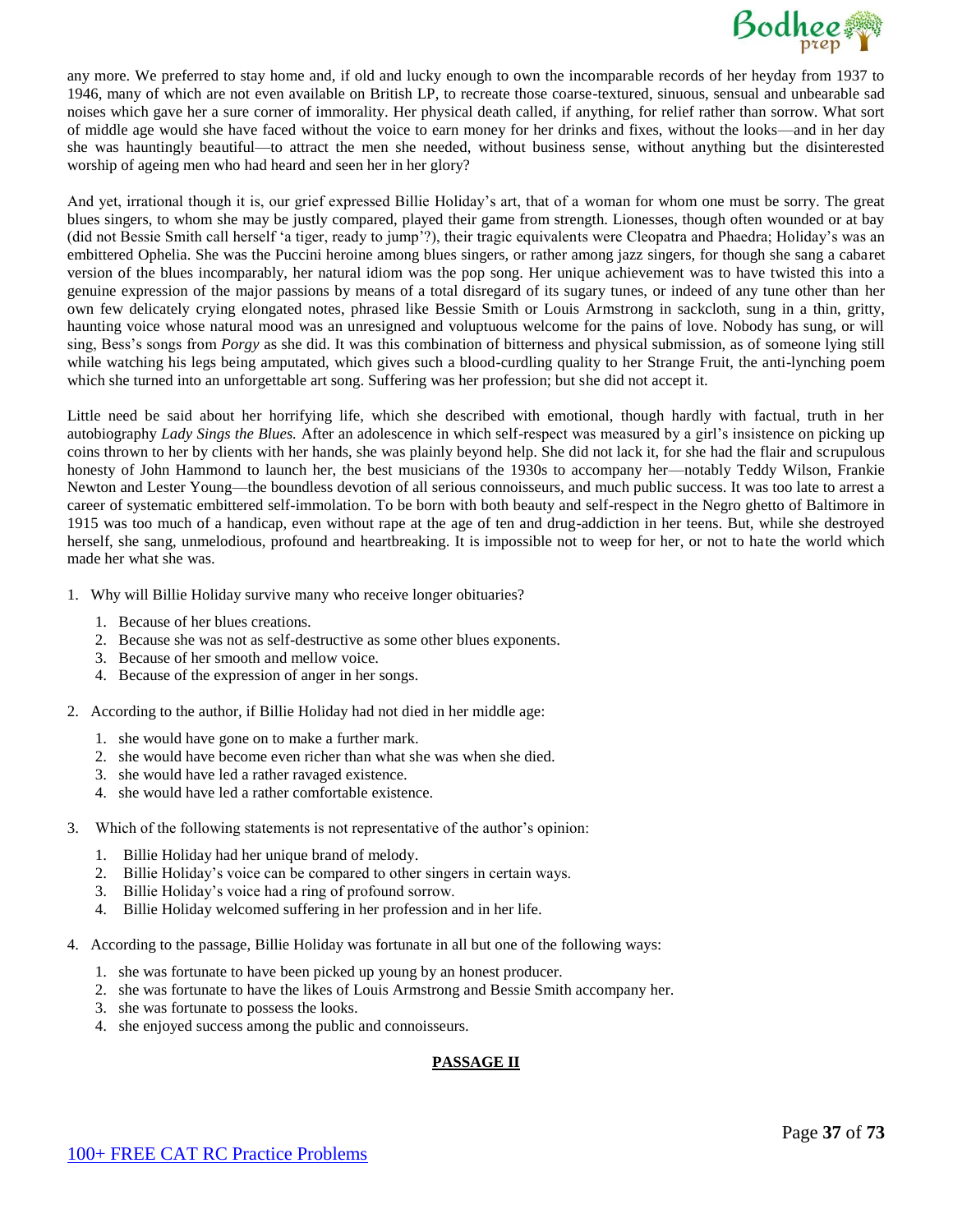

any more. We preferred to stay home and, if old and lucky enough to own the incomparable records of her heyday from 1937 to 1946, many of which are not even available on British LP, to recreate those coarse-textured, sinuous, sensual and unbearable sad noises which gave her a sure corner of immorality. Her physical death called, if anything, for relief rather than sorrow. What sort of middle age would she have faced without the voice to earn money for her drinks and fixes, without the looks—and in her day she was hauntingly beautiful—to attract the men she needed, without business sense, without anything but the disinterested worship of ageing men who had heard and seen her in her glory?

And yet, irrational though it is, our grief expressed Billie Holiday's art, that of a woman for whom one must be sorry. The great blues singers, to whom she may be justly compared, played their game from strength. Lionesses, though often wounded or at bay (did not Bessie Smith call herself 'a tiger, ready to jump'?), their tragic equivalents were Cleopatra and Phaedra; Holiday's was an embittered Ophelia. She was the Puccini heroine among blues singers, or rather among jazz singers, for though she sang a cabaret version of the blues incomparably, her natural idiom was the pop song. Her unique achievement was to have twisted this into a genuine expression of the major passions by means of a total disregard of its sugary tunes, or indeed of any tune other than her own few delicately crying elongated notes, phrased like Bessie Smith or Louis Armstrong in sackcloth, sung in a thin, gritty, haunting voice whose natural mood was an unresigned and voluptuous welcome for the pains of love. Nobody has sung, or will sing, Bess's songs from *Porgy* as she did. It was this combination of bitterness and physical submission, as of someone lying still while watching his legs being amputated, which gives such a blood-curdling quality to her Strange Fruit, the anti-lynching poem which she turned into an unforgettable art song. Suffering was her profession; but she did not accept it.

Little need be said about her horrifying life, which she described with emotional, though hardly with factual, truth in her autobiography *Lady Sings the Blues.* After an adolescence in which self-respect was measured by a girl's insistence on picking up coins thrown to her by clients with her hands, she was plainly beyond help. She did not lack it, for she had the flair and scrupulous honesty of John Hammond to launch her, the best musicians of the 1930s to accompany her—notably Teddy Wilson, Frankie Newton and Lester Young—the boundless devotion of all serious connoisseurs, and much public success. It was too late to arrest a career of systematic embittered self-immolation. To be born with both beauty and self-respect in the Negro ghetto of Baltimore in 1915 was too much of a handicap, even without rape at the age of ten and drug-addiction in her teens. But, while she destroyed herself, she sang, unmelodious, profound and heartbreaking. It is impossible not to weep for her, or not to hate the world which made her what she was.

- 1. Why will Billie Holiday survive many who receive longer obituaries?
	- 1. Because of her blues creations.
	- 2. Because she was not as self-destructive as some other blues exponents.
	- 3. Because of her smooth and mellow voice.
	- 4. Because of the expression of anger in her songs.
- 2. According to the author, if Billie Holiday had not died in her middle age:
	- 1. she would have gone on to make a further mark.
	- 2. she would have become even richer than what she was when she died.
	- 3. she would have led a rather ravaged existence.
	- 4. she would have led a rather comfortable existence.
- 3. Which of the following statements is not representative of the author's opinion:
	- 1. Billie Holiday had her unique brand of melody.
	- 2. Billie Holiday's voice can be compared to other singers in certain ways.
	- 3. Billie Holiday's voice had a ring of profound sorrow.
	- 4. Billie Holiday welcomed suffering in her profession and in her life.
- 4. According to the passage, Billie Holiday was fortunate in all but one of the following ways:
	- 1. she was fortunate to have been picked up young by an honest producer.
	- 2. she was fortunate to have the likes of Louis Armstrong and Bessie Smith accompany her.
	- 3. she was fortunate to possess the looks.
	- 4. she enjoyed success among the public and connoisseurs.

#### **PASSAGE II**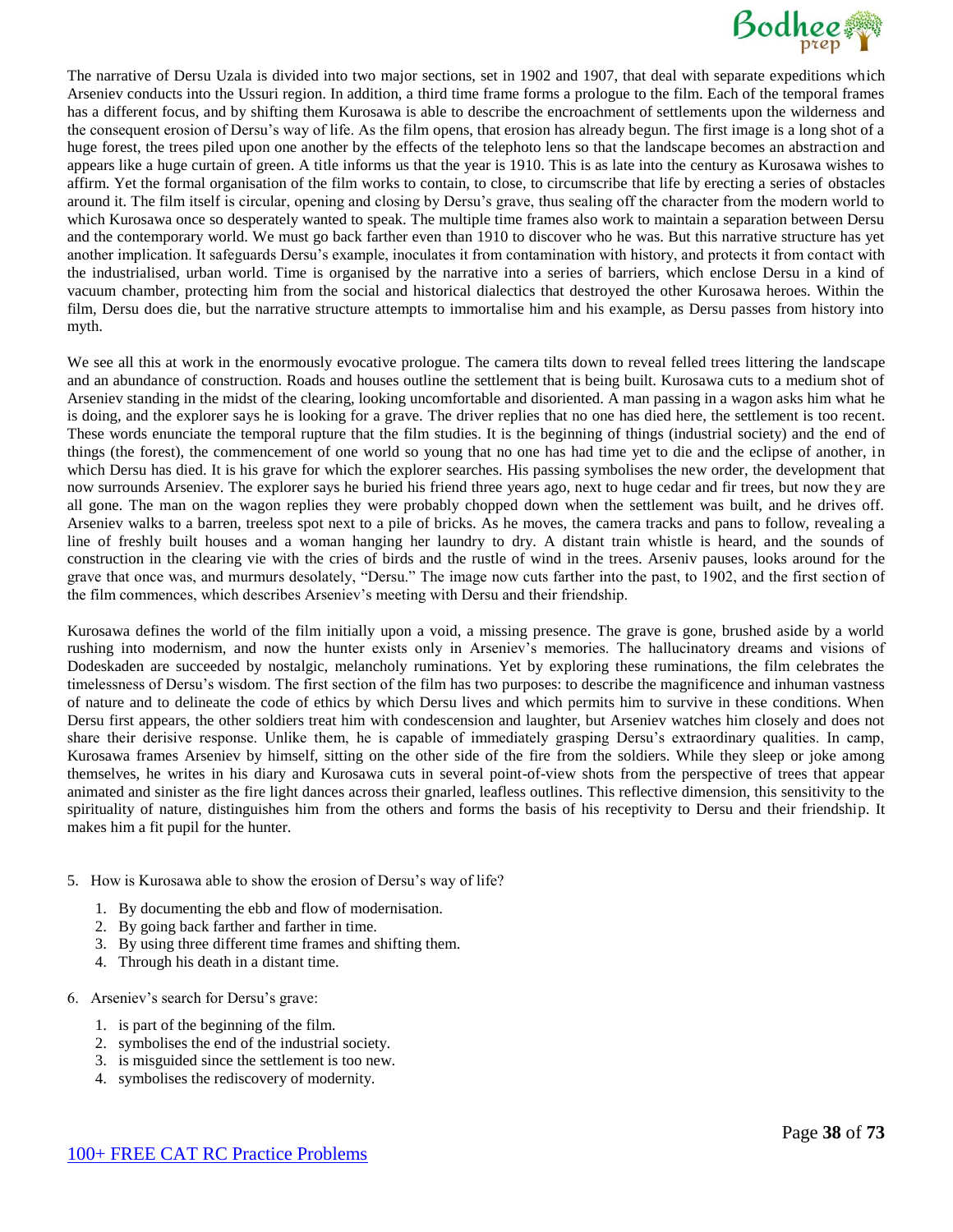

The narrative of Dersu Uzala is divided into two major sections, set in 1902 and 1907, that deal with separate expeditions which Arseniev conducts into the Ussuri region. In addition, a third time frame forms a prologue to the film. Each of the temporal frames has a different focus, and by shifting them Kurosawa is able to describe the encroachment of settlements upon the wilderness and the consequent erosion of Dersu's way of life. As the film opens, that erosion has already begun. The first image is a long shot of a huge forest, the trees piled upon one another by the effects of the telephoto lens so that the landscape becomes an abstraction and appears like a huge curtain of green. A title informs us that the year is 1910. This is as late into the century as Kurosawa wishes to affirm. Yet the formal organisation of the film works to contain, to close, to circumscribe that life by erecting a series of obstacles around it. The film itself is circular, opening and closing by Dersu's grave, thus sealing off the character from the modern world to which Kurosawa once so desperately wanted to speak. The multiple time frames also work to maintain a separation between Dersu and the contemporary world. We must go back farther even than 1910 to discover who he was. But this narrative structure has yet another implication. It safeguards Dersu's example, inoculates it from contamination with history, and protects it from contact with the industrialised, urban world. Time is organised by the narrative into a series of barriers, which enclose Dersu in a kind of vacuum chamber, protecting him from the social and historical dialectics that destroyed the other Kurosawa heroes. Within the film, Dersu does die, but the narrative structure attempts to immortalise him and his example, as Dersu passes from history into myth.

We see all this at work in the enormously evocative prologue. The camera tilts down to reveal felled trees littering the landscape and an abundance of construction. Roads and houses outline the settlement that is being built. Kurosawa cuts to a medium shot of Arseniev standing in the midst of the clearing, looking uncomfortable and disoriented. A man passing in a wagon asks him what he is doing, and the explorer says he is looking for a grave. The driver replies that no one has died here, the settlement is too recent. These words enunciate the temporal rupture that the film studies. It is the beginning of things (industrial society) and the end of things (the forest), the commencement of one world so young that no one has had time yet to die and the eclipse of another, in which Dersu has died. It is his grave for which the explorer searches. His passing symbolises the new order, the development that now surrounds Arseniev. The explorer says he buried his friend three years ago, next to huge cedar and fir trees, but now they are all gone. The man on the wagon replies they were probably chopped down when the settlement was built, and he drives off. Arseniev walks to a barren, treeless spot next to a pile of bricks. As he moves, the camera tracks and pans to follow, revealing a line of freshly built houses and a woman hanging her laundry to dry. A distant train whistle is heard, and the sounds of construction in the clearing vie with the cries of birds and the rustle of wind in the trees. Arseniv pauses, looks around for the grave that once was, and murmurs desolately, "Dersu." The image now cuts farther into the past, to 1902, and the first section of the film commences, which describes Arseniev's meeting with Dersu and their friendship.

Kurosawa defines the world of the film initially upon a void, a missing presence. The grave is gone, brushed aside by a world rushing into modernism, and now the hunter exists only in Arseniev's memories. The hallucinatory dreams and visions of Dodeskaden are succeeded by nostalgic, melancholy ruminations. Yet by exploring these ruminations, the film celebrates the timelessness of Dersu's wisdom. The first section of the film has two purposes: to describe the magnificence and inhuman vastness of nature and to delineate the code of ethics by which Dersu lives and which permits him to survive in these conditions. When Dersu first appears, the other soldiers treat him with condescension and laughter, but Arseniev watches him closely and does not share their derisive response. Unlike them, he is capable of immediately grasping Dersu's extraordinary qualities. In camp, Kurosawa frames Arseniev by himself, sitting on the other side of the fire from the soldiers. While they sleep or joke among themselves, he writes in his diary and Kurosawa cuts in several point-of-view shots from the perspective of trees that appear animated and sinister as the fire light dances across their gnarled, leafless outlines. This reflective dimension, this sensitivity to the spirituality of nature, distinguishes him from the others and forms the basis of his receptivity to Dersu and their friendship. It makes him a fit pupil for the hunter.

- 5. How is Kurosawa able to show the erosion of Dersu's way of life?
	- 1. By documenting the ebb and flow of modernisation.
	- 2. By going back farther and farther in time.
	- 3. By using three different time frames and shifting them.
	- 4. Through his death in a distant time.
- 6. Arseniev's search for Dersu's grave:
	- 1. is part of the beginning of the film.
	- 2. symbolises the end of the industrial society.
	- 3. is misguided since the settlement is too new.
	- 4. symbolises the rediscovery of modernity.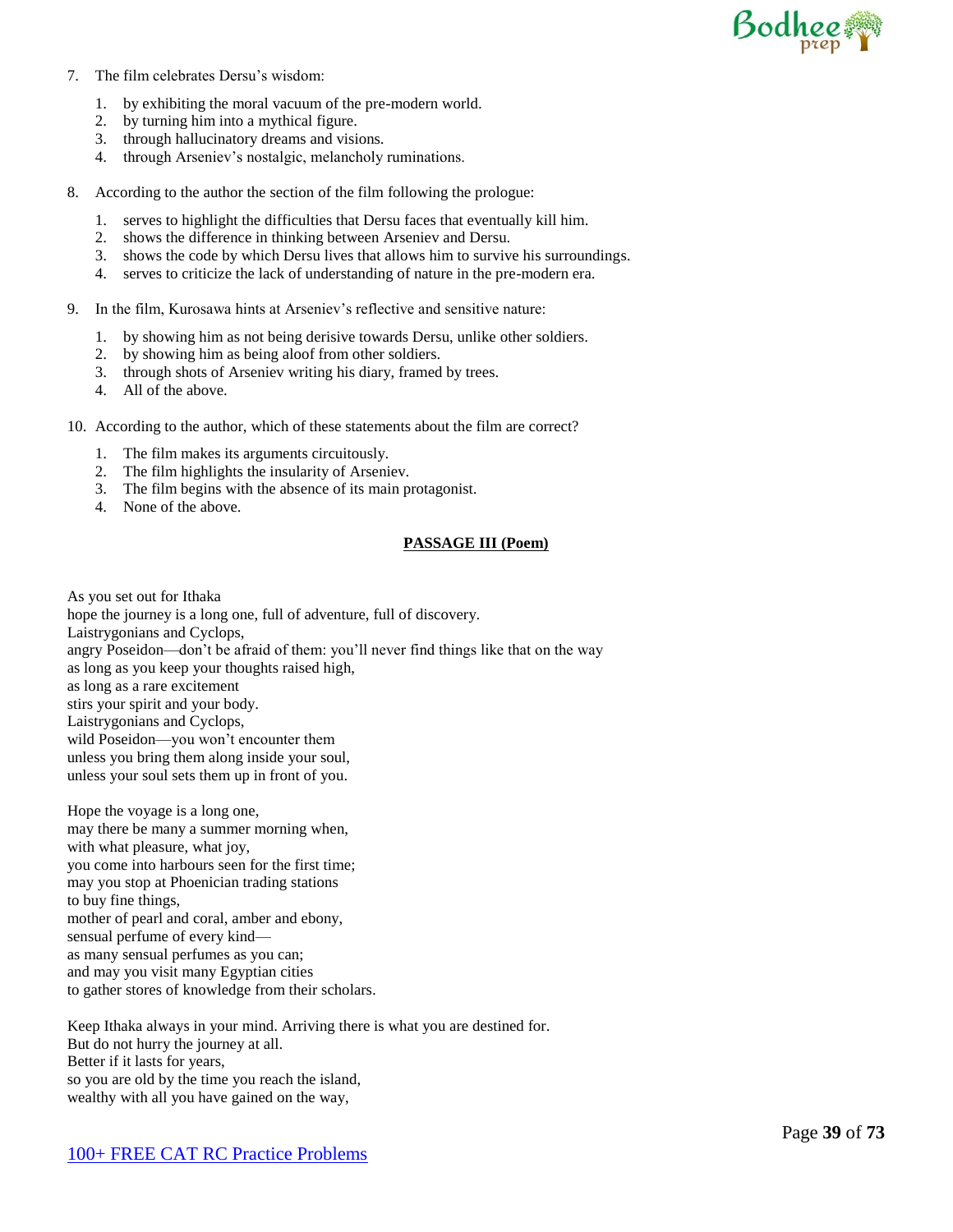

- 7. The film celebrates Dersu's wisdom:
	- 1. by exhibiting the moral vacuum of the pre-modern world.
	- 2. by turning him into a mythical figure.
	- 3. through hallucinatory dreams and visions.
	- 4. through Arseniev's nostalgic, melancholy ruminations.
- 8. According to the author the section of the film following the prologue:
	- 1. serves to highlight the difficulties that Dersu faces that eventually kill him.
	- 2. shows the difference in thinking between Arseniev and Dersu.
	- 3. shows the code by which Dersu lives that allows him to survive his surroundings.
	- 4. serves to criticize the lack of understanding of nature in the pre-modern era.
- 9. In the film, Kurosawa hints at Arseniev's reflective and sensitive nature:
	- 1. by showing him as not being derisive towards Dersu, unlike other soldiers.
	- 2. by showing him as being aloof from other soldiers.
	- 3. through shots of Arseniev writing his diary, framed by trees.
	- 4. All of the above.
- 10. According to the author, which of these statements about the film are correct?
	- 1. The film makes its arguments circuitously.
	- 2. The film highlights the insularity of Arseniev.
	- 3. The film begins with the absence of its main protagonist.
	- 4. None of the above.

#### **PASSAGE III (Poem)**

As you set out for Ithaka hope the journey is a long one, full of adventure, full of discovery. Laistrygonians and Cyclops, angry Poseidon—don't be afraid of them: you'll never find things like that on the way as long as you keep your thoughts raised high, as long as a rare excitement stirs your spirit and your body. Laistrygonians and Cyclops, wild Poseidon—you won't encounter them unless you bring them along inside your soul, unless your soul sets them up in front of you.

Hope the voyage is a long one, may there be many a summer morning when, with what pleasure, what joy, you come into harbours seen for the first time; may you stop at Phoenician trading stations to buy fine things, mother of pearl and coral, amber and ebony, sensual perfume of every kind as many sensual perfumes as you can; and may you visit many Egyptian cities to gather stores of knowledge from their scholars.

Keep Ithaka always in your mind. Arriving there is what you are destined for. But do not hurry the journey at all. Better if it lasts for years, so you are old by the time you reach the island, wealthy with all you have gained on the way,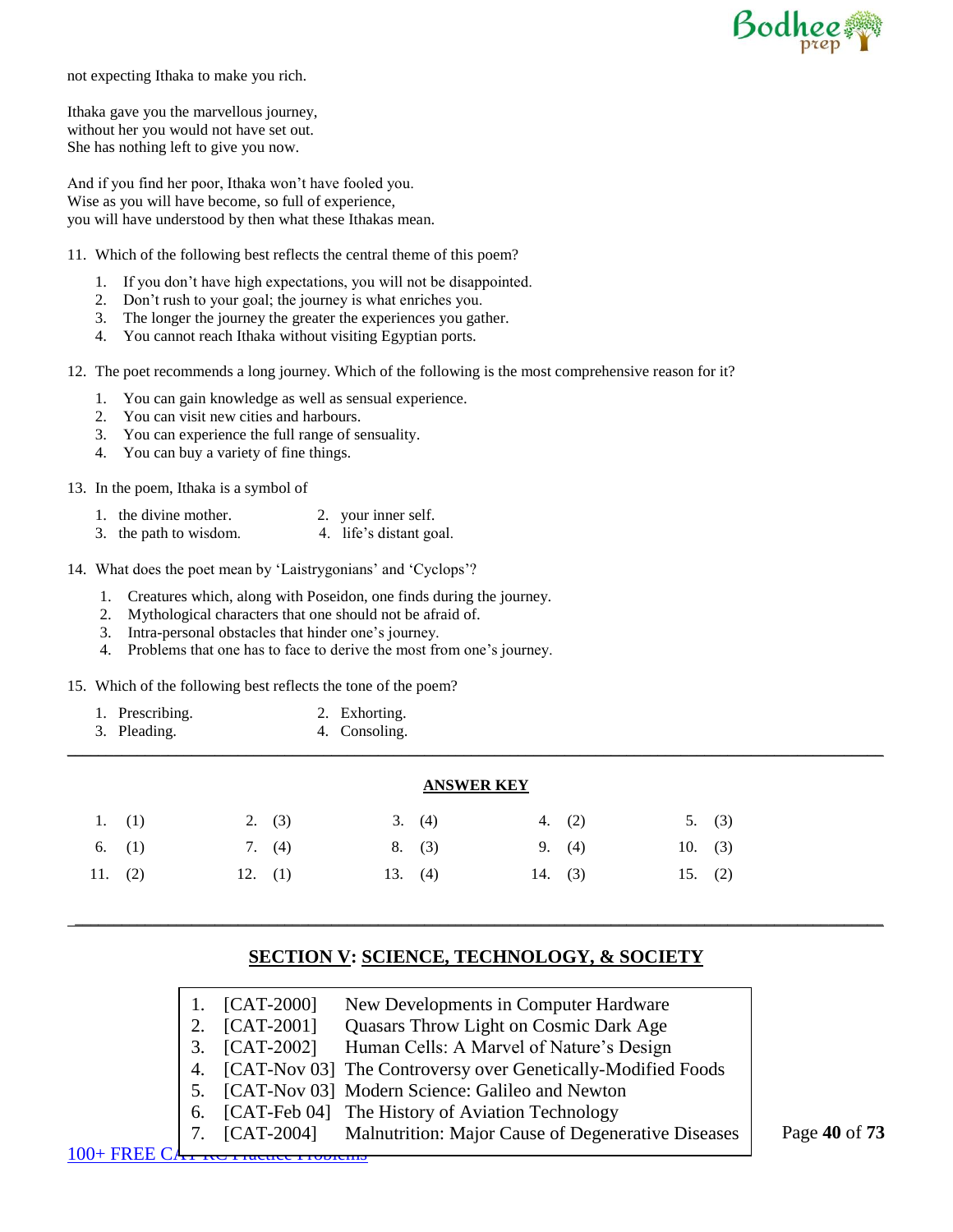

not expecting Ithaka to make you rich.

Ithaka gave you the marvellous journey, without her you would not have set out. She has nothing left to give you now.

And if you find her poor, Ithaka won't have fooled you. Wise as you will have become, so full of experience, you will have understood by then what these Ithakas mean.

- 11. Which of the following best reflects the central theme of this poem?
	- 1. If you don't have high expectations, you will not be disappointed.
	- 2. Don't rush to your goal; the journey is what enriches you.
	- 3. The longer the journey the greater the experiences you gather.
	- 4. You cannot reach Ithaka without visiting Egyptian ports.

12. The poet recommends a long journey. Which of the following is the most comprehensive reason for it?

- 1. You can gain knowledge as well as sensual experience.
- 2. You can visit new cities and harbours.
- 3. You can experience the full range of sensuality.
- 4. You can buy a variety of fine things.

13. In the poem, Ithaka is a symbol of

- 1. the divine mother. 2. your inner self.
- 3. the path to wisdom. 4. life's distant goal.

14. What does the poet mean by 'Laistrygonians' and 'Cyclops'?

- 1. Creatures which, along with Poseidon, one finds during the journey.
- 2. Mythological characters that one should not be afraid of.
- 3. Intra-personal obstacles that hinder one's journey.
- 4. Problems that one has to face to derive the most from one's journey.

15. Which of the following best reflects the tone of the poem?

| 1. Prescribing. | 2. Exhorting. |
|-----------------|---------------|
| 3. Pleading.    | 4. Consoling. |

|           |          |           | <b>ANSWER KEY</b> |           |  |           |           |           |
|-----------|----------|-----------|-------------------|-----------|--|-----------|-----------|-----------|
|           | 1. $(1)$ | 2. $(3)$  |                   | 3. (4)    |  | 4. $(2)$  |           | 5. (3)    |
|           | 6. $(1)$ | 7. $(4)$  |                   | 8. (3)    |  | 9. $(4)$  | 10. $(3)$ |           |
| 11. $(2)$ |          | 12. $(1)$ |                   | 13. $(4)$ |  | 14. $(3)$ |           | 15. $(2)$ |

# **SECTION V: SCIENCE, TECHNOLOGY, & SOCIETY**

\_\_\_\_\_\_\_\_\_\_\_\_\_\_\_\_\_\_\_\_\_\_\_\_\_\_\_\_\_\_\_\_\_\_\_\_\_\_\_\_\_\_\_\_\_\_\_\_\_\_\_\_\_\_\_\_\_\_\_\_\_\_\_\_\_\_\_\_\_\_\_\_\_\_\_\_\_\_\_\_\_\_\_\_\_\_\_\_\_\_\_\_\_\_\_\_\_\_\_\_\_\_\_\_

\_\_\_\_\_\_\_\_\_\_\_\_\_\_\_\_\_\_\_\_\_\_\_\_\_\_\_\_\_\_\_\_\_\_\_\_\_\_\_\_\_\_\_\_\_\_\_\_\_\_\_\_\_\_\_\_\_\_\_\_\_\_\_\_\_\_\_\_\_\_\_\_\_\_\_\_\_\_\_\_\_\_\_\_\_\_\_\_\_\_\_\_\_\_\_\_\_\_\_\_\_\_\_\_\_

| New Developments in Computer Hardware<br>1. $[CAT-2000]$<br>2. [CAT-2001]<br>Quasars Throw Light on Cosmic Dark Age<br>Human Cells: A Marvel of Nature's Design<br>3. [CAT-2002]<br>4. [CAT-Nov 03] The Controversy over Genetically-Modified Foods<br>5. [CAT-Nov 03] Modern Science: Galileo and Newton<br>6. [CAT-Feb 04] The History of Aviation Technology<br>7. [CAT-2004] Malnutrition: Major Cause of Degenerative Diseases |  |  |
|-------------------------------------------------------------------------------------------------------------------------------------------------------------------------------------------------------------------------------------------------------------------------------------------------------------------------------------------------------------------------------------------------------------------------------------|--|--|
|                                                                                                                                                                                                                                                                                                                                                                                                                                     |  |  |
|                                                                                                                                                                                                                                                                                                                                                                                                                                     |  |  |
|                                                                                                                                                                                                                                                                                                                                                                                                                                     |  |  |
|                                                                                                                                                                                                                                                                                                                                                                                                                                     |  |  |
|                                                                                                                                                                                                                                                                                                                                                                                                                                     |  |  |
|                                                                                                                                                                                                                                                                                                                                                                                                                                     |  |  |
|                                                                                                                                                                                                                                                                                                                                                                                                                                     |  |  |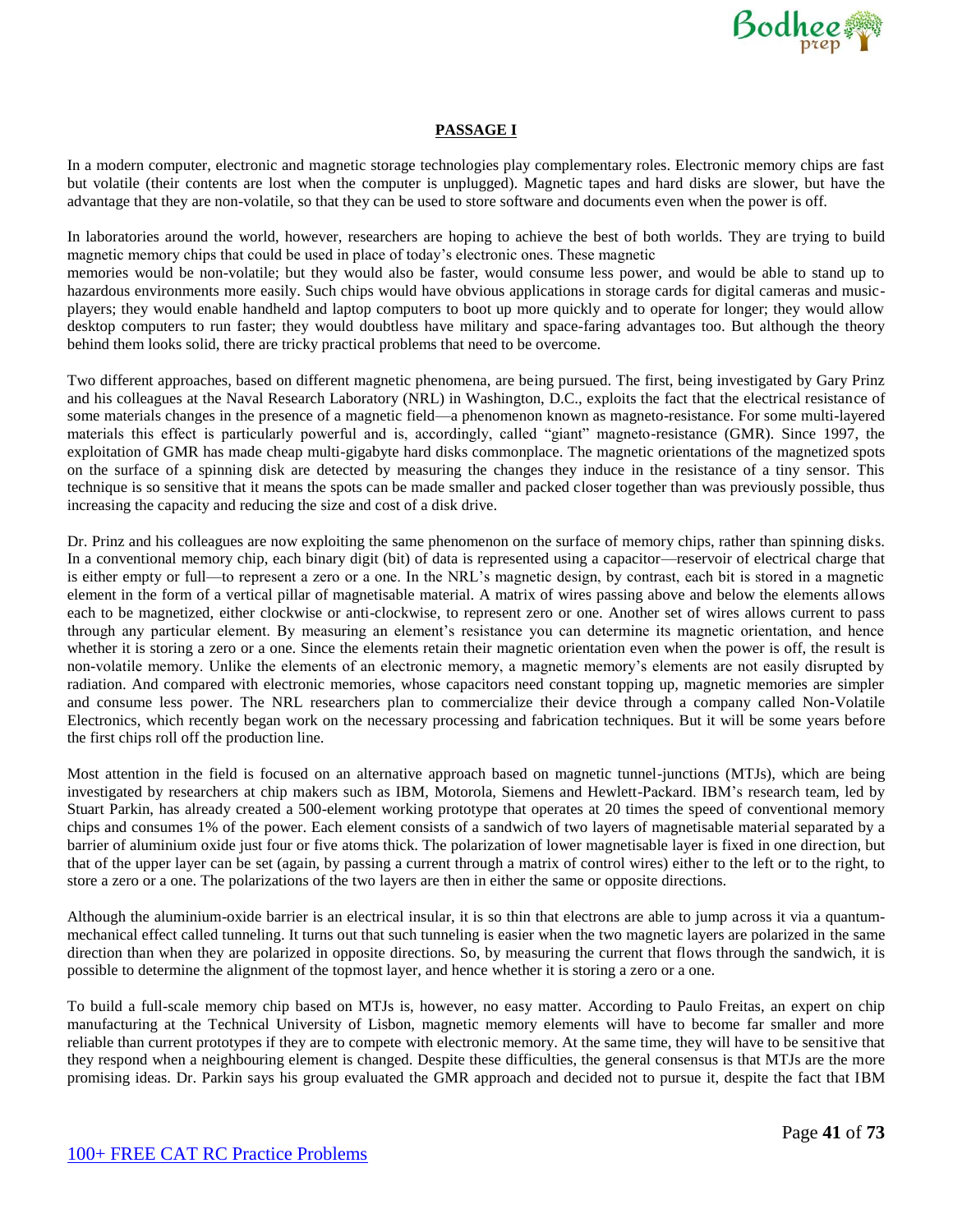

#### **PASSAGE I**

In a modern computer, electronic and magnetic storage technologies play complementary roles. Electronic memory chips are fast but volatile (their contents are lost when the computer is unplugged). Magnetic tapes and hard disks are slower, but have the advantage that they are non-volatile, so that they can be used to store software and documents even when the power is off.

In laboratories around the world, however, researchers are hoping to achieve the best of both worlds. They are trying to build magnetic memory chips that could be used in place of today's electronic ones. These magnetic

memories would be non-volatile; but they would also be faster, would consume less power, and would be able to stand up to hazardous environments more easily. Such chips would have obvious applications in storage cards for digital cameras and musicplayers; they would enable handheld and laptop computers to boot up more quickly and to operate for longer; they would allow desktop computers to run faster; they would doubtless have military and space-faring advantages too. But although the theory behind them looks solid, there are tricky practical problems that need to be overcome.

Two different approaches, based on different magnetic phenomena, are being pursued. The first, being investigated by Gary Prinz and his colleagues at the Naval Research Laboratory (NRL) in Washington, D.C., exploits the fact that the electrical resistance of some materials changes in the presence of a magnetic field—a phenomenon known as magneto-resistance. For some multi-layered materials this effect is particularly powerful and is, accordingly, called "giant" magneto-resistance (GMR). Since 1997, the exploitation of GMR has made cheap multi-gigabyte hard disks commonplace. The magnetic orientations of the magnetized spots on the surface of a spinning disk are detected by measuring the changes they induce in the resistance of a tiny sensor. This technique is so sensitive that it means the spots can be made smaller and packed closer together than was previously possible, thus increasing the capacity and reducing the size and cost of a disk drive.

Dr. Prinz and his colleagues are now exploiting the same phenomenon on the surface of memory chips, rather than spinning disks. In a conventional memory chip, each binary digit (bit) of data is represented using a capacitor—reservoir of electrical charge that is either empty or full—to represent a zero or a one. In the NRL's magnetic design, by contrast, each bit is stored in a magnetic element in the form of a vertical pillar of magnetisable material. A matrix of wires passing above and below the elements allows each to be magnetized, either clockwise or anti-clockwise, to represent zero or one. Another set of wires allows current to pass through any particular element. By measuring an element's resistance you can determine its magnetic orientation, and hence whether it is storing a zero or a one. Since the elements retain their magnetic orientation even when the power is off, the result is non-volatile memory. Unlike the elements of an electronic memory, a magnetic memory's elements are not easily disrupted by radiation. And compared with electronic memories, whose capacitors need constant topping up, magnetic memories are simpler and consume less power. The NRL researchers plan to commercialize their device through a company called Non-Volatile Electronics, which recently began work on the necessary processing and fabrication techniques. But it will be some years before the first chips roll off the production line.

Most attention in the field is focused on an alternative approach based on magnetic tunnel-junctions (MTJs), which are being investigated by researchers at chip makers such as IBM, Motorola, Siemens and Hewlett-Packard. IBM's research team, led by Stuart Parkin, has already created a 500-element working prototype that operates at 20 times the speed of conventional memory chips and consumes 1% of the power. Each element consists of a sandwich of two layers of magnetisable material separated by a barrier of aluminium oxide just four or five atoms thick. The polarization of lower magnetisable layer is fixed in one direction, but that of the upper layer can be set (again, by passing a current through a matrix of control wires) either to the left or to the right, to store a zero or a one. The polarizations of the two layers are then in either the same or opposite directions.

Although the aluminium-oxide barrier is an electrical insular, it is so thin that electrons are able to jump across it via a quantummechanical effect called tunneling. It turns out that such tunneling is easier when the two magnetic layers are polarized in the same direction than when they are polarized in opposite directions. So, by measuring the current that flows through the sandwich, it is possible to determine the alignment of the topmost layer, and hence whether it is storing a zero or a one.

To build a full-scale memory chip based on MTJs is, however, no easy matter. According to Paulo Freitas, an expert on chip manufacturing at the Technical University of Lisbon, magnetic memory elements will have to become far smaller and more reliable than current prototypes if they are to compete with electronic memory. At the same time, they will have to be sensitive that they respond when a neighbouring element is changed. Despite these difficulties, the general consensus is that MTJs are the more promising ideas. Dr. Parkin says his group evaluated the GMR approach and decided not to pursue it, despite the fact that IBM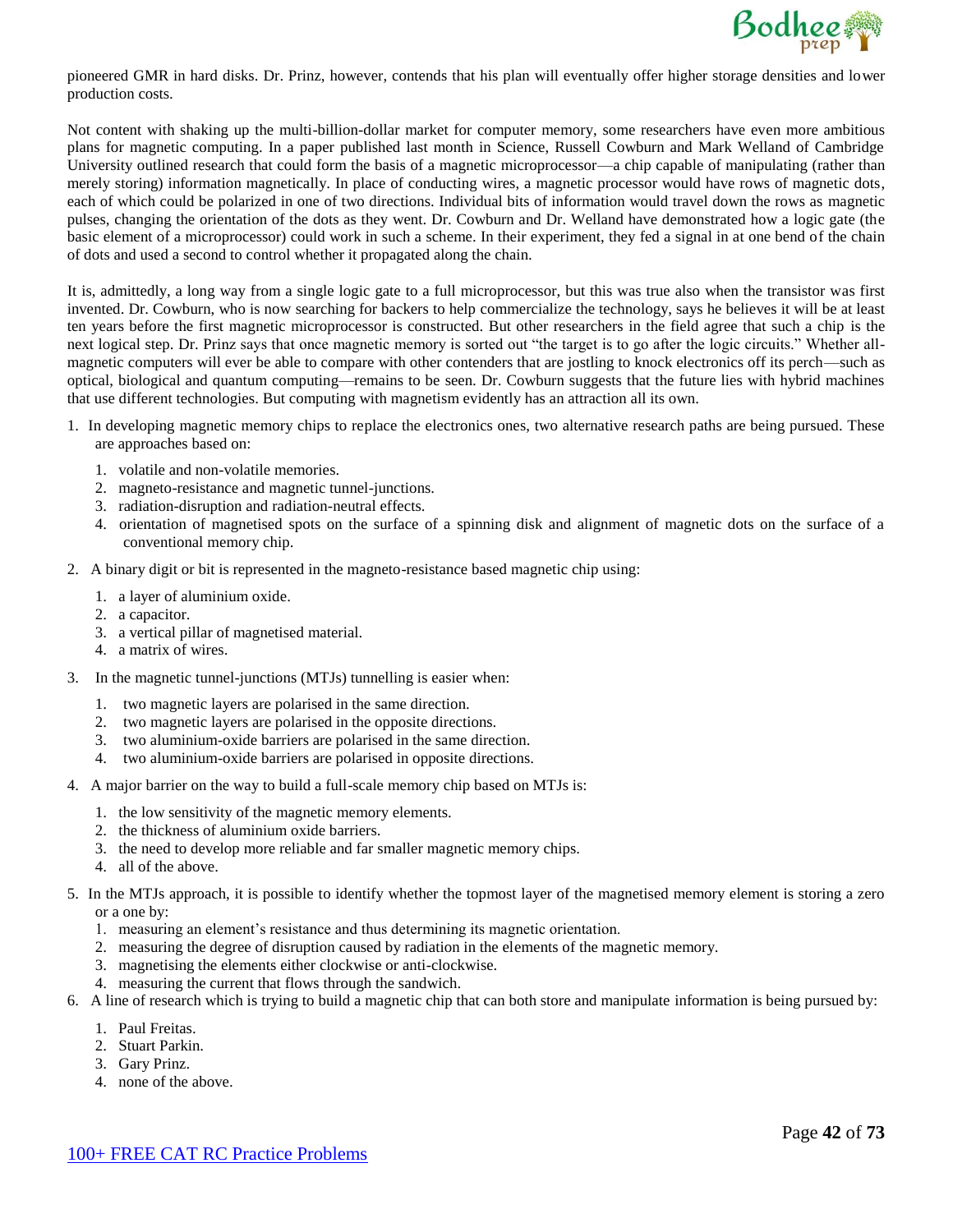

pioneered GMR in hard disks. Dr. Prinz, however, contends that his plan will eventually offer higher storage densities and lower production costs.

Not content with shaking up the multi-billion-dollar market for computer memory, some researchers have even more ambitious plans for magnetic computing. In a paper published last month in Science, Russell Cowburn and Mark Welland of Cambridge University outlined research that could form the basis of a magnetic microprocessor—a chip capable of manipulating (rather than merely storing) information magnetically. In place of conducting wires, a magnetic processor would have rows of magnetic dots, each of which could be polarized in one of two directions. Individual bits of information would travel down the rows as magnetic pulses, changing the orientation of the dots as they went. Dr. Cowburn and Dr. Welland have demonstrated how a logic gate (the basic element of a microprocessor) could work in such a scheme. In their experiment, they fed a signal in at one bend of the chain of dots and used a second to control whether it propagated along the chain.

It is, admittedly, a long way from a single logic gate to a full microprocessor, but this was true also when the transistor was first invented. Dr. Cowburn, who is now searching for backers to help commercialize the technology, says he believes it will be at least ten years before the first magnetic microprocessor is constructed. But other researchers in the field agree that such a chip is the next logical step. Dr. Prinz says that once magnetic memory is sorted out "the target is to go after the logic circuits." Whether allmagnetic computers will ever be able to compare with other contenders that are jostling to knock electronics off its perch—such as optical, biological and quantum computing—remains to be seen. Dr. Cowburn suggests that the future lies with hybrid machines that use different technologies. But computing with magnetism evidently has an attraction all its own.

- 1. In developing magnetic memory chips to replace the electronics ones, two alternative research paths are being pursued. These are approaches based on:
	- 1. volatile and non-volatile memories.
	- 2. magneto-resistance and magnetic tunnel-junctions.
	- 3. radiation-disruption and radiation-neutral effects.
	- 4. orientation of magnetised spots on the surface of a spinning disk and alignment of magnetic dots on the surface of a conventional memory chip.
- 2. A binary digit or bit is represented in the magneto-resistance based magnetic chip using:
	- 1. a layer of aluminium oxide.
	- 2. a capacitor.
	- 3. a vertical pillar of magnetised material.
	- 4. a matrix of wires.
- 3. In the magnetic tunnel-junctions (MTJs) tunnelling is easier when:
	- 1. two magnetic layers are polarised in the same direction.
	- 2. two magnetic layers are polarised in the opposite directions.
	- 3. two aluminium-oxide barriers are polarised in the same direction.
	- 4. two aluminium-oxide barriers are polarised in opposite directions.
- 4. A major barrier on the way to build a full-scale memory chip based on MTJs is:
	- 1. the low sensitivity of the magnetic memory elements.
	- 2. the thickness of aluminium oxide barriers.
	- 3. the need to develop more reliable and far smaller magnetic memory chips.
	- 4. all of the above.
- 5. In the MTJs approach, it is possible to identify whether the topmost layer of the magnetised memory element is storing a zero or a one by:
	- 1. measuring an element's resistance and thus determining its magnetic orientation.
	- 2. measuring the degree of disruption caused by radiation in the elements of the magnetic memory.
	- 3. magnetising the elements either clockwise or anti-clockwise.
	- 4. measuring the current that flows through the sandwich.
- 6. A line of research which is trying to build a magnetic chip that can both store and manipulate information is being pursued by:
	- 1. Paul Freitas.
	- 2. Stuart Parkin.
	- 3. Gary Prinz.
	- 4. none of the above.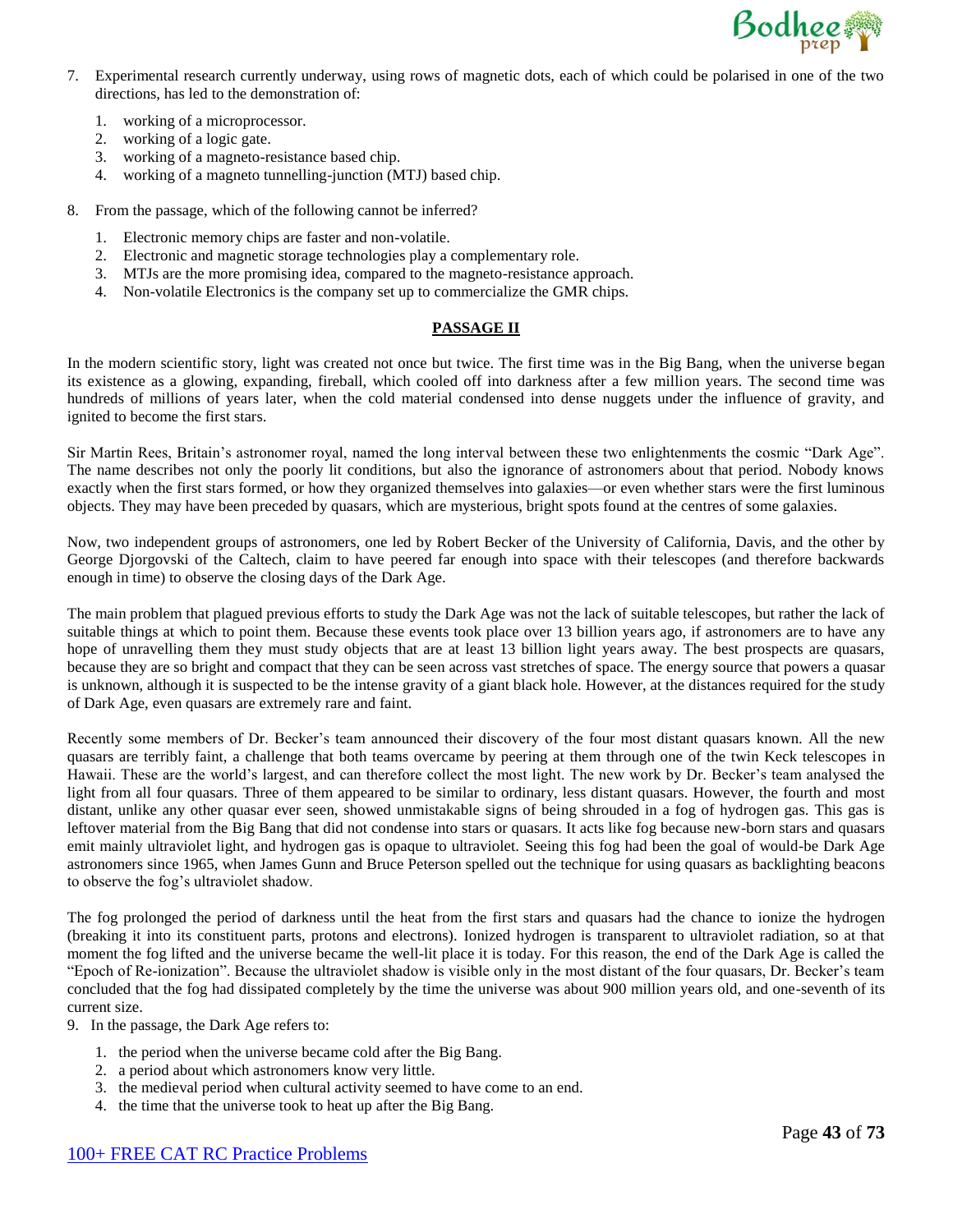

- 7. Experimental research currently underway, using rows of magnetic dots, each of which could be polarised in one of the two directions, has led to the demonstration of:
	- 1. working of a microprocessor.
	- 2. working of a logic gate.
	- 3. working of a magneto-resistance based chip.
	- 4. working of a magneto tunnelling-junction (MTJ) based chip.
- 8. From the passage, which of the following cannot be inferred?
	- 1. Electronic memory chips are faster and non-volatile.
	- 2. Electronic and magnetic storage technologies play a complementary role.
	- 3. MTJs are the more promising idea, compared to the magneto-resistance approach.
	- 4. Non-volatile Electronics is the company set up to commercialize the GMR chips.

#### **PASSAGE II**

In the modern scientific story, light was created not once but twice. The first time was in the Big Bang, when the universe began its existence as a glowing, expanding, fireball, which cooled off into darkness after a few million years. The second time was hundreds of millions of years later, when the cold material condensed into dense nuggets under the influence of gravity, and ignited to become the first stars.

Sir Martin Rees, Britain's astronomer royal, named the long interval between these two enlightenments the cosmic "Dark Age". The name describes not only the poorly lit conditions, but also the ignorance of astronomers about that period. Nobody knows exactly when the first stars formed, or how they organized themselves into galaxies—or even whether stars were the first luminous objects. They may have been preceded by quasars, which are mysterious, bright spots found at the centres of some galaxies.

Now, two independent groups of astronomers, one led by Robert Becker of the University of California, Davis, and the other by George Djorgovski of the Caltech, claim to have peered far enough into space with their telescopes (and therefore backwards enough in time) to observe the closing days of the Dark Age.

The main problem that plagued previous efforts to study the Dark Age was not the lack of suitable telescopes, but rather the lack of suitable things at which to point them. Because these events took place over 13 billion years ago, if astronomers are to have any hope of unravelling them they must study objects that are at least 13 billion light years away. The best prospects are quasars, because they are so bright and compact that they can be seen across vast stretches of space. The energy source that powers a quasar is unknown, although it is suspected to be the intense gravity of a giant black hole. However, at the distances required for the study of Dark Age, even quasars are extremely rare and faint.

Recently some members of Dr. Becker's team announced their discovery of the four most distant quasars known. All the new quasars are terribly faint, a challenge that both teams overcame by peering at them through one of the twin Keck telescopes in Hawaii. These are the world's largest, and can therefore collect the most light. The new work by Dr. Becker's team analysed the light from all four quasars. Three of them appeared to be similar to ordinary, less distant quasars. However, the fourth and most distant, unlike any other quasar ever seen, showed unmistakable signs of being shrouded in a fog of hydrogen gas. This gas is leftover material from the Big Bang that did not condense into stars or quasars. It acts like fog because new-born stars and quasars emit mainly ultraviolet light, and hydrogen gas is opaque to ultraviolet. Seeing this fog had been the goal of would-be Dark Age astronomers since 1965, when James Gunn and Bruce Peterson spelled out the technique for using quasars as backlighting beacons to observe the fog's ultraviolet shadow.

The fog prolonged the period of darkness until the heat from the first stars and quasars had the chance to ionize the hydrogen (breaking it into its constituent parts, protons and electrons). Ionized hydrogen is transparent to ultraviolet radiation, so at that moment the fog lifted and the universe became the well-lit place it is today. For this reason, the end of the Dark Age is called the "Epoch of Re-ionization". Because the ultraviolet shadow is visible only in the most distant of the four quasars, Dr. Becker's team concluded that the fog had dissipated completely by the time the universe was about 900 million years old, and one-seventh of its current size.

9. In the passage, the Dark Age refers to:

- 1. the period when the universe became cold after the Big Bang.
- 2. a period about which astronomers know very little.
- 3. the medieval period when cultural activity seemed to have come to an end.
- 4. the time that the universe took to heat up after the Big Bang.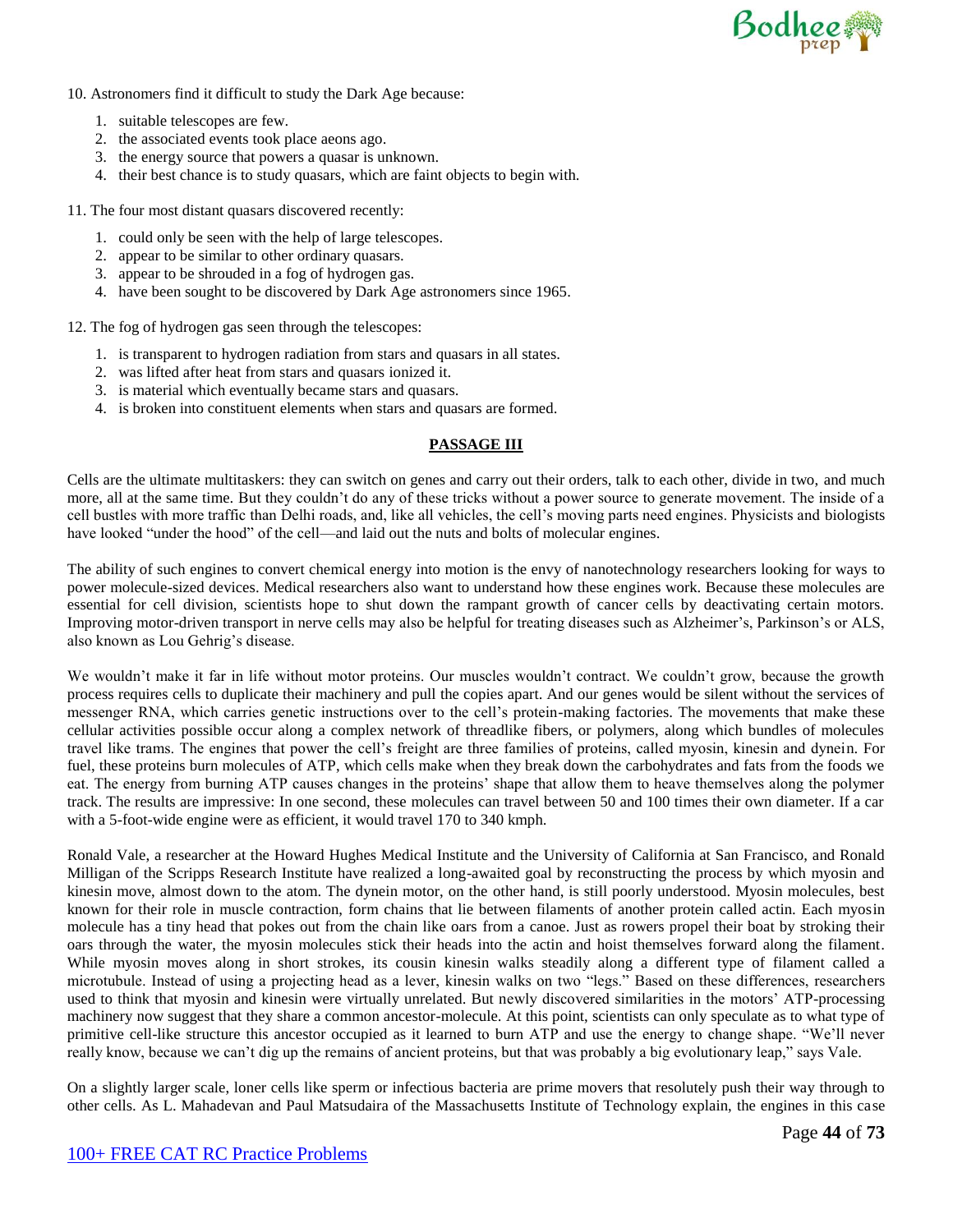

- 10. Astronomers find it difficult to study the Dark Age because:
	- 1. suitable telescopes are few.
	- 2. the associated events took place aeons ago.
	- 3. the energy source that powers a quasar is unknown.
	- 4. their best chance is to study quasars, which are faint objects to begin with.

11. The four most distant quasars discovered recently:

- 1. could only be seen with the help of large telescopes.
- 2. appear to be similar to other ordinary quasars.
- 3. appear to be shrouded in a fog of hydrogen gas.
- 4. have been sought to be discovered by Dark Age astronomers since 1965.

12. The fog of hydrogen gas seen through the telescopes:

- 1. is transparent to hydrogen radiation from stars and quasars in all states.
- 2. was lifted after heat from stars and quasars ionized it.
- 3. is material which eventually became stars and quasars.
- 4. is broken into constituent elements when stars and quasars are formed.

# **PASSAGE III**

Cells are the ultimate multitaskers: they can switch on genes and carry out their orders, talk to each other, divide in two, and much more, all at the same time. But they couldn't do any of these tricks without a power source to generate movement. The inside of a cell bustles with more traffic than Delhi roads, and, like all vehicles, the cell's moving parts need engines. Physicists and biologists have looked "under the hood" of the cell—and laid out the nuts and bolts of molecular engines.

The ability of such engines to convert chemical energy into motion is the envy of nanotechnology researchers looking for ways to power molecule-sized devices. Medical researchers also want to understand how these engines work. Because these molecules are essential for cell division, scientists hope to shut down the rampant growth of cancer cells by deactivating certain motors. Improving motor-driven transport in nerve cells may also be helpful for treating diseases such as Alzheimer's, Parkinson's or ALS, also known as Lou Gehrig's disease.

We wouldn't make it far in life without motor proteins. Our muscles wouldn't contract. We couldn't grow, because the growth process requires cells to duplicate their machinery and pull the copies apart. And our genes would be silent without the services of messenger RNA, which carries genetic instructions over to the cell's protein-making factories. The movements that make these cellular activities possible occur along a complex network of threadlike fibers, or polymers, along which bundles of molecules travel like trams. The engines that power the cell's freight are three families of proteins, called myosin, kinesin and dynein. For fuel, these proteins burn molecules of ATP, which cells make when they break down the carbohydrates and fats from the foods we eat. The energy from burning ATP causes changes in the proteins' shape that allow them to heave themselves along the polymer track. The results are impressive: In one second, these molecules can travel between 50 and 100 times their own diameter. If a car with a 5-foot-wide engine were as efficient, it would travel 170 to 340 kmph.

Ronald Vale, a researcher at the Howard Hughes Medical Institute and the University of California at San Francisco, and Ronald Milligan of the Scripps Research Institute have realized a long-awaited goal by reconstructing the process by which myosin and kinesin move, almost down to the atom. The dynein motor, on the other hand, is still poorly understood. Myosin molecules, best known for their role in muscle contraction, form chains that lie between filaments of another protein called actin. Each myosin molecule has a tiny head that pokes out from the chain like oars from a canoe. Just as rowers propel their boat by stroking their oars through the water, the myosin molecules stick their heads into the actin and hoist themselves forward along the filament. While myosin moves along in short strokes, its cousin kinesin walks steadily along a different type of filament called a microtubule. Instead of using a projecting head as a lever, kinesin walks on two "legs." Based on these differences, researchers used to think that myosin and kinesin were virtually unrelated. But newly discovered similarities in the motors' ATP-processing machinery now suggest that they share a common ancestor-molecule. At this point, scientists can only speculate as to what type of primitive cell-like structure this ancestor occupied as it learned to burn ATP and use the energy to change shape. "We'll never really know, because we can't dig up the remains of ancient proteins, but that was probably a big evolutionary leap," says Vale.

On a slightly larger scale, loner cells like sperm or infectious bacteria are prime movers that resolutely push their way through to other cells. As L. Mahadevan and Paul Matsudaira of the Massachusetts Institute of Technology explain, the engines in this case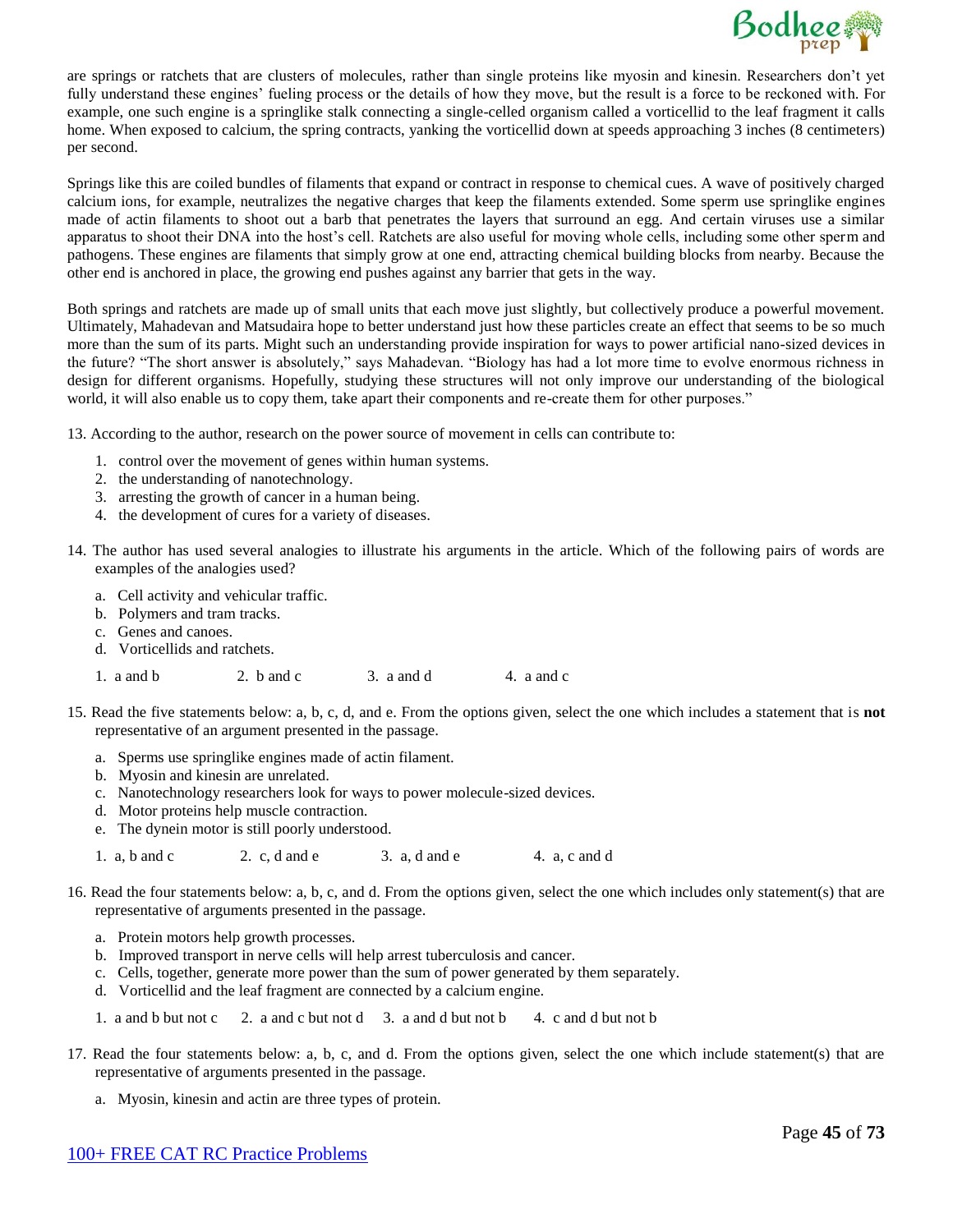

are springs or ratchets that are clusters of molecules, rather than single proteins like myosin and kinesin. Researchers don't yet fully understand these engines' fueling process or the details of how they move, but the result is a force to be reckoned with. For example, one such engine is a springlike stalk connecting a single-celled organism called a vorticellid to the leaf fragment it calls home. When exposed to calcium, the spring contracts, yanking the vorticellid down at speeds approaching 3 inches (8 centimeters) per second.

Springs like this are coiled bundles of filaments that expand or contract in response to chemical cues. A wave of positively charged calcium ions, for example, neutralizes the negative charges that keep the filaments extended. Some sperm use springlike engines made of actin filaments to shoot out a barb that penetrates the layers that surround an egg. And certain viruses use a similar apparatus to shoot their DNA into the host's cell. Ratchets are also useful for moving whole cells, including some other sperm and pathogens. These engines are filaments that simply grow at one end, attracting chemical building blocks from nearby. Because the other end is anchored in place, the growing end pushes against any barrier that gets in the way.

Both springs and ratchets are made up of small units that each move just slightly, but collectively produce a powerful movement. Ultimately, Mahadevan and Matsudaira hope to better understand just how these particles create an effect that seems to be so much more than the sum of its parts. Might such an understanding provide inspiration for ways to power artificial nano-sized devices in the future? "The short answer is absolutely," says Mahadevan. "Biology has had a lot more time to evolve enormous richness in design for different organisms. Hopefully, studying these structures will not only improve our understanding of the biological world, it will also enable us to copy them, take apart their components and re-create them for other purposes."

13. According to the author, research on the power source of movement in cells can contribute to:

- 1. control over the movement of genes within human systems.
- 2. the understanding of nanotechnology.
- 3. arresting the growth of cancer in a human being.
- 4. the development of cures for a variety of diseases.
- 14. The author has used several analogies to illustrate his arguments in the article. Which of the following pairs of words are examples of the analogies used?
	- a. Cell activity and vehicular traffic.
	- b. Polymers and tram tracks.
	- c. Genes and canoes.
	- d. Vorticellids and ratchets.
	- 1. a and b 2. b and c  $\begin{array}{ccc} 3. & a \text{ and } d \\ 4. & a \text{ and } c \end{array}$
- 15. Read the five statements below: a, b, c, d, and e. From the options given, select the one which includes a statement that is **not** representative of an argument presented in the passage.
	- a. Sperms use springlike engines made of actin filament.
	- b. Myosin and kinesin are unrelated.
	- c. Nanotechnology researchers look for ways to power molecule-sized devices.
	- d. Motor proteins help muscle contraction.
	- e. The dynein motor is still poorly understood.
	- 1. a, b and c 2. c, d and e 3. a, d and e 4. a, c and d
- 16. Read the four statements below: a, b, c, and d. From the options given, select the one which includes only statement(s) that are representative of arguments presented in the passage.
	- a. Protein motors help growth processes.
	- b. Improved transport in nerve cells will help arrest tuberculosis and cancer.
	- c. Cells, together, generate more power than the sum of power generated by them separately.
	- d. Vorticellid and the leaf fragment are connected by a calcium engine.
	- 1. a and b but not c 2. a and c but not d 3. a and d but not b 4. c and d but not b
- 17. Read the four statements below: a, b, c, and d. From the options given, select the one which include statement(s) that are representative of arguments presented in the passage.
	- a. Myosin, kinesin and actin are three types of protein.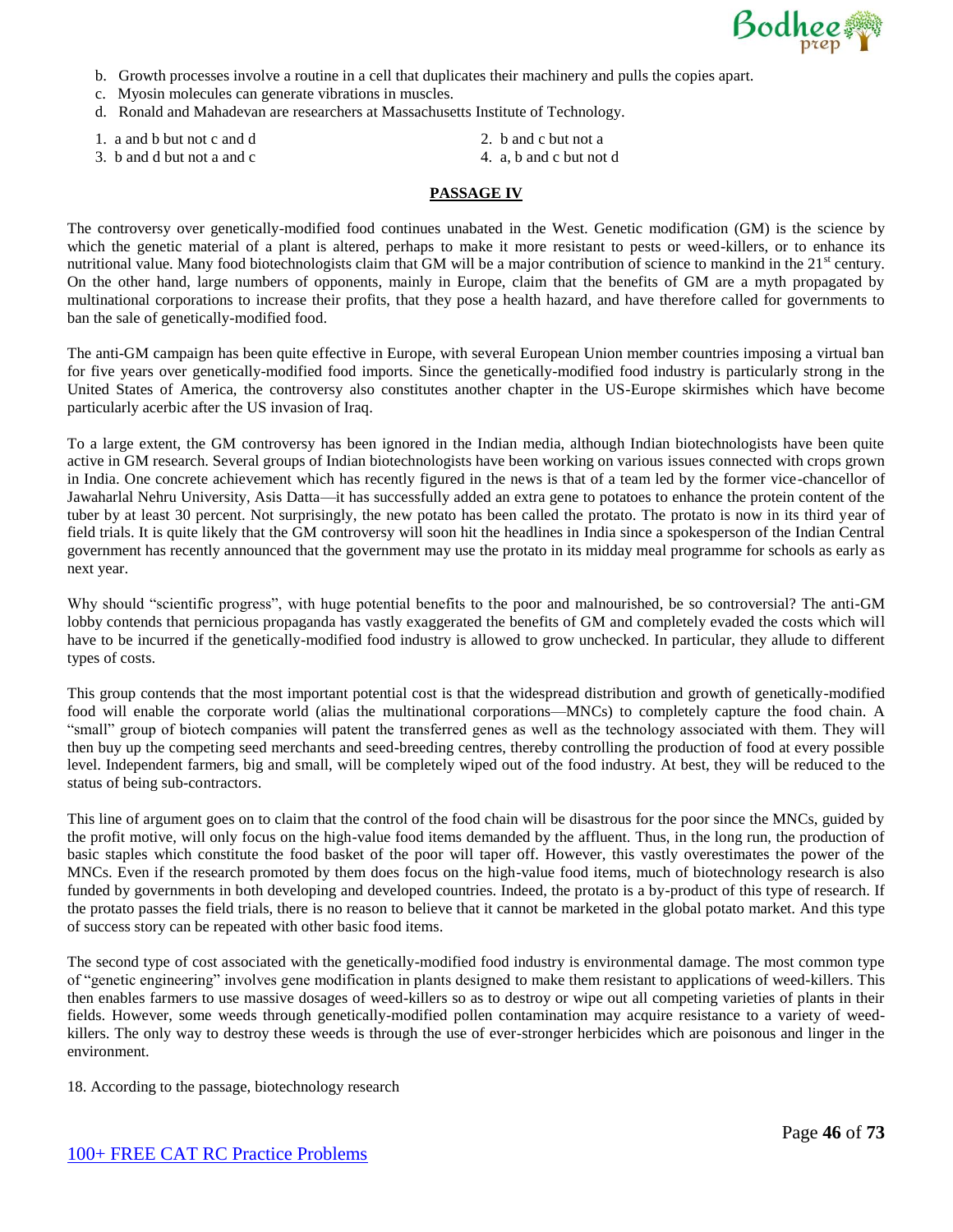

- b. Growth processes involve a routine in a cell that duplicates their machinery and pulls the copies apart.
- c. Myosin molecules can generate vibrations in muscles.
- d. Ronald and Mahadevan are researchers at Massachusetts Institute of Technology.

1. a and b but not c and d 2. b and c but not a

3. b and d but not a and c  $\overline{a}$  and c but not d  $\overline{a}$  a, b and c but not d

- 
- 

# **PASSAGE IV**

The controversy over genetically-modified food continues unabated in the West. Genetic modification (GM) is the science by which the genetic material of a plant is altered, perhaps to make it more resistant to pests or weed-killers, or to enhance its nutritional value. Many food biotechnologists claim that GM will be a major contribution of science to mankind in the  $21<sup>st</sup>$  century. On the other hand, large numbers of opponents, mainly in Europe, claim that the benefits of GM are a myth propagated by multinational corporations to increase their profits, that they pose a health hazard, and have therefore called for governments to ban the sale of genetically-modified food.

The anti-GM campaign has been quite effective in Europe, with several European Union member countries imposing a virtual ban for five years over genetically-modified food imports. Since the genetically-modified food industry is particularly strong in the United States of America, the controversy also constitutes another chapter in the US-Europe skirmishes which have become particularly acerbic after the US invasion of Iraq.

To a large extent, the GM controversy has been ignored in the Indian media, although Indian biotechnologists have been quite active in GM research. Several groups of Indian biotechnologists have been working on various issues connected with crops grown in India. One concrete achievement which has recently figured in the news is that of a team led by the former vice-chancellor of Jawaharlal Nehru University, Asis Datta—it has successfully added an extra gene to potatoes to enhance the protein content of the tuber by at least 30 percent. Not surprisingly, the new potato has been called the protato. The protato is now in its third year of field trials. It is quite likely that the GM controversy will soon hit the headlines in India since a spokesperson of the Indian Central government has recently announced that the government may use the protato in its midday meal programme for schools as early as next year.

Why should "scientific progress", with huge potential benefits to the poor and malnourished, be so controversial? The anti-GM lobby contends that pernicious propaganda has vastly exaggerated the benefits of GM and completely evaded the costs which will have to be incurred if the genetically-modified food industry is allowed to grow unchecked. In particular, they allude to different types of costs.

This group contends that the most important potential cost is that the widespread distribution and growth of genetically-modified food will enable the corporate world (alias the multinational corporations—MNCs) to completely capture the food chain. A "small" group of biotech companies will patent the transferred genes as well as the technology associated with them. They will then buy up the competing seed merchants and seed-breeding centres, thereby controlling the production of food at every possible level. Independent farmers, big and small, will be completely wiped out of the food industry. At best, they will be reduced to the status of being sub-contractors.

This line of argument goes on to claim that the control of the food chain will be disastrous for the poor since the MNCs, guided by the profit motive, will only focus on the high-value food items demanded by the affluent. Thus, in the long run, the production of basic staples which constitute the food basket of the poor will taper off. However, this vastly overestimates the power of the MNCs. Even if the research promoted by them does focus on the high-value food items, much of biotechnology research is also funded by governments in both developing and developed countries. Indeed, the protato is a by-product of this type of research. If the protato passes the field trials, there is no reason to believe that it cannot be marketed in the global potato market. And this type of success story can be repeated with other basic food items.

The second type of cost associated with the genetically-modified food industry is environmental damage. The most common type of "genetic engineering" involves gene modification in plants designed to make them resistant to applications of weed-killers. This then enables farmers to use massive dosages of weed-killers so as to destroy or wipe out all competing varieties of plants in their fields. However, some weeds through genetically-modified pollen contamination may acquire resistance to a variety of weedkillers. The only way to destroy these weeds is through the use of ever-stronger herbicides which are poisonous and linger in the environment.

18. According to the passage, biotechnology research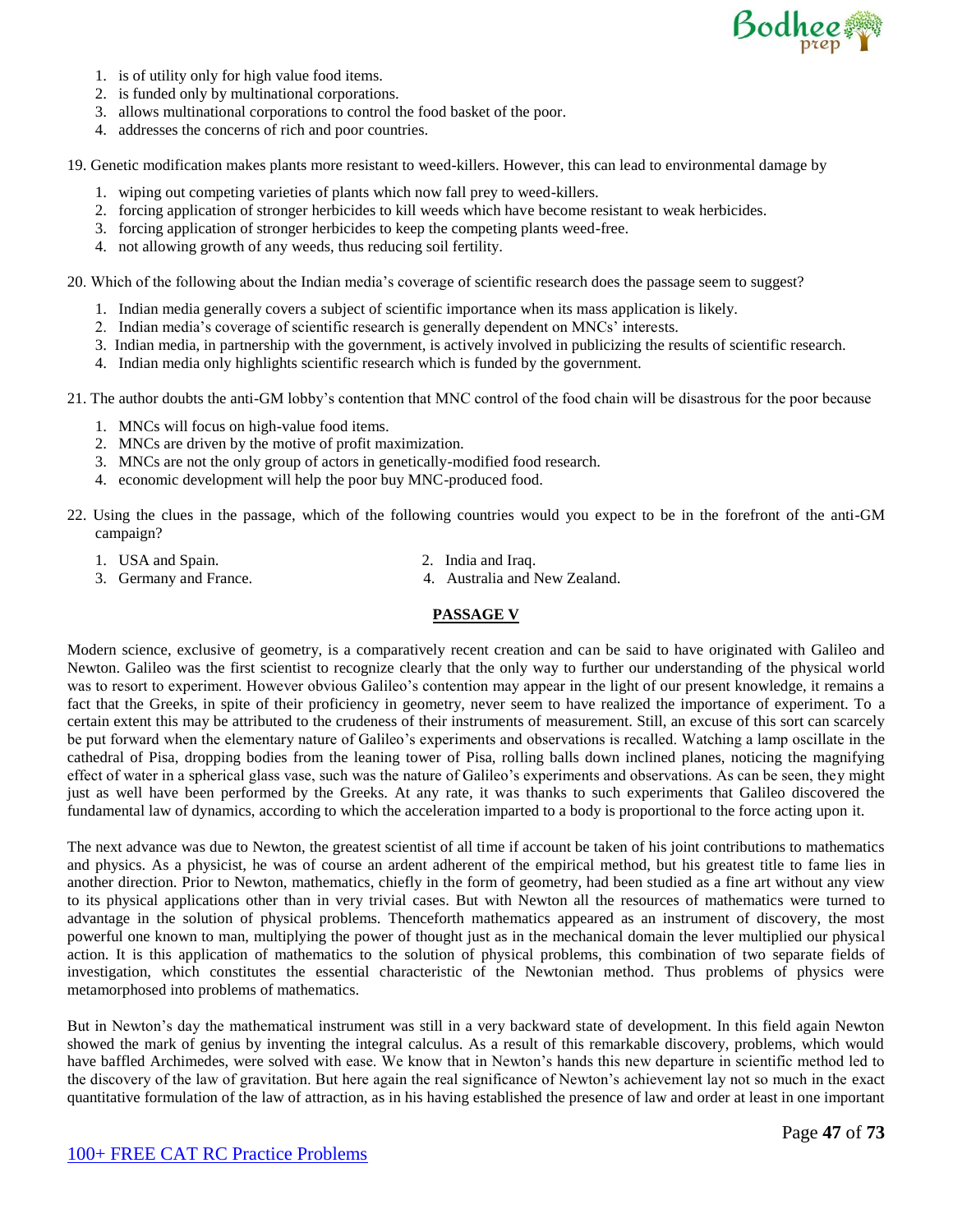

- 1. is of utility only for high value food items.
- 2. is funded only by multinational corporations.
- 3. allows multinational corporations to control the food basket of the poor.
- 4. addresses the concerns of rich and poor countries.

19. Genetic modification makes plants more resistant to weed-killers. However, this can lead to environmental damage by

- 1. wiping out competing varieties of plants which now fall prey to weed-killers.
- 2. forcing application of stronger herbicides to kill weeds which have become resistant to weak herbicides.
- 3. forcing application of stronger herbicides to keep the competing plants weed-free.
- 4. not allowing growth of any weeds, thus reducing soil fertility.

20. Which of the following about the Indian media's coverage of scientific research does the passage seem to suggest?

- 1. Indian media generally covers a subject of scientific importance when its mass application is likely.
- 2. Indian media's coverage of scientific research is generally dependent on MNCs' interests.
- 3. Indian media, in partnership with the government, is actively involved in publicizing the results of scientific research.
- 4. Indian media only highlights scientific research which is funded by the government.

21. The author doubts the anti-GM lobby's contention that MNC control of the food chain will be disastrous for the poor because

- 1. MNCs will focus on high-value food items.
- 2. MNCs are driven by the motive of profit maximization.
- 3. MNCs are not the only group of actors in genetically-modified food research.
- 4. economic development will help the poor buy MNC-produced food.
- 22. Using the clues in the passage, which of the following countries would you expect to be in the forefront of the anti-GM campaign?
	- 1. USA and Spain. 2. India and Iraq.
		-
	- 3. Germany and France. 4. Australia and New Zealand.
- 

#### **PASSAGE V**

Modern science, exclusive of geometry, is a comparatively recent creation and can be said to have originated with Galileo and Newton. Galileo was the first scientist to recognize clearly that the only way to further our understanding of the physical world was to resort to experiment. However obvious Galileo's contention may appear in the light of our present knowledge, it remains a fact that the Greeks, in spite of their proficiency in geometry, never seem to have realized the importance of experiment. To a certain extent this may be attributed to the crudeness of their instruments of measurement. Still, an excuse of this sort can scarcely be put forward when the elementary nature of Galileo's experiments and observations is recalled. Watching a lamp oscillate in the cathedral of Pisa, dropping bodies from the leaning tower of Pisa, rolling balls down inclined planes, noticing the magnifying effect of water in a spherical glass vase, such was the nature of Galileo's experiments and observations. As can be seen, they might just as well have been performed by the Greeks. At any rate, it was thanks to such experiments that Galileo discovered the fundamental law of dynamics, according to which the acceleration imparted to a body is proportional to the force acting upon it.

The next advance was due to Newton, the greatest scientist of all time if account be taken of his joint contributions to mathematics and physics. As a physicist, he was of course an ardent adherent of the empirical method, but his greatest title to fame lies in another direction. Prior to Newton, mathematics, chiefly in the form of geometry, had been studied as a fine art without any view to its physical applications other than in very trivial cases. But with Newton all the resources of mathematics were turned to advantage in the solution of physical problems. Thenceforth mathematics appeared as an instrument of discovery, the most powerful one known to man, multiplying the power of thought just as in the mechanical domain the lever multiplied our physical action. It is this application of mathematics to the solution of physical problems, this combination of two separate fields of investigation, which constitutes the essential characteristic of the Newtonian method. Thus problems of physics were metamorphosed into problems of mathematics.

But in Newton's day the mathematical instrument was still in a very backward state of development. In this field again Newton showed the mark of genius by inventing the integral calculus. As a result of this remarkable discovery, problems, which would have baffled Archimedes, were solved with ease. We know that in Newton's hands this new departure in scientific method led to the discovery of the law of gravitation. But here again the real significance of Newton's achievement lay not so much in the exact quantitative formulation of the law of attraction, as in his having established the presence of law and order at least in one important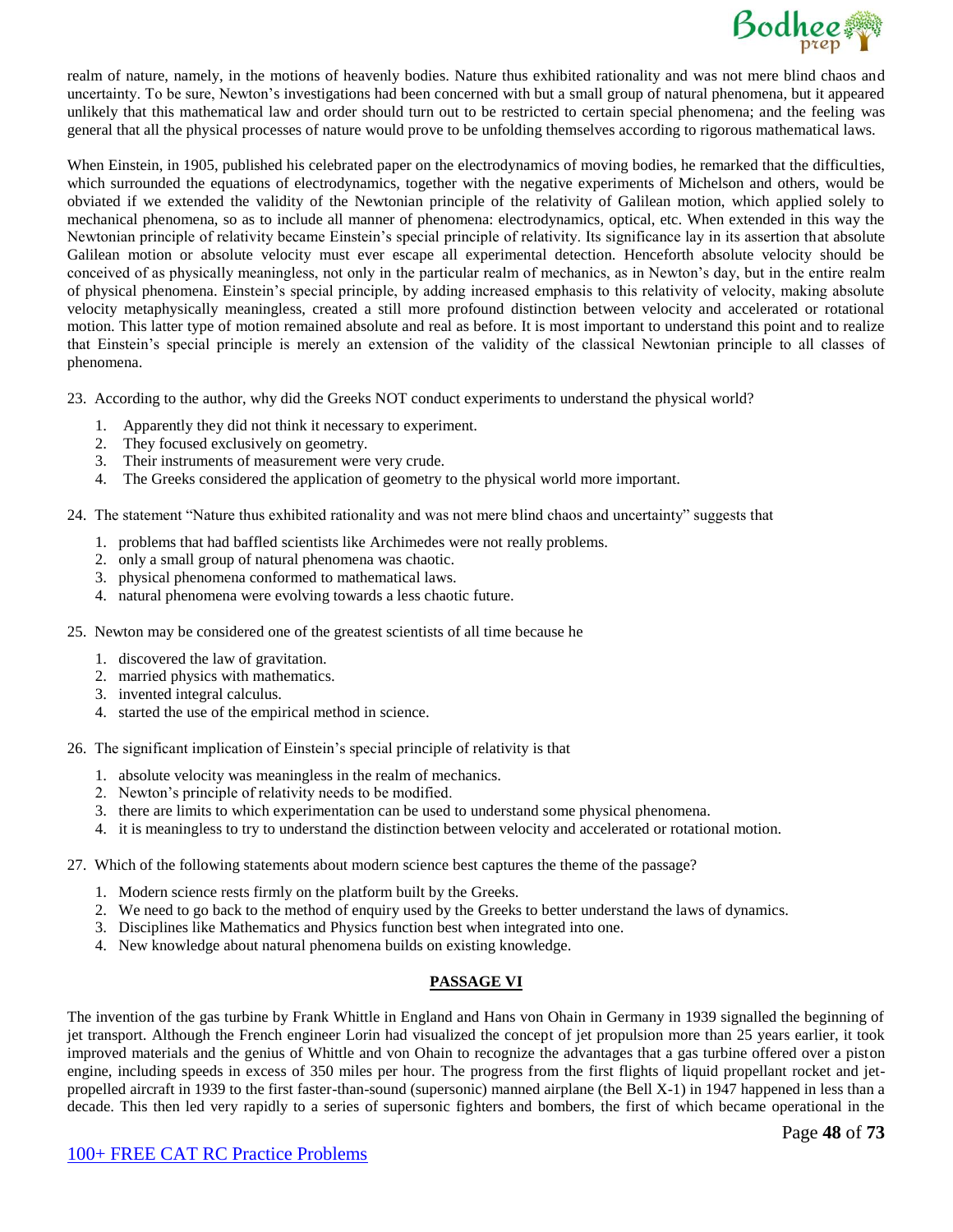

realm of nature, namely, in the motions of heavenly bodies. Nature thus exhibited rationality and was not mere blind chaos and uncertainty. To be sure, Newton's investigations had been concerned with but a small group of natural phenomena, but it appeared unlikely that this mathematical law and order should turn out to be restricted to certain special phenomena; and the feeling was general that all the physical processes of nature would prove to be unfolding themselves according to rigorous mathematical laws.

When Einstein, in 1905, published his celebrated paper on the electrodynamics of moving bodies, he remarked that the difficulties, which surrounded the equations of electrodynamics, together with the negative experiments of Michelson and others, would be obviated if we extended the validity of the Newtonian principle of the relativity of Galilean motion, which applied solely to mechanical phenomena, so as to include all manner of phenomena: electrodynamics, optical, etc. When extended in this way the Newtonian principle of relativity became Einstein's special principle of relativity. Its significance lay in its assertion that absolute Galilean motion or absolute velocity must ever escape all experimental detection. Henceforth absolute velocity should be conceived of as physically meaningless, not only in the particular realm of mechanics, as in Newton's day, but in the entire realm of physical phenomena. Einstein's special principle, by adding increased emphasis to this relativity of velocity, making absolute velocity metaphysically meaningless, created a still more profound distinction between velocity and accelerated or rotational motion. This latter type of motion remained absolute and real as before. It is most important to understand this point and to realize that Einstein's special principle is merely an extension of the validity of the classical Newtonian principle to all classes of phenomena.

23. According to the author, why did the Greeks NOT conduct experiments to understand the physical world?

- 1. Apparently they did not think it necessary to experiment.
- 2. They focused exclusively on geometry.
- 3. Their instruments of measurement were very crude.
- 4. The Greeks considered the application of geometry to the physical world more important.

24. The statement "Nature thus exhibited rationality and was not mere blind chaos and uncertainty" suggests that

- 1. problems that had baffled scientists like Archimedes were not really problems.
- 2. only a small group of natural phenomena was chaotic.
- 3. physical phenomena conformed to mathematical laws.
- 4. natural phenomena were evolving towards a less chaotic future.
- 25. Newton may be considered one of the greatest scientists of all time because he
	- 1. discovered the law of gravitation.
	- 2. married physics with mathematics.
	- 3. invented integral calculus.
	- 4. started the use of the empirical method in science.

26. The significant implication of Einstein's special principle of relativity is that

- 1. absolute velocity was meaningless in the realm of mechanics.
- 2. Newton's principle of relativity needs to be modified.
- 3. there are limits to which experimentation can be used to understand some physical phenomena.
- 4. it is meaningless to try to understand the distinction between velocity and accelerated or rotational motion.
- 27. Which of the following statements about modern science best captures the theme of the passage?
	- 1. Modern science rests firmly on the platform built by the Greeks.
	- 2. We need to go back to the method of enquiry used by the Greeks to better understand the laws of dynamics.
	- 3. Disciplines like Mathematics and Physics function best when integrated into one.
	- 4. New knowledge about natural phenomena builds on existing knowledge.

#### **PASSAGE VI**

The invention of the gas turbine by Frank Whittle in England and Hans von Ohain in Germany in 1939 signalled the beginning of jet transport. Although the French engineer Lorin had visualized the concept of jet propulsion more than 25 years earlier, it took improved materials and the genius of Whittle and von Ohain to recognize the advantages that a gas turbine offered over a piston engine, including speeds in excess of 350 miles per hour. The progress from the first flights of liquid propellant rocket and jetpropelled aircraft in 1939 to the first faster-than-sound (supersonic) manned airplane (the Bell X-1) in 1947 happened in less than a decade. This then led very rapidly to a series of supersonic fighters and bombers, the first of which became operational in the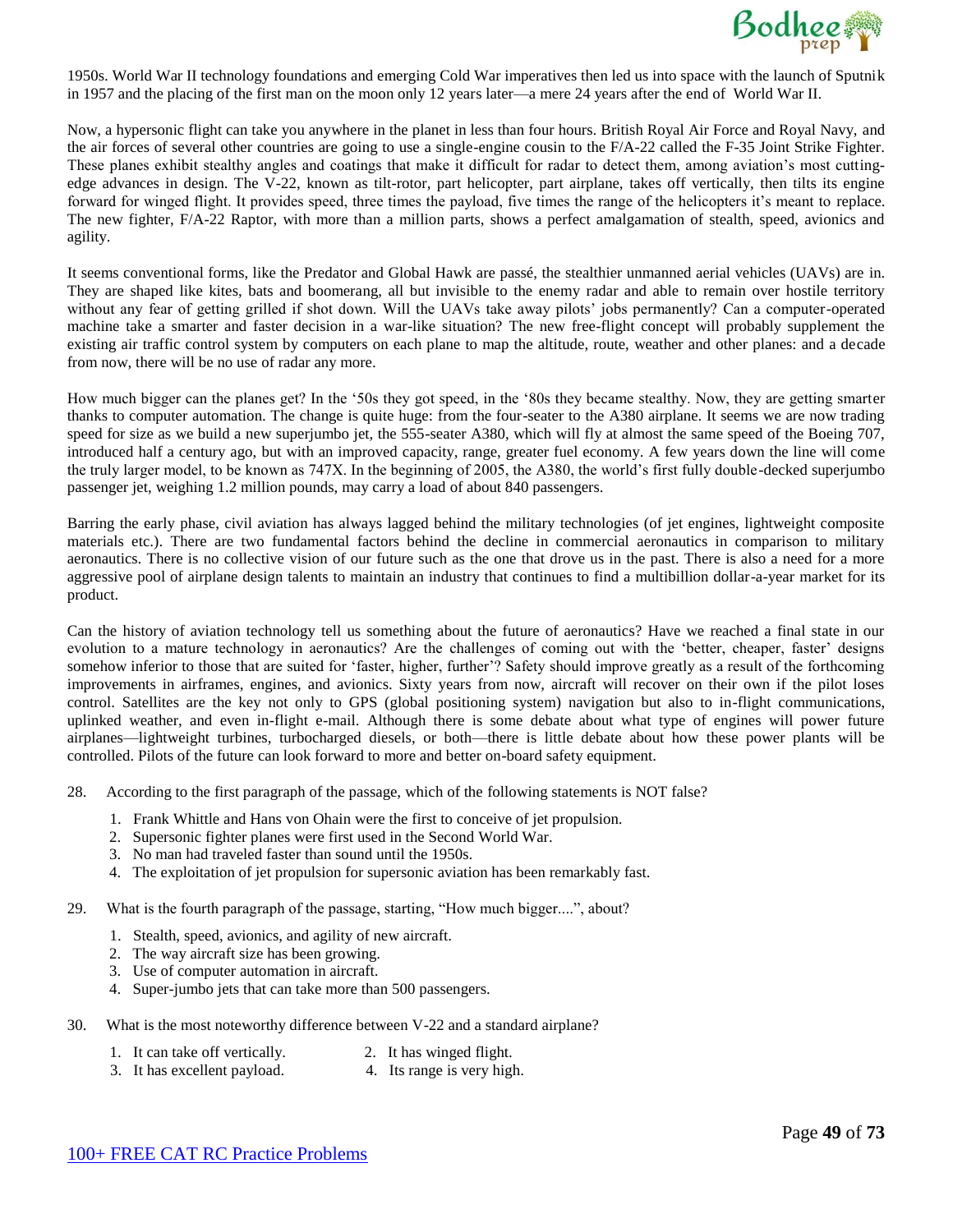

1950s. World War II technology foundations and emerging Cold War imperatives then led us into space with the launch of Sputnik in 1957 and the placing of the first man on the moon only 12 years later—a mere 24 years after the end of World War II.

Now, a hypersonic flight can take you anywhere in the planet in less than four hours. British Royal Air Force and Royal Navy, and the air forces of several other countries are going to use a single-engine cousin to the F/A-22 called the F-35 Joint Strike Fighter. These planes exhibit stealthy angles and coatings that make it difficult for radar to detect them, among aviation's most cuttingedge advances in design. The V-22, known as tilt-rotor, part helicopter, part airplane, takes off vertically, then tilts its engine forward for winged flight. It provides speed, three times the payload, five times the range of the helicopters it's meant to replace. The new fighter, F/A-22 Raptor, with more than a million parts, shows a perfect amalgamation of stealth, speed, avionics and agility.

It seems conventional forms, like the Predator and Global Hawk are passé, the stealthier unmanned aerial vehicles (UAVs) are in. They are shaped like kites, bats and boomerang, all but invisible to the enemy radar and able to remain over hostile territory without any fear of getting grilled if shot down. Will the UAVs take away pilots' jobs permanently? Can a computer-operated machine take a smarter and faster decision in a war-like situation? The new free-flight concept will probably supplement the existing air traffic control system by computers on each plane to map the altitude, route, weather and other planes: and a decade from now, there will be no use of radar any more.

How much bigger can the planes get? In the '50s they got speed, in the '80s they became stealthy. Now, they are getting smarter thanks to computer automation. The change is quite huge: from the four-seater to the A380 airplane. It seems we are now trading speed for size as we build a new superjumbo jet, the 555-seater A380, which will fly at almost the same speed of the Boeing 707, introduced half a century ago, but with an improved capacity, range, greater fuel economy. A few years down the line will come the truly larger model, to be known as 747X. In the beginning of 2005, the A380, the world's first fully double-decked superjumbo passenger jet, weighing 1.2 million pounds, may carry a load of about 840 passengers.

Barring the early phase, civil aviation has always lagged behind the military technologies (of jet engines, lightweight composite materials etc.). There are two fundamental factors behind the decline in commercial aeronautics in comparison to military aeronautics. There is no collective vision of our future such as the one that drove us in the past. There is also a need for a more aggressive pool of airplane design talents to maintain an industry that continues to find a multibillion dollar-a-year market for its product.

Can the history of aviation technology tell us something about the future of aeronautics? Have we reached a final state in our evolution to a mature technology in aeronautics? Are the challenges of coming out with the 'better, cheaper, faster' designs somehow inferior to those that are suited for 'faster, higher, further'? Safety should improve greatly as a result of the forthcoming improvements in airframes, engines, and avionics. Sixty years from now, aircraft will recover on their own if the pilot loses control. Satellites are the key not only to GPS (global positioning system) navigation but also to in-flight communications, uplinked weather, and even in-flight e-mail. Although there is some debate about what type of engines will power future airplanes—lightweight turbines, turbocharged diesels, or both—there is little debate about how these power plants will be controlled. Pilots of the future can look forward to more and better on-board safety equipment.

- 28. According to the first paragraph of the passage, which of the following statements is NOT false?
	- 1. Frank Whittle and Hans von Ohain were the first to conceive of jet propulsion.
	- 2. Supersonic fighter planes were first used in the Second World War.
	- 3. No man had traveled faster than sound until the 1950s.
	- 4. The exploitation of jet propulsion for supersonic aviation has been remarkably fast.
- 29. What is the fourth paragraph of the passage, starting, "How much bigger....", about?
	- 1. Stealth, speed, avionics, and agility of new aircraft.
	- 2. The way aircraft size has been growing.
	- 3. Use of computer automation in aircraft.
	- 4. Super-jumbo jets that can take more than 500 passengers.
- 30. What is the most noteworthy difference between V-22 and a standard airplane?
	- 1. It can take off vertically. 2. It has winged flight.
	- 3. It has excellent payload. 4. Its range is very high.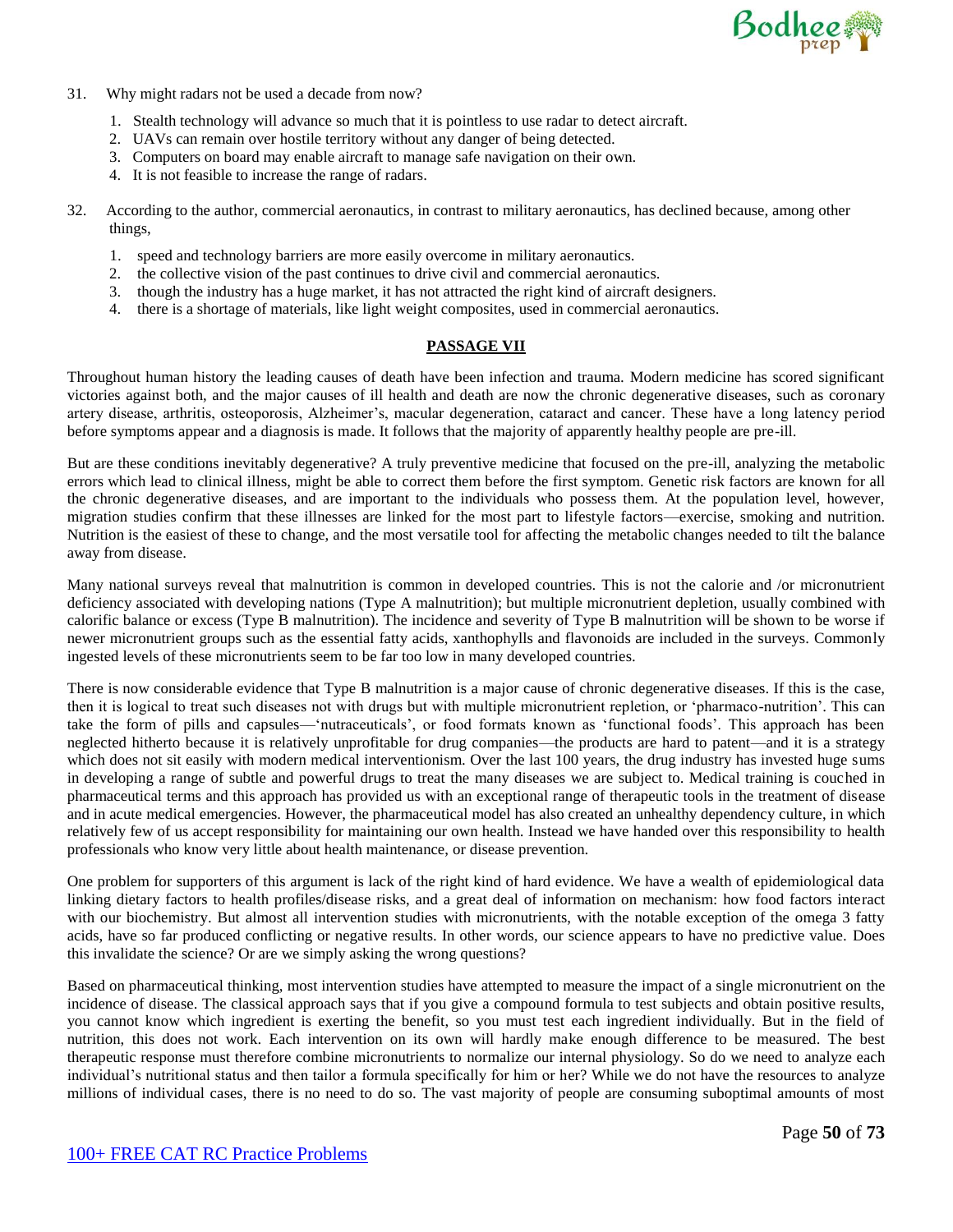

- 31. Why might radars not be used a decade from now?
	- 1. Stealth technology will advance so much that it is pointless to use radar to detect aircraft.
	- 2. UAVs can remain over hostile territory without any danger of being detected.
	- 3. Computers on board may enable aircraft to manage safe navigation on their own.
	- 4. It is not feasible to increase the range of radars.
- 32. According to the author, commercial aeronautics, in contrast to military aeronautics, has declined because, among other things,
	- 1. speed and technology barriers are more easily overcome in military aeronautics.
	- 2. the collective vision of the past continues to drive civil and commercial aeronautics.
	- 3. though the industry has a huge market, it has not attracted the right kind of aircraft designers.
	- 4. there is a shortage of materials, like light weight composites, used in commercial aeronautics.

#### **PASSAGE VII**

Throughout human history the leading causes of death have been infection and trauma. Modern medicine has scored significant victories against both, and the major causes of ill health and death are now the chronic degenerative diseases, such as coronary artery disease, arthritis, osteoporosis, Alzheimer's, macular degeneration, cataract and cancer. These have a long latency period before symptoms appear and a diagnosis is made. It follows that the majority of apparently healthy people are pre-ill.

But are these conditions inevitably degenerative? A truly preventive medicine that focused on the pre-ill, analyzing the metabolic errors which lead to clinical illness, might be able to correct them before the first symptom. Genetic risk factors are known for all the chronic degenerative diseases, and are important to the individuals who possess them. At the population level, however, migration studies confirm that these illnesses are linked for the most part to lifestyle factors—exercise, smoking and nutrition. Nutrition is the easiest of these to change, and the most versatile tool for affecting the metabolic changes needed to tilt the balance away from disease.

Many national surveys reveal that malnutrition is common in developed countries. This is not the calorie and /or micronutrient deficiency associated with developing nations (Type A malnutrition); but multiple micronutrient depletion, usually combined with calorific balance or excess (Type B malnutrition). The incidence and severity of Type B malnutrition will be shown to be worse if newer micronutrient groups such as the essential fatty acids, xanthophylls and flavonoids are included in the surveys. Commonly ingested levels of these micronutrients seem to be far too low in many developed countries.

There is now considerable evidence that Type B malnutrition is a major cause of chronic degenerative diseases. If this is the case, then it is logical to treat such diseases not with drugs but with multiple micronutrient repletion, or 'pharmaco-nutrition'. This can take the form of pills and capsules—'nutraceuticals', or food formats known as 'functional foods'. This approach has been neglected hitherto because it is relatively unprofitable for drug companies—the products are hard to patent—and it is a strategy which does not sit easily with modern medical interventionism. Over the last 100 years, the drug industry has invested huge sums in developing a range of subtle and powerful drugs to treat the many diseases we are subject to. Medical training is couched in pharmaceutical terms and this approach has provided us with an exceptional range of therapeutic tools in the treatment of disease and in acute medical emergencies. However, the pharmaceutical model has also created an unhealthy dependency culture, in which relatively few of us accept responsibility for maintaining our own health. Instead we have handed over this responsibility to health professionals who know very little about health maintenance, or disease prevention.

One problem for supporters of this argument is lack of the right kind of hard evidence. We have a wealth of epidemiological data linking dietary factors to health profiles/disease risks, and a great deal of information on mechanism: how food factors interact with our biochemistry. But almost all intervention studies with micronutrients, with the notable exception of the omega 3 fatty acids, have so far produced conflicting or negative results. In other words, our science appears to have no predictive value. Does this invalidate the science? Or are we simply asking the wrong questions?

Based on pharmaceutical thinking, most intervention studies have attempted to measure the impact of a single micronutrient on the incidence of disease. The classical approach says that if you give a compound formula to test subjects and obtain positive results, you cannot know which ingredient is exerting the benefit, so you must test each ingredient individually. But in the field of nutrition, this does not work. Each intervention on its own will hardly make enough difference to be measured. The best therapeutic response must therefore combine micronutrients to normalize our internal physiology. So do we need to analyze each individual's nutritional status and then tailor a formula specifically for him or her? While we do not have the resources to analyze millions of individual cases, there is no need to do so. The vast majority of people are consuming suboptimal amounts of most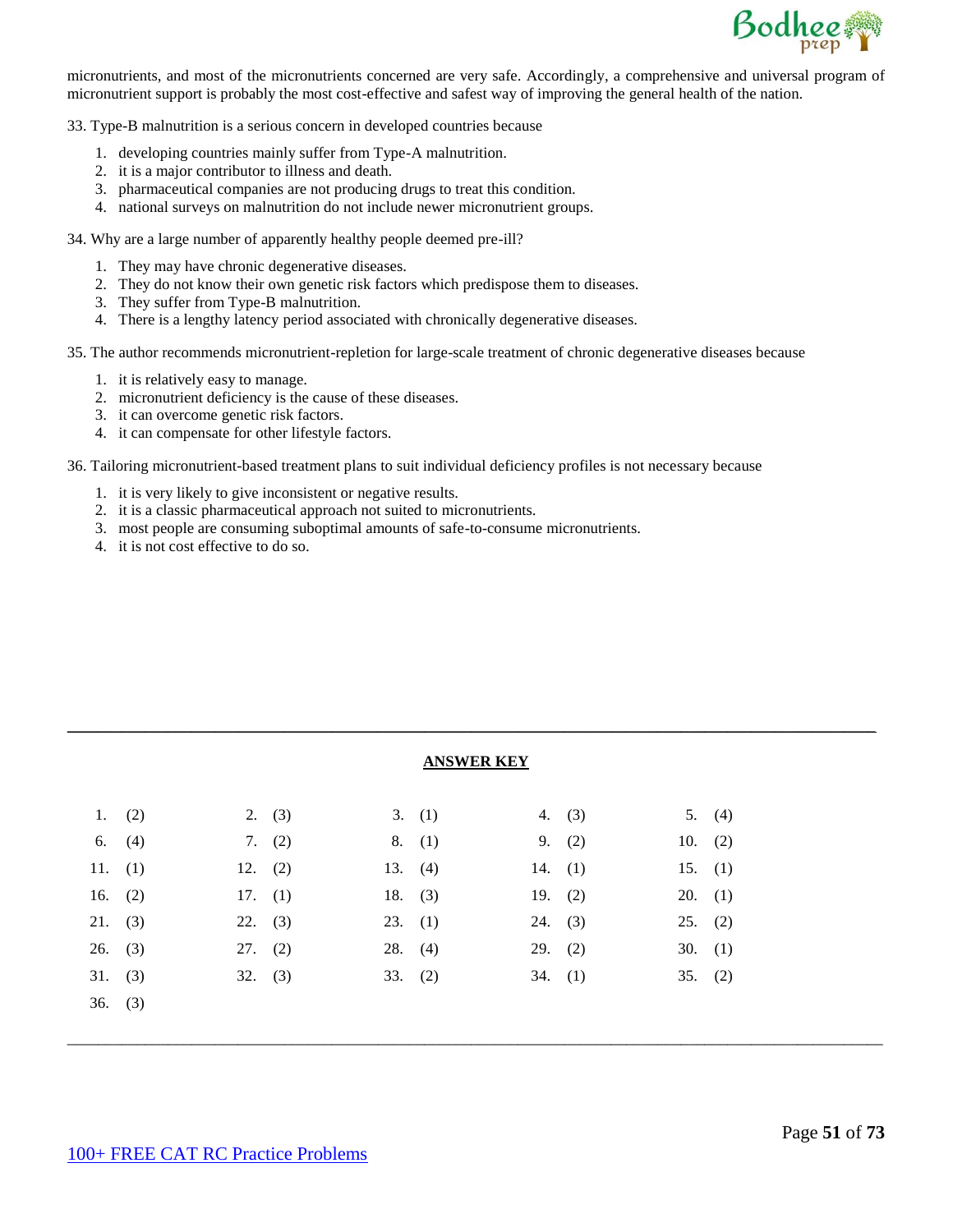

micronutrients, and most of the micronutrients concerned are very safe. Accordingly, a comprehensive and universal program of micronutrient support is probably the most cost-effective and safest way of improving the general health of the nation.

33. Type-B malnutrition is a serious concern in developed countries because

- 1. developing countries mainly suffer from Type-A malnutrition.
- 2. it is a major contributor to illness and death.
- 3. pharmaceutical companies are not producing drugs to treat this condition.
- 4. national surveys on malnutrition do not include newer micronutrient groups.

34. Why are a large number of apparently healthy people deemed pre-ill?

- 1. They may have chronic degenerative diseases.
- 2. They do not know their own genetic risk factors which predispose them to diseases.
- 3. They suffer from Type-B malnutrition.
- 4. There is a lengthy latency period associated with chronically degenerative diseases.

35. The author recommends micronutrient-repletion for large-scale treatment of chronic degenerative diseases because

- 1. it is relatively easy to manage.
- 2. micronutrient deficiency is the cause of these diseases.
- 3. it can overcome genetic risk factors.
- 4. it can compensate for other lifestyle factors.

36. Tailoring micronutrient-based treatment plans to suit individual deficiency profiles is not necessary because

- 1. it is very likely to give inconsistent or negative results.
- 2. it is a classic pharmaceutical approach not suited to micronutrients.
- 3. most people are consuming suboptimal amounts of safe-to-consume micronutrients.
- 4. it is not cost effective to do so.

| <b>ANSWER KEY</b> |
|-------------------|
|-------------------|

\_\_\_\_\_\_\_\_\_\_\_\_\_\_\_\_\_\_\_\_\_\_\_\_\_\_\_\_\_\_\_\_\_\_\_\_\_\_\_\_\_\_\_\_\_\_\_\_\_\_\_\_\_\_\_\_\_\_\_\_\_\_\_\_\_\_\_\_\_\_\_\_\_\_\_\_\_\_\_\_\_\_\_\_\_\_\_\_\_\_\_\_\_\_\_\_\_\_\_\_\_\_\_\_\_

\_\_\_\_\_\_\_\_\_\_\_\_\_\_\_\_\_\_\_\_\_\_\_\_\_\_\_\_\_\_\_\_\_\_\_\_\_\_\_\_\_\_\_\_\_\_\_\_\_\_\_\_\_\_\_\_\_\_\_\_\_\_\_\_\_\_\_\_\_\_\_\_\_\_\_\_\_\_\_\_\_\_\_\_\_\_\_\_\_\_\_\_\_\_\_\_\_\_\_\_\_\_\_\_

|           | 1. $(2)$  |         | 2. $(3)$  |           | 3. (1)    |           | 4. $(3)$  | 5. $(4)$  |
|-----------|-----------|---------|-----------|-----------|-----------|-----------|-----------|-----------|
|           | 6. $(4)$  |         | 7. $(2)$  |           | 8. (1)    |           | 9. (2)    | 10. $(2)$ |
| 11. $(1)$ |           |         | 12. $(2)$ |           | 13. $(4)$ |           | 14. $(1)$ | 15. $(1)$ |
|           | 16. $(2)$ |         | 17. $(1)$ |           | 18. $(3)$ | 19. $(2)$ |           | 20. (1)   |
| 21. (3)   |           | 22. (3) |           | 23. (1)   |           | $24.$ (3) |           | 25. (2)   |
| 26. (3)   |           | 27. (2) |           | 28. $(4)$ |           | $29.$ (2) |           | 30. $(1)$ |
| 31. (3)   |           | 32. (3) |           | 33. (2)   |           | 34. $(1)$ |           | 35. (2)   |
| 36. (3)   |           |         |           |           |           |           |           |           |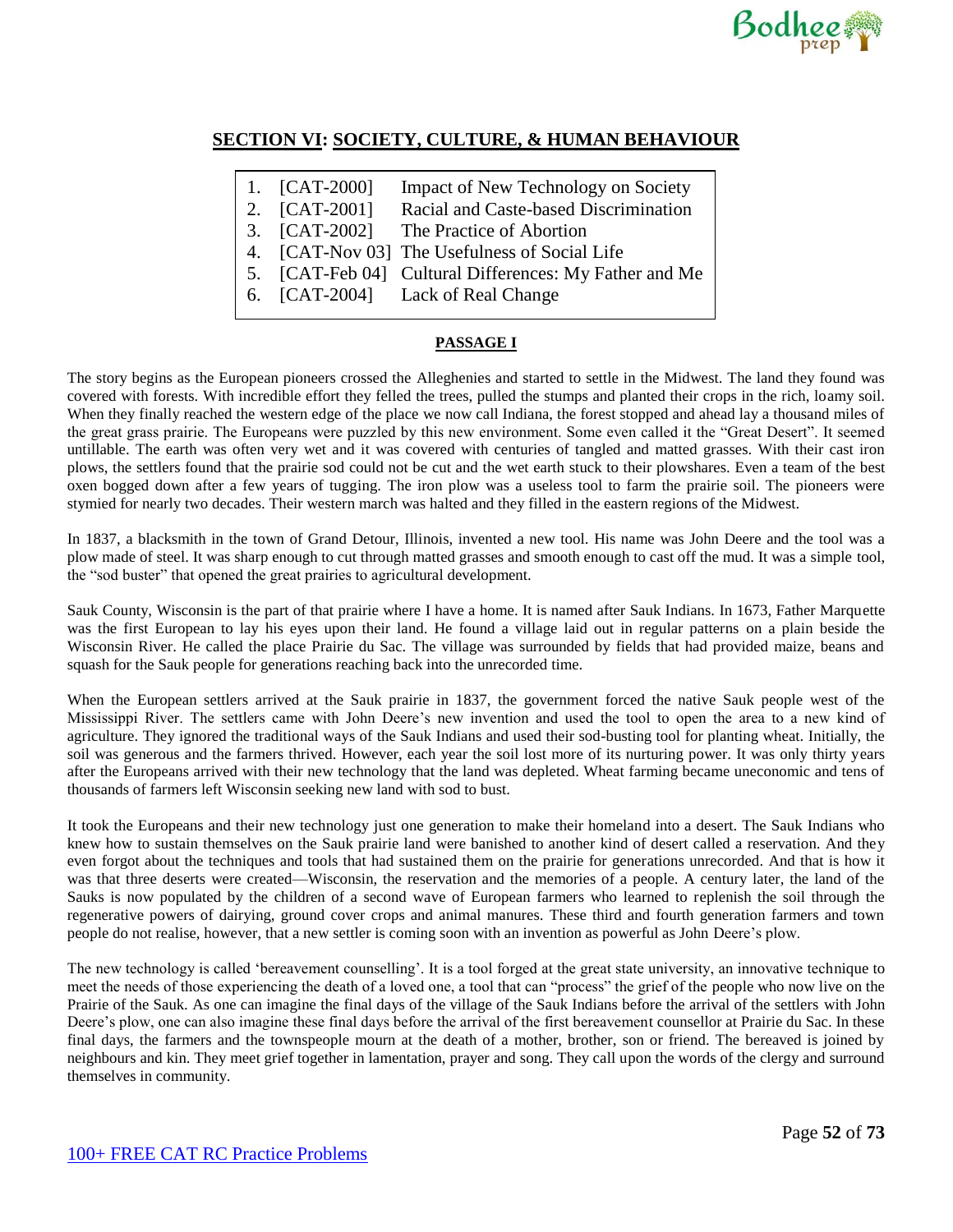

# **SECTION VI: SOCIETY, CULTURE, & HUMAN BEHAVIOUR**

| 1. $[CAT-2000]$ | <b>Impact of New Technology on Society</b>                       |
|-----------------|------------------------------------------------------------------|
| 2. [CAT-2001]   | Racial and Caste-based Discrimination                            |
|                 | 3. [CAT-2002] The Practice of Abortion                           |
|                 | 4. [CAT-Nov 03] The Usefulness of Social Life                    |
|                 | $\epsilon$ router to $\epsilon$ and $\epsilon$ to the $\epsilon$ |

- 5. [CAT-Feb 04] Cultural Differences: My Father and Me
- 6. [CAT-2004] Lack of Real Change

# **PASSAGE I**

The story begins as the European pioneers crossed the Alleghenies and started to settle in the Midwest. The land they found was covered with forests. With incredible effort they felled the trees, pulled the stumps and planted their crops in the rich, loamy soil. When they finally reached the western edge of the place we now call Indiana, the forest stopped and ahead lay a thousand miles of the great grass prairie. The Europeans were puzzled by this new environment. Some even called it the "Great Desert". It seemed untillable. The earth was often very wet and it was covered with centuries of tangled and matted grasses. With their cast iron plows, the settlers found that the prairie sod could not be cut and the wet earth stuck to their plowshares. Even a team of the best oxen bogged down after a few years of tugging. The iron plow was a useless tool to farm the prairie soil. The pioneers were stymied for nearly two decades. Their western march was halted and they filled in the eastern regions of the Midwest.

In 1837, a blacksmith in the town of Grand Detour, Illinois, invented a new tool. His name was John Deere and the tool was a plow made of steel. It was sharp enough to cut through matted grasses and smooth enough to cast off the mud. It was a simple tool, the "sod buster" that opened the great prairies to agricultural development.

Sauk County, Wisconsin is the part of that prairie where I have a home. It is named after Sauk Indians. In 1673, Father Marquette was the first European to lay his eyes upon their land. He found a village laid out in regular patterns on a plain beside the Wisconsin River. He called the place Prairie du Sac. The village was surrounded by fields that had provided maize, beans and squash for the Sauk people for generations reaching back into the unrecorded time.

When the European settlers arrived at the Sauk prairie in 1837, the government forced the native Sauk people west of the Mississippi River. The settlers came with John Deere's new invention and used the tool to open the area to a new kind of agriculture. They ignored the traditional ways of the Sauk Indians and used their sod-busting tool for planting wheat. Initially, the soil was generous and the farmers thrived. However, each year the soil lost more of its nurturing power. It was only thirty years after the Europeans arrived with their new technology that the land was depleted. Wheat farming became uneconomic and tens of thousands of farmers left Wisconsin seeking new land with sod to bust.

It took the Europeans and their new technology just one generation to make their homeland into a desert. The Sauk Indians who knew how to sustain themselves on the Sauk prairie land were banished to another kind of desert called a reservation. And they even forgot about the techniques and tools that had sustained them on the prairie for generations unrecorded. And that is how it was that three deserts were created—Wisconsin, the reservation and the memories of a people. A century later, the land of the Sauks is now populated by the children of a second wave of European farmers who learned to replenish the soil through the regenerative powers of dairying, ground cover crops and animal manures. These third and fourth generation farmers and town people do not realise, however, that a new settler is coming soon with an invention as powerful as John Deere's plow.

The new technology is called 'bereavement counselling'. It is a tool forged at the great state university, an innovative technique to meet the needs of those experiencing the death of a loved one, a tool that can "process" the grief of the people who now live on the Prairie of the Sauk. As one can imagine the final days of the village of the Sauk Indians before the arrival of the settlers with John Deere's plow, one can also imagine these final days before the arrival of the first bereavement counsellor at Prairie du Sac. In these final days, the farmers and the townspeople mourn at the death of a mother, brother, son or friend. The bereaved is joined by neighbours and kin. They meet grief together in lamentation, prayer and song. They call upon the words of the clergy and surround themselves in community.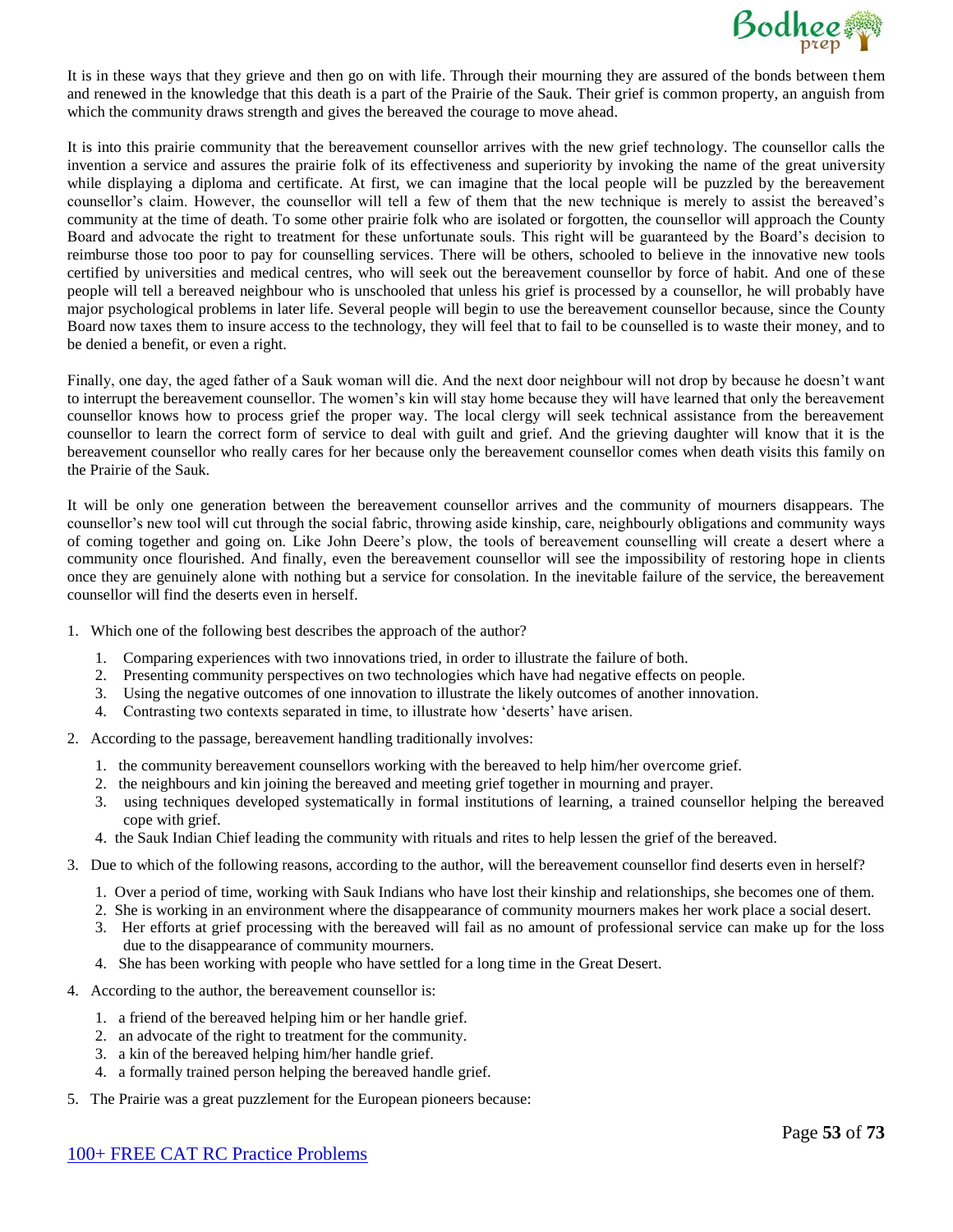

It is in these ways that they grieve and then go on with life. Through their mourning they are assured of the bonds between them and renewed in the knowledge that this death is a part of the Prairie of the Sauk. Their grief is common property, an anguish from which the community draws strength and gives the bereaved the courage to move ahead.

It is into this prairie community that the bereavement counsellor arrives with the new grief technology. The counsellor calls the invention a service and assures the prairie folk of its effectiveness and superiority by invoking the name of the great university while displaying a diploma and certificate. At first, we can imagine that the local people will be puzzled by the bereavement counsellor's claim. However, the counsellor will tell a few of them that the new technique is merely to assist the bereaved's community at the time of death. To some other prairie folk who are isolated or forgotten, the counsellor will approach the County Board and advocate the right to treatment for these unfortunate souls. This right will be guaranteed by the Board's decision to reimburse those too poor to pay for counselling services. There will be others, schooled to believe in the innovative new tools certified by universities and medical centres, who will seek out the bereavement counsellor by force of habit. And one of these people will tell a bereaved neighbour who is unschooled that unless his grief is processed by a counsellor, he will probably have major psychological problems in later life. Several people will begin to use the bereavement counsellor because, since the County Board now taxes them to insure access to the technology, they will feel that to fail to be counselled is to waste their money, and to be denied a benefit, or even a right.

Finally, one day, the aged father of a Sauk woman will die. And the next door neighbour will not drop by because he doesn't want to interrupt the bereavement counsellor. The women's kin will stay home because they will have learned that only the bereavement counsellor knows how to process grief the proper way. The local clergy will seek technical assistance from the bereavement counsellor to learn the correct form of service to deal with guilt and grief. And the grieving daughter will know that it is the bereavement counsellor who really cares for her because only the bereavement counsellor comes when death visits this family on the Prairie of the Sauk.

It will be only one generation between the bereavement counsellor arrives and the community of mourners disappears. The counsellor's new tool will cut through the social fabric, throwing aside kinship, care, neighbourly obligations and community ways of coming together and going on. Like John Deere's plow, the tools of bereavement counselling will create a desert where a community once flourished. And finally, even the bereavement counsellor will see the impossibility of restoring hope in clients once they are genuinely alone with nothing but a service for consolation. In the inevitable failure of the service, the bereavement counsellor will find the deserts even in herself.

- 1. Which one of the following best describes the approach of the author?
	- 1. Comparing experiences with two innovations tried, in order to illustrate the failure of both.
	- 2. Presenting community perspectives on two technologies which have had negative effects on people.
	- 3. Using the negative outcomes of one innovation to illustrate the likely outcomes of another innovation.
	- 4. Contrasting two contexts separated in time, to illustrate how 'deserts' have arisen.
- 2. According to the passage, bereavement handling traditionally involves:
	- 1. the community bereavement counsellors working with the bereaved to help him/her overcome grief.
	- 2. the neighbours and kin joining the bereaved and meeting grief together in mourning and prayer.
	- 3. using techniques developed systematically in formal institutions of learning, a trained counsellor helping the bereaved cope with grief.
	- 4. the Sauk Indian Chief leading the community with rituals and rites to help lessen the grief of the bereaved.
- 3. Due to which of the following reasons, according to the author, will the bereavement counsellor find deserts even in herself?
	- 1. Over a period of time, working with Sauk Indians who have lost their kinship and relationships, she becomes one of them.
	- 2. She is working in an environment where the disappearance of community mourners makes her work place a social desert.
	- 3. Her efforts at grief processing with the bereaved will fail as no amount of professional service can make up for the loss due to the disappearance of community mourners.
	- 4. She has been working with people who have settled for a long time in the Great Desert.
- 4. According to the author, the bereavement counsellor is:
	- 1. a friend of the bereaved helping him or her handle grief.
	- 2. an advocate of the right to treatment for the community.
	- 3. a kin of the bereaved helping him/her handle grief.
	- 4. a formally trained person helping the bereaved handle grief.
- 5. The Prairie was a great puzzlement for the European pioneers because: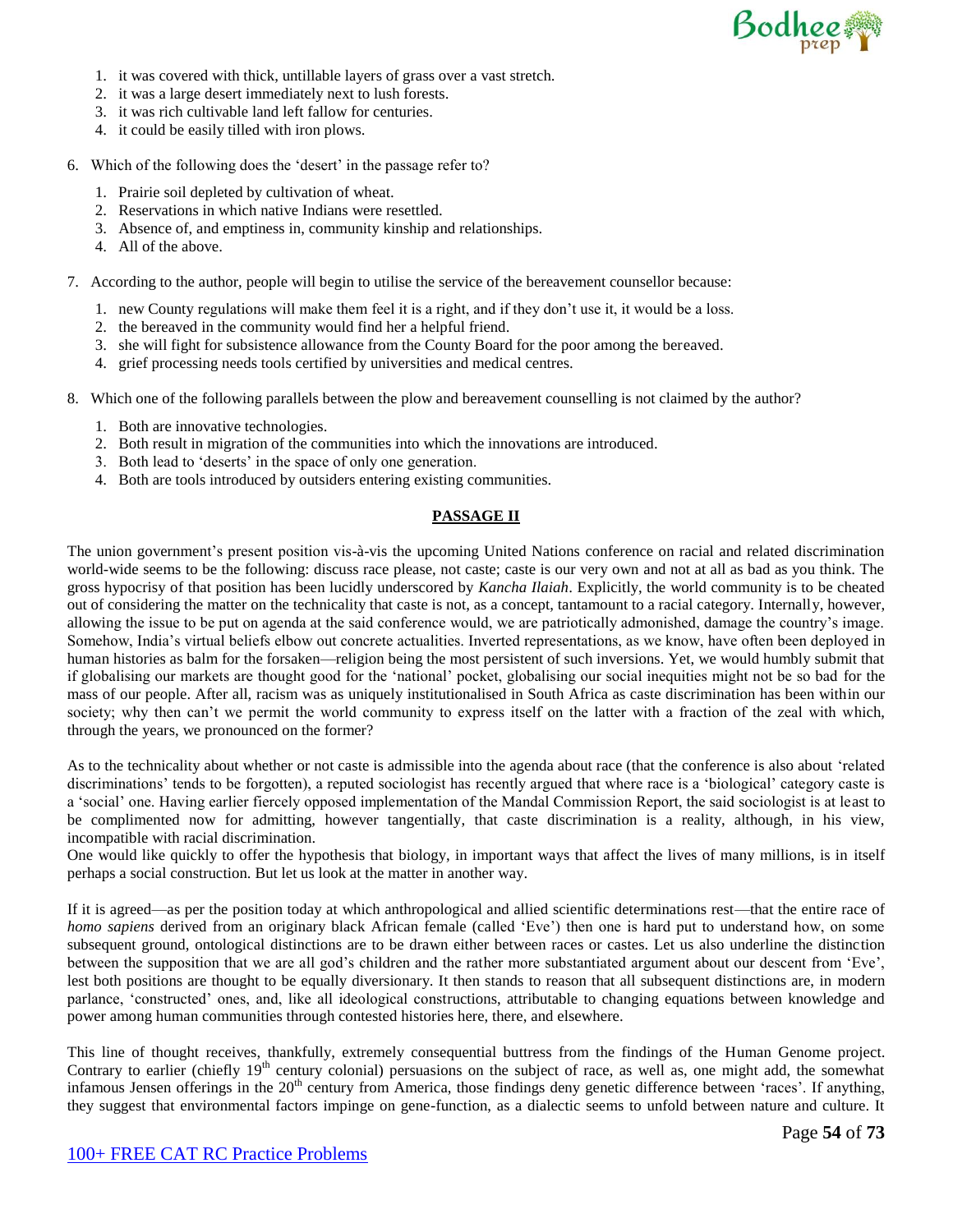

- 1. it was covered with thick, untillable layers of grass over a vast stretch.
- 2. it was a large desert immediately next to lush forests.
- 3. it was rich cultivable land left fallow for centuries.
- 4. it could be easily tilled with iron plows.
- 6. Which of the following does the 'desert' in the passage refer to?
	- 1. Prairie soil depleted by cultivation of wheat.
	- 2. Reservations in which native Indians were resettled.
	- 3. Absence of, and emptiness in, community kinship and relationships.
	- 4. All of the above.
- 7. According to the author, people will begin to utilise the service of the bereavement counsellor because:
	- 1. new County regulations will make them feel it is a right, and if they don't use it, it would be a loss.
	- 2. the bereaved in the community would find her a helpful friend.
	- 3. she will fight for subsistence allowance from the County Board for the poor among the bereaved.
	- 4. grief processing needs tools certified by universities and medical centres.
- 8. Which one of the following parallels between the plow and bereavement counselling is not claimed by the author?
	- 1. Both are innovative technologies.
	- 2. Both result in migration of the communities into which the innovations are introduced.
	- 3. Both lead to 'deserts' in the space of only one generation.
	- 4. Both are tools introduced by outsiders entering existing communities.

### **PASSAGE II**

The union government's present position vis-à-vis the upcoming United Nations conference on racial and related discrimination world-wide seems to be the following: discuss race please, not caste; caste is our very own and not at all as bad as you think. The gross hypocrisy of that position has been lucidly underscored by *Kancha Ilaiah*. Explicitly, the world community is to be cheated out of considering the matter on the technicality that caste is not, as a concept, tantamount to a racial category. Internally, however, allowing the issue to be put on agenda at the said conference would, we are patriotically admonished, damage the country's image. Somehow, India's virtual beliefs elbow out concrete actualities. Inverted representations, as we know, have often been deployed in human histories as balm for the forsaken—religion being the most persistent of such inversions. Yet, we would humbly submit that if globalising our markets are thought good for the 'national' pocket, globalising our social inequities might not be so bad for the mass of our people. After all, racism was as uniquely institutionalised in South Africa as caste discrimination has been within our society; why then can't we permit the world community to express itself on the latter with a fraction of the zeal with which, through the years, we pronounced on the former?

As to the technicality about whether or not caste is admissible into the agenda about race (that the conference is also about 'related discriminations' tends to be forgotten), a reputed sociologist has recently argued that where race is a 'biological' category caste is a 'social' one. Having earlier fiercely opposed implementation of the Mandal Commission Report, the said sociologist is at least to be complimented now for admitting, however tangentially, that caste discrimination is a reality, although, in his view, incompatible with racial discrimination.

One would like quickly to offer the hypothesis that biology, in important ways that affect the lives of many millions, is in itself perhaps a social construction. But let us look at the matter in another way.

If it is agreed—as per the position today at which anthropological and allied scientific determinations rest—that the entire race of *homo sapiens* derived from an originary black African female (called 'Eve') then one is hard put to understand how, on some subsequent ground, ontological distinctions are to be drawn either between races or castes. Let us also underline the distinction between the supposition that we are all god's children and the rather more substantiated argument about our descent from 'Eve', lest both positions are thought to be equally diversionary. It then stands to reason that all subsequent distinctions are, in modern parlance, 'constructed' ones, and, like all ideological constructions, attributable to changing equations between knowledge and power among human communities through contested histories here, there, and elsewhere.

This line of thought receives, thankfully, extremely consequential buttress from the findings of the Human Genome project. Contrary to earlier (chiefly  $19<sup>th</sup>$  century colonial) persuasions on the subject of race, as well as, one might add, the somewhat infamous Jensen offerings in the 20<sup>th</sup> century from America, those findings deny genetic difference between 'races'. If anything, they suggest that environmental factors impinge on gene-function, as a dialectic seems to unfold between nature and culture. It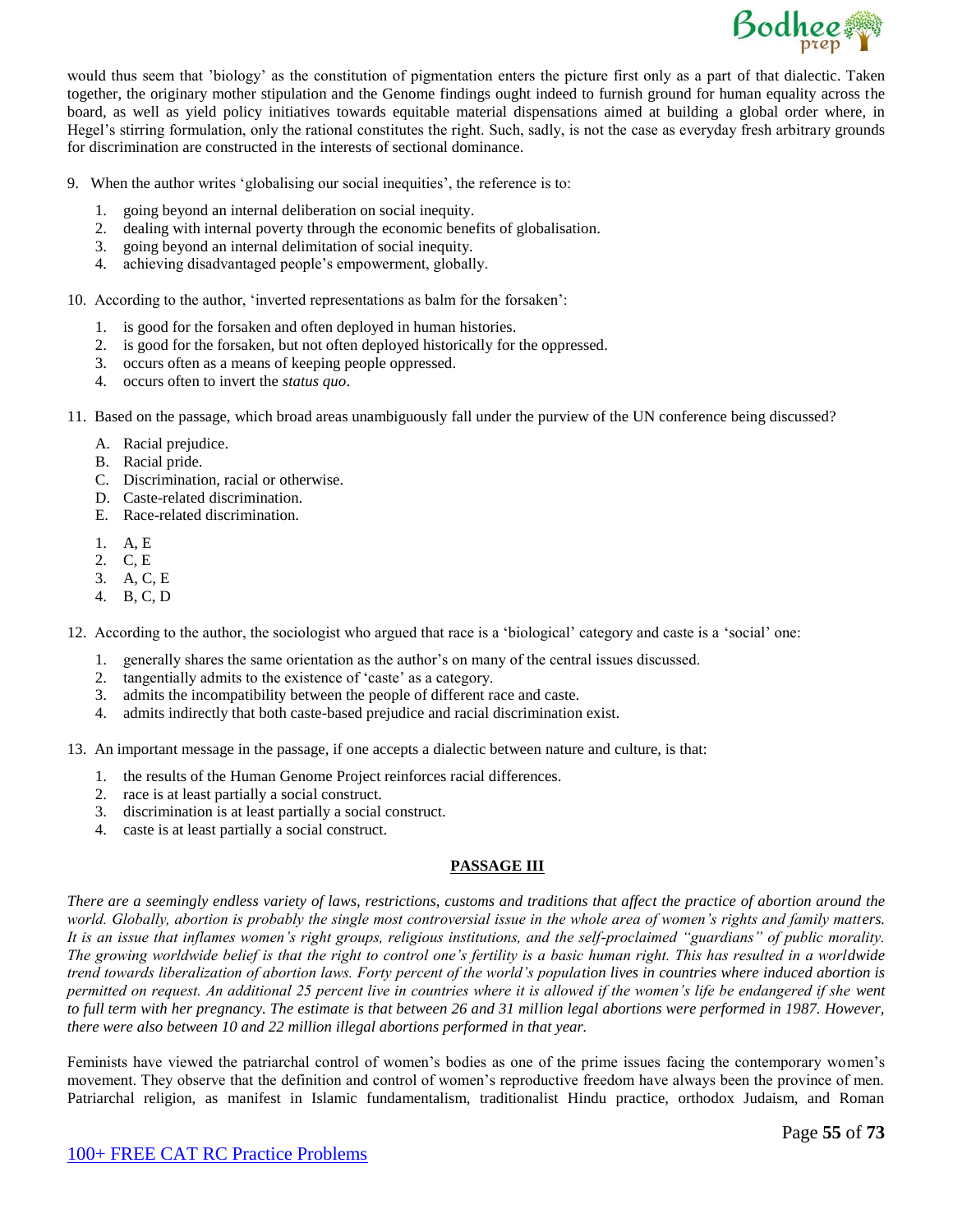

would thus seem that 'biology' as the constitution of pigmentation enters the picture first only as a part of that dialectic. Taken together, the originary mother stipulation and the Genome findings ought indeed to furnish ground for human equality across the board, as well as yield policy initiatives towards equitable material dispensations aimed at building a global order where, in Hegel's stirring formulation, only the rational constitutes the right. Such, sadly, is not the case as everyday fresh arbitrary grounds for discrimination are constructed in the interests of sectional dominance.

- 9. When the author writes 'globalising our social inequities', the reference is to:
	- 1. going beyond an internal deliberation on social inequity.
	- 2. dealing with internal poverty through the economic benefits of globalisation.
	- 3. going beyond an internal delimitation of social inequity.
	- 4. achieving disadvantaged people's empowerment, globally.

10. According to the author, 'inverted representations as balm for the forsaken':

- 1. is good for the forsaken and often deployed in human histories.
- 2. is good for the forsaken, but not often deployed historically for the oppressed.
- 3. occurs often as a means of keeping people oppressed.
- 4. occurs often to invert the *status quo*.
- 11. Based on the passage, which broad areas unambiguously fall under the purview of the UN conference being discussed?
	- A. Racial prejudice.
	- B. Racial pride.
	- C. Discrimination, racial or otherwise.
	- D. Caste-related discrimination.
	- E. Race-related discrimination.
	- 1. A, E
	- 2. C, E
	- 3. A, C, E
	- 4. B, C, D

12. According to the author, the sociologist who argued that race is a 'biological' category and caste is a 'social' one:

- 1. generally shares the same orientation as the author's on many of the central issues discussed.
- 2. tangentially admits to the existence of 'caste' as a category.
- 3. admits the incompatibility between the people of different race and caste.
- 4. admits indirectly that both caste-based prejudice and racial discrimination exist.

13. An important message in the passage, if one accepts a dialectic between nature and culture, is that:

- 1. the results of the Human Genome Project reinforces racial differences.
- 2. race is at least partially a social construct.
- 3. discrimination is at least partially a social construct.
- 4. caste is at least partially a social construct.

#### **PASSAGE III**

*There are a seemingly endless variety of laws, restrictions, customs and traditions that affect the practice of abortion around the world. Globally, abortion is probably the single most controversial issue in the whole area of women's rights and family matters. It is an issue that inflames women's right groups, religious institutions, and the self-proclaimed "guardians" of public morality. The growing worldwide belief is that the right to control one's fertility is a basic human right. This has resulted in a worldwide trend towards liberalization of abortion laws. Forty percent of the world's population lives in countries where induced abortion is permitted on request. An additional 25 percent live in countries where it is allowed if the women's life be endangered if she went*  to full term with her pregnancy. The estimate is that between 26 and 31 million legal abortions were performed in 1987. However, *there were also between 10 and 22 million illegal abortions performed in that year.*

Feminists have viewed the patriarchal control of women's bodies as one of the prime issues facing the contemporary women's movement. They observe that the definition and control of women's reproductive freedom have always been the province of men. Patriarchal religion, as manifest in Islamic fundamentalism, traditionalist Hindu practice, orthodox Judaism, and Roman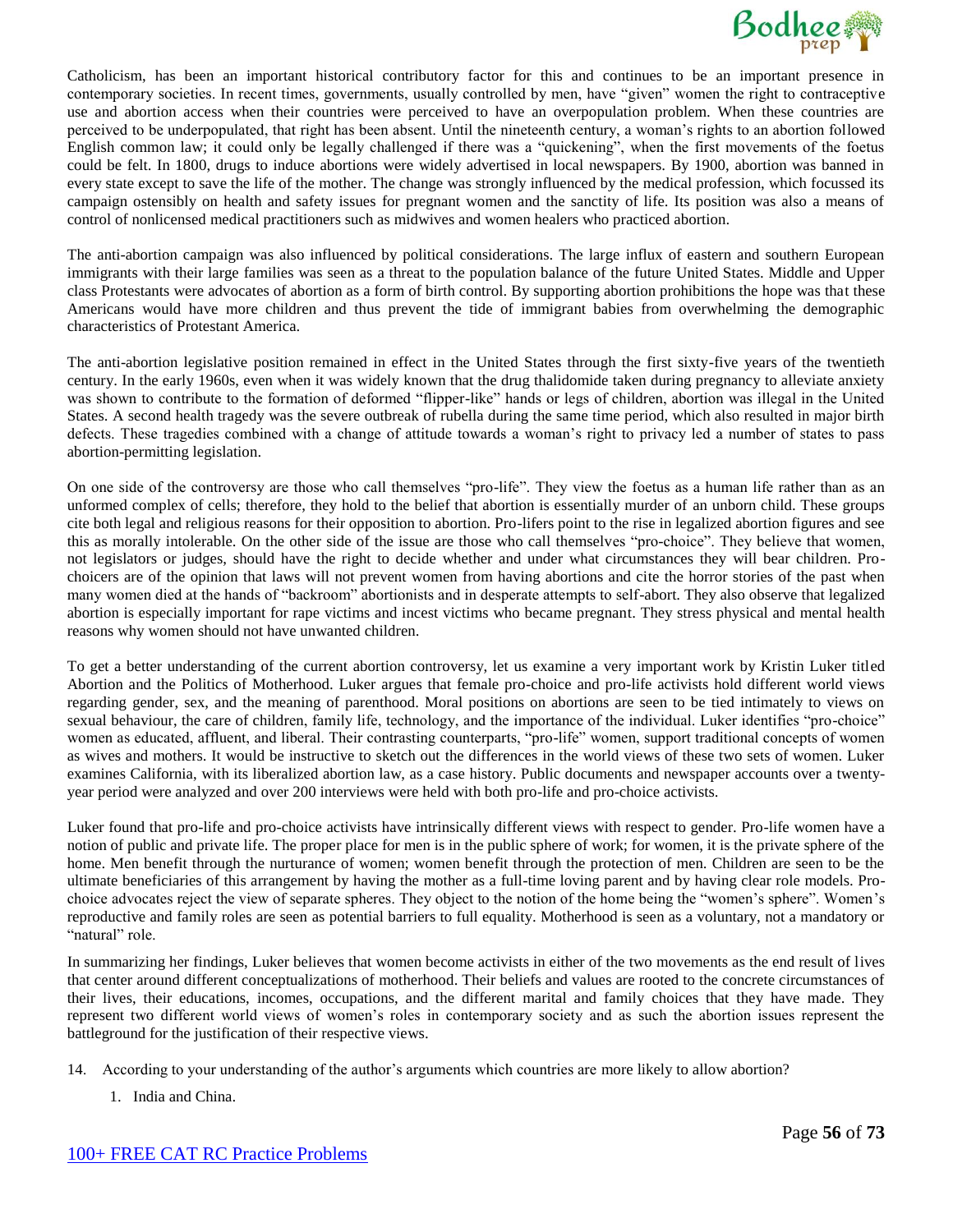

Catholicism, has been an important historical contributory factor for this and continues to be an important presence in contemporary societies. In recent times, governments, usually controlled by men, have "given" women the right to contraceptive use and abortion access when their countries were perceived to have an overpopulation problem. When these countries are perceived to be underpopulated, that right has been absent. Until the nineteenth century, a woman's rights to an abortion followed English common law; it could only be legally challenged if there was a "quickening", when the first movements of the foetus could be felt. In 1800, drugs to induce abortions were widely advertised in local newspapers. By 1900, abortion was banned in every state except to save the life of the mother. The change was strongly influenced by the medical profession, which focussed its campaign ostensibly on health and safety issues for pregnant women and the sanctity of life. Its position was also a means of control of nonlicensed medical practitioners such as midwives and women healers who practiced abortion.

The anti-abortion campaign was also influenced by political considerations. The large influx of eastern and southern European immigrants with their large families was seen as a threat to the population balance of the future United States. Middle and Upper class Protestants were advocates of abortion as a form of birth control. By supporting abortion prohibitions the hope was that these Americans would have more children and thus prevent the tide of immigrant babies from overwhelming the demographic characteristics of Protestant America.

The anti-abortion legislative position remained in effect in the United States through the first sixty-five years of the twentieth century. In the early 1960s, even when it was widely known that the drug thalidomide taken during pregnancy to alleviate anxiety was shown to contribute to the formation of deformed "flipper-like" hands or legs of children, abortion was illegal in the United States. A second health tragedy was the severe outbreak of rubella during the same time period, which also resulted in major birth defects. These tragedies combined with a change of attitude towards a woman's right to privacy led a number of states to pass abortion-permitting legislation.

On one side of the controversy are those who call themselves "pro-life". They view the foetus as a human life rather than as an unformed complex of cells; therefore, they hold to the belief that abortion is essentially murder of an unborn child. These groups cite both legal and religious reasons for their opposition to abortion. Pro-lifers point to the rise in legalized abortion figures and see this as morally intolerable. On the other side of the issue are those who call themselves "pro-choice". They believe that women, not legislators or judges, should have the right to decide whether and under what circumstances they will bear children. Prochoicers are of the opinion that laws will not prevent women from having abortions and cite the horror stories of the past when many women died at the hands of "backroom" abortionists and in desperate attempts to self-abort. They also observe that legalized abortion is especially important for rape victims and incest victims who became pregnant. They stress physical and mental health reasons why women should not have unwanted children.

To get a better understanding of the current abortion controversy, let us examine a very important work by Kristin Luker titled Abortion and the Politics of Motherhood. Luker argues that female pro-choice and pro-life activists hold different world views regarding gender, sex, and the meaning of parenthood. Moral positions on abortions are seen to be tied intimately to views on sexual behaviour, the care of children, family life, technology, and the importance of the individual. Luker identifies "pro-choice" women as educated, affluent, and liberal. Their contrasting counterparts, "pro-life" women, support traditional concepts of women as wives and mothers. It would be instructive to sketch out the differences in the world views of these two sets of women. Luker examines California, with its liberalized abortion law, as a case history. Public documents and newspaper accounts over a twentyyear period were analyzed and over 200 interviews were held with both pro-life and pro-choice activists.

Luker found that pro-life and pro-choice activists have intrinsically different views with respect to gender. Pro-life women have a notion of public and private life. The proper place for men is in the public sphere of work; for women, it is the private sphere of the home. Men benefit through the nurturance of women; women benefit through the protection of men. Children are seen to be the ultimate beneficiaries of this arrangement by having the mother as a full-time loving parent and by having clear role models. Prochoice advocates reject the view of separate spheres. They object to the notion of the home being the "women's sphere". Women's reproductive and family roles are seen as potential barriers to full equality. Motherhood is seen as a voluntary, not a mandatory or "natural" role.

In summarizing her findings, Luker believes that women become activists in either of the two movements as the end result of lives that center around different conceptualizations of motherhood. Their beliefs and values are rooted to the concrete circumstances of their lives, their educations, incomes, occupations, and the different marital and family choices that they have made. They represent two different world views of women's roles in contemporary society and as such the abortion issues represent the battleground for the justification of their respective views.

- 14. According to your understanding of the author's arguments which countries are more likely to allow abortion?
	- 1. India and China.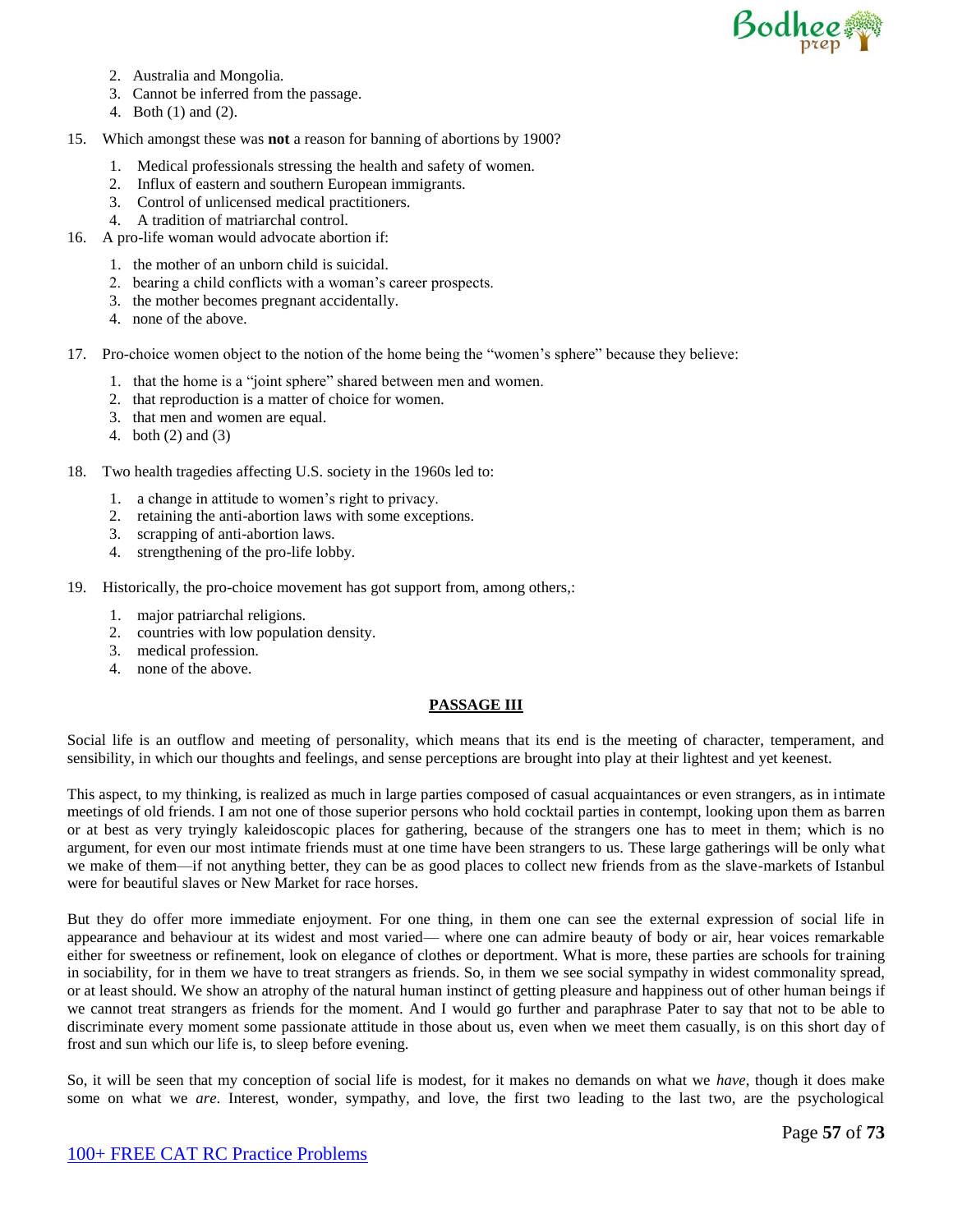

- 2. Australia and Mongolia.
- 3. Cannot be inferred from the passage.
- 4. Both (1) and (2).
- 15. Which amongst these was **not** a reason for banning of abortions by 1900?
	- 1. Medical professionals stressing the health and safety of women.
	- 2. Influx of eastern and southern European immigrants.
	- 3. Control of unlicensed medical practitioners.
	- 4. A tradition of matriarchal control.
- 16. A pro-life woman would advocate abortion if:
	- 1. the mother of an unborn child is suicidal.
	- 2. bearing a child conflicts with a woman's career prospects.
	- 3. the mother becomes pregnant accidentally.
	- 4. none of the above.
- 17. Pro-choice women object to the notion of the home being the "women's sphere" because they believe:
	- 1. that the home is a "joint sphere" shared between men and women.
	- 2. that reproduction is a matter of choice for women.
	- 3. that men and women are equal.
	- 4. both (2) and (3)
- 18. Two health tragedies affecting U.S. society in the 1960s led to:
	- 1. a change in attitude to women's right to privacy.
	- 2. retaining the anti-abortion laws with some exceptions.
	- 3. scrapping of anti-abortion laws.
	- 4. strengthening of the pro-life lobby.
- 19. Historically, the pro-choice movement has got support from, among others,:
	- 1. major patriarchal religions.
	- 2. countries with low population density.
	- 3. medical profession.
	- 4. none of the above.

#### **PASSAGE III**

Social life is an outflow and meeting of personality, which means that its end is the meeting of character, temperament, and sensibility, in which our thoughts and feelings, and sense perceptions are brought into play at their lightest and yet keenest.

This aspect, to my thinking, is realized as much in large parties composed of casual acquaintances or even strangers, as in intimate meetings of old friends. I am not one of those superior persons who hold cocktail parties in contempt, looking upon them as barren or at best as very tryingly kaleidoscopic places for gathering, because of the strangers one has to meet in them; which is no argument, for even our most intimate friends must at one time have been strangers to us. These large gatherings will be only what we make of them—if not anything better, they can be as good places to collect new friends from as the slave-markets of Istanbul were for beautiful slaves or New Market for race horses.

But they do offer more immediate enjoyment. For one thing, in them one can see the external expression of social life in appearance and behaviour at its widest and most varied— where one can admire beauty of body or air, hear voices remarkable either for sweetness or refinement, look on elegance of clothes or deportment. What is more, these parties are schools for training in sociability, for in them we have to treat strangers as friends. So, in them we see social sympathy in widest commonality spread, or at least should. We show an atrophy of the natural human instinct of getting pleasure and happiness out of other human beings if we cannot treat strangers as friends for the moment. And I would go further and paraphrase Pater to say that not to be able to discriminate every moment some passionate attitude in those about us, even when we meet them casually, is on this short day of frost and sun which our life is, to sleep before evening.

So, it will be seen that my conception of social life is modest, for it makes no demands on what we *have*, though it does make some on what we *are*. Interest, wonder, sympathy, and love, the first two leading to the last two, are the psychological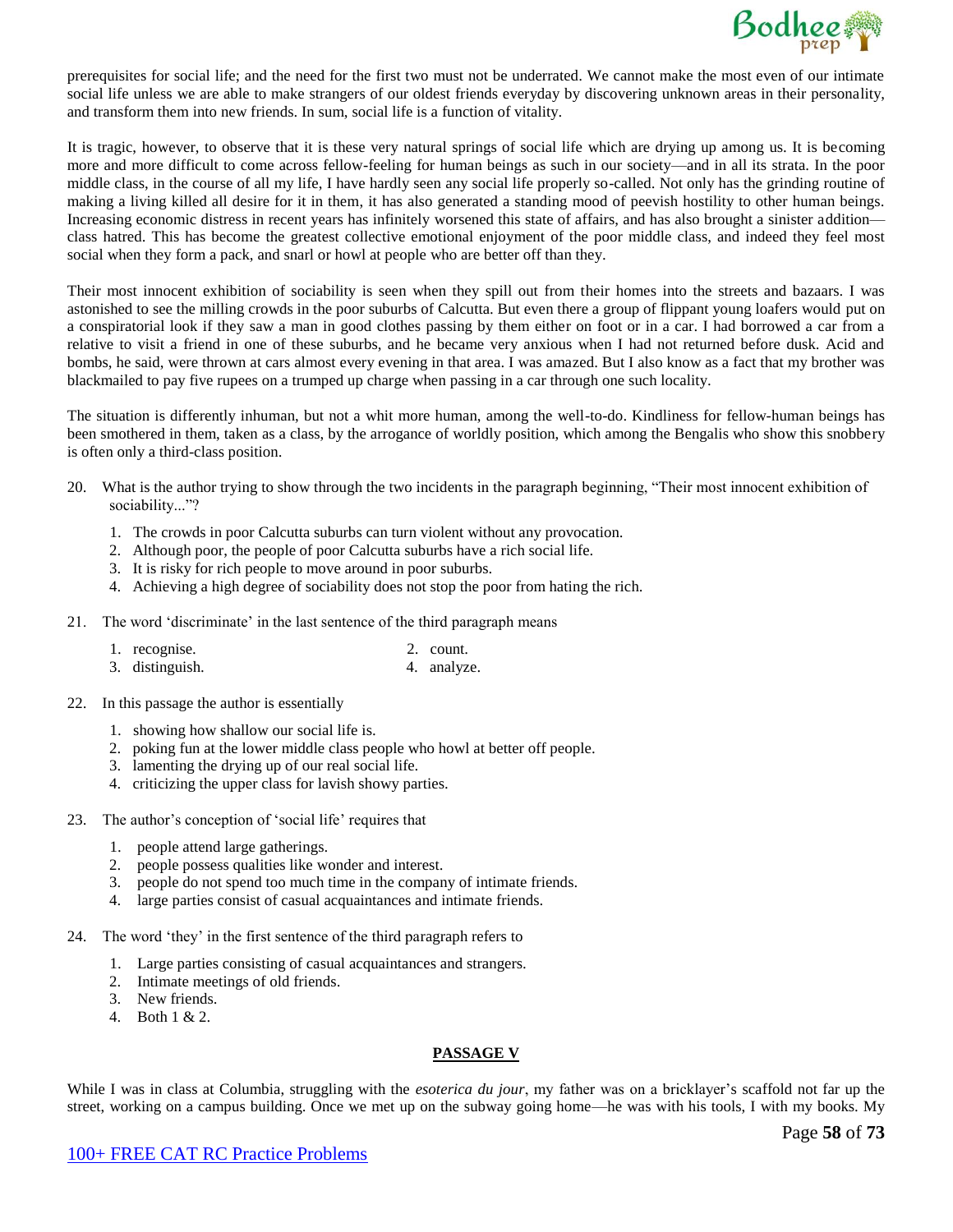

prerequisites for social life; and the need for the first two must not be underrated. We cannot make the most even of our intimate social life unless we are able to make strangers of our oldest friends everyday by discovering unknown areas in their personality, and transform them into new friends. In sum, social life is a function of vitality.

It is tragic, however, to observe that it is these very natural springs of social life which are drying up among us. It is becoming more and more difficult to come across fellow-feeling for human beings as such in our society—and in all its strata. In the poor middle class, in the course of all my life, I have hardly seen any social life properly so-called. Not only has the grinding routine of making a living killed all desire for it in them, it has also generated a standing mood of peevish hostility to other human beings. Increasing economic distress in recent years has infinitely worsened this state of affairs, and has also brought a sinister addition class hatred. This has become the greatest collective emotional enjoyment of the poor middle class, and indeed they feel most social when they form a pack, and snarl or howl at people who are better off than they.

Their most innocent exhibition of sociability is seen when they spill out from their homes into the streets and bazaars. I was astonished to see the milling crowds in the poor suburbs of Calcutta. But even there a group of flippant young loafers would put on a conspiratorial look if they saw a man in good clothes passing by them either on foot or in a car. I had borrowed a car from a relative to visit a friend in one of these suburbs, and he became very anxious when I had not returned before dusk. Acid and bombs, he said, were thrown at cars almost every evening in that area. I was amazed. But I also know as a fact that my brother was blackmailed to pay five rupees on a trumped up charge when passing in a car through one such locality.

The situation is differently inhuman, but not a whit more human, among the well-to-do. Kindliness for fellow-human beings has been smothered in them, taken as a class, by the arrogance of worldly position, which among the Bengalis who show this snobbery is often only a third-class position.

- 20. What is the author trying to show through the two incidents in the paragraph beginning, "Their most innocent exhibition of sociability..."?
	- 1. The crowds in poor Calcutta suburbs can turn violent without any provocation.
	- 2. Although poor, the people of poor Calcutta suburbs have a rich social life.
	- 3. It is risky for rich people to move around in poor suburbs.
	- 4. Achieving a high degree of sociability does not stop the poor from hating the rich.
- 21. The word 'discriminate' in the last sentence of the third paragraph means
	- 1. recognise. 2. count.
	- 3. distinguish. 4. analyze.
- 22. In this passage the author is essentially
	- 1. showing how shallow our social life is.
	- 2. poking fun at the lower middle class people who howl at better off people.
	- 3. lamenting the drying up of our real social life.
	- 4. criticizing the upper class for lavish showy parties.
- 23. The author's conception of 'social life' requires that
	- 1. people attend large gatherings.
	- 2. people possess qualities like wonder and interest.
	- 3. people do not spend too much time in the company of intimate friends.
	- 4. large parties consist of casual acquaintances and intimate friends.
- 24. The word 'they' in the first sentence of the third paragraph refers to
	- 1. Large parties consisting of casual acquaintances and strangers.
	- 2. Intimate meetings of old friends.
	- 3. New friends.
	- 4. Both 1 & 2.

#### **PASSAGE V**

While I was in class at Columbia, struggling with the *esoterica du jour*, my father was on a bricklayer's scaffold not far up the street, working on a campus building. Once we met up on the subway going home—he was with his tools, I with my books. My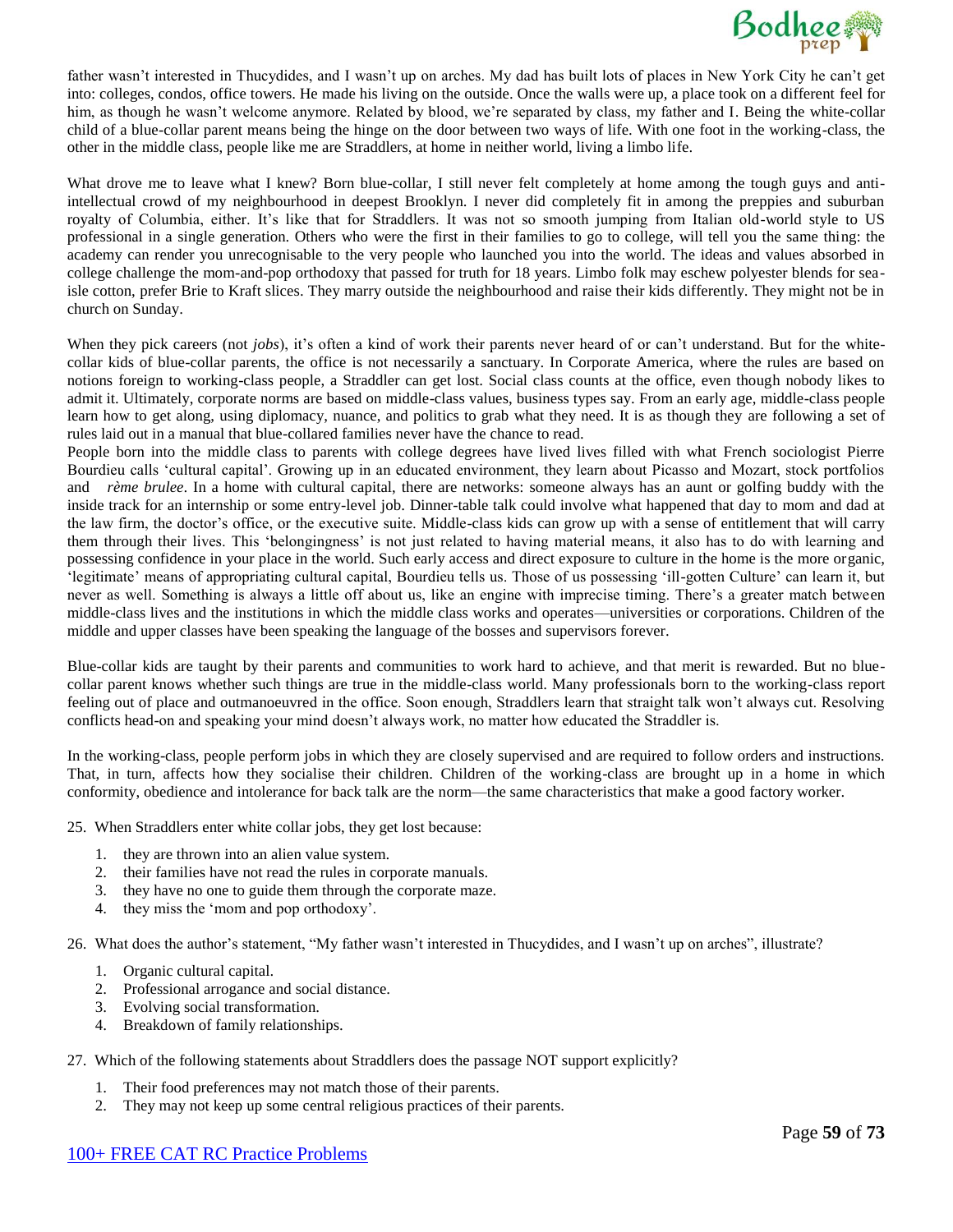

father wasn't interested in Thucydides, and I wasn't up on arches. My dad has built lots of places in New York City he can't get into: colleges, condos, office towers. He made his living on the outside. Once the walls were up, a place took on a different feel for him, as though he wasn't welcome anymore. Related by blood, we're separated by class, my father and I. Being the white-collar child of a blue-collar parent means being the hinge on the door between two ways of life. With one foot in the working-class, the other in the middle class, people like me are Straddlers, at home in neither world, living a limbo life.

What drove me to leave what I knew? Born blue-collar, I still never felt completely at home among the tough guys and antiintellectual crowd of my neighbourhood in deepest Brooklyn. I never did completely fit in among the preppies and suburban royalty of Columbia, either. It's like that for Straddlers. It was not so smooth jumping from Italian old-world style to US professional in a single generation. Others who were the first in their families to go to college, will tell you the same thing: the academy can render you unrecognisable to the very people who launched you into the world. The ideas and values absorbed in college challenge the mom-and-pop orthodoxy that passed for truth for 18 years. Limbo folk may eschew polyester blends for seaisle cotton, prefer Brie to Kraft slices. They marry outside the neighbourhood and raise their kids differently. They might not be in church on Sunday.

When they pick careers (not *jobs*), it's often a kind of work their parents never heard of or can't understand. But for the whitecollar kids of blue-collar parents, the office is not necessarily a sanctuary. In Corporate America, where the rules are based on notions foreign to working-class people, a Straddler can get lost. Social class counts at the office, even though nobody likes to admit it. Ultimately, corporate norms are based on middle-class values, business types say. From an early age, middle-class people learn how to get along, using diplomacy, nuance, and politics to grab what they need. It is as though they are following a set of rules laid out in a manual that blue-collared families never have the chance to read.

People born into the middle class to parents with college degrees have lived lives filled with what French sociologist Pierre Bourdieu calls 'cultural capital'. Growing up in an educated environment, they learn about Picasso and Mozart, stock portfolios and *rème brulee*. In a home with cultural capital, there are networks: someone always has an aunt or golfing buddy with the inside track for an internship or some entry-level job. Dinner-table talk could involve what happened that day to mom and dad at the law firm, the doctor's office, or the executive suite. Middle-class kids can grow up with a sense of entitlement that will carry them through their lives. This 'belongingness' is not just related to having material means, it also has to do with learning and possessing confidence in your place in the world. Such early access and direct exposure to culture in the home is the more organic, 'legitimate' means of appropriating cultural capital, Bourdieu tells us. Those of us possessing 'ill-gotten Culture' can learn it, but never as well. Something is always a little off about us, like an engine with imprecise timing. There's a greater match between middle-class lives and the institutions in which the middle class works and operates—universities or corporations. Children of the middle and upper classes have been speaking the language of the bosses and supervisors forever.

Blue-collar kids are taught by their parents and communities to work hard to achieve, and that merit is rewarded. But no bluecollar parent knows whether such things are true in the middle-class world. Many professionals born to the working-class report feeling out of place and outmanoeuvred in the office. Soon enough, Straddlers learn that straight talk won't always cut. Resolving conflicts head-on and speaking your mind doesn't always work, no matter how educated the Straddler is.

In the working-class, people perform jobs in which they are closely supervised and are required to follow orders and instructions. That, in turn, affects how they socialise their children. Children of the working-class are brought up in a home in which conformity, obedience and intolerance for back talk are the norm—the same characteristics that make a good factory worker.

25. When Straddlers enter white collar jobs, they get lost because:

- 1. they are thrown into an alien value system.
- 2. their families have not read the rules in corporate manuals.
- 3. they have no one to guide them through the corporate maze.
- 4. they miss the 'mom and pop orthodoxy'.

26. What does the author's statement, "My father wasn't interested in Thucydides, and I wasn't up on arches", illustrate?

- 1. Organic cultural capital.
- 2. Professional arrogance and social distance.
- 3. Evolving social transformation.
- 4. Breakdown of family relationships.
- 27. Which of the following statements about Straddlers does the passage NOT support explicitly?
	- 1. Their food preferences may not match those of their parents.
	- 2. They may not keep up some central religious practices of their parents.

# 100+ FREE CAT RC Practice Problems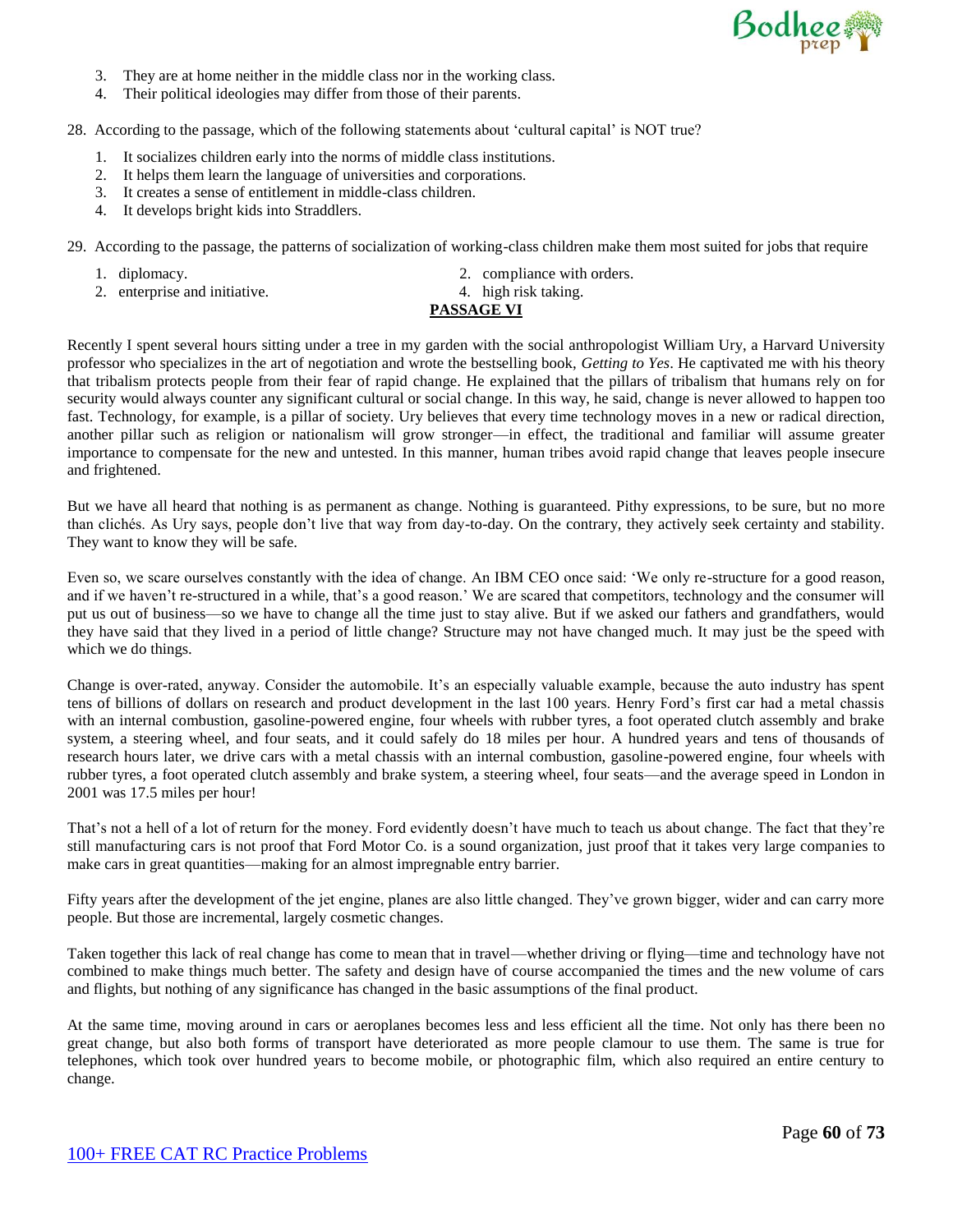

- 3. They are at home neither in the middle class nor in the working class.
- 4. Their political ideologies may differ from those of their parents.

28. According to the passage, which of the following statements about 'cultural capital' is NOT true?

- 1. It socializes children early into the norms of middle class institutions.
- 2. It helps them learn the language of universities and corporations.
- 3. It creates a sense of entitlement in middle-class children.
- 4. It develops bright kids into Straddlers.

29. According to the passage, the patterns of socialization of working-class children make them most suited for jobs that require

| 1. diplomacy.                 | 2. compliance with orders. |
|-------------------------------|----------------------------|
| 2. enterprise and initiative. | 4. high risk taking.       |
|                               | <b>PASSAGE VI</b>          |

Recently I spent several hours sitting under a tree in my garden with the social anthropologist William Ury, a Harvard University professor who specializes in the art of negotiation and wrote the bestselling book, *Getting to Yes*. He captivated me with his theory that tribalism protects people from their fear of rapid change. He explained that the pillars of tribalism that humans rely on for security would always counter any significant cultural or social change. In this way, he said, change is never allowed to happen too fast. Technology, for example, is a pillar of society. Ury believes that every time technology moves in a new or radical direction, another pillar such as religion or nationalism will grow stronger—in effect, the traditional and familiar will assume greater importance to compensate for the new and untested. In this manner, human tribes avoid rapid change that leaves people insecure and frightened.

But we have all heard that nothing is as permanent as change. Nothing is guaranteed. Pithy expressions, to be sure, but no more than clichés. As Ury says, people don't live that way from day-to-day. On the contrary, they actively seek certainty and stability. They want to know they will be safe.

Even so, we scare ourselves constantly with the idea of change. An IBM CEO once said: 'We only re-structure for a good reason, and if we haven't re-structured in a while, that's a good reason.' We are scared that competitors, technology and the consumer will put us out of business—so we have to change all the time just to stay alive. But if we asked our fathers and grandfathers, would they have said that they lived in a period of little change? Structure may not have changed much. It may just be the speed with which we do things.

Change is over-rated, anyway. Consider the automobile. It's an especially valuable example, because the auto industry has spent tens of billions of dollars on research and product development in the last 100 years. Henry Ford's first car had a metal chassis with an internal combustion, gasoline-powered engine, four wheels with rubber tyres, a foot operated clutch assembly and brake system, a steering wheel, and four seats, and it could safely do 18 miles per hour. A hundred years and tens of thousands of research hours later, we drive cars with a metal chassis with an internal combustion, gasoline-powered engine, four wheels with rubber tyres, a foot operated clutch assembly and brake system, a steering wheel, four seats—and the average speed in London in 2001 was 17.5 miles per hour!

That's not a hell of a lot of return for the money. Ford evidently doesn't have much to teach us about change. The fact that they're still manufacturing cars is not proof that Ford Motor Co. is a sound organization, just proof that it takes very large companies to make cars in great quantities—making for an almost impregnable entry barrier.

Fifty years after the development of the jet engine, planes are also little changed. They've grown bigger, wider and can carry more people. But those are incremental, largely cosmetic changes.

Taken together this lack of real change has come to mean that in travel—whether driving or flying—time and technology have not combined to make things much better. The safety and design have of course accompanied the times and the new volume of cars and flights, but nothing of any significance has changed in the basic assumptions of the final product.

At the same time, moving around in cars or aeroplanes becomes less and less efficient all the time. Not only has there been no great change, but also both forms of transport have deteriorated as more people clamour to use them. The same is true for telephones, which took over hundred years to become mobile, or photographic film, which also required an entire century to change.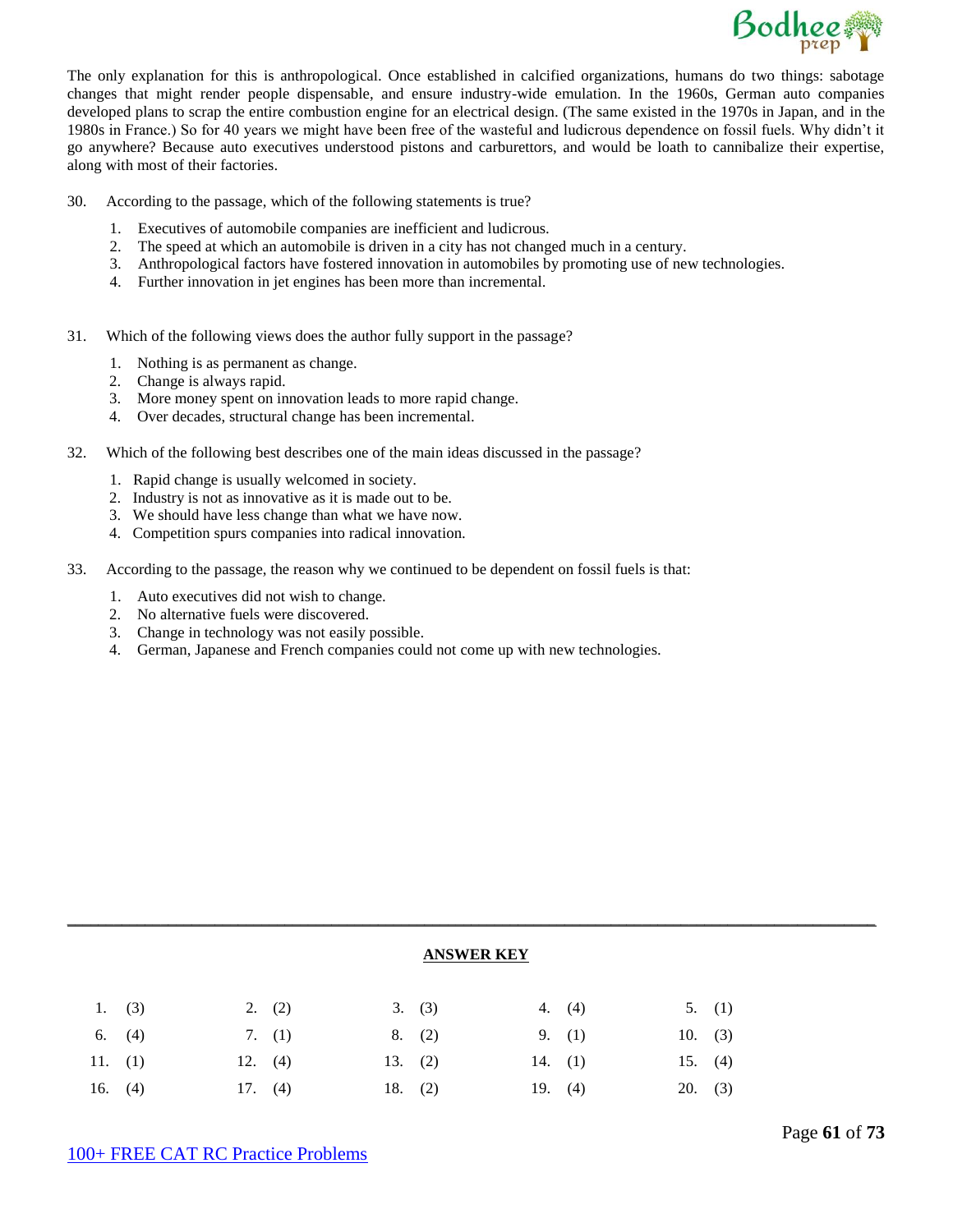

The only explanation for this is anthropological. Once established in calcified organizations, humans do two things: sabotage changes that might render people dispensable, and ensure industry-wide emulation. In the 1960s, German auto companies developed plans to scrap the entire combustion engine for an electrical design. (The same existed in the 1970s in Japan, and in the 1980s in France.) So for 40 years we might have been free of the wasteful and ludicrous dependence on fossil fuels. Why didn't it go anywhere? Because auto executives understood pistons and carburettors, and would be loath to cannibalize their expertise, along with most of their factories.

30. According to the passage, which of the following statements is true?

- 1. Executives of automobile companies are inefficient and ludicrous.
- 2. The speed at which an automobile is driven in a city has not changed much in a century.
- 3. Anthropological factors have fostered innovation in automobiles by promoting use of new technologies.
- 4. Further innovation in jet engines has been more than incremental.
- 31. Which of the following views does the author fully support in the passage?
	- 1. Nothing is as permanent as change.
	- 2. Change is always rapid.
	- 3. More money spent on innovation leads to more rapid change.
	- 4. Over decades, structural change has been incremental.
- 32. Which of the following best describes one of the main ideas discussed in the passage?
	- 1. Rapid change is usually welcomed in society.
	- 2. Industry is not as innovative as it is made out to be.
	- 3. We should have less change than what we have now.
	- 4. Competition spurs companies into radical innovation.
- 33. According to the passage, the reason why we continued to be dependent on fossil fuels is that:
	- 1. Auto executives did not wish to change.
	- 2. No alternative fuels were discovered.
	- 3. Change in technology was not easily possible.
	- 4. German, Japanese and French companies could not come up with new technologies.

|           |          |           |           | <b>ANSWER KEY</b> |           |            |
|-----------|----------|-----------|-----------|-------------------|-----------|------------|
|           | 1. $(3)$ | 2. $(2)$  | 3. (3)    |                   | 4. $(4)$  | 5. (1)     |
|           | 6. $(4)$ | 7. $(1)$  | 8. (2)    |                   | 9. $(1)$  | 10. $(3)$  |
| 11. $(1)$ |          | 12. $(4)$ | 13. $(2)$ |                   | 14. $(1)$ | 15. $(4)$  |
| 16.       | (4)      | 17. $(4)$ | 18. $(2)$ | 19.               | (4)       | 20.<br>(3) |

\_\_\_\_\_\_\_\_\_\_\_\_\_\_\_\_\_\_\_\_\_\_\_\_\_\_\_\_\_\_\_\_\_\_\_\_\_\_\_\_\_\_\_\_\_\_\_\_\_\_\_\_\_\_\_\_\_\_\_\_\_\_\_\_\_\_\_\_\_\_\_\_\_\_\_\_\_\_\_\_\_\_\_\_\_\_\_\_\_\_\_\_\_\_\_\_\_\_\_\_\_\_\_\_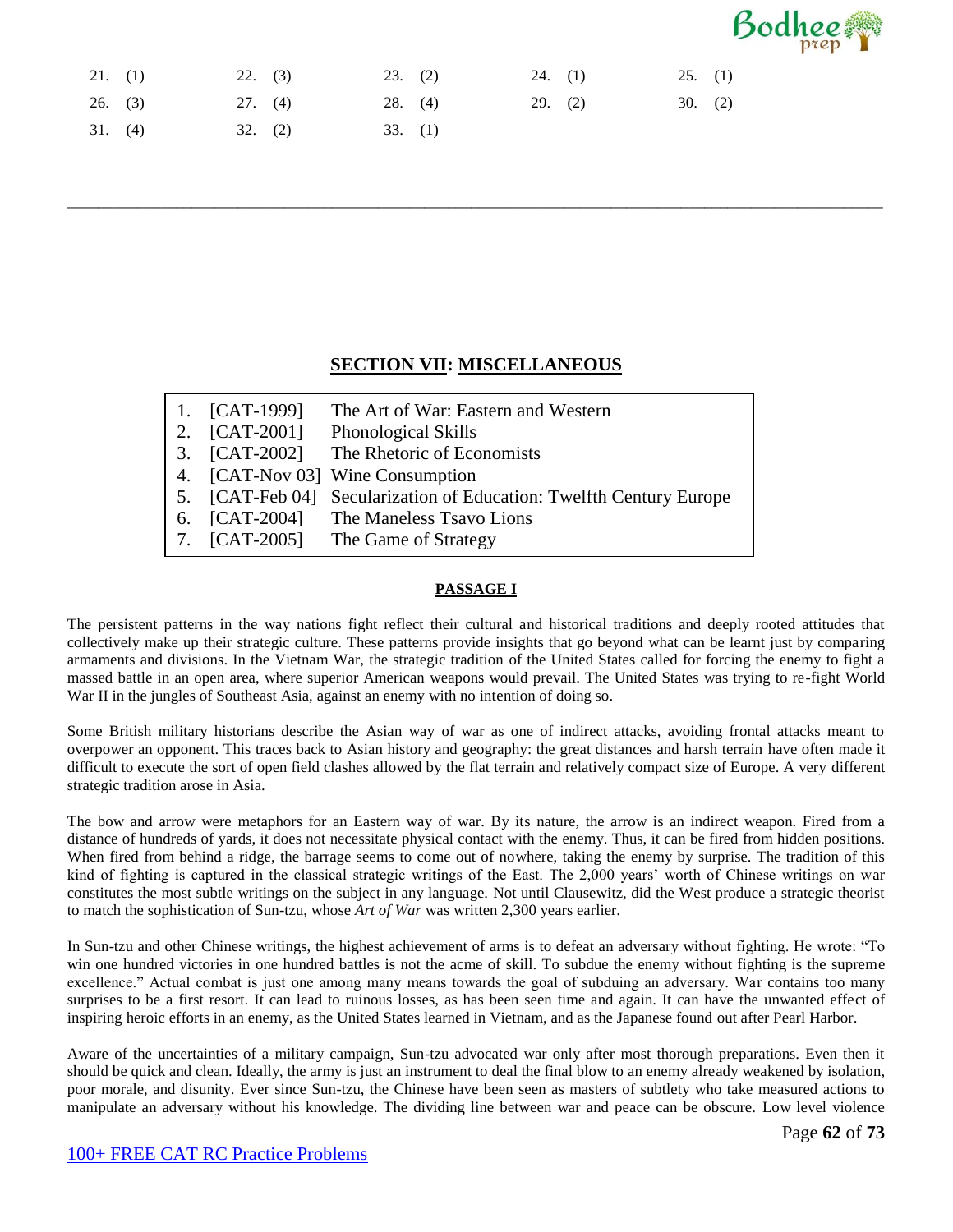

| 21. $(1)$ | $22.$ (3) | 23. (2)         | 24. $(1)$ | 25. $(1)$ |  |
|-----------|-----------|-----------------|-----------|-----------|--|
| $26.$ (3) | 27. $(4)$ | 28. $(4)$       | $29.$ (2) | 30. $(2)$ |  |
| 31. (4)   | 32. (2)   | $33. \quad (1)$ |           |           |  |

# **SECTION VII: MISCELLANEOUS**

\_\_\_\_\_\_\_\_\_\_\_\_\_\_\_\_\_\_\_\_\_\_\_\_\_\_\_\_\_\_\_\_\_\_\_\_\_\_\_\_\_\_\_\_\_\_\_\_\_\_\_\_\_\_\_\_\_\_\_\_\_\_\_\_\_\_\_\_\_\_\_\_\_\_\_\_\_\_\_\_\_\_\_\_\_\_\_\_\_\_\_\_\_\_\_\_\_\_\_\_\_\_\_\_\_

| 1. $[CAT-1999]$ | The Art of War: Eastern and Western                                 |
|-----------------|---------------------------------------------------------------------|
| 2. [CAT-2001]   | <b>Phonological Skills</b>                                          |
|                 | 3. [CAT-2002] The Rhetoric of Economists                            |
|                 | 4. [CAT-Nov 03] Wine Consumption                                    |
|                 | 5. [CAT-Feb 04] Secularization of Education: Twelfth Century Europe |
|                 | 6. [CAT-2004] The Maneless Tsavo Lions                              |
|                 | 7. [CAT-2005] The Game of Strategy                                  |

### **PASSAGE I**

The persistent patterns in the way nations fight reflect their cultural and historical traditions and deeply rooted attitudes that collectively make up their strategic culture. These patterns provide insights that go beyond what can be learnt just by comparing armaments and divisions. In the Vietnam War, the strategic tradition of the United States called for forcing the enemy to fight a massed battle in an open area, where superior American weapons would prevail. The United States was trying to re-fight World War II in the jungles of Southeast Asia, against an enemy with no intention of doing so.

Some British military historians describe the Asian way of war as one of indirect attacks, avoiding frontal attacks meant to overpower an opponent. This traces back to Asian history and geography: the great distances and harsh terrain have often made it difficult to execute the sort of open field clashes allowed by the flat terrain and relatively compact size of Europe. A very different strategic tradition arose in Asia.

The bow and arrow were metaphors for an Eastern way of war. By its nature, the arrow is an indirect weapon. Fired from a distance of hundreds of yards, it does not necessitate physical contact with the enemy. Thus, it can be fired from hidden positions. When fired from behind a ridge, the barrage seems to come out of nowhere, taking the enemy by surprise. The tradition of this kind of fighting is captured in the classical strategic writings of the East. The 2,000 years' worth of Chinese writings on war constitutes the most subtle writings on the subject in any language. Not until Clausewitz, did the West produce a strategic theorist to match the sophistication of Sun-tzu, whose *Art of War* was written 2,300 years earlier.

In Sun-tzu and other Chinese writings, the highest achievement of arms is to defeat an adversary without fighting. He wrote: "To win one hundred victories in one hundred battles is not the acme of skill. To subdue the enemy without fighting is the supreme excellence." Actual combat is just one among many means towards the goal of subduing an adversary. War contains too many surprises to be a first resort. It can lead to ruinous losses, as has been seen time and again. It can have the unwanted effect of inspiring heroic efforts in an enemy, as the United States learned in Vietnam, and as the Japanese found out after Pearl Harbor.

Aware of the uncertainties of a military campaign, Sun-tzu advocated war only after most thorough preparations. Even then it should be quick and clean. Ideally, the army is just an instrument to deal the final blow to an enemy already weakened by isolation, poor morale, and disunity. Ever since Sun-tzu, the Chinese have been seen as masters of subtlety who take measured actions to manipulate an adversary without his knowledge. The dividing line between war and peace can be obscure. Low level violence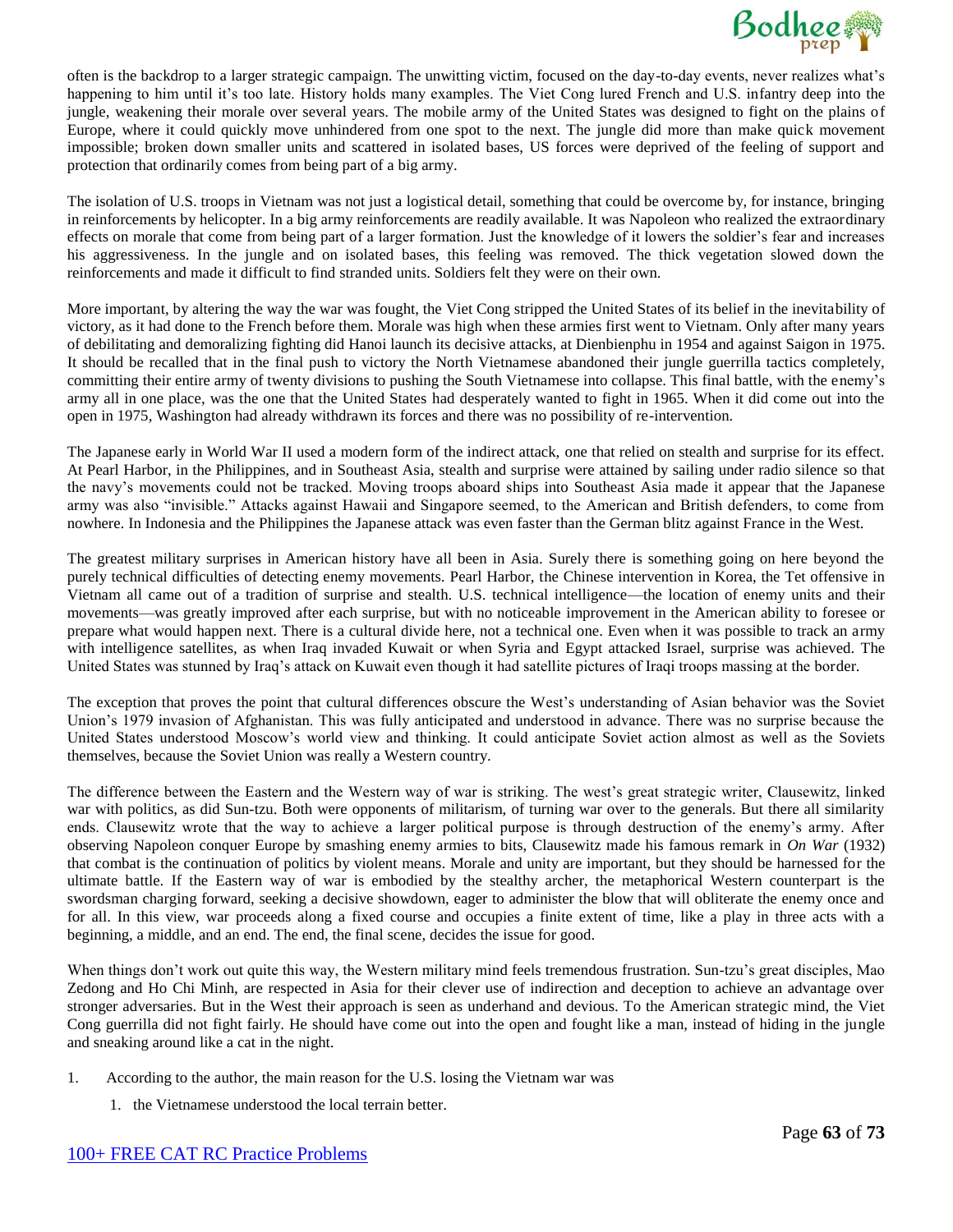

often is the backdrop to a larger strategic campaign. The unwitting victim, focused on the day-to-day events, never realizes what's happening to him until it's too late. History holds many examples. The Viet Cong lured French and U.S. infantry deep into the jungle, weakening their morale over several years. The mobile army of the United States was designed to fight on the plains of Europe, where it could quickly move unhindered from one spot to the next. The jungle did more than make quick movement impossible; broken down smaller units and scattered in isolated bases, US forces were deprived of the feeling of support and protection that ordinarily comes from being part of a big army.

The isolation of U.S. troops in Vietnam was not just a logistical detail, something that could be overcome by, for instance, bringing in reinforcements by helicopter. In a big army reinforcements are readily available. It was Napoleon who realized the extraordinary effects on morale that come from being part of a larger formation. Just the knowledge of it lowers the soldier's fear and increases his aggressiveness. In the jungle and on isolated bases, this feeling was removed. The thick vegetation slowed down the reinforcements and made it difficult to find stranded units. Soldiers felt they were on their own.

More important, by altering the way the war was fought, the Viet Cong stripped the United States of its belief in the inevitability of victory, as it had done to the French before them. Morale was high when these armies first went to Vietnam. Only after many years of debilitating and demoralizing fighting did Hanoi launch its decisive attacks, at Dienbienphu in 1954 and against Saigon in 1975. It should be recalled that in the final push to victory the North Vietnamese abandoned their jungle guerrilla tactics completely, committing their entire army of twenty divisions to pushing the South Vietnamese into collapse. This final battle, with the enemy's army all in one place, was the one that the United States had desperately wanted to fight in 1965. When it did come out into the open in 1975, Washington had already withdrawn its forces and there was no possibility of re-intervention.

The Japanese early in World War II used a modern form of the indirect attack, one that relied on stealth and surprise for its effect. At Pearl Harbor, in the Philippines, and in Southeast Asia, stealth and surprise were attained by sailing under radio silence so that the navy's movements could not be tracked. Moving troops aboard ships into Southeast Asia made it appear that the Japanese army was also "invisible." Attacks against Hawaii and Singapore seemed, to the American and British defenders, to come from nowhere. In Indonesia and the Philippines the Japanese attack was even faster than the German blitz against France in the West.

The greatest military surprises in American history have all been in Asia. Surely there is something going on here beyond the purely technical difficulties of detecting enemy movements. Pearl Harbor, the Chinese intervention in Korea, the Tet offensive in Vietnam all came out of a tradition of surprise and stealth. U.S. technical intelligence—the location of enemy units and their movements—was greatly improved after each surprise, but with no noticeable improvement in the American ability to foresee or prepare what would happen next. There is a cultural divide here, not a technical one. Even when it was possible to track an army with intelligence satellites, as when Iraq invaded Kuwait or when Syria and Egypt attacked Israel, surprise was achieved. The United States was stunned by Iraq's attack on Kuwait even though it had satellite pictures of Iraqi troops massing at the border.

The exception that proves the point that cultural differences obscure the West's understanding of Asian behavior was the Soviet Union's 1979 invasion of Afghanistan. This was fully anticipated and understood in advance. There was no surprise because the United States understood Moscow's world view and thinking. It could anticipate Soviet action almost as well as the Soviets themselves, because the Soviet Union was really a Western country.

The difference between the Eastern and the Western way of war is striking. The west's great strategic writer, Clausewitz, linked war with politics, as did Sun-tzu. Both were opponents of militarism, of turning war over to the generals. But there all similarity ends. Clausewitz wrote that the way to achieve a larger political purpose is through destruction of the enemy's army. After observing Napoleon conquer Europe by smashing enemy armies to bits, Clausewitz made his famous remark in *On War* (1932) that combat is the continuation of politics by violent means. Morale and unity are important, but they should be harnessed for the ultimate battle. If the Eastern way of war is embodied by the stealthy archer, the metaphorical Western counterpart is the swordsman charging forward, seeking a decisive showdown, eager to administer the blow that will obliterate the enemy once and for all. In this view, war proceeds along a fixed course and occupies a finite extent of time, like a play in three acts with a beginning, a middle, and an end. The end, the final scene, decides the issue for good.

When things don't work out quite this way, the Western military mind feels tremendous frustration. Sun-tzu's great disciples, Mao Zedong and Ho Chi Minh, are respected in Asia for their clever use of indirection and deception to achieve an advantage over stronger adversaries. But in the West their approach is seen as underhand and devious. To the American strategic mind, the Viet Cong guerrilla did not fight fairly. He should have come out into the open and fought like a man, instead of hiding in the jungle and sneaking around like a cat in the night.

- 1. According to the author, the main reason for the U.S. losing the Vietnam war was
	- 1. the Vietnamese understood the local terrain better.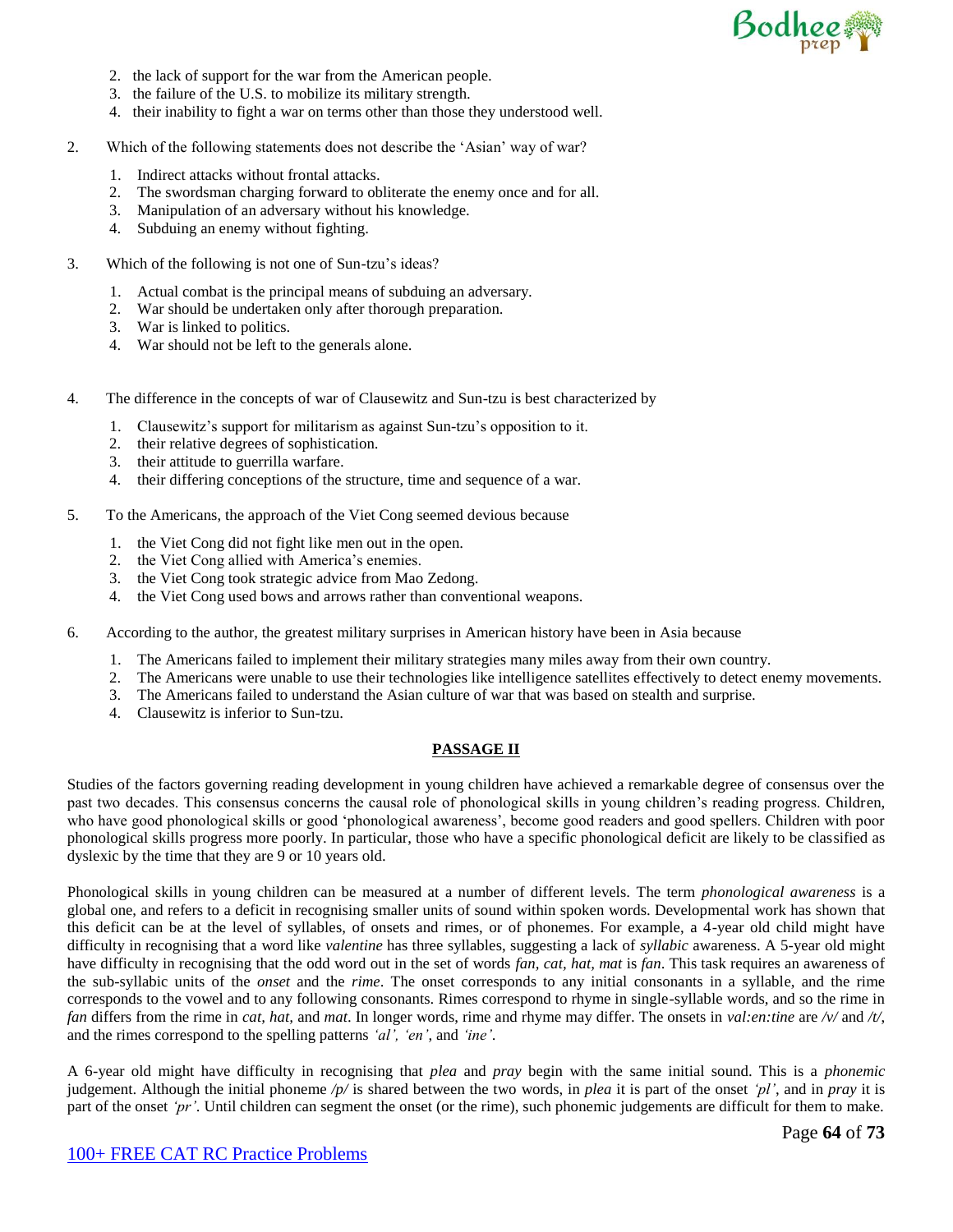

- 2. the lack of support for the war from the American people.
- 3. the failure of the U.S. to mobilize its military strength.
- 4. their inability to fight a war on terms other than those they understood well.
- 2. Which of the following statements does not describe the 'Asian' way of war?
	- 1. Indirect attacks without frontal attacks.
	- 2. The swordsman charging forward to obliterate the enemy once and for all.
	- 3. Manipulation of an adversary without his knowledge.
	- 4. Subduing an enemy without fighting.
- 3. Which of the following is not one of Sun-tzu's ideas?
	- 1. Actual combat is the principal means of subduing an adversary.
	- 2. War should be undertaken only after thorough preparation.
	- 3. War is linked to politics.
	- 4. War should not be left to the generals alone.
- 4. The difference in the concepts of war of Clausewitz and Sun-tzu is best characterized by
	- 1. Clausewitz's support for militarism as against Sun-tzu's opposition to it.
	- 2. their relative degrees of sophistication.
	- 3. their attitude to guerrilla warfare.
	- 4. their differing conceptions of the structure, time and sequence of a war.
- 5. To the Americans, the approach of the Viet Cong seemed devious because
	- 1. the Viet Cong did not fight like men out in the open.
	- 2. the Viet Cong allied with America's enemies.
	- 3. the Viet Cong took strategic advice from Mao Zedong.
	- 4. the Viet Cong used bows and arrows rather than conventional weapons.
- 6. According to the author, the greatest military surprises in American history have been in Asia because
	- 1. The Americans failed to implement their military strategies many miles away from their own country.
	- 2. The Americans were unable to use their technologies like intelligence satellites effectively to detect enemy movements.
	- 3. The Americans failed to understand the Asian culture of war that was based on stealth and surprise.
	- 4. Clausewitz is inferior to Sun-tzu.

#### **PASSAGE II**

Studies of the factors governing reading development in young children have achieved a remarkable degree of consensus over the past two decades. This consensus concerns the causal role of phonological skills in young children's reading progress. Children, who have good phonological skills or good 'phonological awareness', become good readers and good spellers. Children with poor phonological skills progress more poorly. In particular, those who have a specific phonological deficit are likely to be classified as dyslexic by the time that they are 9 or 10 years old.

Phonological skills in young children can be measured at a number of different levels. The term *phonological awareness* is a global one, and refers to a deficit in recognising smaller units of sound within spoken words. Developmental work has shown that this deficit can be at the level of syllables, of onsets and rimes, or of phonemes. For example, a 4-year old child might have difficulty in recognising that a word like *valentine* has three syllables, suggesting a lack of *syllabic* awareness. A 5-year old might have difficulty in recognising that the odd word out in the set of words *fan, cat, hat, mat* is *fan*. This task requires an awareness of the sub-syllabic units of the *onset* and the *rime*. The onset corresponds to any initial consonants in a syllable, and the rime corresponds to the vowel and to any following consonants. Rimes correspond to rhyme in single-syllable words, and so the rime in *fan* differs from the rime in *cat, hat,* and *mat*. In longer words, rime and rhyme may differ. The onsets in *val:en:tine* are */v/* and */t/*, and the rimes correspond to the spelling patterns *'al', 'en'*, and *'ine'*.

A 6-year old might have difficulty in recognising that *plea* and *pray* begin with the same initial sound. This is a *phonemic*  judgement. Although the initial phoneme */p/* is shared between the two words, in *plea* it is part of the onset *'pl'*, and in *pray* it is part of the onset *'pr'*. Until children can segment the onset (or the rime), such phonemic judgements are difficult for them to make.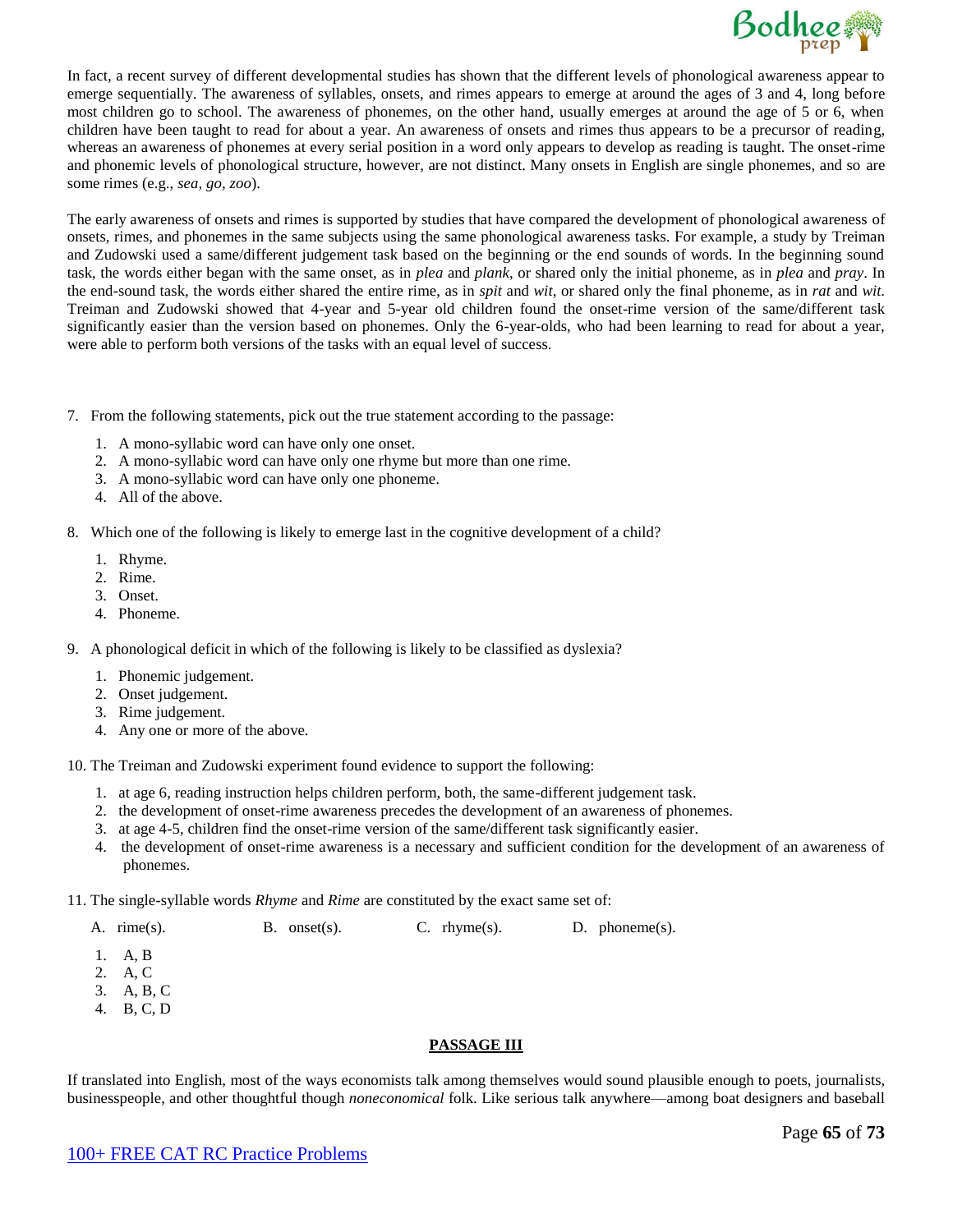

In fact, a recent survey of different developmental studies has shown that the different levels of phonological awareness appear to emerge sequentially. The awareness of syllables, onsets, and rimes appears to emerge at around the ages of 3 and 4, long before most children go to school. The awareness of phonemes, on the other hand, usually emerges at around the age of 5 or 6, when children have been taught to read for about a year. An awareness of onsets and rimes thus appears to be a precursor of reading, whereas an awareness of phonemes at every serial position in a word only appears to develop as reading is taught. The onset-rime and phonemic levels of phonological structure, however, are not distinct. Many onsets in English are single phonemes, and so are some rimes (e.g., *sea, go, zoo*).

The early awareness of onsets and rimes is supported by studies that have compared the development of phonological awareness of onsets, rimes, and phonemes in the same subjects using the same phonological awareness tasks. For example, a study by Treiman and Zudowski used a same/different judgement task based on the beginning or the end sounds of words. In the beginning sound task, the words either began with the same onset, as in *plea* and *plank*, or shared only the initial phoneme, as in *plea* and *pray*. In the end-sound task, the words either shared the entire rime, as in *spit* and *wit*, or shared only the final phoneme, as in *rat* and *wit*. Treiman and Zudowski showed that 4-year and 5-year old children found the onset-rime version of the same/different task significantly easier than the version based on phonemes. Only the 6-year-olds, who had been learning to read for about a year, were able to perform both versions of the tasks with an equal level of success.

- 7. From the following statements, pick out the true statement according to the passage:
	- 1. A mono-syllabic word can have only one onset.
	- 2. A mono-syllabic word can have only one rhyme but more than one rime.
	- 3. A mono-syllabic word can have only one phoneme.
	- 4. All of the above.
- 8. Which one of the following is likely to emerge last in the cognitive development of a child?
	- 1. Rhyme.
	- 2. Rime.
	- 3. Onset.
	- 4. Phoneme.

9. A phonological deficit in which of the following is likely to be classified as dyslexia?

- 1. Phonemic judgement.
- 2. Onset judgement.
- 3. Rime judgement.
- 4. Any one or more of the above.

10. The Treiman and Zudowski experiment found evidence to support the following:

- 1. at age 6, reading instruction helps children perform, both, the same-different judgement task.
- 2. the development of onset-rime awareness precedes the development of an awareness of phonemes.
- 3. at age 4-5, children find the onset-rime version of the same/different task significantly easier.
- 4. the development of onset-rime awareness is a necessary and sufficient condition for the development of an awareness of phonemes.
- 11. The single-syllable words *Rhyme* and *Rime* are constituted by the exact same set of:

A. rime(s). B. onset(s). C. rhyme(s). D. phoneme(s).

- 1. A, B
- 2. A, C
- 3. A, B, C
- 4. B, C, D

#### **PASSAGE III**

If translated into English, most of the ways economists talk among themselves would sound plausible enough to poets, journalists, businesspeople, and other thoughtful though *noneconomical* folk. Like serious talk anywhere—among boat designers and baseball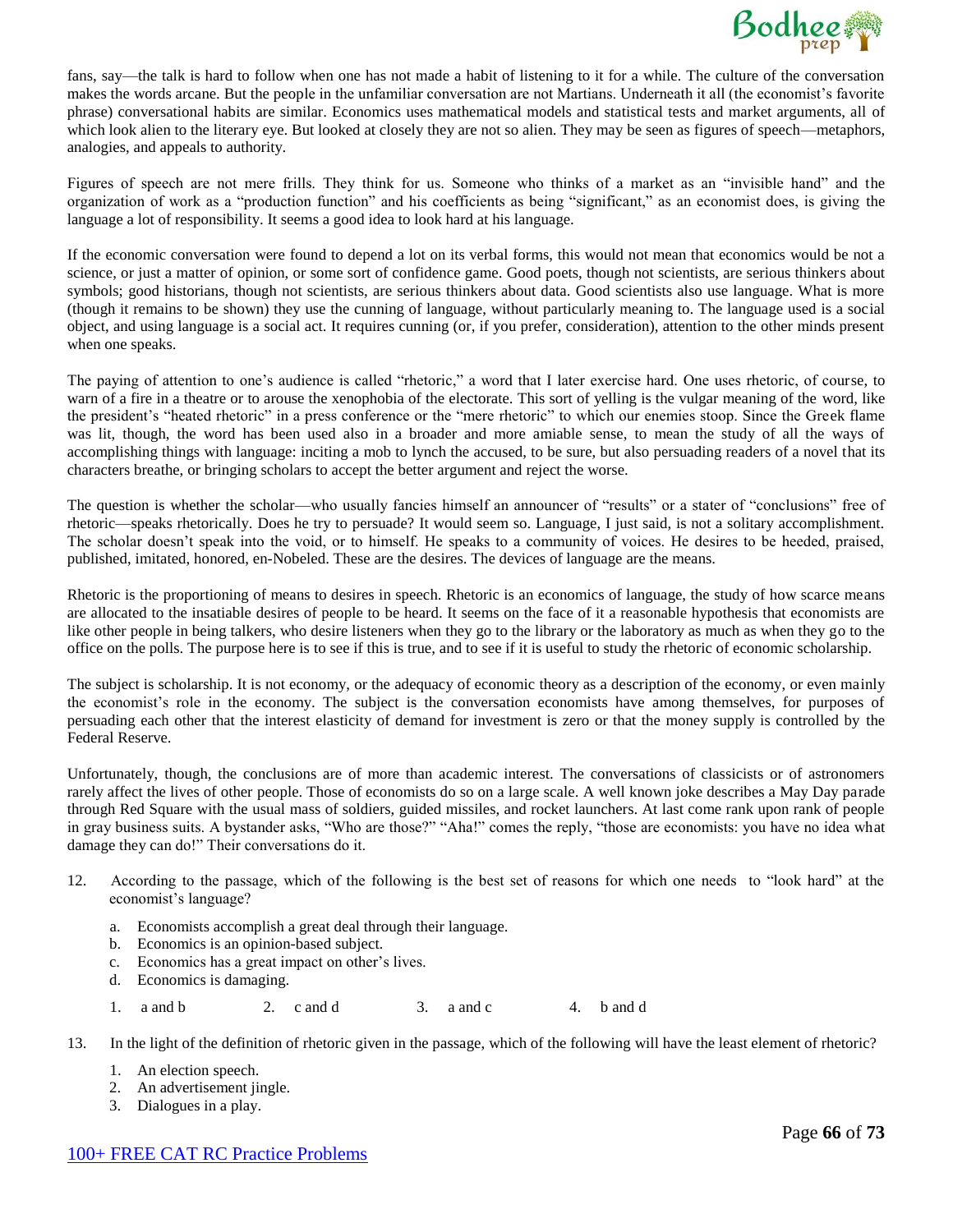

fans, say—the talk is hard to follow when one has not made a habit of listening to it for a while. The culture of the conversation makes the words arcane. But the people in the unfamiliar conversation are not Martians. Underneath it all (the economist's favorite phrase) conversational habits are similar. Economics uses mathematical models and statistical tests and market arguments, all of which look alien to the literary eye. But looked at closely they are not so alien. They may be seen as figures of speech—metaphors, analogies, and appeals to authority.

Figures of speech are not mere frills. They think for us. Someone who thinks of a market as an "invisible hand" and the organization of work as a "production function" and his coefficients as being "significant," as an economist does, is giving the language a lot of responsibility. It seems a good idea to look hard at his language.

If the economic conversation were found to depend a lot on its verbal forms, this would not mean that economics would be not a science, or just a matter of opinion, or some sort of confidence game. Good poets, though not scientists, are serious thinkers about symbols; good historians, though not scientists, are serious thinkers about data. Good scientists also use language. What is more (though it remains to be shown) they use the cunning of language, without particularly meaning to. The language used is a social object, and using language is a social act. It requires cunning (or, if you prefer, consideration), attention to the other minds present when one speaks.

The paying of attention to one's audience is called "rhetoric," a word that I later exercise hard. One uses rhetoric, of course, to warn of a fire in a theatre or to arouse the xenophobia of the electorate. This sort of yelling is the vulgar meaning of the word, like the president's "heated rhetoric" in a press conference or the "mere rhetoric" to which our enemies stoop. Since the Greek flame was lit, though, the word has been used also in a broader and more amiable sense, to mean the study of all the ways of accomplishing things with language: inciting a mob to lynch the accused, to be sure, but also persuading readers of a novel that its characters breathe, or bringing scholars to accept the better argument and reject the worse.

The question is whether the scholar—who usually fancies himself an announcer of "results" or a stater of "conclusions" free of rhetoric—speaks rhetorically. Does he try to persuade? It would seem so. Language, I just said, is not a solitary accomplishment. The scholar doesn't speak into the void, or to himself. He speaks to a community of voices. He desires to be heeded, praised, published, imitated, honored, en-Nobeled. These are the desires. The devices of language are the means.

Rhetoric is the proportioning of means to desires in speech. Rhetoric is an economics of language, the study of how scarce means are allocated to the insatiable desires of people to be heard. It seems on the face of it a reasonable hypothesis that economists are like other people in being talkers, who desire listeners when they go to the library or the laboratory as much as when they go to the office on the polls. The purpose here is to see if this is true, and to see if it is useful to study the rhetoric of economic scholarship.

The subject is scholarship. It is not economy, or the adequacy of economic theory as a description of the economy, or even mainly the economist's role in the economy. The subject is the conversation economists have among themselves, for purposes of persuading each other that the interest elasticity of demand for investment is zero or that the money supply is controlled by the Federal Reserve.

Unfortunately, though, the conclusions are of more than academic interest. The conversations of classicists or of astronomers rarely affect the lives of other people. Those of economists do so on a large scale. A well known joke describes a May Day parade through Red Square with the usual mass of soldiers, guided missiles, and rocket launchers. At last come rank upon rank of people in gray business suits. A bystander asks, "Who are those?" "Aha!" comes the reply, "those are economists: you have no idea what damage they can do!" Their conversations do it.

- 12. According to the passage, which of the following is the best set of reasons for which one needs to "look hard" at the economist's language?
	- a. Economists accomplish a great deal through their language.
	- b. Economics is an opinion-based subject.
	- c. Economics has a great impact on other's lives.
	- d. Economics is damaging.
	- 1. a and b 2. c and d 3. a and c 4. b and d
- 13. In the light of the definition of rhetoric given in the passage, which of the following will have the least element of rhetoric?
	- 1. An election speech.
	- 2. An advertisement jingle.
	- 3. Dialogues in a play.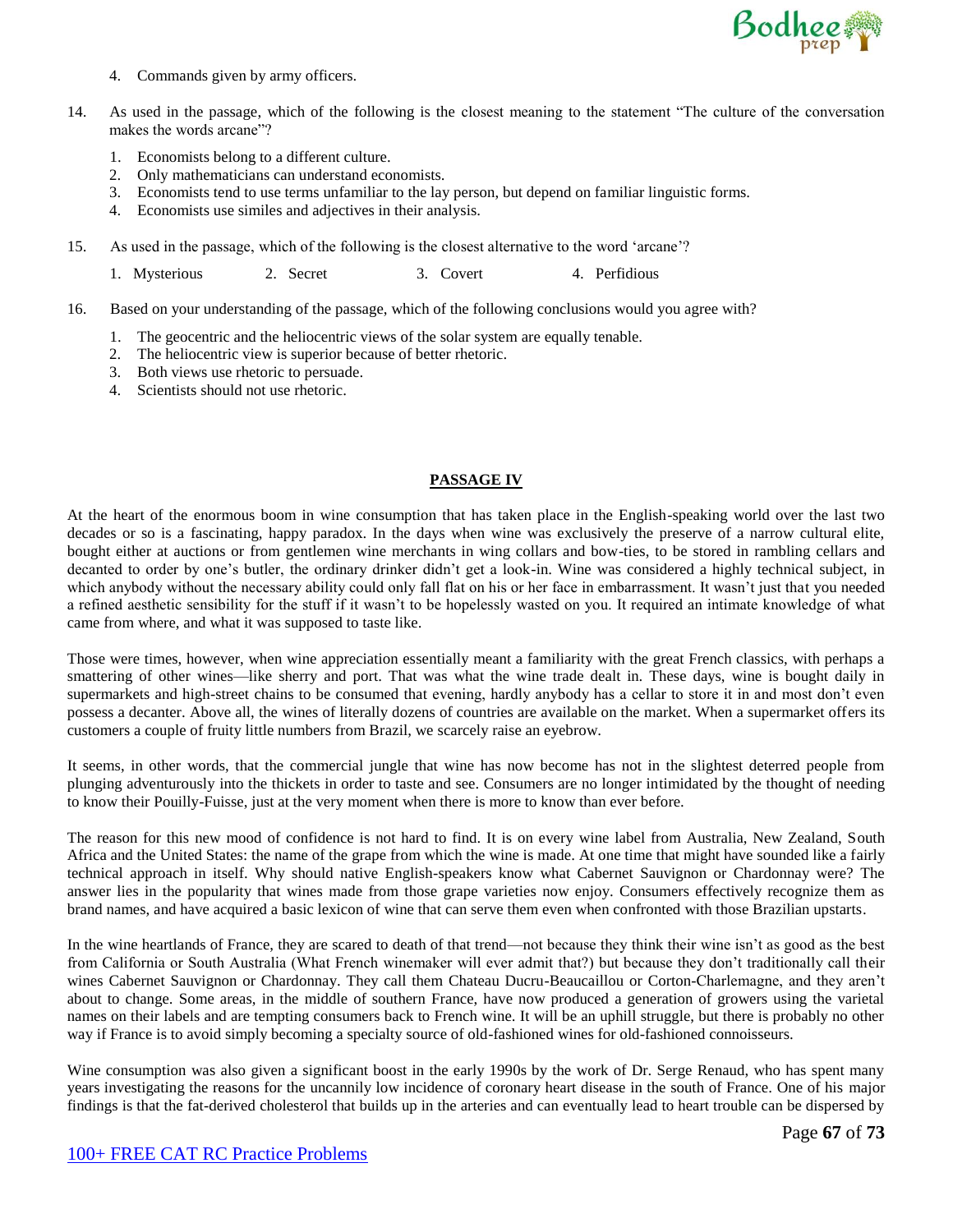

- 4. Commands given by army officers.
- 14. As used in the passage, which of the following is the closest meaning to the statement "The culture of the conversation makes the words arcane"?
	- 1. Economists belong to a different culture.
	- 2. Only mathematicians can understand economists.
	- 3. Economists tend to use terms unfamiliar to the lay person, but depend on familiar linguistic forms.
	- 4. Economists use similes and adjectives in their analysis.
- 15. As used in the passage, which of the following is the closest alternative to the word 'arcane'?
	- 1. Mysterious 2. Secret 3. Covert 4. Perfidious
- 16. Based on your understanding of the passage, which of the following conclusions would you agree with?
	- 1. The geocentric and the heliocentric views of the solar system are equally tenable.
	- 2. The heliocentric view is superior because of better rhetoric.
	- 3. Both views use rhetoric to persuade.
	- 4. Scientists should not use rhetoric.

#### **PASSAGE IV**

At the heart of the enormous boom in wine consumption that has taken place in the English-speaking world over the last two decades or so is a fascinating, happy paradox. In the days when wine was exclusively the preserve of a narrow cultural elite, bought either at auctions or from gentlemen wine merchants in wing collars and bow-ties, to be stored in rambling cellars and decanted to order by one's butler, the ordinary drinker didn't get a look-in. Wine was considered a highly technical subject, in which anybody without the necessary ability could only fall flat on his or her face in embarrassment. It wasn't just that you needed a refined aesthetic sensibility for the stuff if it wasn't to be hopelessly wasted on you. It required an intimate knowledge of what came from where, and what it was supposed to taste like.

Those were times, however, when wine appreciation essentially meant a familiarity with the great French classics, with perhaps a smattering of other wines—like sherry and port. That was what the wine trade dealt in. These days, wine is bought daily in supermarkets and high-street chains to be consumed that evening, hardly anybody has a cellar to store it in and most don't even possess a decanter. Above all, the wines of literally dozens of countries are available on the market. When a supermarket offers its customers a couple of fruity little numbers from Brazil, we scarcely raise an eyebrow.

It seems, in other words, that the commercial jungle that wine has now become has not in the slightest deterred people from plunging adventurously into the thickets in order to taste and see. Consumers are no longer intimidated by the thought of needing to know their Pouilly-Fuisse, just at the very moment when there is more to know than ever before.

The reason for this new mood of confidence is not hard to find. It is on every wine label from Australia, New Zealand, South Africa and the United States: the name of the grape from which the wine is made. At one time that might have sounded like a fairly technical approach in itself. Why should native English-speakers know what Cabernet Sauvignon or Chardonnay were? The answer lies in the popularity that wines made from those grape varieties now enjoy. Consumers effectively recognize them as brand names, and have acquired a basic lexicon of wine that can serve them even when confronted with those Brazilian upstarts.

In the wine heartlands of France, they are scared to death of that trend—not because they think their wine isn't as good as the best from California or South Australia (What French winemaker will ever admit that?) but because they don't traditionally call their wines Cabernet Sauvignon or Chardonnay. They call them Chateau Ducru-Beaucaillou or Corton-Charlemagne, and they aren't about to change. Some areas, in the middle of southern France, have now produced a generation of growers using the varietal names on their labels and are tempting consumers back to French wine. It will be an uphill struggle, but there is probably no other way if France is to avoid simply becoming a specialty source of old-fashioned wines for old-fashioned connoisseurs.

Wine consumption was also given a significant boost in the early 1990s by the work of Dr. Serge Renaud, who has spent many years investigating the reasons for the uncannily low incidence of coronary heart disease in the south of France. One of his major findings is that the fat-derived cholesterol that builds up in the arteries and can eventually lead to heart trouble can be dispersed by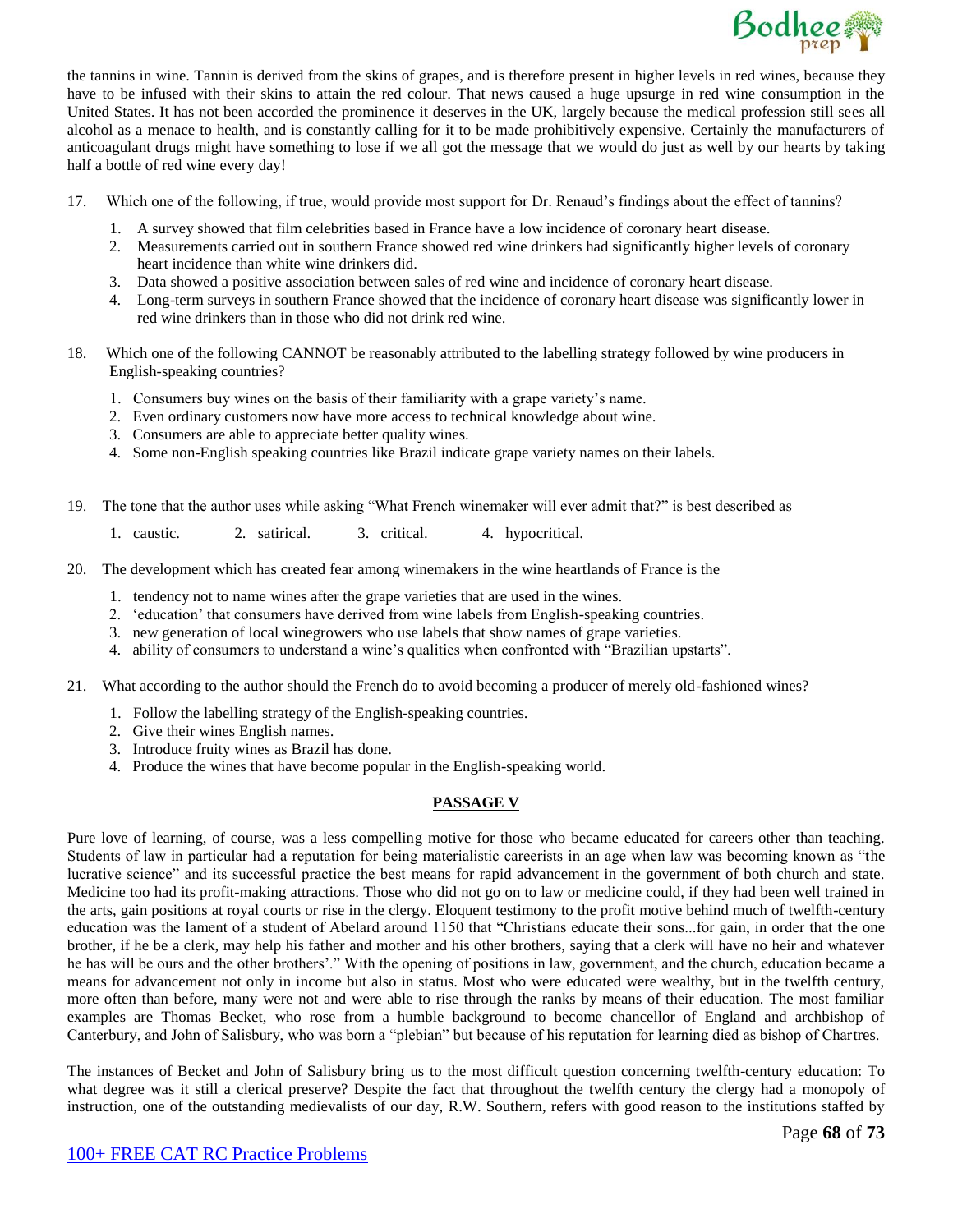

the tannins in wine. Tannin is derived from the skins of grapes, and is therefore present in higher levels in red wines, because they have to be infused with their skins to attain the red colour. That news caused a huge upsurge in red wine consumption in the United States. It has not been accorded the prominence it deserves in the UK, largely because the medical profession still sees all alcohol as a menace to health, and is constantly calling for it to be made prohibitively expensive. Certainly the manufacturers of anticoagulant drugs might have something to lose if we all got the message that we would do just as well by our hearts by taking half a bottle of red wine every day!

- 17. Which one of the following, if true, would provide most support for Dr. Renaud's findings about the effect of tannins?
	- 1. A survey showed that film celebrities based in France have a low incidence of coronary heart disease.
	- 2. Measurements carried out in southern France showed red wine drinkers had significantly higher levels of coronary heart incidence than white wine drinkers did.
	- 3. Data showed a positive association between sales of red wine and incidence of coronary heart disease.
	- 4. Long-term surveys in southern France showed that the incidence of coronary heart disease was significantly lower in red wine drinkers than in those who did not drink red wine.
- 18. Which one of the following CANNOT be reasonably attributed to the labelling strategy followed by wine producers in English-speaking countries?
	- 1. Consumers buy wines on the basis of their familiarity with a grape variety's name.
	- 2. Even ordinary customers now have more access to technical knowledge about wine.
	- 3. Consumers are able to appreciate better quality wines.
	- 4. Some non-English speaking countries like Brazil indicate grape variety names on their labels.
- 19. The tone that the author uses while asking "What French winemaker will ever admit that?" is best described as
	- 1. caustic. 2. satirical. 3. critical. 4. hypocritical.
- 20. The development which has created fear among winemakers in the wine heartlands of France is the
	- 1. tendency not to name wines after the grape varieties that are used in the wines.
	- 2. 'education' that consumers have derived from wine labels from English-speaking countries.
	- 3. new generation of local winegrowers who use labels that show names of grape varieties.
	- 4. ability of consumers to understand a wine's qualities when confronted with "Brazilian upstarts".
- 21. What according to the author should the French do to avoid becoming a producer of merely old-fashioned wines?
	- 1. Follow the labelling strategy of the English-speaking countries.
	- 2. Give their wines English names.
	- 3. Introduce fruity wines as Brazil has done.
	- 4. Produce the wines that have become popular in the English-speaking world.

#### **PASSAGE V**

Pure love of learning, of course, was a less compelling motive for those who became educated for careers other than teaching. Students of law in particular had a reputation for being materialistic careerists in an age when law was becoming known as "the lucrative science" and its successful practice the best means for rapid advancement in the government of both church and state. Medicine too had its profit-making attractions. Those who did not go on to law or medicine could, if they had been well trained in the arts, gain positions at royal courts or rise in the clergy. Eloquent testimony to the profit motive behind much of twelfth-century education was the lament of a student of Abelard around 1150 that "Christians educate their sons...for gain, in order that the one brother, if he be a clerk, may help his father and mother and his other brothers, saying that a clerk will have no heir and whatever he has will be ours and the other brothers'." With the opening of positions in law, government, and the church, education became a means for advancement not only in income but also in status. Most who were educated were wealthy, but in the twelfth century, more often than before, many were not and were able to rise through the ranks by means of their education. The most familiar examples are Thomas Becket, who rose from a humble background to become chancellor of England and archbishop of Canterbury, and John of Salisbury, who was born a "plebian" but because of his reputation for learning died as bishop of Chartres.

The instances of Becket and John of Salisbury bring us to the most difficult question concerning twelfth-century education: To what degree was it still a clerical preserve? Despite the fact that throughout the twelfth century the clergy had a monopoly of instruction, one of the outstanding medievalists of our day, R.W. Southern, refers with good reason to the institutions staffed by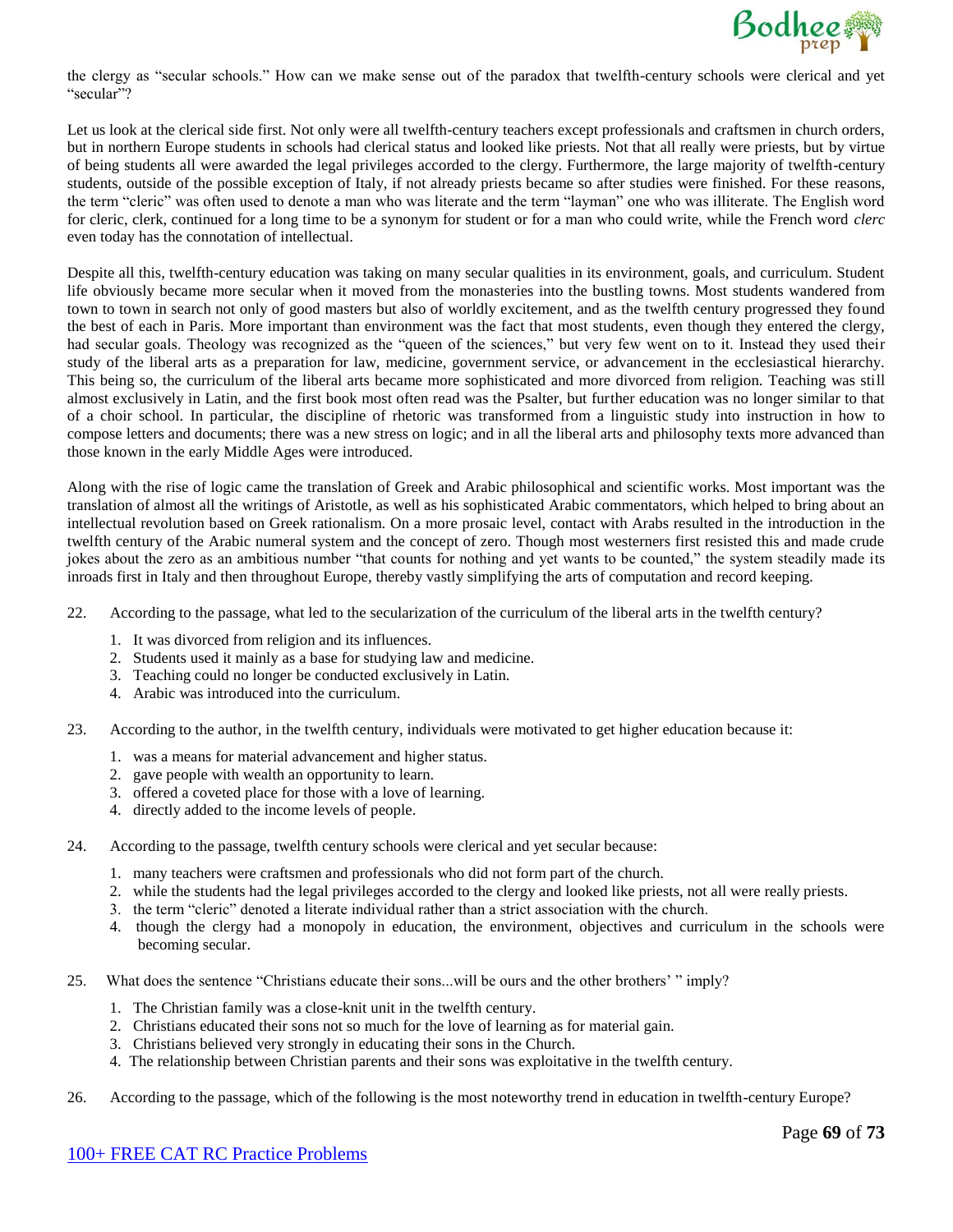

the clergy as "secular schools." How can we make sense out of the paradox that twelfth-century schools were clerical and yet "secular"?

Let us look at the clerical side first. Not only were all twelfth-century teachers except professionals and craftsmen in church orders, but in northern Europe students in schools had clerical status and looked like priests. Not that all really were priests, but by virtue of being students all were awarded the legal privileges accorded to the clergy. Furthermore, the large majority of twelfth-century students, outside of the possible exception of Italy, if not already priests became so after studies were finished. For these reasons, the term "cleric" was often used to denote a man who was literate and the term "layman" one who was illiterate. The English word for cleric, clerk, continued for a long time to be a synonym for student or for a man who could write, while the French word *clerc* even today has the connotation of intellectual.

Despite all this, twelfth-century education was taking on many secular qualities in its environment, goals, and curriculum. Student life obviously became more secular when it moved from the monasteries into the bustling towns. Most students wandered from town to town in search not only of good masters but also of worldly excitement, and as the twelfth century progressed they found the best of each in Paris. More important than environment was the fact that most students, even though they entered the clergy, had secular goals. Theology was recognized as the "queen of the sciences," but very few went on to it. Instead they used their study of the liberal arts as a preparation for law, medicine, government service, or advancement in the ecclesiastical hierarchy. This being so, the curriculum of the liberal arts became more sophisticated and more divorced from religion. Teaching was still almost exclusively in Latin, and the first book most often read was the Psalter, but further education was no longer similar to that of a choir school. In particular, the discipline of rhetoric was transformed from a linguistic study into instruction in how to compose letters and documents; there was a new stress on logic; and in all the liberal arts and philosophy texts more advanced than those known in the early Middle Ages were introduced.

Along with the rise of logic came the translation of Greek and Arabic philosophical and scientific works. Most important was the translation of almost all the writings of Aristotle, as well as his sophisticated Arabic commentators, which helped to bring about an intellectual revolution based on Greek rationalism. On a more prosaic level, contact with Arabs resulted in the introduction in the twelfth century of the Arabic numeral system and the concept of zero. Though most westerners first resisted this and made crude jokes about the zero as an ambitious number "that counts for nothing and yet wants to be counted," the system steadily made its inroads first in Italy and then throughout Europe, thereby vastly simplifying the arts of computation and record keeping.

- 22. According to the passage, what led to the secularization of the curriculum of the liberal arts in the twelfth century?
	- 1. It was divorced from religion and its influences.
	- 2. Students used it mainly as a base for studying law and medicine.
	- 3. Teaching could no longer be conducted exclusively in Latin.
	- 4. Arabic was introduced into the curriculum.
- 23. According to the author, in the twelfth century, individuals were motivated to get higher education because it:
	- 1. was a means for material advancement and higher status.
	- 2. gave people with wealth an opportunity to learn.
	- 3. offered a coveted place for those with a love of learning.
	- 4. directly added to the income levels of people.
- 24. According to the passage, twelfth century schools were clerical and yet secular because:
	- 1. many teachers were craftsmen and professionals who did not form part of the church.
	- 2. while the students had the legal privileges accorded to the clergy and looked like priests, not all were really priests.
	- 3. the term "cleric" denoted a literate individual rather than a strict association with the church.
	- 4. though the clergy had a monopoly in education, the environment, objectives and curriculum in the schools were becoming secular.
- 25. What does the sentence "Christians educate their sons...will be ours and the other brothers' " imply?
	- 1. The Christian family was a close-knit unit in the twelfth century.
	- 2. Christians educated their sons not so much for the love of learning as for material gain.
	- 3. Christians believed very strongly in educating their sons in the Church.
	- 4. The relationship between Christian parents and their sons was exploitative in the twelfth century.
- 26. According to the passage, which of the following is the most noteworthy trend in education in twelfth-century Europe?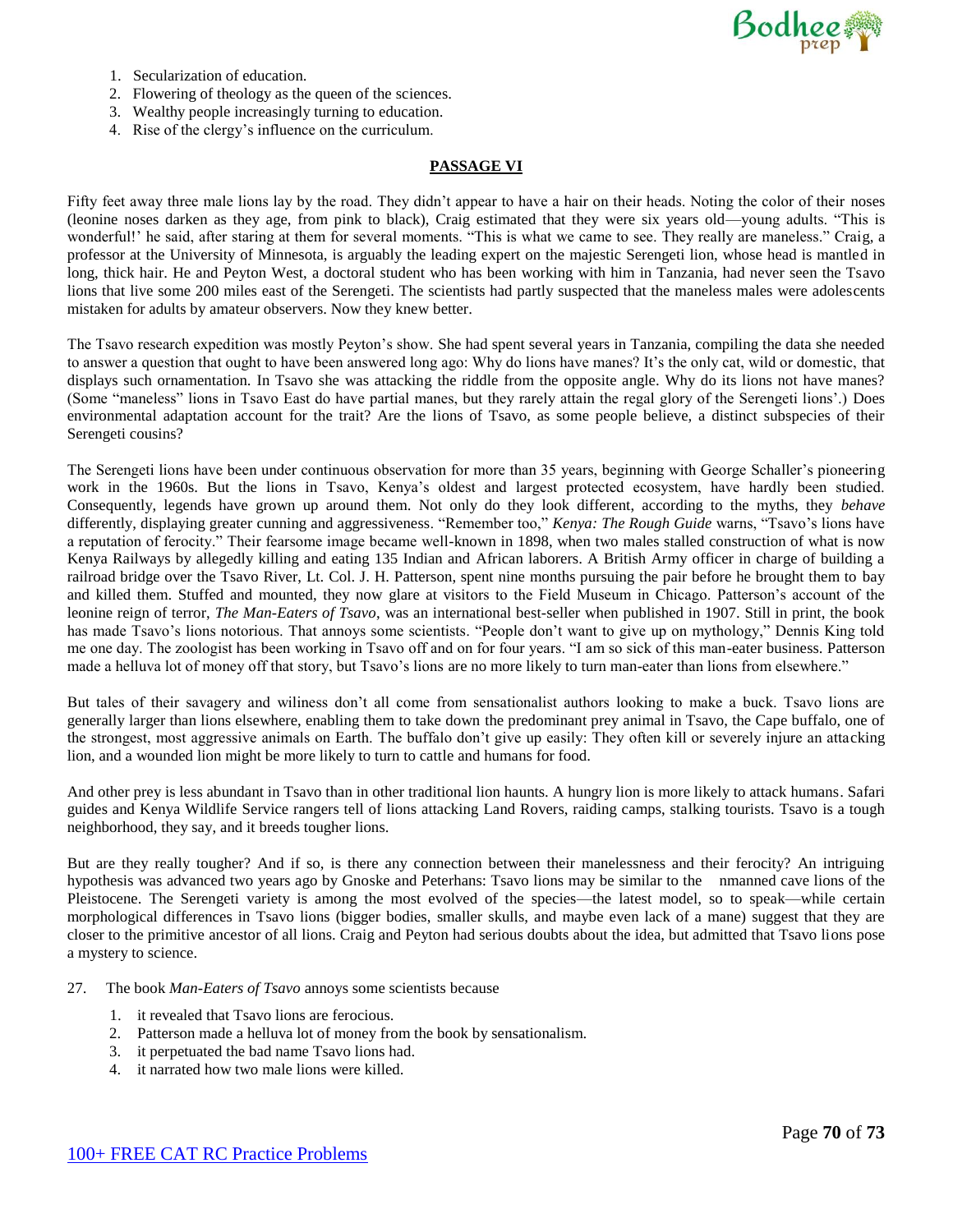

- 1. Secularization of education.
- 2. Flowering of theology as the queen of the sciences.
- 3. Wealthy people increasingly turning to education.
- 4. Rise of the clergy's influence on the curriculum.

#### **PASSAGE VI**

Fifty feet away three male lions lay by the road. They didn't appear to have a hair on their heads. Noting the color of their noses (leonine noses darken as they age, from pink to black), Craig estimated that they were six years old—young adults. "This is wonderful!' he said, after staring at them for several moments. "This is what we came to see. They really are maneless." Craig, a professor at the University of Minnesota, is arguably the leading expert on the majestic Serengeti lion, whose head is mantled in long, thick hair. He and Peyton West, a doctoral student who has been working with him in Tanzania, had never seen the Tsavo lions that live some 200 miles east of the Serengeti. The scientists had partly suspected that the maneless males were adolescents mistaken for adults by amateur observers. Now they knew better.

The Tsavo research expedition was mostly Peyton's show. She had spent several years in Tanzania, compiling the data she needed to answer a question that ought to have been answered long ago: Why do lions have manes? It's the only cat, wild or domestic, that displays such ornamentation. In Tsavo she was attacking the riddle from the opposite angle. Why do its lions not have manes? (Some "maneless" lions in Tsavo East do have partial manes, but they rarely attain the regal glory of the Serengeti lions'.) Does environmental adaptation account for the trait? Are the lions of Tsavo, as some people believe, a distinct subspecies of their Serengeti cousins?

The Serengeti lions have been under continuous observation for more than 35 years, beginning with George Schaller's pioneering work in the 1960s. But the lions in Tsavo, Kenya's oldest and largest protected ecosystem, have hardly been studied. Consequently, legends have grown up around them. Not only do they look different, according to the myths, they *behave*  differently, displaying greater cunning and aggressiveness. "Remember too," *Kenya: The Rough Guide* warns, "Tsavo's lions have a reputation of ferocity." Their fearsome image became well-known in 1898, when two males stalled construction of what is now Kenya Railways by allegedly killing and eating 135 Indian and African laborers. A British Army officer in charge of building a railroad bridge over the Tsavo River, Lt. Col. J. H. Patterson, spent nine months pursuing the pair before he brought them to bay and killed them. Stuffed and mounted, they now glare at visitors to the Field Museum in Chicago. Patterson's account of the leonine reign of terror, *The Man-Eaters of Tsavo*, was an international best-seller when published in 1907. Still in print, the book has made Tsavo's lions notorious. That annoys some scientists. "People don't want to give up on mythology," Dennis King told me one day. The zoologist has been working in Tsavo off and on for four years. "I am so sick of this man-eater business. Patterson made a helluva lot of money off that story, but Tsavo's lions are no more likely to turn man-eater than lions from elsewhere."

But tales of their savagery and wiliness don't all come from sensationalist authors looking to make a buck. Tsavo lions are generally larger than lions elsewhere, enabling them to take down the predominant prey animal in Tsavo, the Cape buffalo, one of the strongest, most aggressive animals on Earth. The buffalo don't give up easily: They often kill or severely injure an attacking lion, and a wounded lion might be more likely to turn to cattle and humans for food.

And other prey is less abundant in Tsavo than in other traditional lion haunts. A hungry lion is more likely to attack humans. Safari guides and Kenya Wildlife Service rangers tell of lions attacking Land Rovers, raiding camps, stalking tourists. Tsavo is a tough neighborhood, they say, and it breeds tougher lions.

But are they really tougher? And if so, is there any connection between their manelessness and their ferocity? An intriguing hypothesis was advanced two years ago by Gnoske and Peterhans: Tsavo lions may be similar to the nmanned cave lions of the Pleistocene. The Serengeti variety is among the most evolved of the species—the latest model, so to speak—while certain morphological differences in Tsavo lions (bigger bodies, smaller skulls, and maybe even lack of a mane) suggest that they are closer to the primitive ancestor of all lions. Craig and Peyton had serious doubts about the idea, but admitted that Tsavo lions pose a mystery to science.

- 27. The book *Man-Eaters of Tsavo* annoys some scientists because
	- 1. it revealed that Tsavo lions are ferocious.
	- 2. Patterson made a helluva lot of money from the book by sensationalism.
	- 3. it perpetuated the bad name Tsavo lions had.
	- 4. it narrated how two male lions were killed.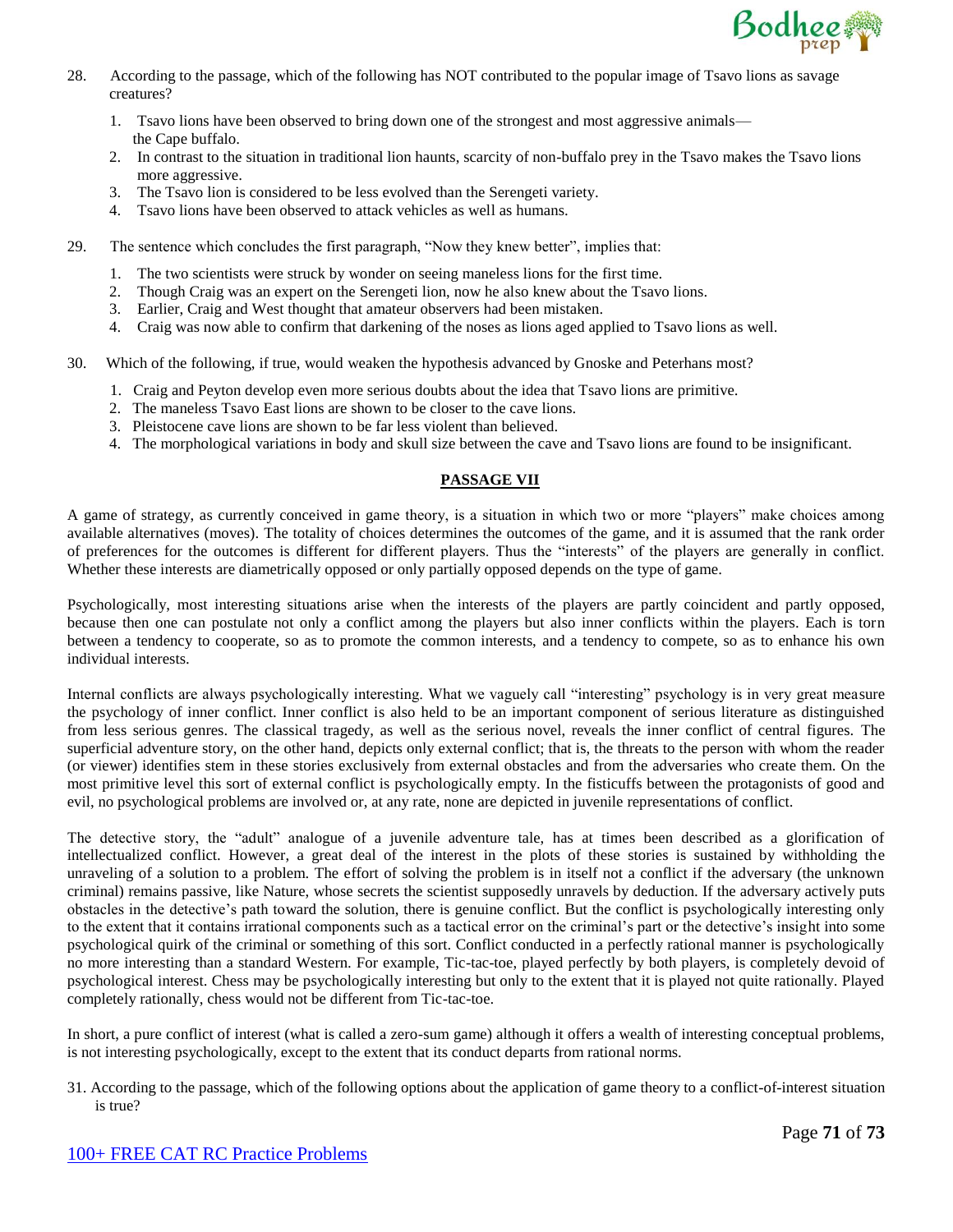

- 28. According to the passage, which of the following has NOT contributed to the popular image of Tsavo lions as savage creatures?
	- 1. Tsavo lions have been observed to bring down one of the strongest and most aggressive animals the Cape buffalo.
	- 2. In contrast to the situation in traditional lion haunts, scarcity of non-buffalo prey in the Tsavo makes the Tsavo lions more aggressive.
	- 3. The Tsavo lion is considered to be less evolved than the Serengeti variety.
	- 4. Tsavo lions have been observed to attack vehicles as well as humans.
- 29. The sentence which concludes the first paragraph, "Now they knew better", implies that:
	- 1. The two scientists were struck by wonder on seeing maneless lions for the first time.
	- 2. Though Craig was an expert on the Serengeti lion, now he also knew about the Tsavo lions.
	- 3. Earlier, Craig and West thought that amateur observers had been mistaken.
	- 4. Craig was now able to confirm that darkening of the noses as lions aged applied to Tsavo lions as well.
- 30. Which of the following, if true, would weaken the hypothesis advanced by Gnoske and Peterhans most?
	- 1. Craig and Peyton develop even more serious doubts about the idea that Tsavo lions are primitive.
	- 2. The maneless Tsavo East lions are shown to be closer to the cave lions.
	- 3. Pleistocene cave lions are shown to be far less violent than believed.
	- 4. The morphological variations in body and skull size between the cave and Tsavo lions are found to be insignificant.

# **PASSAGE VII**

A game of strategy, as currently conceived in game theory, is a situation in which two or more "players" make choices among available alternatives (moves). The totality of choices determines the outcomes of the game, and it is assumed that the rank order of preferences for the outcomes is different for different players. Thus the "interests" of the players are generally in conflict. Whether these interests are diametrically opposed or only partially opposed depends on the type of game.

Psychologically, most interesting situations arise when the interests of the players are partly coincident and partly opposed, because then one can postulate not only a conflict among the players but also inner conflicts within the players. Each is torn between a tendency to cooperate, so as to promote the common interests, and a tendency to compete, so as to enhance his own individual interests.

Internal conflicts are always psychologically interesting. What we vaguely call "interesting" psychology is in very great measure the psychology of inner conflict. Inner conflict is also held to be an important component of serious literature as distinguished from less serious genres. The classical tragedy, as well as the serious novel, reveals the inner conflict of central figures. The superficial adventure story, on the other hand, depicts only external conflict; that is, the threats to the person with whom the reader (or viewer) identifies stem in these stories exclusively from external obstacles and from the adversaries who create them. On the most primitive level this sort of external conflict is psychologically empty. In the fisticuffs between the protagonists of good and evil, no psychological problems are involved or, at any rate, none are depicted in juvenile representations of conflict.

The detective story, the "adult" analogue of a juvenile adventure tale, has at times been described as a glorification of intellectualized conflict. However, a great deal of the interest in the plots of these stories is sustained by withholding the unraveling of a solution to a problem. The effort of solving the problem is in itself not a conflict if the adversary (the unknown criminal) remains passive, like Nature, whose secrets the scientist supposedly unravels by deduction. If the adversary actively puts obstacles in the detective's path toward the solution, there is genuine conflict. But the conflict is psychologically interesting only to the extent that it contains irrational components such as a tactical error on the criminal's part or the detective's insight into some psychological quirk of the criminal or something of this sort. Conflict conducted in a perfectly rational manner is psychologically no more interesting than a standard Western. For example, Tic-tac-toe, played perfectly by both players, is completely devoid of psychological interest. Chess may be psychologically interesting but only to the extent that it is played not quite rationally. Played completely rationally, chess would not be different from Tic-tac-toe.

In short, a pure conflict of interest (what is called a zero-sum game) although it offers a wealth of interesting conceptual problems, is not interesting psychologically, except to the extent that its conduct departs from rational norms.

31. According to the passage, which of the following options about the application of game theory to a conflict-of-interest situation is true?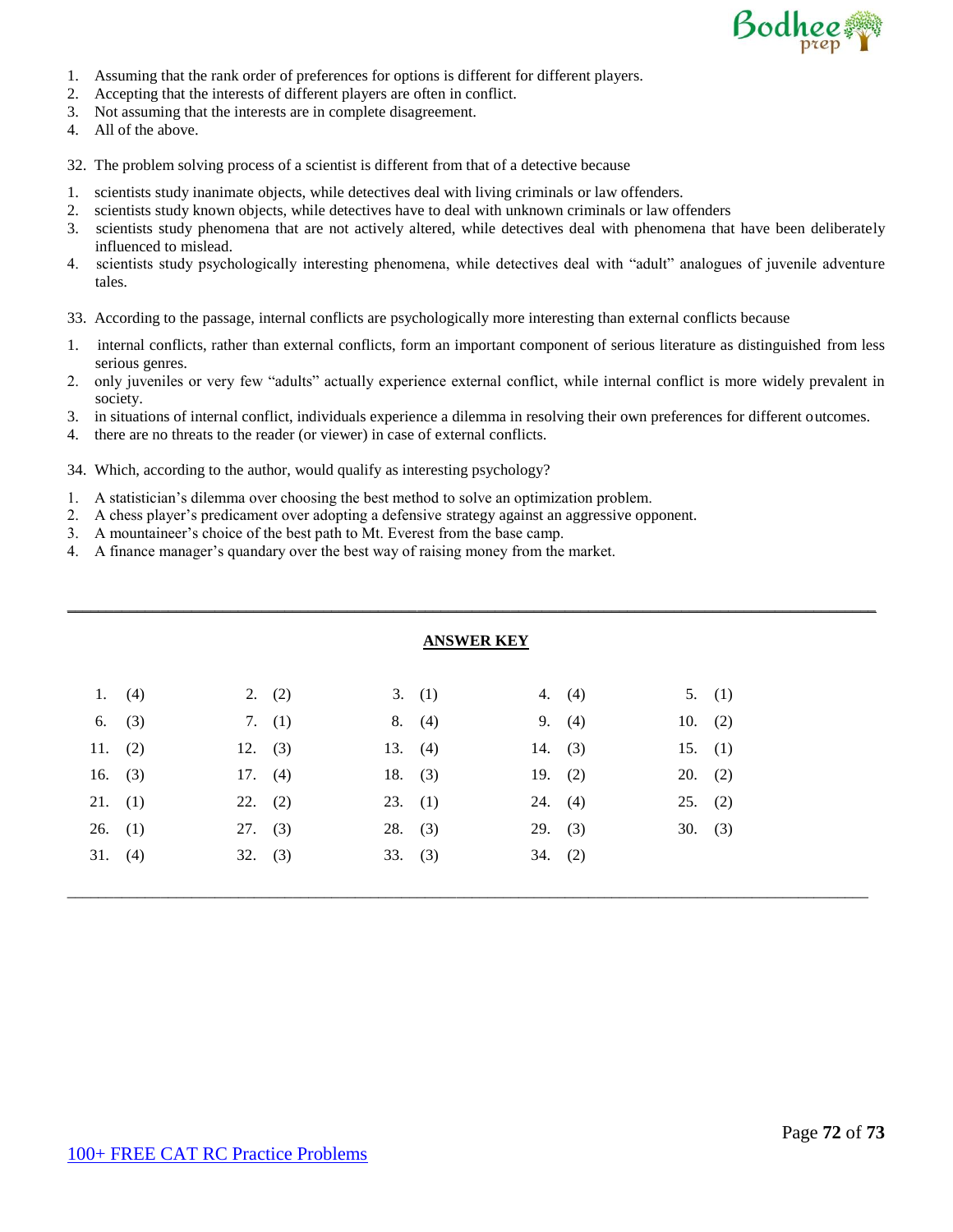

- 1. Assuming that the rank order of preferences for options is different for different players.
- 2. Accepting that the interests of different players are often in conflict.
- 3. Not assuming that the interests are in complete disagreement.
- 4. All of the above.

32. The problem solving process of a scientist is different from that of a detective because

- 1. scientists study inanimate objects, while detectives deal with living criminals or law offenders.
- 2. scientists study known objects, while detectives have to deal with unknown criminals or law offenders
- 3. scientists study phenomena that are not actively altered, while detectives deal with phenomena that have been deliberately influenced to mislead.
- 4. scientists study psychologically interesting phenomena, while detectives deal with "adult" analogues of juvenile adventure tales.
- 33. According to the passage, internal conflicts are psychologically more interesting than external conflicts because
- 1. internal conflicts, rather than external conflicts, form an important component of serious literature as distinguished from less serious genres.
- 2. only juveniles or very few "adults" actually experience external conflict, while internal conflict is more widely prevalent in society.
- 3. in situations of internal conflict, individuals experience a dilemma in resolving their own preferences for different outcomes.
- 4. there are no threats to the reader (or viewer) in case of external conflicts.
- 34. Which, according to the author, would qualify as interesting psychology?
- 1. A statistician's dilemma over choosing the best method to solve an optimization problem.
- 2. A chess player's predicament over adopting a defensive strategy against an aggressive opponent.
- 3. A mountaineer's choice of the best path to Mt. Everest from the base camp.
- 4. A finance manager's quandary over the best way of raising money from the market.

| <b>ANSWER KEY</b> |           |  |           |  |           |  |           |           |           |  |
|-------------------|-----------|--|-----------|--|-----------|--|-----------|-----------|-----------|--|
|                   |           |  |           |  |           |  |           |           |           |  |
|                   | 1. $(4)$  |  | 2. $(2)$  |  | 3. (1)    |  | 4. $(4)$  |           | 5. (1)    |  |
| 6.                | (3)       |  | 7. $(1)$  |  | 8. (4)    |  | 9. $(4)$  |           | 10. $(2)$ |  |
|                   | 11. $(2)$ |  | 12. $(3)$ |  | 13. $(4)$ |  | 14. $(3)$ |           | 15. $(1)$ |  |
|                   | 16. $(3)$ |  | 17. $(4)$ |  | 18. $(3)$ |  | 19. $(2)$ | $20.$ (2) |           |  |
| 21. (1)           |           |  | 22. (2)   |  | 23. (1)   |  | 24. (4)   | 25. (2)   |           |  |
| 26. $(1)$         |           |  | 27. (3)   |  | 28. (3)   |  | 29. (3)   | 30. $(3)$ |           |  |
|                   | 31. (4)   |  | 32. (3)   |  | 33. (3)   |  | 34. (2)   |           |           |  |
|                   |           |  |           |  |           |  |           |           |           |  |

\_\_\_\_\_\_\_\_\_\_\_\_\_\_\_\_\_\_\_\_\_\_\_\_\_\_\_\_\_\_\_\_\_\_\_\_\_\_\_\_\_\_\_\_\_\_\_\_\_\_\_\_\_\_\_\_\_\_\_\_\_\_\_\_\_\_\_\_\_\_\_\_\_\_\_\_\_\_\_\_\_\_\_\_\_\_\_\_\_\_\_\_\_\_\_\_\_\_\_\_\_\_\_